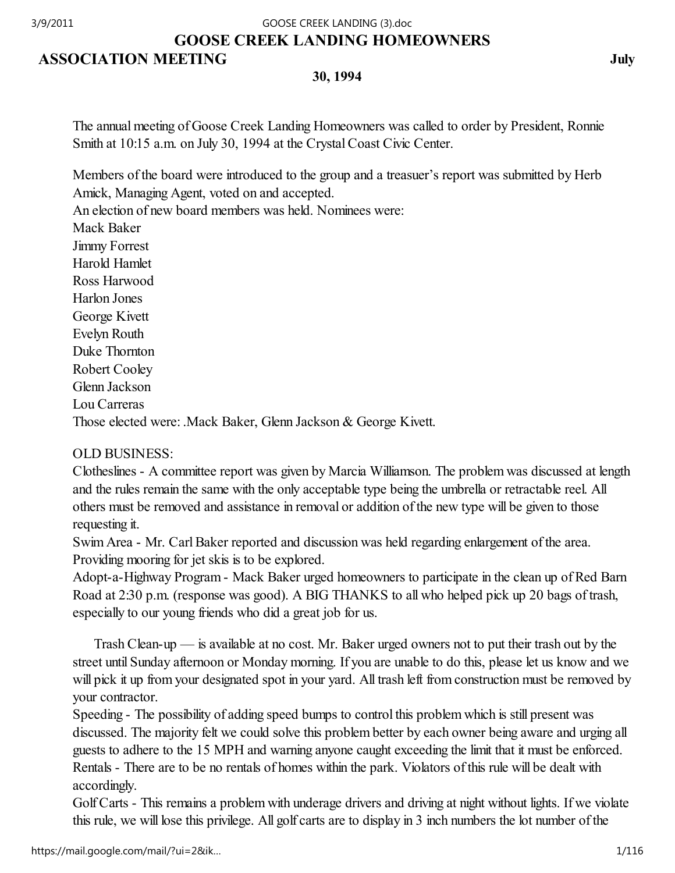## GOOSE CREEK LANDING HOMEOWNERS 3/9/2011 GOOSE CREEK LANDING (3).doc

# ASSOCIATION MEETING July

30, 1994

The annual meeting of Goose Creek Landing Homeowners was called to order by President, Ronnie Smith at 10:15 a.m. on July 30, 1994 at the Crystal Coast Civic Center.

Members of the board were introduced to the group and a treasuer's report was submitted by Herb Amick, Managing Agent, voted on and accepted.

An election of new board members was held. Nominees were:

Mack Baker Jimmy Forrest Harold Hamlet Ross Harwood Harlon Jones George Kivett Evelyn Routh Duke Thornton Robert Cooley Glenn Jackson Lou Carreras Those elected were: .Mack Baker, Glenn Jackson & George Kivett.

# OLD BUSINESS:

Clotheslines - A committee report was given by Marcia Williamson. The problem was discussed at length and the rules remain the same with the only acceptable type being the umbrella or retractable reel. All others must be removed and assistance in removal or addition of the new type will be given to those requesting it.

Swim Area - Mr. Carl Baker reported and discussion was held regarding enlargement of the area. Providing mooring for jet skis is to be explored.

Adopt-a-Highway Program - Mack Baker urged homeowners to participate in the clean up of Red Barn Road at 2:30 p.m. (response was good). A BIG THANKS to all who helped pick up 20 bags of trash, especially to our young friends who did a great job for us.

 Trash Clean-up — is available at no cost. Mr. Baker urged owners not to put their trash out by the street until Sunday afternoon or Monday morning. If you are unable to do this, please let us know and we will pick it up from your designated spot in your yard. All trash left from construction must be removed by your contractor.

Speeding - The possibility of adding speed bumps to control this problem which is still present was discussed. The majority felt we could solve this problem better by each owner being aware and urging all guests to adhere to the 15 MPH and warning anyone caught exceeding the limit that it must be enforced. Rentals - There are to be no rentals of homes within the park. Violators of this rule will be dealt with accordingly.

Golf Carts - This remains a problem with underage drivers and driving at night without lights. If we violate this rule, we will lose this privilege. All golf carts are to display in 3 inch numbers the lot number of the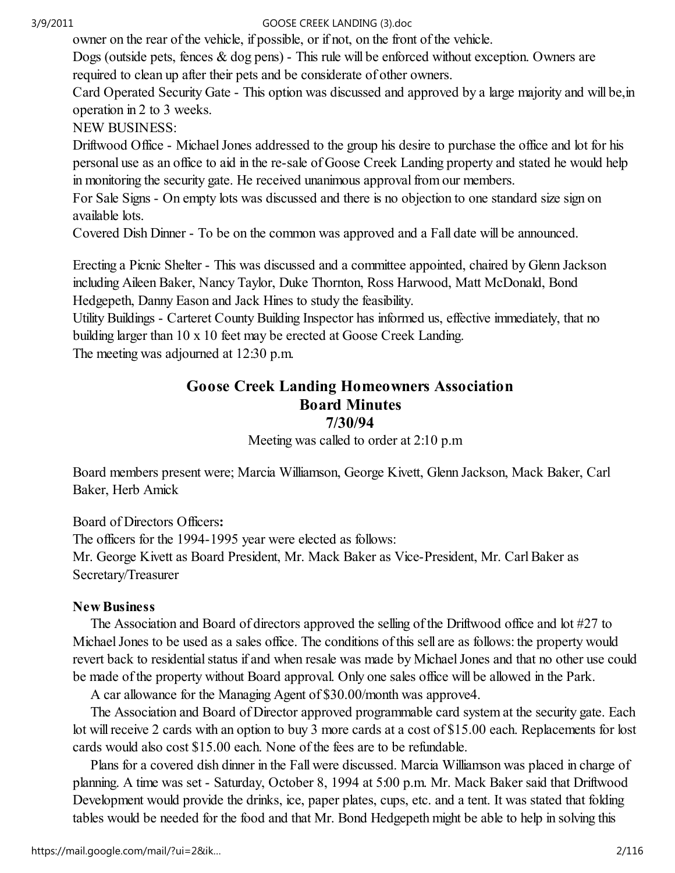owner on the rear of the vehicle, if possible, or if not, on the front of the vehicle.

Dogs (outside pets, fences & dog pens) - This rule will be enforced without exception. Owners are required to clean up after their pets and be considerate of other owners.

Card Operated Security Gate - This option was discussed and approved by a large majority and will be,in operation in 2 to 3 weeks.

NEW BUSINESS:

Driftwood Office - Michael Jones addressed to the group his desire to purchase the office and lot for his personal use as an office to aid in the re-sale of Goose Creek Landing property and stated he would help in monitoring the security gate. He received unanimous approval from our members.

For Sale Signs - On empty lots was discussed and there is no objection to one standard size sign on available lots.

Covered Dish Dinner - To be on the common was approved and a Fall date will be announced.

Erecting a Picnic Shelter - This was discussed and a committee appointed, chaired by Glenn Jackson including Aileen Baker, Nancy Taylor, Duke Thornton, Ross Harwood, Matt McDonald, Bond Hedgepeth, Danny Eason and Jack Hines to study the feasibility.

Utility Buildings - Carteret County Building Inspector has informed us, effective immediately, that no building larger than 10 x 10 feet may be erected at Goose Creek Landing. The meeting was adjourned at 12:30 p.m.

# Goose Creek Landing Homeowners Association Board Minutes

7/30/94

Meeting was called to order at 2:10 p.m

Board members present were; Marcia Williamson, George Kivett, Glenn Jackson, Mack Baker, Carl Baker, Herb Amick

Board of Directors Officers:

The officers for the 1994-1995 year were elected as follows: Mr. George Kivett as Board President, Mr. Mack Baker as Vice-President, Mr. Carl Baker as Secretary/Treasurer

## New Business

 The Association and Board of directors approved the selling of the Driftwood office and lot #27 to Michael Jones to be used as a sales office. The conditions of this sell are as follows: the property would revert back to residential status if and when resale was made by Michael Jones and that no other use could be made of the property without Board approval. Only one sales office will be allowed in the Park.

A car allowance for the Managing Agent of \$30.00/month was approve4.

 The Association and Board of Director approved programmable card system at the security gate. Each lot will receive 2 cards with an option to buy 3 more cards at a cost of \$15.00 each. Replacements for lost cards would also cost \$15.00 each. None of the fees are to be refundable.

 Plans for a covered dish dinner in the Fall were discussed. Marcia Williamson was placed in charge of planning. A time was set - Saturday, October 8, 1994 at 5:00 p.m. Mr. Mack Baker said that Driftwood Development would provide the drinks, ice, paper plates, cups, etc. and a tent. It was stated that folding tables would be needed for the food and that Mr. Bond Hedgepeth might be able to help in solving this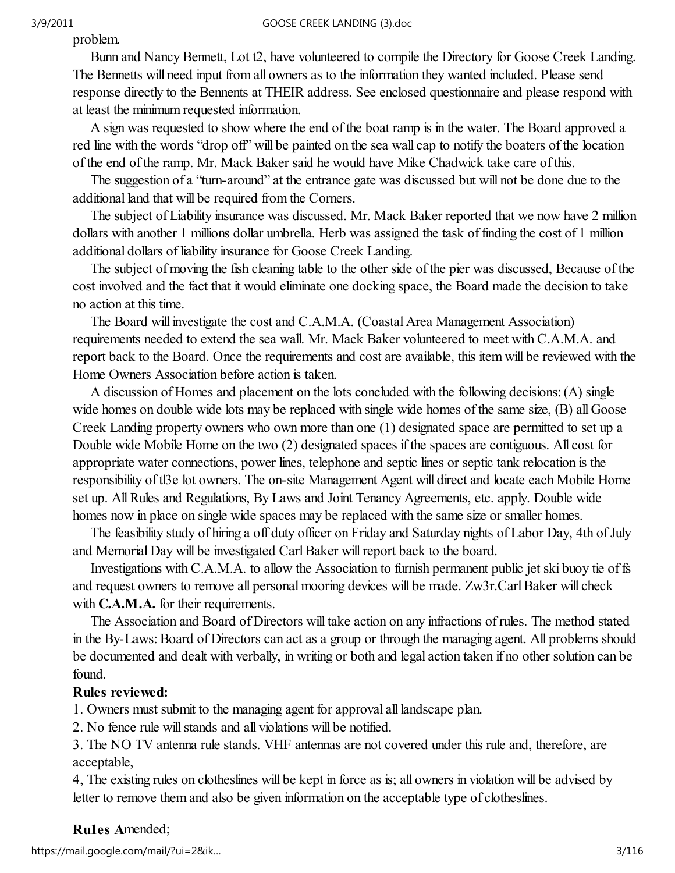problem.

 Bunn and Nancy Bennett, Lot t2, have volunteered to compile the Directory for Goose Creek Landing. The Bennetts will need input from all owners as to the information they wanted included. Please send response directly to the Bennents at THEIR address. See enclosed questionnaire and please respond with at least the minimum requested information.

 A sign was requested to show where the end of the boat ramp is in the water. The Board approved a red line with the words "drop off" will be painted on the sea wall cap to notify the boaters of the location of the end of the ramp. Mr. Mack Baker said he would have Mike Chadwick take care of this.

 The suggestion of a "turn-around" at the entrance gate was discussed but will not be done due to the additional land that will be required from the Corners.

 The subject of Liability insurance was discussed. Mr. Mack Baker reported that we now have 2 million dollars with another 1 millions dollar umbrella. Herb was assigned the task of finding the cost of 1 million additional dollars of liability insurance for Goose Creek Landing.

 The subject of moving the fish cleaning table to the other side of the pier was discussed, Because of the cost involved and the fact that it would eliminate one docking space, the Board made the decision to take no action at this time.

 The Board will investigate the cost and C.A.M.A. (Coastal Area Management Association) requirements needed to extend the sea wall. Mr. Mack Baker volunteered to meet with C.A.M.A. and report back to the Board. Once the requirements and cost are available, this item will be reviewed with the Home Owners Association before action is taken.

 A discussion of Homes and placement on the lots concluded with the following decisions: (A) single wide homes on double wide lots may be replaced with single wide homes of the same size, (B) all Goose Creek Landing property owners who own more than one (1) designated space are permitted to set up a Double wide Mobile Home on the two (2) designated spaces if the spaces are contiguous. All cost for appropriate water connections, power lines, telephone and septic lines or septic tank relocation is the responsibility of tl3e lot owners. The on-site Management Agent will direct and locate each Mobile Home set up. All Rules and Regulations, By Laws and Joint Tenancy Agreements, etc. apply. Double wide homes now in place on single wide spaces may be replaced with the same size or smaller homes.

 The feasibility study of hiring a off duty officer on Friday and Saturday nights of Labor Day, 4th of July and Memorial Day will be investigated Carl Baker will report back to the board.

 Investigations with C.A.M.A. to allow the Association to furnish permanent public jet ski buoy tie of fs and request owners to remove all personal mooring devices will be made. Zw3r.Carl Baker will check with **C.A.M.A.** for their requirements.

 The Association and Board of Directors will take action on any infractions of rules. The method stated in the By-Laws: Board of Directors can act as a group or through the managing agent. All problems should be documented and dealt with verbally, in writing or both and legal action taken if no other solution can be found.

## Rules reviewed:

1. Owners must submit to the managing agent for approval all landscape plan.

2. No fence rule will stands and all violations will be notified.

3. The NO TV antenna rule stands. VHF antennas are not covered under this rule and, therefore, are acceptable,

4, The existing rules on clotheslines will be kept in force as is; all owners in violation will be advised by letter to remove them and also be given information on the acceptable type of clotheslines.

## Ru1es Amended;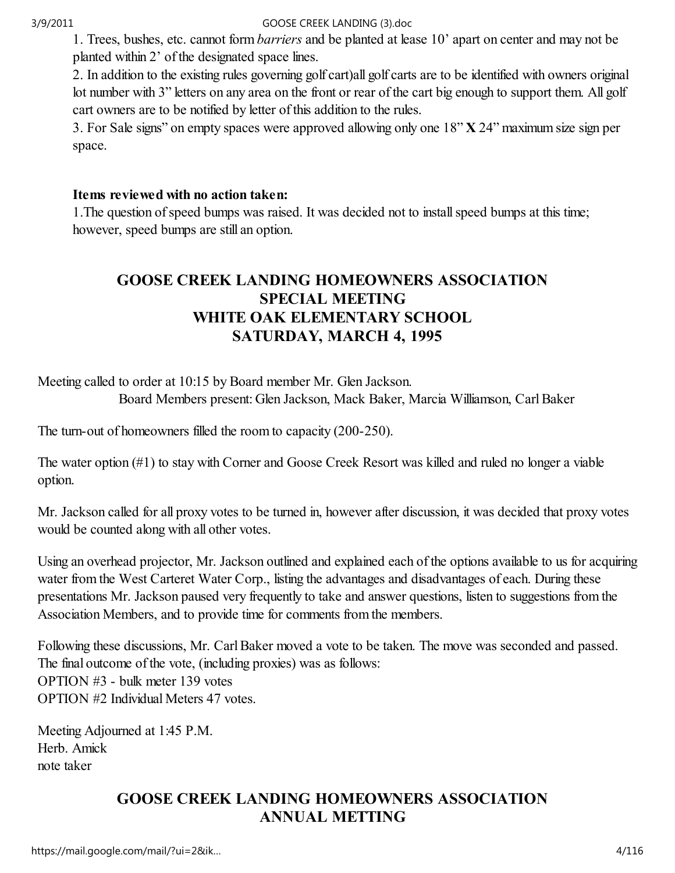1. Trees, bushes, etc. cannot form barriers and be planted at lease 10' apart on center and may not be planted within 2' of the designated space lines.

2. In addition to the existing rules governing golf cart)all golf carts are to be identified with owners original lot number with 3" letters on any area on the front or rear of the cart big enough to support them. All golf cart owners are to be notified by letter of this addition to the rules.

3. For Sale signs" on empty spaces were approved allowing only one 18" X 24" maximum size sign per space.

## Items reviewed with no action taken:

1.The question of speed bumps was raised. It was decided not to install speed bumps at this time; however, speed bumps are still an option.

# GOOSE CREEK LANDING HOMEOWNERS ASSOCIATION SPECIAL MEETING WHITE OAK ELEMENTARY SCHOOL SATURDAY, MARCH 4, 1995

Meeting called to order at 10:15 by Board member Mr. Glen Jackson. Board Members present: Glen Jackson, Mack Baker, Marcia Williamson, Carl Baker

The turn-out of homeowners filled the room to capacity (200-250).

The water option (#1) to stay with Corner and Goose Creek Resort was killed and ruled no longer a viable option.

Mr. Jackson called for all proxy votes to be turned in, however after discussion, it was decided that proxy votes would be counted along with all other votes.

Using an overhead projector, Mr. Jackson outlined and explained each of the options available to us for acquiring water from the West Carteret Water Corp., listing the advantages and disadvantages of each. During these presentations Mr. Jackson paused very frequently to take and answer questions, listen to suggestions from the Association Members, and to provide time for comments from the members.

Following these discussions, Mr. Carl Baker moved a vote to be taken. The move was seconded and passed. The final outcome of the vote, (including proxies) was as follows: OPTION #3 - bulk meter 139 votes OPTION #2 Individual Meters 47 votes.

Meeting Adjourned at 1:45 P.M. Herb. Amick note taker

# GOOSE CREEK LANDING HOMEOWNERS ASSOCIATION ANNUAL METTING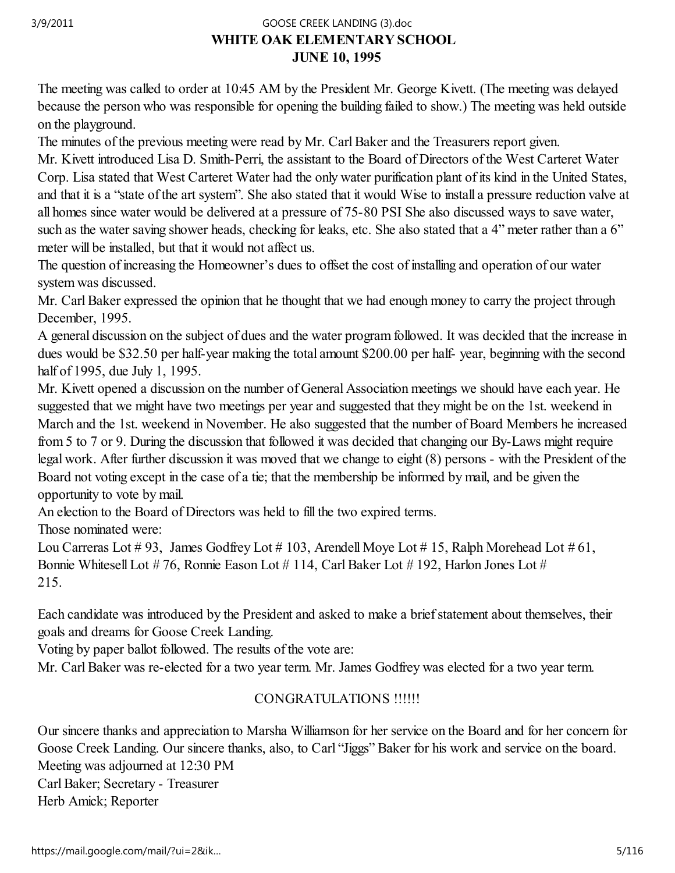## WHITE OAK ELEMENTARY SCHOOL JUNE 10, 1995 3/9/2011 GOOSE CREEK LANDING (3).doc

The meeting was called to order at 10:45 AM by the President Mr. George Kivett. (The meeting was delayed because the person who was responsible for opening the building failed to show.) The meeting was held outside on the playground.

The minutes of the previous meeting were read by Mr. Carl Baker and the Treasurers report given.

Mr. Kivett introduced Lisa D. Smith-Perri, the assistant to the Board of Directors of the West Carteret Water Corp. Lisa stated that West Carteret Water had the only water purification plant of its kind in the United States, and that it is a "state of the art system". She also stated that it would Wise to install a pressure reduction valve at all homes since water would be delivered at a pressure of 75-80 PSI She also discussed ways to save water, such as the water saving shower heads, checking for leaks, etc. She also stated that a 4" meter rather than a 6" meter will be installed, but that it would not affect us.

The question of increasing the Homeowner's dues to offset the cost of installing and operation of our water system was discussed.

Mr. Carl Baker expressed the opinion that he thought that we had enough money to carry the project through December, 1995.

A general discussion on the subject of dues and the water program followed. It was decided that the increase in dues would be \$32.50 per half-year making the total amount \$200.00 per half- year, beginning with the second half of 1995, due July 1, 1995.

Mr. Kivett opened a discussion on the number of General Association meetings we should have each year. He suggested that we might have two meetings per year and suggested that they might be on the 1st. weekend in March and the 1st. weekend in November. He also suggested that the number of Board Members he increased from 5 to 7 or 9. During the discussion that followed it was decided that changing our By-Laws might require legal work. After further discussion it was moved that we change to eight (8) persons - with the President of the Board not voting except in the case of a tie; that the membership be informed by mail, and be given the opportunity to vote by mail.

An election to the Board of Directors was held to fill the two expired terms.

Those nominated were:

Lou Carreras Lot  $\#$  93, James Godfrey Lot  $\#$  103, Arendell Moye Lot  $\#$  15, Ralph Morehead Lot  $\#$  61, Bonnie Whitesell Lot # 76, Ronnie Eason Lot # 114, Carl Baker Lot # 192, Harlon Jones Lot # 215.

Each candidate was introduced by the President and asked to make a brief statement about themselves, their goals and dreams for Goose Creek Landing.

Voting by paper ballot followed. The results of the vote are:

Mr. Carl Baker was re-elected for a two year term. Mr. James Godfrey was elected for a two year term.

## CONGRATULATIONS !!!!!!

Our sincere thanks and appreciation to Marsha Williamson for her service on the Board and for her concern for Goose Creek Landing. Our sincere thanks, also, to Carl "Jiggs" Baker for his work and service on the board. Meeting was adjourned at 12:30 PM Carl Baker; Secretary - Treasurer Herb Amick; Reporter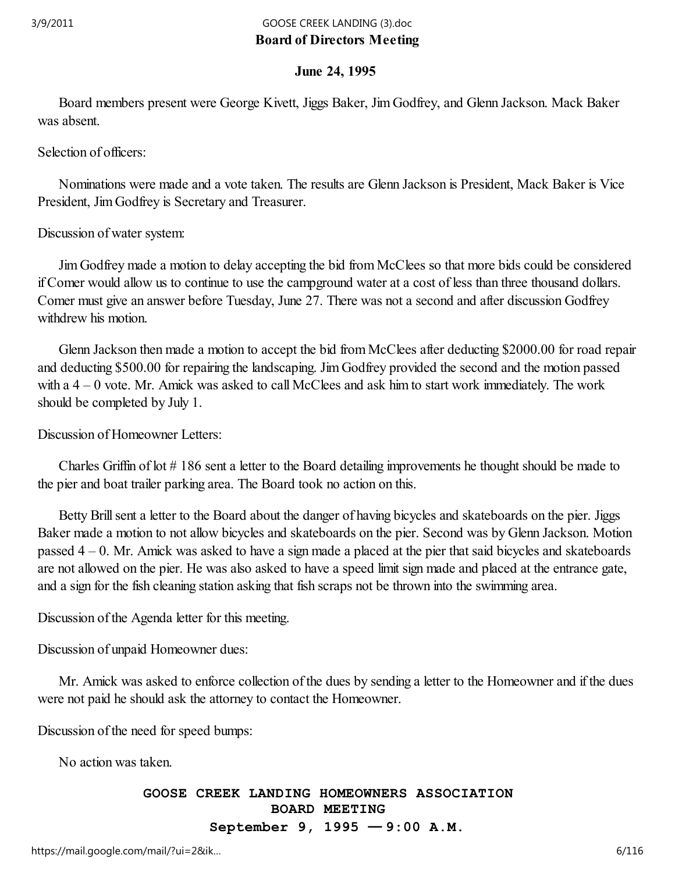## Board of Directors Meeting 3/9/2011 GOOSE CREEK LANDING (3).doc

## June 24, 1995

 Board members present were George Kivett, Jiggs Baker, Jim Godfrey, and Glenn Jackson. Mack Baker was absent.

Selection of officers:

 Nominations were made and a vote taken. The results are Glenn Jackson is President, Mack Baker is Vice President, Jim Godfrey is Secretary and Treasurer.

Discussion of water system:

 Jim Godfrey made a motion to delay accepting the bid from McClees so that more bids could be considered if Comer would allow us to continue to use the campground water at a cost of less than three thousand dollars. Comer must give an answer before Tuesday, June 27. There was not a second and after discussion Godfrey withdrew his motion.

 Glenn Jackson then made a motion to accept the bid from McClees after deducting \$2000.00 for road repair and deducting \$500.00 for repairing the landscaping. Jim Godfrey provided the second and the motion passed with a 4 – 0 vote. Mr. Amick was asked to call McClees and ask him to start work immediately. The work should be completed by July 1.

Discussion of Homeowner Letters:

 Charles Griffin of lot # 186 sent a letter to the Board detailing improvements he thought should be made to the pier and boat trailer parking area. The Board took no action on this.

 Betty Brill sent a letter to the Board about the danger of having bicycles and skateboards on the pier. Jiggs Baker made a motion to not allow bicycles and skateboards on the pier. Second was by Glenn Jackson. Motion passed 4 – 0. Mr. Amick was asked to have a sign made a placed at the pier that said bicycles and skateboards are not allowed on the pier. He was also asked to have a speed limit sign made and placed at the entrance gate, and a sign for the fish cleaning station asking that fish scraps not be thrown into the swimming area.

Discussion of the Agenda letter for this meeting.

Discussion of unpaid Homeowner dues:

 Mr. Amick was asked to enforce collection of the dues by sending a letter to the Homeowner and if the dues were not paid he should ask the attorney to contact the Homeowner.

Discussion of the need for speed bumps:

No action was taken.

#### GOOSE CREEK LANDING HOMEOWNERS ASSOCIATION BOARD MEETING September 9, 1995 — 9:00 A.M.

https://mail.google.com/mail/?ui=2&ik...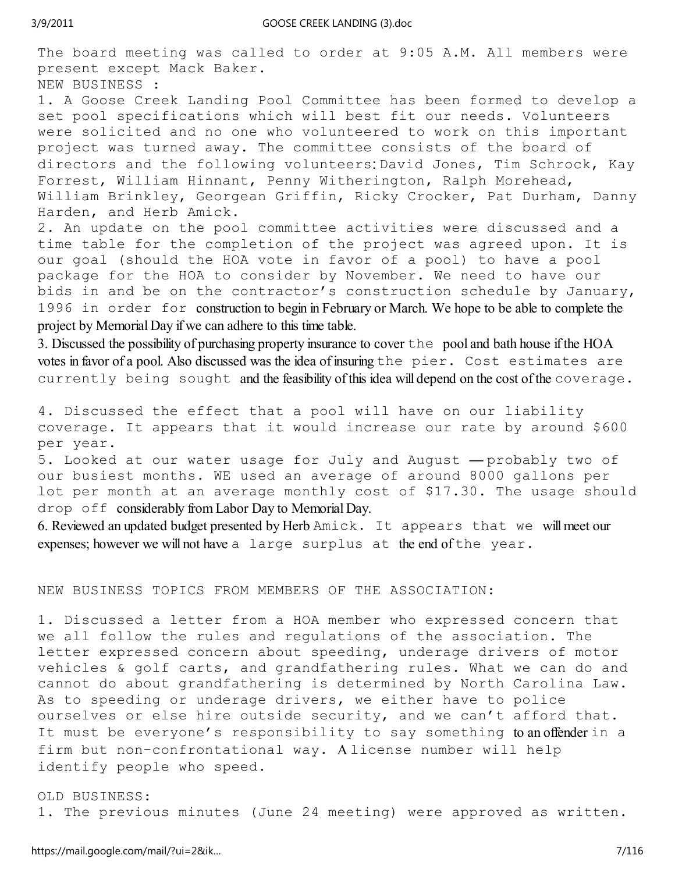The board meeting was called to order at 9:05 A.M. All members were present except Mack Baker.

NEW BUSINESS :

1. A Goose Creek Landing Pool Committee has been formed to develop a set pool specifications which will best fit our needs. Volunteers were solicited and no one who volunteered to work on this important project was turned away. The committee consists of the board of directors and the following volunteers: David Jones, Tim Schrock, Kay Forrest, William Hinnant, Penny Witherington, Ralph Morehead, William Brinkley, Georgean Griffin, Ricky Crocker, Pat Durham, Danny Harden, and Herb Amick.

2. An update on the pool committee activities were discussed and a time table for the completion of the project was agreed upon. It is our goal (should the HOA vote in favor of a pool) to have a pool package for the HOA to consider by November. We need to have our bids in and be on the contractor's construction schedule by January, 1996 in order for construction to begin in February or March. We hope to be able to complete the project by Memorial Day if we can adhere to this time table.

3. Discussed the possibility of purchasing property insurance to cover the pool and bath house if the HOA votes in favor of a pool. Also discussed was the idea of insuring the pier. Cost estimates are currently being sought and the feasibility of this idea will depend on the cost of the coverage.

4. Discussed the effect that a pool will have on our liability coverage. It appears that it would increase our rate by around \$600 per year.

5. Looked at our water usage for July and August — probably two of our busiest months. WE used an average of around 8000 gallons per lot per month at an average monthly cost of \$17.30. The usage should drop off considerably from Labor Day to Memorial Day.

6. Reviewed an updated budget presented by Herb Amick. It appears that we will meet our expenses; however we will not have a large surplus at the end of the year.

#### NEW BUSINESS TOPICS FROM MEMBERS OF THE ASSOCIATION:

1. Discussed a letter from a HOA member who expressed concern that we all follow the rules and regulations of the association. The letter expressed concern about speeding, underage drivers of motor vehicles & golf carts, and grandfathering rules. What we can do and cannot do about grandfathering is determined by North Carolina Law. As to speeding or underage drivers, we either have to police ourselves or else hire outside security, and we can't afford that. It must be everyone's responsibility to say something to an offender in a firm but non-confrontational way. A license number will help identify people who speed.

OLD BUSINESS: 1. The previous minutes (June 24 meeting) were approved as written.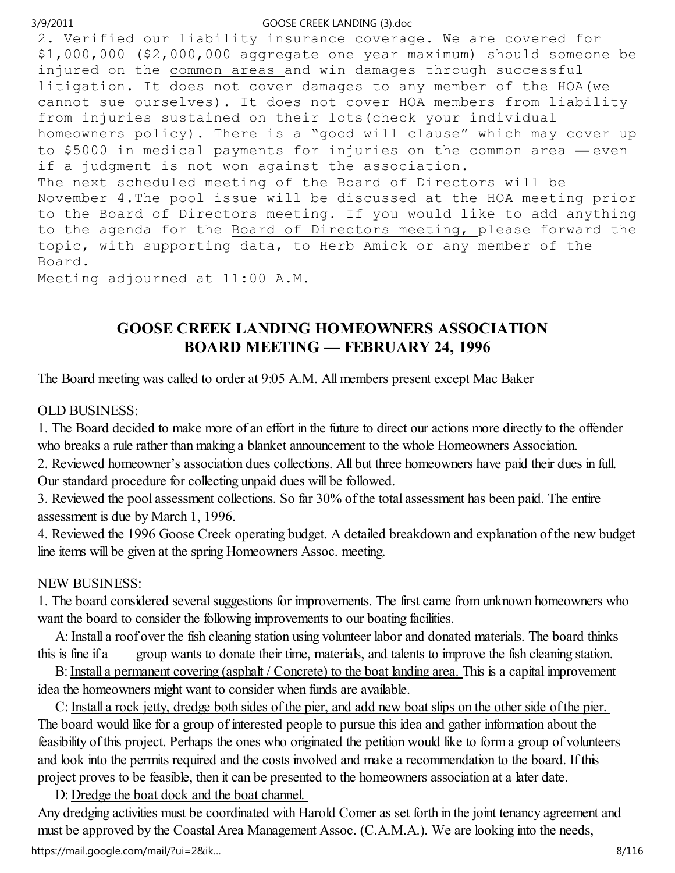2. Verified our liability insurance coverage. We are covered for \$1,000,000 (\$2,000,000 aggregate one year maximum) should someone be injured on the common areas and win damages through successful litigation. It does not cover damages to any member of the HOA(we cannot sue ourselves). It does not cover HOA members from liability from injuries sustained on their lots(check your individual homeowners policy). There is a "good will clause" which may cover up to \$5000 in medical payments for injuries on the common area — even if a judgment is not won against the association. The next scheduled meeting of the Board of Directors will be November 4.The pool issue will be discussed at the HOA meeting prior to the Board of Directors meeting. If you would like to add anything to the agenda for the Board of Directors meeting, please forward the topic, with supporting data, to Herb Amick or any member of the Board.

Meeting adjourned at 11:00 A.M.

# GOOSE CREEK LANDING HOMEOWNERS ASSOCIATION BOARD MEETING — FEBRUARY 24, 1996

The Board meeting was called to order at 9:05 A.M. All members present except Mac Baker

## OLD BUSINESS:

1. The Board decided to make more of an effort in the future to direct our actions more directly to the offender who breaks a rule rather than making a blanket announcement to the whole Homeowners Association.

2. Reviewed homeowner's association dues collections. All but three homeowners have paid their dues in full. Our standard procedure for collecting unpaid dues will be followed.

3. Reviewed the pool assessment collections. So far 30% of the total assessment has been paid. The entire assessment is due by March 1, 1996.

4. Reviewed the 1996 Goose Creek operating budget. A detailed breakdown and explanation of the new budget line items will be given at the spring Homeowners Assoc. meeting.

## NEW BUSINESS:

1. The board considered several suggestions for improvements. The first came from unknown homeowners who want the board to consider the following improvements to our boating facilities.

 A: Install a roof over the fish cleaning station using volunteer labor and donated materials. The board thinks this is fine if a group wants to donate their time, materials, and talents to improve the fish cleaning station.

 B: Install a permanent covering (asphalt / Concrete) to the boat landing area. This is a capital improvement idea the homeowners might want to consider when funds are available.

 C: Install a rock jetty, dredge both sides of the pier, and add new boat slips on the other side of the pier. The board would like for a group of interested people to pursue this idea and gather information about the feasibility of this project. Perhaps the ones who originated the petition would like to form a group of volunteers and look into the permits required and the costs involved and make a recommendation to the board. If this project proves to be feasible, then it can be presented to the homeowners association at a later date.

D: Dredge the boat dock and the boat channel.

Any dredging activities must be coordinated with Harold Comer as set forth in the joint tenancy agreement and must be approved by the Coastal Area Management Assoc. (C.A.M.A.). We are looking into the needs, https://mail.google.com/mail/?ui=2&ik… 8/116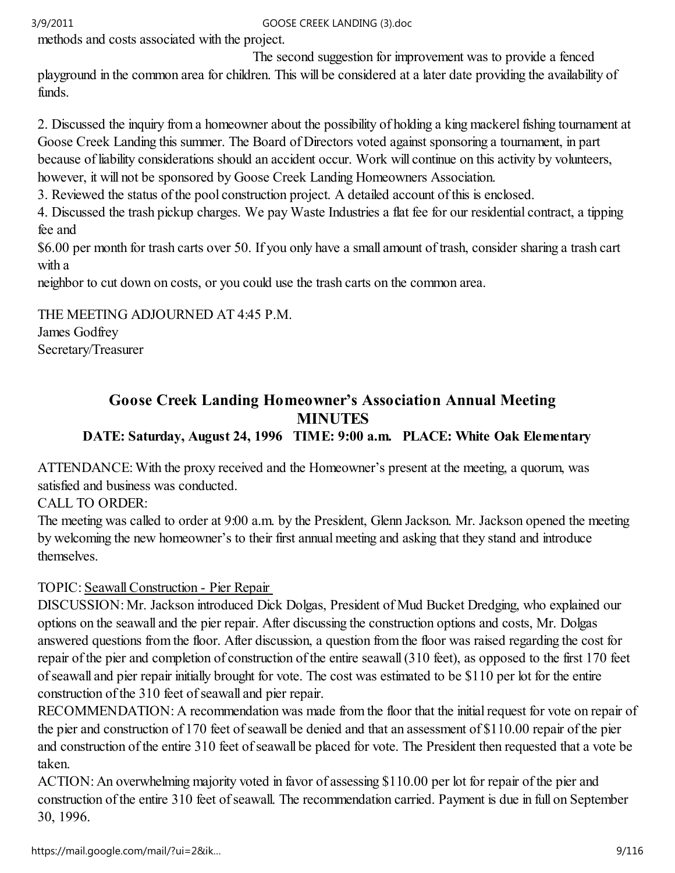methods and costs associated with the project.

 The second suggestion for improvement was to provide a fenced playground in the common area for children. This will be considered at a later date providing the availability of funds.

2. Discussed the inquiry from a homeowner about the possibility of holding a king mackerel fishing tournament at Goose Creek Landing this summer. The Board of Directors voted against sponsoring a tournament, in part because of liability considerations should an accident occur. Work will continue on this activity by volunteers, however, it will not be sponsored by Goose Creek Landing Homeowners Association.

3. Reviewed the status of the pool construction project. A detailed account of this is enclosed.

4. Discussed the trash pickup charges. We pay Waste Industries a flat fee for our residential contract, a tipping fee and

\$6.00 per month for trash carts over 50. If you only have a small amount of trash, consider sharing a trash cart with a

neighbor to cut down on costs, or you could use the trash carts on the common area.

THE MEETING ADJOURNED AT 4:45 P.M. James Godfrey Secretary/Treasurer

## Goose Creek Landing Homeowner's Association Annual Meeting MINUTES DATE: Saturday, August 24, 1996 TIME: 9:00 a.m. PLACE: White Oak Elementary

ATTENDANCE: With the proxy received and the Homeowner's present at the meeting, a quorum, was satisfied and business was conducted.

CALL TO ORDER:

The meeting was called to order at 9:00 a.m. by the President, Glenn Jackson. Mr. Jackson opened the meeting by welcoming the new homeowner's to their first annual meeting and asking that they stand and introduce themselves.

# TOPIC: Seawall Construction - Pier Repair

DISCUSSION: Mr. Jackson introduced Dick Dolgas, President of Mud Bucket Dredging, who explained our options on the seawall and the pier repair. After discussing the construction options and costs, Mr. Dolgas answered questions from the floor. After discussion, a question from the floor was raised regarding the cost for repair of the pier and completion of construction of the entire seawall (310 feet), as opposed to the first 170 feet of seawall and pier repair initially brought for vote. The cost was estimated to be \$110 per lot for the entire construction of the 310 feet of seawall and pier repair.

RECOMMENDATION: A recommendation was made from the floor that the initial request for vote on repair of the pier and construction of 170 feet of seawall be denied and that an assessment of \$110.00 repair of the pier and construction of the entire 310 feet of seawall be placed for vote. The President then requested that a vote be taken.

ACTION: An overwhelming majority voted in favor of assessing \$110.00 per lot for repair of the pier and construction of the entire 310 feet of seawall. The recommendation carried. Payment is due in full on September 30, 1996.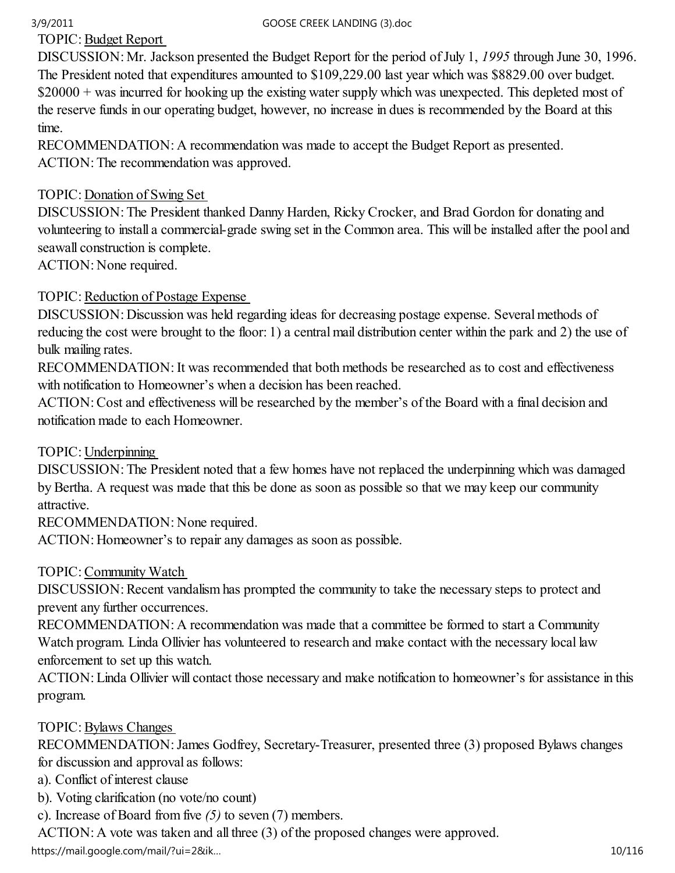TOPIC: Budget Report

DISCUSSION: Mr. Jackson presented the Budget Report for the period of July 1, 1995 through June 30, 1996. The President noted that expenditures amounted to \$109,229.00 last year which was \$8829.00 over budget. \$20000 + was incurred for hooking up the existing water supply which was unexpected. This depleted most of the reserve funds in our operating budget, however, no increase in dues is recommended by the Board at this time.

RECOMMENDATION: A recommendation was made to accept the Budget Report as presented. ACTION: The recommendation was approved.

## TOPIC: Donation of Swing Set

DISCUSSION: The President thanked Danny Harden, Ricky Crocker, and Brad Gordon for donating and volunteering to install a commercial-grade swing set in the Common area. This will be installed after the pool and seawall construction is complete.

ACTION: None required.

## TOPIC: Reduction of Postage Expense

DISCUSSION: Discussion was held regarding ideas for decreasing postage expense. Several methods of reducing the cost were brought to the floor: 1) a central mail distribution center within the park and 2) the use of bulk mailing rates.

RECOMMENDATION: It was recommended that both methods be researched as to cost and effectiveness with notification to Homeowner's when a decision has been reached.

ACTION: Cost and effectiveness will be researched by the member's of the Board with a final decision and notification made to each Homeowner.

## TOPIC: Underpinning

DISCUSSION: The President noted that a few homes have not replaced the underpinning which was damaged by Bertha. A request was made that this be done as soon as possible so that we may keep our community attractive.

RECOMMENDATION: None required.

ACTION: Homeowner's to repair any damages as soon as possible.

## TOPIC: Community Watch

DISCUSSION: Recent vandalism has prompted the community to take the necessary steps to protect and prevent any further occurrences.

RECOMMENDATION: A recommendation was made that a committee be formed to start a Community Watch program. Linda Ollivier has volunteered to research and make contact with the necessary local law enforcement to set up this watch.

ACTION: Linda Ollivier will contact those necessary and make notification to homeowner's for assistance in this program.

## TOPIC: Bylaws Changes

RECOMMENDATION: James Godfrey, Secretary-Treasurer, presented three (3) proposed Bylaws changes for discussion and approval as follows:

a). Conflict of interest clause

b). Voting clarification (no vote/no count)

c). Increase of Board from five  $(5)$  to seven  $(7)$  members.

ACTION: A vote was taken and all three (3) of the proposed changes were approved.

https://mail.google.com/mail/?ui=2&ik...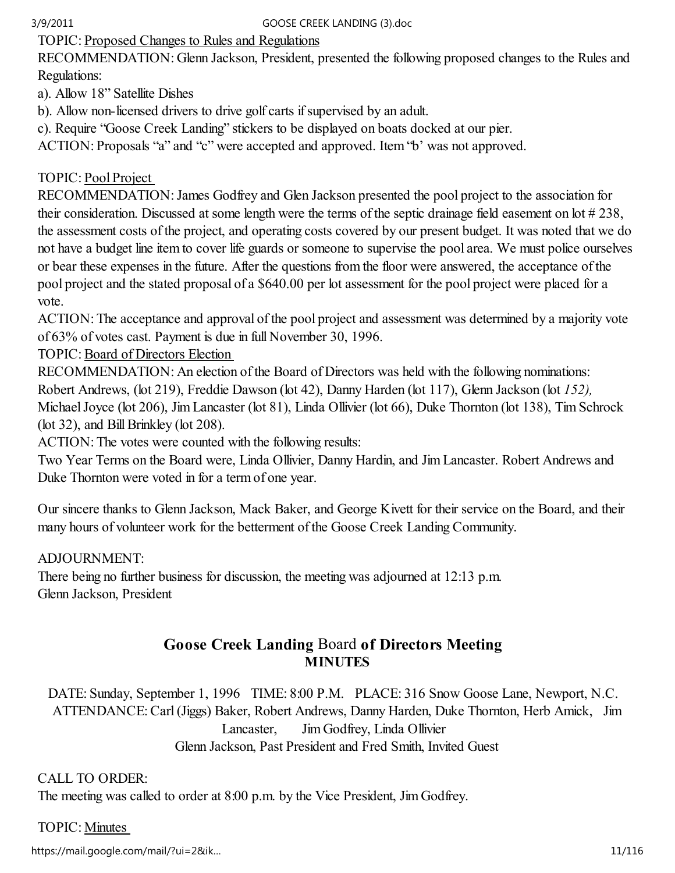TOPIC: Proposed Changes to Rules and Regulations

RECOMMENDATION: Glenn Jackson, President, presented the following proposed changes to the Rules and Regulations:

a). Allow 18" Satellite Dishes

b). Allow non-licensed drivers to drive golf carts if supervised by an adult.

c). Require "Goose Creek Landing" stickers to be displayed on boats docked at our pier.

ACTION: Proposals "a" and "c" were accepted and approved. Item "b' was not approved.

## TOPIC: Pool Project

RECOMMENDATION: James Godfrey and Glen Jackson presented the pool project to the association for their consideration. Discussed at some length were the terms of the septic drainage field easement on lot # 238, the assessment costs of the project, and operating costs covered by our present budget. It was noted that we do not have a budget line item to cover life guards or someone to supervise the pool area. We must police ourselves or bear these expenses in the future. After the questions from the floor were answered, the acceptance of the pool project and the stated proposal of a \$640.00 per lot assessment for the pool project were placed for a vote.

ACTION: The acceptance and approval of the pool project and assessment was determined by a majority vote of 63% of votes cast. Payment is due in full November 30, 1996.

TOPIC: Board of Directors Election

RECOMMENDATION: An election of the Board of Directors was held with the following nominations: Robert Andrews, (lot 219), Freddie Dawson (lot 42), Danny Harden (lot 117), Glenn Jackson (lot 152), Michael Joyce (lot 206), Jim Lancaster (lot 81), Linda Ollivier (lot 66), Duke Thornton (lot 138), Tim Schrock (lot 32), and Bill Brinkley (lot 208).

ACTION: The votes were counted with the following results:

Two Year Terms on the Board were, Linda Ollivier, Danny Hardin, and Jim Lancaster. Robert Andrews and Duke Thornton were voted in for a term of one year.

Our sincere thanks to Glenn Jackson, Mack Baker, and George Kivett for their service on the Board, and their many hours of volunteer work for the betterment of the Goose Creek Landing Community.

## ADJOURNMENT:

There being no further business for discussion, the meeting was adjourned at 12:13 p.m. Glenn Jackson, President

## Goose Creek Landing Board of Directors Meeting **MINUTES**

DATE: Sunday, September 1, 1996 TIME: 8:00 P.M. PLACE: 316 Snow Goose Lane, Newport, N.C. ATTENDANCE: Carl (Jiggs) Baker, Robert Andrews, Danny Harden, Duke Thornton, Herb Amick, Jim Lancaster, Jim Godfrey, Linda Ollivier Glenn Jackson, Past President and Fred Smith, Invited Guest

## CALL TO ORDER:

The meeting was called to order at 8:00 p.m. by the Vice President, Jim Godfrey.

## TOPIC: Minutes

https://mail.google.com/mail/?ui=2&ik...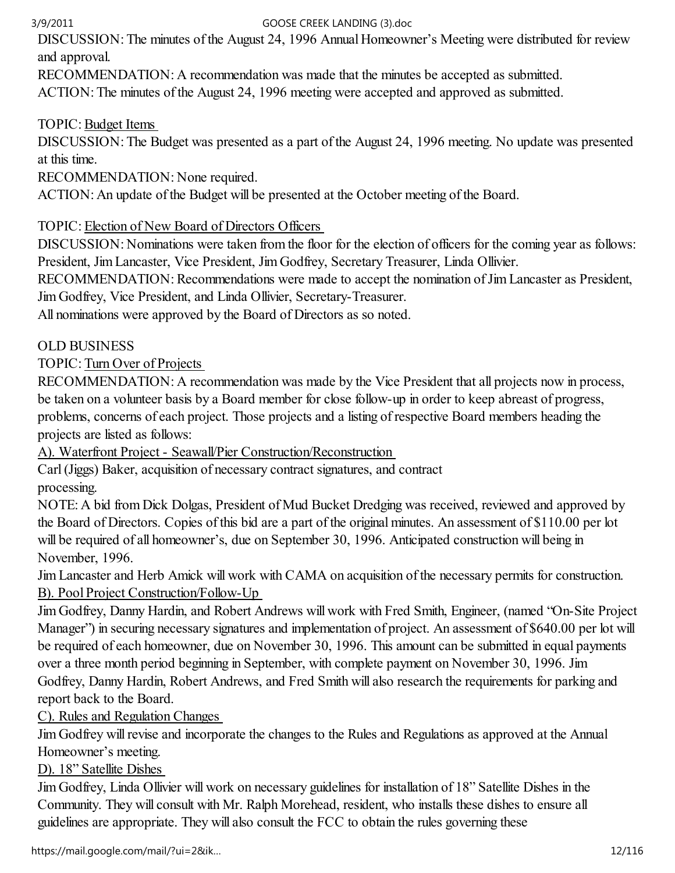DISCUSSION: The minutes of the August 24, 1996 Annual Homeowner's Meeting were distributed for review and approval.

RECOMMENDATION: A recommendation was made that the minutes be accepted as submitted.

ACTION: The minutes of the August 24, 1996 meeting were accepted and approved as submitted.

## TOPIC: Budget Items

DISCUSSION: The Budget was presented as a part of the August 24, 1996 meeting. No update was presented at this time.

RECOMMENDATION: None required.

ACTION: An update of the Budget will be presented at the October meeting of the Board.

## TOPIC: Election of New Board of Directors Officers

DISCUSSION: Nominations were taken from the floor for the election of officers for the coming year as follows: President, Jim Lancaster, Vice President, Jim Godfrey, Secretary Treasurer, Linda Ollivier.

RECOMMENDATION: Recommendations were made to accept the nomination of Jim Lancaster as President, Jim Godfrey, Vice President, and Linda Ollivier, Secretary-Treasurer.

All nominations were approved by the Board of Directors as so noted.

## OLD BUSINESS

TOPIC: Turn Over of Projects

RECOMMENDATION: A recommendation was made by the Vice President that all projects now in process, be taken on a volunteer basis by a Board member for close follow-up in order to keep abreast of progress, problems, concerns of each project. Those projects and a listing of respective Board members heading the projects are listed as follows:

A). Waterfront Project - Seawall/Pier Construction/Reconstruction

Carl (Jiggs) Baker, acquisition of necessary contract signatures, and contract processing.

NOTE: A bid from Dick Dolgas, President of Mud Bucket Dredging was received, reviewed and approved by the Board of Directors. Copies of this bid are a part of the original minutes. An assessment of \$110.00 per lot will be required of all homeowner's, due on September 30, 1996. Anticipated construction will being in November, 1996.

Jim Lancaster and Herb Amick will work with CAMA on acquisition of the necessary permits for construction. B). Pool Project Construction/Follow-Up

Jim Godfrey, Danny Hardin, and Robert Andrews will work with Fred Smith, Engineer, (named "On-Site Project Manager") in securing necessary signatures and implementation of project. An assessment of \$640.00 per lot will be required of each homeowner, due on November 30, 1996. This amount can be submitted in equal payments over a three month period beginning in September, with complete payment on November 30, 1996. Jim Godfrey, Danny Hardin, Robert Andrews, and Fred Smith will also research the requirements for parking and report back to the Board.

C). Rules and Regulation Changes

Jim Godfrey will revise and incorporate the changes to the Rules and Regulations as approved at the Annual Homeowner's meeting.

## D). 18" Satellite Dishes

Jim Godfrey, Linda Ollivier will work on necessary guidelines for installation of 18" Satellite Dishes in the Community. They will consult with Mr. Ralph Morehead, resident, who installs these dishes to ensure all guidelines are appropriate. They will also consult the FCC to obtain the rules governing these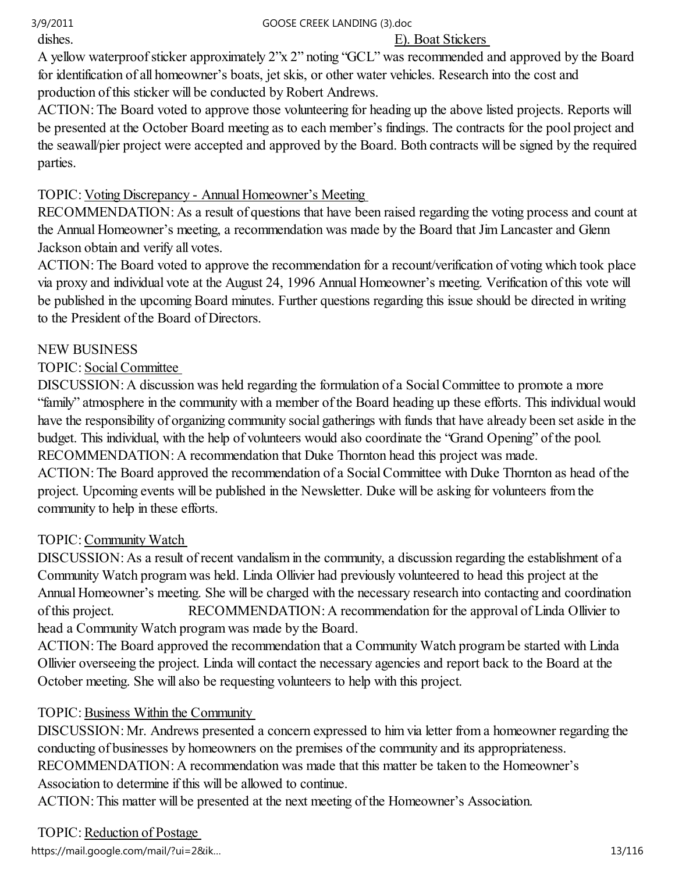## dishes. E). Boat Stickers

A yellow waterproof sticker approximately 2"x 2" noting "GCL" was recommended and approved by the Board for identification of all homeowner's boats, jet skis, or other water vehicles. Research into the cost and production of this sticker will be conducted by Robert Andrews.

ACTION: The Board voted to approve those volunteering for heading up the above listed projects. Reports will be presented at the October Board meeting as to each member's findings. The contracts for the pool project and the seawall/pier project were accepted and approved by the Board. Both contracts will be signed by the required parties.

# TOPIC: Voting Discrepancy - Annual Homeowner's Meeting

RECOMMENDATION: As a result of questions that have been raised regarding the voting process and count at the Annual Homeowner's meeting, a recommendation was made by the Board that Jim Lancaster and Glenn Jackson obtain and verify all votes.

ACTION: The Board voted to approve the recommendation for a recount/verification of voting which took place via proxy and individual vote at the August 24, 1996 Annual Homeowner's meeting. Verification of this vote will be published in the upcoming Board minutes. Further questions regarding this issue should be directed in writing to the President of the Board of Directors.

## NEW BUSINESS

## TOPIC: Social Committee

DISCUSSION: A discussion was held regarding the formulation of a Social Committee to promote a more "family" atmosphere in the community with a member of the Board heading up these efforts. This individual would have the responsibility of organizing community social gatherings with funds that have already been set aside in the budget. This individual, with the help of volunteers would also coordinate the "Grand Opening" of the pool. RECOMMENDATION: A recommendation that Duke Thornton head this project was made. ACTION: The Board approved the recommendation of a Social Committee with Duke Thornton as head of the project. Upcoming events will be published in the Newsletter. Duke will be asking for volunteers from the community to help in these efforts.

## TOPIC: Community Watch

DISCUSSION: As a result of recent vandalism in the community, a discussion regarding the establishment of a Community Watch program was held. Linda Ollivier had previously volunteered to head this project at the Annual Homeowner's meeting. She will be charged with the necessary research into contacting and coordination of this project. RECOMMENDATION: A recommendation for the approval of Linda Ollivier to head a Community Watch program was made by the Board.

ACTION: The Board approved the recommendation that a Community Watch program be started with Linda Ollivier overseeing the project. Linda will contact the necessary agencies and report back to the Board at the October meeting. She will also be requesting volunteers to help with this project.

# TOPIC: Business Within the Community

DISCUSSION: Mr. Andrews presented a concern expressed to him via letter from a homeowner regarding the conducting of businesses by homeowners on the premises of the community and its appropriateness. RECOMMENDATION: A recommendation was made that this matter be taken to the Homeowner's Association to determine if this will be allowed to continue.

ACTION: This matter will be presented at the next meeting of the Homeowner's Association.

TOPIC: Reduction of Postage

https://mail.google.com/mail/?ui=2&ik… 13/116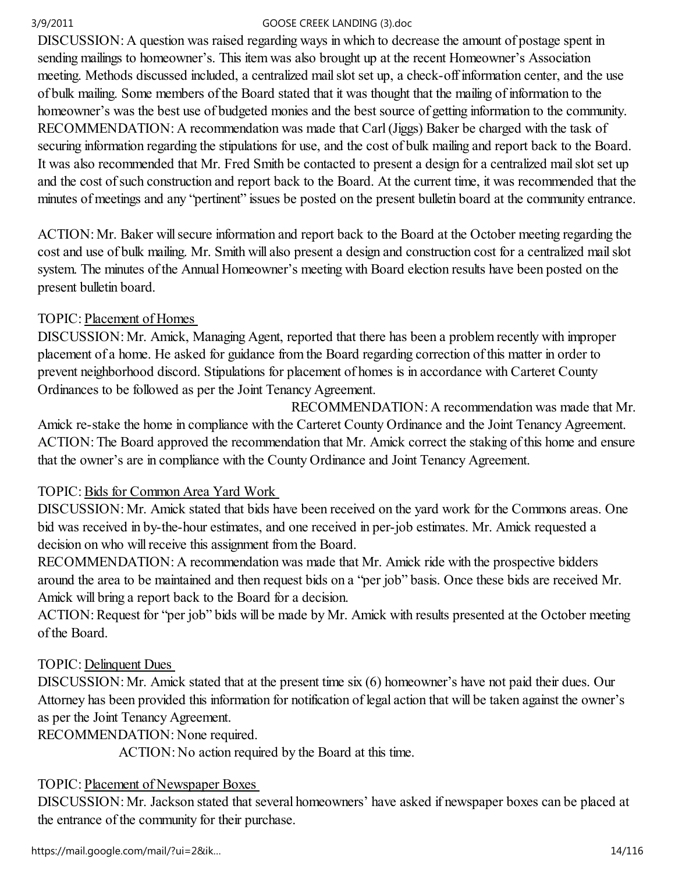DISCUSSION: A question was raised regarding ways in which to decrease the amount of postage spent in sending mailings to homeowner's. This item was also brought up at the recent Homeowner's Association meeting. Methods discussed included, a centralized mail slot set up, a check-off information center, and the use of bulk mailing. Some members of the Board stated that it was thought that the mailing of information to the homeowner's was the best use of budgeted monies and the best source of getting information to the community. RECOMMENDATION: A recommendation was made that Carl (Jiggs) Baker be charged with the task of securing information regarding the stipulations for use, and the cost of bulk mailing and report back to the Board. It was also recommended that Mr. Fred Smith be contacted to present a design for a centralized mail slot set up and the cost of such construction and report back to the Board. At the current time, it was recommended that the minutes of meetings and any "pertinent" issues be posted on the present bulletin board at the community entrance.

ACTION: Mr. Baker will secure information and report back to the Board at the October meeting regarding the cost and use of bulk mailing. Mr. Smith will also present a design and construction cost for a centralized mail slot system. The minutes of the Annual Homeowner's meeting with Board election results have been posted on the present bulletin board.

## TOPIC: Placement of Homes

DISCUSSION: Mr. Amick, Managing Agent, reported that there has been a problem recently with improper placement of a home. He asked for guidance from the Board regarding correction of this matter in order to prevent neighborhood discord. Stipulations for placement of homes is in accordance with Carteret County Ordinances to be followed as per the Joint Tenancy Agreement.

 RECOMMENDATION: A recommendation was made that Mr. Amick re-stake the home in compliance with the Carteret County Ordinance and the Joint Tenancy Agreement. ACTION: The Board approved the recommendation that Mr. Amick correct the staking of this home and ensure that the owner's are in compliance with the County Ordinance and Joint Tenancy Agreement.

## TOPIC: Bids for Common Area Yard Work

DISCUSSION: Mr. Amick stated that bids have been received on the yard work for the Commons areas. One bid was received in by-the-hour estimates, and one received in per-job estimates. Mr. Amick requested a decision on who will receive this assignment from the Board.

RECOMMENDATION: A recommendation was made that Mr. Amick ride with the prospective bidders around the area to be maintained and then request bids on a "per job" basis. Once these bids are received Mr. Amick will bring a report back to the Board for a decision.

ACTION: Request for "per job" bids will be made by Mr. Amick with results presented at the October meeting of the Board.

## TOPIC: Delinquent Dues

DISCUSSION: Mr. Amick stated that at the present time six (6) homeowner's have not paid their dues. Our Attorney has been provided this information for notification of legal action that will be taken against the owner's as per the Joint Tenancy Agreement.

RECOMMENDATION: None required.

ACTION: No action required by the Board at this time.

# TOPIC: Placement of Newspaper Boxes

DISCUSSION: Mr. Jackson stated that several homeowners' have asked if newspaper boxes can be placed at the entrance of the community for their purchase.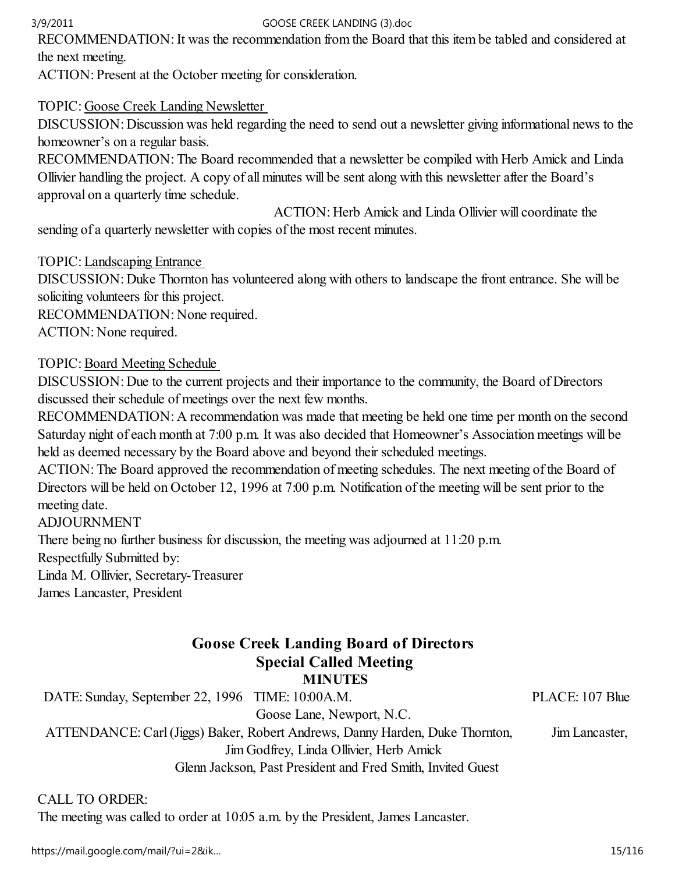RECOMMENDATION: It was the recommendation from the Board that this item be tabled and considered at the next meeting.

ACTION: Present at the October meeting for consideration.

### TOPIC: Goose Creek Landing Newsletter

DISCUSSION: Discussion was held regarding the need to send out a newsletter giving informational news to the homeowner's on a regular basis.

RECOMMENDATION: The Board recommended that a newsletter be compiled with Herb Amick and Linda Ollivier handling the project. A copy of all minutes will be sent along with this newsletter after the Board's approval on a quarterly time schedule.

 ACTION: Herb Amick and Linda Ollivier will coordinate the sending of a quarterly newsletter with copies of the most recent minutes.

TOPIC: Landscaping Entrance

DISCUSSION: Duke Thornton has volunteered along with others to landscape the front entrance. She will be soliciting volunteers for this project.

RECOMMENDATION: None required.

ACTION: None required.

## TOPIC: Board Meeting Schedule

DISCUSSION: Due to the current projects and their importance to the community, the Board of Directors discussed their schedule of meetings over the next few months.

RECOMMENDATION: A recommendation was made that meeting be held one time per month on the second Saturday night of each month at 7:00 p.m. It was also decided that Homeowner's Association meetings will be held as deemed necessary by the Board above and beyond their scheduled meetings.

ACTION: The Board approved the recommendation of meeting schedules. The next meeting of the Board of Directors will be held on October 12, 1996 at 7:00 p.m. Notification of the meeting will be sent prior to the meeting date.

ADJOURNMENT

There being no further business for discussion, the meeting was adjourned at 11:20 p.m. Respectfully Submitted by:

Linda M. Ollivier, Secretary-Treasurer James Lancaster, President

# Goose Creek Landing Board of Directors Special Called Meeting

MINUTES

DATE: Sunday, September 22, 1996 TIME: 10:00A.M. PLACE: 107 Blue Goose Lane, Newport, N.C. ATTENDANCE: Carl (Jiggs) Baker, Robert Andrews, Danny Harden, Duke Thornton, Jim Lancaster, Jim Godfrey, Linda Ollivier, Herb Amick Glenn Jackson, Past President and Fred Smith, Invited Guest

## CALL TO ORDER:

The meeting was called to order at 10:05 a.m. by the President, James Lancaster.

https://mail.google.com/mail/?ui=2&ik… 15/116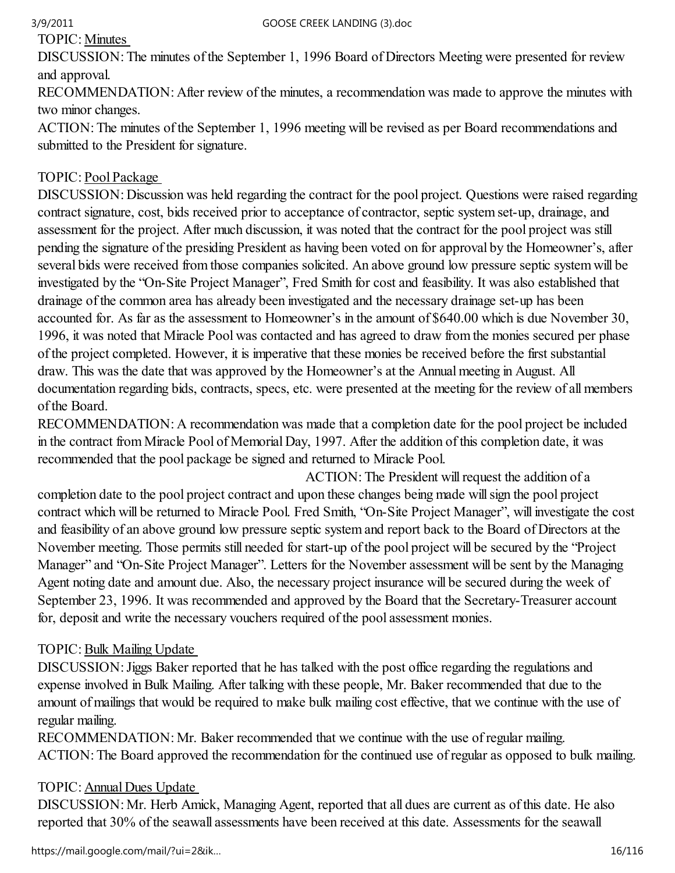## TOPIC: Minutes

DISCUSSION: The minutes of the September 1, 1996 Board of Directors Meeting were presented for review and approval.

RECOMMENDATION: After review of the minutes, a recommendation was made to approve the minutes with two minor changes.

ACTION: The minutes of the September 1, 1996 meeting will be revised as per Board recommendations and submitted to the President for signature.

## TOPIC: Pool Package

DISCUSSION: Discussion was held regarding the contract for the pool project. Questions were raised regarding contract signature, cost, bids received prior to acceptance of contractor, septic system set-up, drainage, and assessment for the project. After much discussion, it was noted that the contract for the pool project was still pending the signature of the presiding President as having been voted on for approval by the Homeowner's, after several bids were received from those companies solicited. An above ground low pressure septic system will be investigated by the "On-Site Project Manager", Fred Smith for cost and feasibility. It was also established that drainage of the common area has already been investigated and the necessary drainage set-up has been accounted for. As far as the assessment to Homeowner's in the amount of \$640.00 which is due November 30, 1996, it was noted that Miracle Pool was contacted and has agreed to draw from the monies secured per phase of the project completed. However, it is imperative that these monies be received before the first substantial draw. This was the date that was approved by the Homeowner's at the Annual meeting in August. All documentation regarding bids, contracts, specs, etc. were presented at the meeting for the review of all members of the Board.

RECOMMENDATION: A recommendation was made that a completion date for the pool project be included in the contract from Miracle Pool of Memorial Day, 1997. After the addition of this completion date, it was recommended that the pool package be signed and returned to Miracle Pool.

 ACTION: The President will request the addition of a completion date to the pool project contract and upon these changes being made will sign the pool project contract which will be returned to Miracle Pool. Fred Smith, "On-Site Project Manager", will investigate the cost and feasibility of an above ground low pressure septic system and report back to the Board of Directors at the November meeting. Those permits still needed for start-up of the pool project will be secured by the "Project Manager" and "On-Site Project Manager". Letters for the November assessment will be sent by the Managing Agent noting date and amount due. Also, the necessary project insurance will be secured during the week of September 23, 1996. It was recommended and approved by the Board that the Secretary-Treasurer account for, deposit and write the necessary vouchers required of the pool assessment monies.

## TOPIC: Bulk Mailing Update

DISCUSSION: Jiggs Baker reported that he has talked with the post office regarding the regulations and expense involved in Bulk Mailing. After talking with these people, Mr. Baker recommended that due to the amount of mailings that would be required to make bulk mailing cost effective, that we continue with the use of regular mailing.

RECOMMENDATION: Mr. Baker recommended that we continue with the use of regular mailing. ACTION: The Board approved the recommendation for the continued use of regular as opposed to bulk mailing.

## TOPIC: Annual Dues Update

DISCUSSION: Mr. Herb Amick, Managing Agent, reported that all dues are current as of this date. He also reported that 30% of the seawall assessments have been received at this date. Assessments for the seawall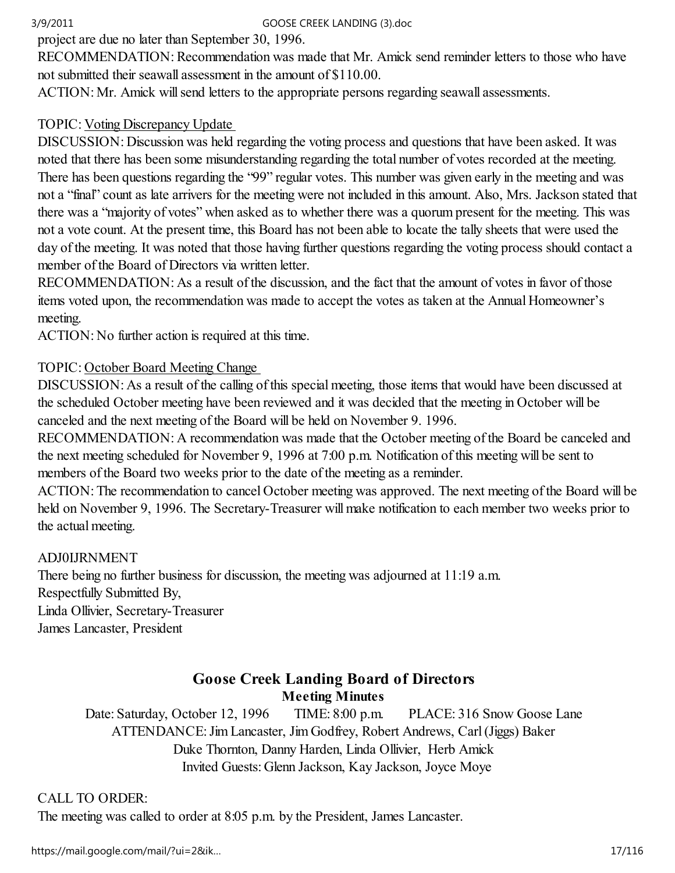project are due no later than September 30, 1996.

RECOMMENDATION: Recommendation was made that Mr. Amick send reminder letters to those who have not submitted their seawall assessment in the amount of \$110.00.

ACTION: Mr. Amick will send letters to the appropriate persons regarding seawall assessments.

## TOPIC: Voting Discrepancy Update

DISCUSSION: Discussion was held regarding the voting process and questions that have been asked. It was noted that there has been some misunderstanding regarding the total number of votes recorded at the meeting. There has been questions regarding the "99" regular votes. This number was given early in the meeting and was not a "final" count as late arrivers for the meeting were not included in this amount. Also, Mrs. Jackson stated that there was a "majority of votes" when asked as to whether there was a quorum present for the meeting. This was not a vote count. At the present time, this Board has not been able to locate the tally sheets that were used the day of the meeting. It was noted that those having further questions regarding the voting process should contact a member of the Board of Directors via written letter.

RECOMMENDATION: As a result of the discussion, and the fact that the amount of votes in favor of those items voted upon, the recommendation was made to accept the votes as taken at the Annual Homeowner's meeting.

ACTION: No further action is required at this time.

## TOPIC: October Board Meeting Change

DISCUSSION: As a result of the calling of this special meeting, those items that would have been discussed at the scheduled October meeting have been reviewed and it was decided that the meeting in October will be canceled and the next meeting of the Board will be held on November 9. 1996.

RECOMMENDATION: A recommendation was made that the October meeting of the Board be canceled and the next meeting scheduled for November 9, 1996 at 7:00 p.m. Notification of this meeting will be sent to members of the Board two weeks prior to the date of the meeting as a reminder.

ACTION: The recommendation to cancel October meeting was approved. The next meeting of the Board will be held on November 9, 1996. The Secretary-Treasurer will make notification to each member two weeks prior to the actual meeting.

## ADJ0IJRNMENT

There being no further business for discussion, the meeting was adjourned at 11:19 a.m. Respectfully Submitted By, Linda Ollivier, Secretary-Treasurer James Lancaster, President

## Goose Creek Landing Board of Directors Meeting Minutes

Date: Saturday, October 12, 1996 TIME: 8:00 p.m. PLACE: 316 Snow Goose Lane ATTENDANCE: Jim Lancaster, Jim Godfrey, Robert Andrews, Carl (Jiggs) Baker Duke Thornton, Danny Harden, Linda Ollivier, Herb Amick Invited Guests: Glenn Jackson, Kay Jackson, Joyce Moye

## CALL TO ORDER:

The meeting was called to order at 8:05 p.m. by the President, James Lancaster.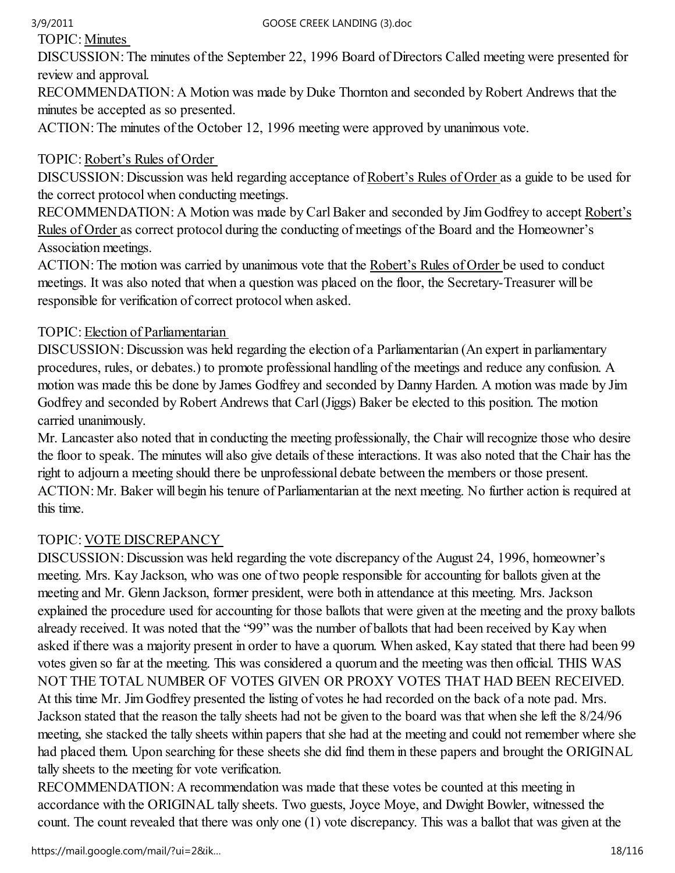TOPIC: Minutes

DISCUSSION: The minutes of the September 22, 1996 Board of Directors Called meeting were presented for review and approval.

RECOMMENDATION: A Motion was made by Duke Thornton and seconded by Robert Andrews that the minutes be accepted as so presented.

ACTION: The minutes of the October 12, 1996 meeting were approved by unanimous vote.

# TOPIC: Robert's Rules of Order

DISCUSSION: Discussion was held regarding acceptance of Robert's Rules of Order as a guide to be used for the correct protocol when conducting meetings.

RECOMMENDATION: A Motion was made by Carl Baker and seconded by Jim Godfrey to accept Robert's Rules of Order as correct protocol during the conducting of meetings of the Board and the Homeowner's Association meetings.

ACTION: The motion was carried by unanimous vote that the Robert's Rules of Order be used to conduct meetings. It was also noted that when a question was placed on the floor, the Secretary-Treasurer will be responsible for verification of correct protocol when asked.

## TOPIC: Election of Parliamentarian

DISCUSSION: Discussion was held regarding the election of a Parliamentarian (An expert in parliamentary procedures, rules, or debates.) to promote professional handling of the meetings and reduce any confusion. A motion was made this be done by James Godfrey and seconded by Danny Harden. A motion was made by Jim Godfrey and seconded by Robert Andrews that Carl (Jiggs) Baker be elected to this position. The motion carried unanimously.

Mr. Lancaster also noted that in conducting the meeting professionally, the Chair will recognize those who desire the floor to speak. The minutes will also give details of these interactions. It was also noted that the Chair has the right to adjourn a meeting should there be unprofessional debate between the members or those present. ACTION: Mr. Baker will begin his tenure of Parliamentarian at the next meeting. No further action is required at this time.

# TOPIC: VOTE DISCREPANCY

DISCUSSION: Discussion was held regarding the vote discrepancy of the August 24, 1996, homeowner's meeting. Mrs. Kay Jackson, who was one of two people responsible for accounting for ballots given at the meeting and Mr. Glenn Jackson, former president, were both in attendance at this meeting. Mrs. Jackson explained the procedure used for accounting for those ballots that were given at the meeting and the proxy ballots already received. It was noted that the "99" was the number of ballots that had been received by Kay when asked if there was a majority present in order to have a quorum. When asked, Kay stated that there had been 99 votes given so far at the meeting. This was considered a quorum and the meeting was then official. THIS WAS NOT THE TOTAL NUMBER OF VOTES GIVEN OR PROXY VOTES THAT HAD BEEN RECEIVED. At this time Mr. Jim Godfrey presented the listing of votes he had recorded on the back of a note pad. Mrs. Jackson stated that the reason the tally sheets had not be given to the board was that when she left the 8/24/96 meeting, she stacked the tally sheets within papers that she had at the meeting and could not remember where she had placed them. Upon searching for these sheets she did find them in these papers and brought the ORIGINAL tally sheets to the meeting for vote verification.

RECOMMENDATION: A recommendation was made that these votes be counted at this meeting in accordance with the ORIGINAL tally sheets. Two guests, Joyce Moye, and Dwight Bowler, witnessed the count. The count revealed that there was only one (1) vote discrepancy. This was a ballot that was given at the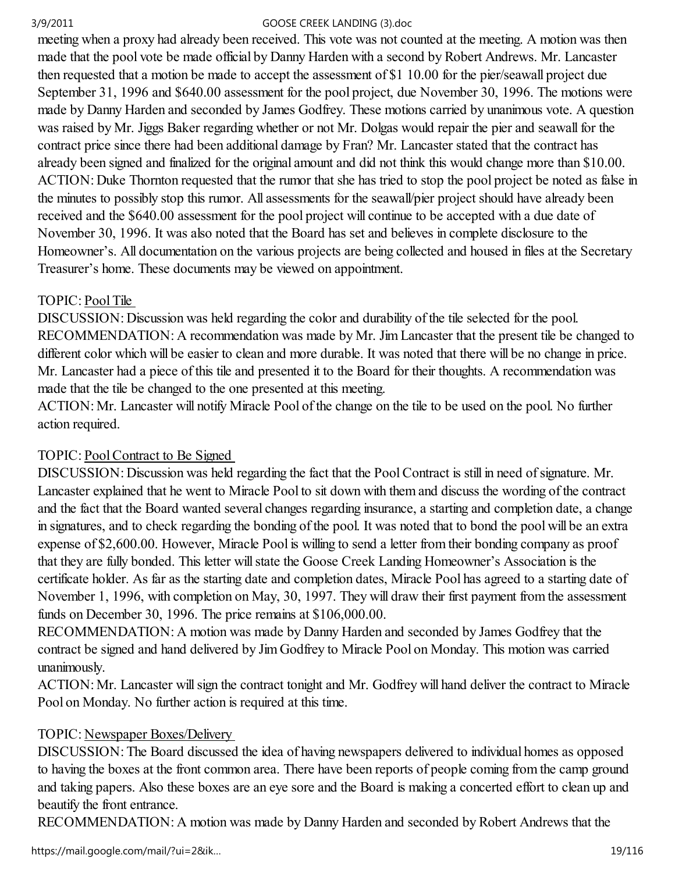meeting when a proxy had already been received. This vote was not counted at the meeting. A motion was then made that the pool vote be made official by Danny Harden with a second by Robert Andrews. Mr. Lancaster then requested that a motion be made to accept the assessment of \$1 10.00 for the pier/seawall project due September 31, 1996 and \$640.00 assessment for the pool project, due November 30, 1996. The motions were made by Danny Harden and seconded by James Godfrey. These motions carried by unanimous vote. A question was raised by Mr. Jiggs Baker regarding whether or not Mr. Dolgas would repair the pier and seawall for the contract price since there had been additional damage by Fran? Mr. Lancaster stated that the contract has already been signed and finalized for the original amount and did not think this would change more than \$10.00. ACTION: Duke Thornton requested that the rumor that she has tried to stop the pool project be noted as false in the minutes to possibly stop this rumor. All assessments for the seawall/pier project should have already been received and the \$640.00 assessment for the pool project will continue to be accepted with a due date of November 30, 1996. It was also noted that the Board has set and believes in complete disclosure to the Homeowner's. All documentation on the various projects are being collected and housed in files at the Secretary Treasurer's home. These documents may be viewed on appointment.

## TOPIC: Pool Tile

DISCUSSION: Discussion was held regarding the color and durability of the tile selected for the pool. RECOMMENDATION: A recommendation was made by Mr. Jim Lancaster that the present tile be changed to different color which will be easier to clean and more durable. It was noted that there will be no change in price. Mr. Lancaster had a piece of this tile and presented it to the Board for their thoughts. A recommendation was made that the tile be changed to the one presented at this meeting.

ACTION: Mr. Lancaster will notify Miracle Pool of the change on the tile to be used on the pool. No further action required.

## TOPIC: Pool Contract to Be Signed

DISCUSSION: Discussion was held regarding the fact that the Pool Contract is still in need of signature. Mr. Lancaster explained that he went to Miracle Pool to sit down with them and discuss the wording of the contract and the fact that the Board wanted several changes regarding insurance, a starting and completion date, a change in signatures, and to check regarding the bonding of the pool. It was noted that to bond the pool will be an extra expense of \$2,600.00. However, Miracle Pool is willing to send a letter from their bonding company as proof that they are fully bonded. This letter will state the Goose Creek Landing Homeowner's Association is the certificate holder. As far as the starting date and completion dates, Miracle Pool has agreed to a starting date of November 1, 1996, with completion on May, 30, 1997. They will draw their first payment from the assessment funds on December 30, 1996. The price remains at \$106,000.00.

RECOMMENDATION: A motion was made by Danny Harden and seconded by James Godfrey that the contract be signed and hand delivered by Jim Godfrey to Miracle Pool on Monday. This motion was carried unanimously.

ACTION: Mr. Lancaster will sign the contract tonight and Mr. Godfrey will hand deliver the contract to Miracle Pool on Monday. No further action is required at this time.

## TOPIC: Newspaper Boxes/Delivery

DISCUSSION: The Board discussed the idea of having newspapers delivered to individual homes as opposed to having the boxes at the front common area. There have been reports of people coming from the camp ground and taking papers. Also these boxes are an eye sore and the Board is making a concerted effort to clean up and beautify the front entrance.

RECOMMENDATION: A motion was made by Danny Harden and seconded by Robert Andrews that the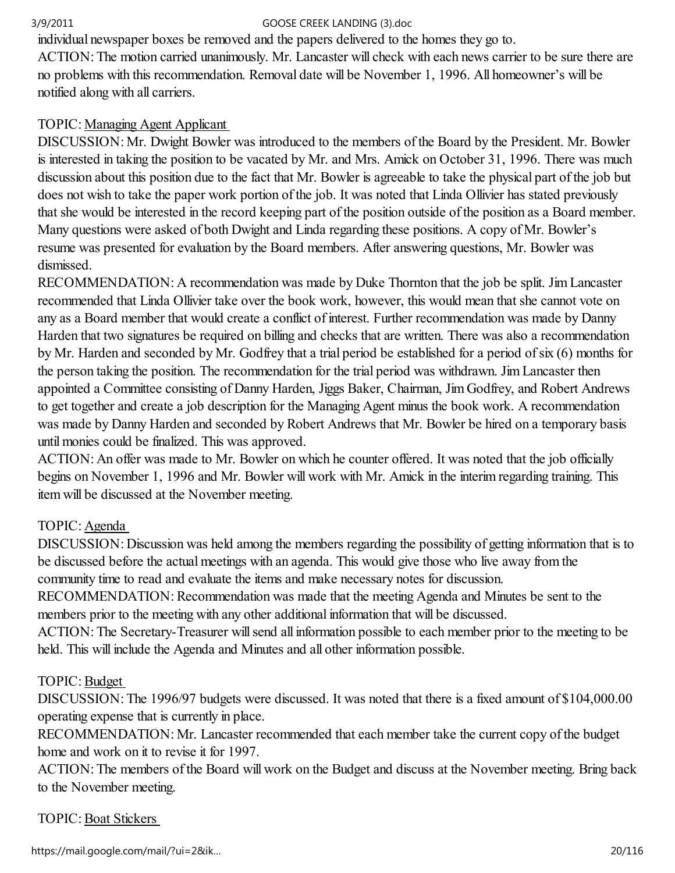individual newspaper boxes be removed and the papers delivered to the homes they go to.

ACTION: The motion carried unanimously. Mr. Lancaster will check with each news carrier to be sure there are no problems with this recommendation. Removal date will be November 1, 1996. All homeowner's will be notified along with all carriers.

## TOPIC: Managing Agent Applicant

DISCUSSION: Mr. Dwight Bowler was introduced to the members of the Board by the President. Mr. Bowler is interested in taking the position to be vacated by Mr. and Mrs. Amick on October 31, 1996. There was much discussion about this position due to the fact that Mr. Bowler is agreeable to take the physical part of the job but does not wish to take the paper work portion of the job. It was noted that Linda Ollivier has stated previously that she would be interested in the record keeping part of the position outside of the position as a Board member. Many questions were asked of both Dwight and Linda regarding these positions. A copy of Mr. Bowler's resume was presented for evaluation by the Board members. After answering questions, Mr. Bowler was dismissed.

RECOMMENDATION: A recommendation was made by Duke Thornton that the job be split. Jim Lancaster recommended that Linda Ollivier take over the book work, however, this would mean that she cannot vote on any as a Board member that would create a conflict of interest. Further recommendation was made by Danny Harden that two signatures be required on billing and checks that are written. There was also a recommendation by Mr. Harden and seconded by Mr. Godfrey that a trial period be established for a period of six (6) months for the person taking the position. The recommendation for the trial period was withdrawn. Jim Lancaster then appointed a Committee consisting of Danny Harden, Jiggs Baker, Chairman, Jim Godfrey, and Robert Andrews to get together and create a job description for the Managing Agent minus the book work. A recommendation was made by Danny Harden and seconded by Robert Andrews that Mr. Bowler be hired on a temporary basis until monies could be finalized. This was approved.

ACTION: An offer was made to Mr. Bowler on which he counter offered. It was noted that the job officially begins on November 1, 1996 and Mr. Bowler will work with Mr. Amick in the interim regarding training. This item will be discussed at the November meeting.

## TOPIC: Agenda

DISCUSSION: Discussion was held among the members regarding the possibility of getting information that is to be discussed before the actual meetings with an agenda. This would give those who live away from the community time to read and evaluate the items and make necessary notes for discussion.

RECOMMENDATION: Recommendation was made that the meeting Agenda and Minutes be sent to the members prior to the meeting with any other additional information that will be discussed.

ACTION: The Secretary-Treasurer will send all information possible to each member prior to the meeting to be held. This will include the Agenda and Minutes and all other information possible.

## TOPIC: Budget

DISCUSSION: The 1996/97 budgets were discussed. It was noted that there is a fixed amount of \$104,000.00 operating expense that is currently in place.

RECOMMENDATION: Mr. Lancaster recommended that each member take the current copy of the budget home and work on it to revise it for 1997.

ACTION: The members of the Board will work on the Budget and discuss at the November meeting. Bring back to the November meeting.

## TOPIC: Boat Stickers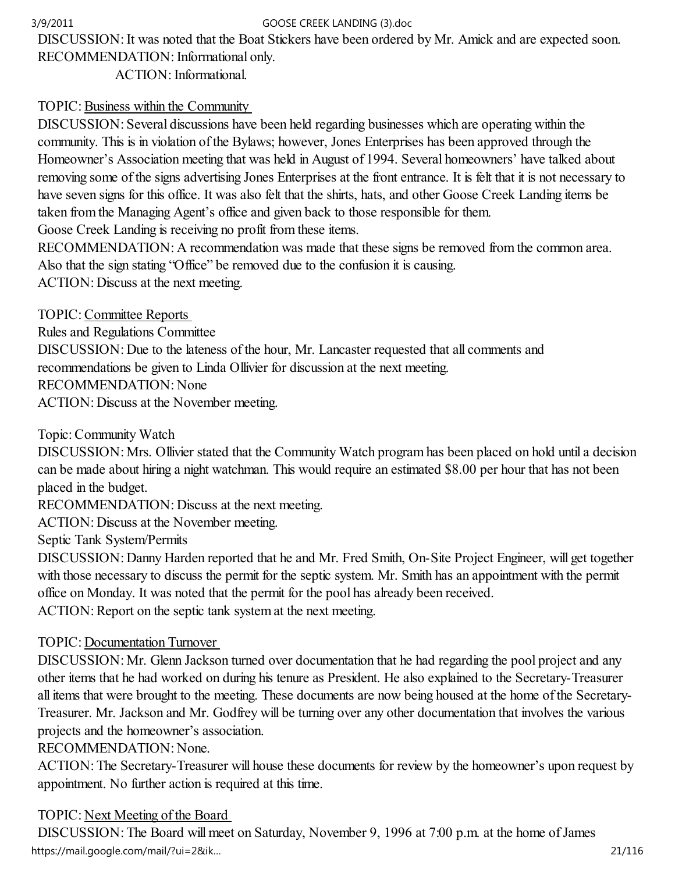DISCUSSION: It was noted that the Boat Stickers have been ordered by Mr. Amick and are expected soon. RECOMMENDATION: Informational only.

ACTION: Informational.

## TOPIC: Business within the Community

DISCUSSION: Several discussions have been held regarding businesses which are operating within the community. This is in violation of the Bylaws; however, Jones Enterprises has been approved through the Homeowner's Association meeting that was held in August of 1994. Several homeowners' have talked about removing some of the signs advertising Jones Enterprises at the front entrance. It is felt that it is not necessary to have seven signs for this office. It was also felt that the shirts, hats, and other Goose Creek Landing items be taken from the Managing Agent's office and given back to those responsible for them.

Goose Creek Landing is receiving no profit from these items.

RECOMMENDATION: A recommendation was made that these signs be removed from the common area. Also that the sign stating "Office" be removed due to the confusion it is causing.

ACTION: Discuss at the next meeting.

TOPIC: Committee Reports

Rules and Regulations Committee DISCUSSION: Due to the lateness of the hour, Mr. Lancaster requested that all comments and recommendations be given to Linda Ollivier for discussion at the next meeting. RECOMMENDATION: None ACTION: Discuss at the November meeting.

Topic: Community Watch

DISCUSSION: Mrs. Ollivier stated that the Community Watch program has been placed on hold until a decision can be made about hiring a night watchman. This would require an estimated \$8.00 per hour that has not been placed in the budget.

RECOMMENDATION: Discuss at the next meeting.

ACTION: Discuss at the November meeting.

Septic Tank System/Permits

DISCUSSION: Danny Harden reported that he and Mr. Fred Smith, On-Site Project Engineer, will get together with those necessary to discuss the permit for the septic system. Mr. Smith has an appointment with the permit office on Monday. It was noted that the permit for the pool has already been received.

ACTION: Report on the septic tank system at the next meeting.

## TOPIC: Documentation Turnover

DISCUSSION: Mr. Glenn Jackson turned over documentation that he had regarding the pool project and any other items that he had worked on during his tenure as President. He also explained to the Secretary-Treasurer all items that were brought to the meeting. These documents are now being housed at the home of the Secretary-Treasurer. Mr. Jackson and Mr. Godfrey will be turning over any other documentation that involves the various projects and the homeowner's association.

RECOMMENDATION: None.

ACTION: The Secretary-Treasurer will house these documents for review by the homeowner's upon request by appointment. No further action is required at this time.

## TOPIC: Next Meeting of the Board

DISCUSSION: The Board will meet on Saturday, November 9, 1996 at 7:00 p.m. at the home of James https://mail.google.com/mail/?ui=2&ik...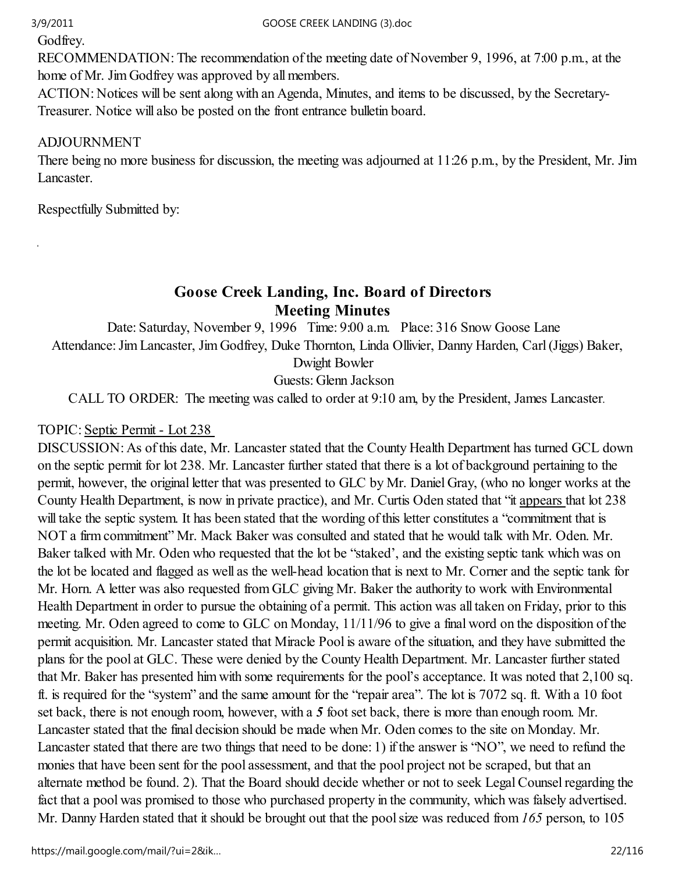à.

Godfrey.

RECOMMENDATION: The recommendation of the meeting date of November 9, 1996, at 7:00 p.m., at the home of Mr. Jim Godfrey was approved by all members.

ACTION: Notices will be sent along with an Agenda, Minutes, and items to be discussed, by the Secretary-Treasurer. Notice will also be posted on the front entrance bulletin board.

# ADJOURNMENT

There being no more business for discussion, the meeting was adjourned at 11:26 p.m., by the President, Mr. Jim Lancaster.

Respectfully Submitted by:

# Goose Creek Landing, Inc. Board of Directors Meeting Minutes

Date: Saturday, November 9, 1996 Time: 9:00 a.m. Place: 316 Snow Goose Lane Attendance: Jim Lancaster, Jim Godfrey, Duke Thornton, Linda Ollivier, Danny Harden, Carl (Jiggs) Baker, Dwight Bowler

Guests: Glenn Jackson

CALL TO ORDER: The meeting was called to order at 9:10 am, by the President, James Lancaster.

## TOPIC: Septic Permit - Lot 238

DISCUSSION: As of this date, Mr. Lancaster stated that the County Health Department has turned GCL down on the septic permit for lot 238. Mr. Lancaster further stated that there is a lot of background pertaining to the permit, however, the original letter that was presented to GLC by Mr. Daniel Gray, (who no longer works at the County Health Department, is now in private practice), and Mr. Curtis Oden stated that "it appears that lot 238 will take the septic system. It has been stated that the wording of this letter constitutes a "commitment that is NOT a firm commitment" Mr. Mack Baker was consulted and stated that he would talk with Mr. Oden. Mr. Baker talked with Mr. Oden who requested that the lot be "staked', and the existing septic tank which was on the lot be located and flagged as well as the well-head location that is next to Mr. Corner and the septic tank for Mr. Horn. A letter was also requested from GLC giving Mr. Baker the authority to work with Environmental Health Department in order to pursue the obtaining of a permit. This action was all taken on Friday, prior to this meeting. Mr. Oden agreed to come to GLC on Monday, 11/11/96 to give a final word on the disposition of the permit acquisition. Mr. Lancaster stated that Miracle Pool is aware of the situation, and they have submitted the plans for the pool at GLC. These were denied by the County Health Department. Mr. Lancaster further stated that Mr. Baker has presented him with some requirements for the pool's acceptance. It was noted that 2,100 sq. ft. is required for the "system" and the same amount for the "repair area". The lot is 7072 sq. ft. With a 10 foot set back, there is not enough room, however, with a 5 foot set back, there is more than enough room. Mr. Lancaster stated that the final decision should be made when Mr. Oden comes to the site on Monday. Mr. Lancaster stated that there are two things that need to be done: 1) if the answer is "NO", we need to refund the monies that have been sent for the pool assessment, and that the pool project not be scraped, but that an alternate method be found. 2). That the Board should decide whether or not to seek Legal Counsel regarding the fact that a pool was promised to those who purchased property in the community, which was falsely advertised. Mr. Danny Harden stated that it should be brought out that the pool size was reduced from 165 person, to 105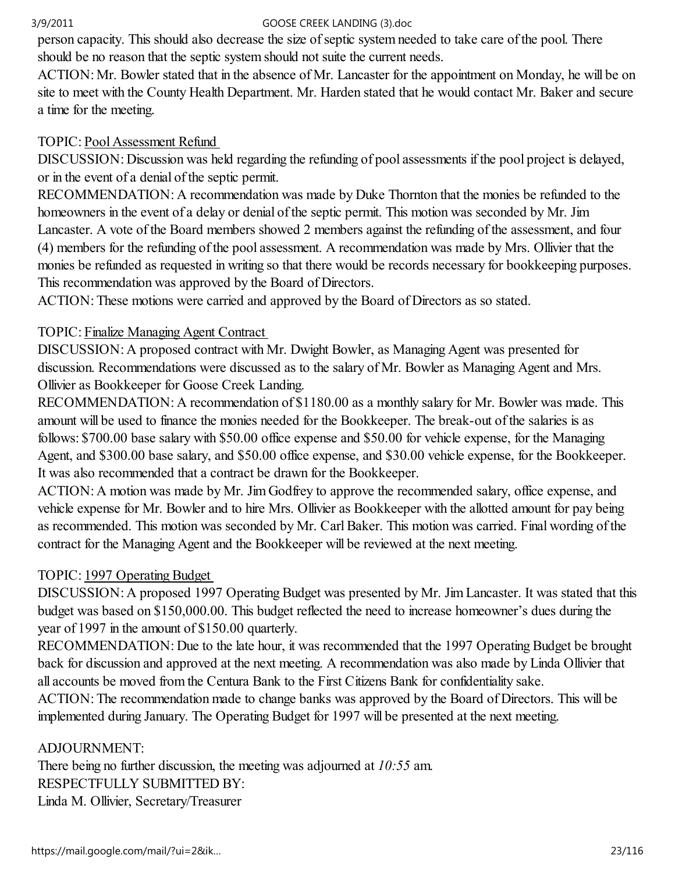person capacity. This should also decrease the size of septic system needed to take care of the pool. There should be no reason that the septic system should not suite the current needs.

ACTION: Mr. Bowler stated that in the absence of Mr. Lancaster for the appointment on Monday, he will be on site to meet with the County Health Department. Mr. Harden stated that he would contact Mr. Baker and secure a time for the meeting.

## TOPIC: Pool Assessment Refund

DISCUSSION: Discussion was held regarding the refunding of pool assessments if the pool project is delayed, or in the event of a denial of the septic permit.

RECOMMENDATION: A recommendation was made by Duke Thornton that the monies be refunded to the homeowners in the event of a delay or denial of the septic permit. This motion was seconded by Mr. Jim Lancaster. A vote of the Board members showed 2 members against the refunding of the assessment, and four (4) members for the refunding of the pool assessment. A recommendation was made by Mrs. Ollivier that the monies be refunded as requested in writing so that there would be records necessary for bookkeeping purposes. This recommendation was approved by the Board of Directors.

ACTION: These motions were carried and approved by the Board of Directors as so stated.

# TOPIC: Finalize Managing Agent Contract

DISCUSSION: A proposed contract with Mr. Dwight Bowler, as Managing Agent was presented for discussion. Recommendations were discussed as to the salary of Mr. Bowler as Managing Agent and Mrs. Ollivier as Bookkeeper for Goose Creek Landing.

RECOMMENDATION: A recommendation of \$1180.00 as a monthly salary for Mr. Bowler was made. This amount will be used to finance the monies needed for the Bookkeeper. The break-out of the salaries is as follows: \$700.00 base salary with \$50.00 office expense and \$50.00 for vehicle expense, for the Managing Agent, and \$300.00 base salary, and \$50.00 office expense, and \$30.00 vehicle expense, for the Bookkeeper. It was also recommended that a contract be drawn for the Bookkeeper.

ACTION: A motion was made by Mr. Jim Godfrey to approve the recommended salary, office expense, and vehicle expense for Mr. Bowler and to hire Mrs. Ollivier as Bookkeeper with the allotted amount for pay being as recommended. This motion was seconded by Mr. Carl Baker. This motion was carried. Final wording of the contract for the Managing Agent and the Bookkeeper will be reviewed at the next meeting.

# TOPIC: 1997 Operating Budget

DISCUSSION: A proposed 1997 Operating Budget was presented by Mr. Jim Lancaster. It was stated that this budget was based on \$150,000.00. This budget reflected the need to increase homeowner's dues during the year of 1997 in the amount of \$150.00 quarterly.

RECOMMENDATION: Due to the late hour, it was recommended that the 1997 Operating Budget be brought back for discussion and approved at the next meeting. A recommendation was also made by Linda Ollivier that all accounts be moved from the Centura Bank to the First Citizens Bank for confidentiality sake.

ACTION: The recommendation made to change banks was approved by the Board of Directors. This will be implemented during January. The Operating Budget for 1997 will be presented at the next meeting.

ADJOURNMENT:

There being no further discussion, the meeting was adjourned at 10:55 am. RESPECTFULLY SUBMITTED BY: Linda M. Ollivier, Secretary/Treasurer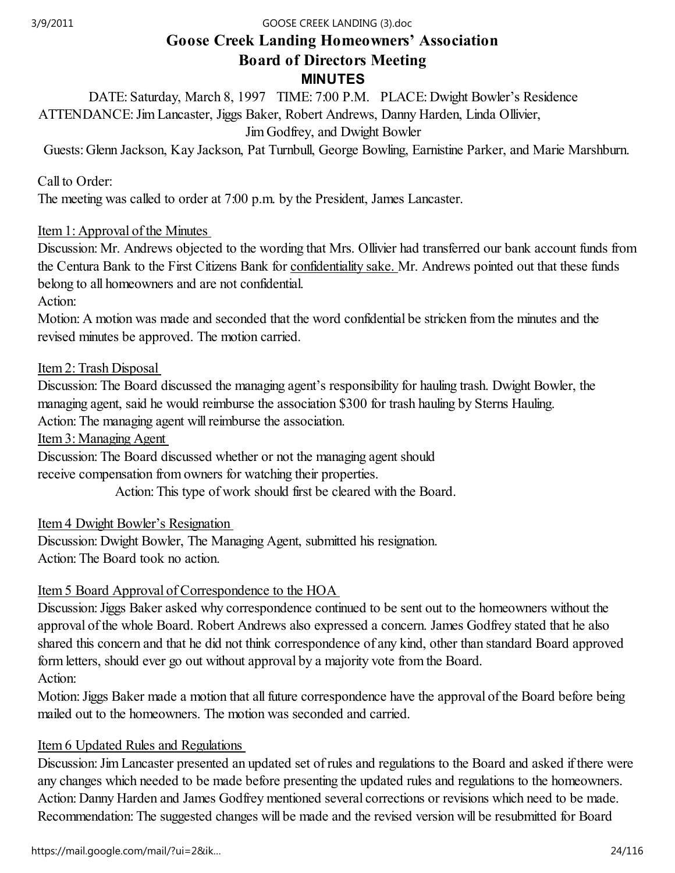# Goose Creek Landing Homeowners' Association Board of Directors Meeting MINUTES

DATE: Saturday, March 8, 1997 TIME: 7:00 P.M. PLACE: Dwight Bowler's Residence ATTENDANCE: Jim Lancaster, Jiggs Baker, Robert Andrews, Danny Harden, Linda Ollivier, Jim Godfrey, and Dwight Bowler

Guests: Glenn Jackson, Kay Jackson, Pat Turnbull, George Bowling, Earnistine Parker, and Marie Marshburn.

## Call to Order:

The meeting was called to order at 7:00 p.m. by the President, James Lancaster.

## Item 1: Approval of the Minutes

Discussion: Mr. Andrews objected to the wording that Mrs. Ollivier had transferred our bank account funds from the Centura Bank to the First Citizens Bank for confidentiality sake. Mr. Andrews pointed out that these funds belong to all homeowners and are not confidential.

Action:

Motion: A motion was made and seconded that the word confidential be stricken from the minutes and the revised minutes be approved. The motion carried.

## Item 2: Trash Disposal

Discussion: The Board discussed the managing agent's responsibility for hauling trash. Dwight Bowler, the managing agent, said he would reimburse the association \$300 for trash hauling by Sterns Hauling.

Action: The managing agent will reimburse the association.

Item 3: Managing Agent

Discussion: The Board discussed whether or not the managing agent should receive compensation from owners for watching their properties.

Action: This type of work should first be cleared with the Board.

## Item 4 Dwight Bowler's Resignation

Discussion: Dwight Bowler, The Managing Agent, submitted his resignation. Action: The Board took no action.

## Item 5 Board Approval of Correspondence to the HOA

Discussion: Jiggs Baker asked why correspondence continued to be sent out to the homeowners without the approval of the whole Board. Robert Andrews also expressed a concern. James Godfrey stated that he also shared this concern and that he did not think correspondence of any kind, other than standard Board approved form letters, should ever go out without approval by a majority vote from the Board. Action:

Motion: Jiggs Baker made a motion that all future correspondence have the approval of the Board before being mailed out to the homeowners. The motion was seconded and carried.

## Item 6 Updated Rules and Regulations

Discussion: Jim Lancaster presented an updated set of rules and regulations to the Board and asked if there were any changes which needed to be made before presenting the updated rules and regulations to the homeowners. Action: Danny Harden and James Godfrey mentioned several corrections or revisions which need to be made. Recommendation: The suggested changes will be made and the revised version will be resubmitted for Board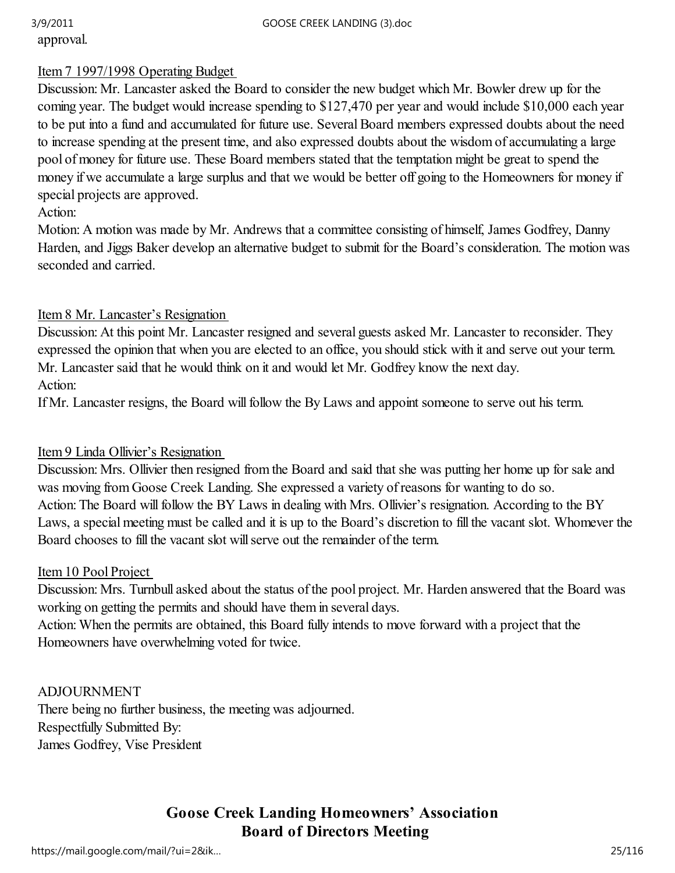approval.

### Item 7 1997/1998 Operating Budget

Discussion: Mr. Lancaster asked the Board to consider the new budget which Mr. Bowler drew up for the coming year. The budget would increase spending to \$127,470 per year and would include \$10,000 each year to be put into a fund and accumulated for future use. Several Board members expressed doubts about the need to increase spending at the present time, and also expressed doubts about the wisdom of accumulating a large pool of money for future use. These Board members stated that the temptation might be great to spend the money if we accumulate a large surplus and that we would be better off going to the Homeowners for money if special projects are approved.

## Action:

Motion: A motion was made by Mr. Andrews that a committee consisting of himself, James Godfrey, Danny Harden, and Jiggs Baker develop an alternative budget to submit for the Board's consideration. The motion was seconded and carried.

## Item 8 Mr. Lancaster's Resignation

Discussion: At this point Mr. Lancaster resigned and several guests asked Mr. Lancaster to reconsider. They expressed the opinion that when you are elected to an office, you should stick with it and serve out your term. Mr. Lancaster said that he would think on it and would let Mr. Godfrey know the next day. Action:

If Mr. Lancaster resigns, the Board will follow the By Laws and appoint someone to serve out his term.

## Item 9 Linda Ollivier's Resignation

Discussion: Mrs. Ollivier then resigned from the Board and said that she was putting her home up for sale and was moving from Goose Creek Landing. She expressed a variety of reasons for wanting to do so. Action: The Board will follow the BY Laws in dealing with Mrs. Ollivier's resignation. According to the BY Laws, a special meeting must be called and it is up to the Board's discretion to fill the vacant slot. Whomever the Board chooses to fill the vacant slot will serve out the remainder of the term.

### Item 10 Pool Project

Discussion: Mrs. Turnbull asked about the status of the pool project. Mr. Harden answered that the Board was working on getting the permits and should have them in several days.

Action: When the permits are obtained, this Board fully intends to move forward with a project that the Homeowners have overwhelming voted for twice.

### ADJOURNMENT

There being no further business, the meeting was adjourned. Respectfully Submitted By: James Godfrey, Vise President

# Goose Creek Landing Homeowners' Association Board of Directors Meeting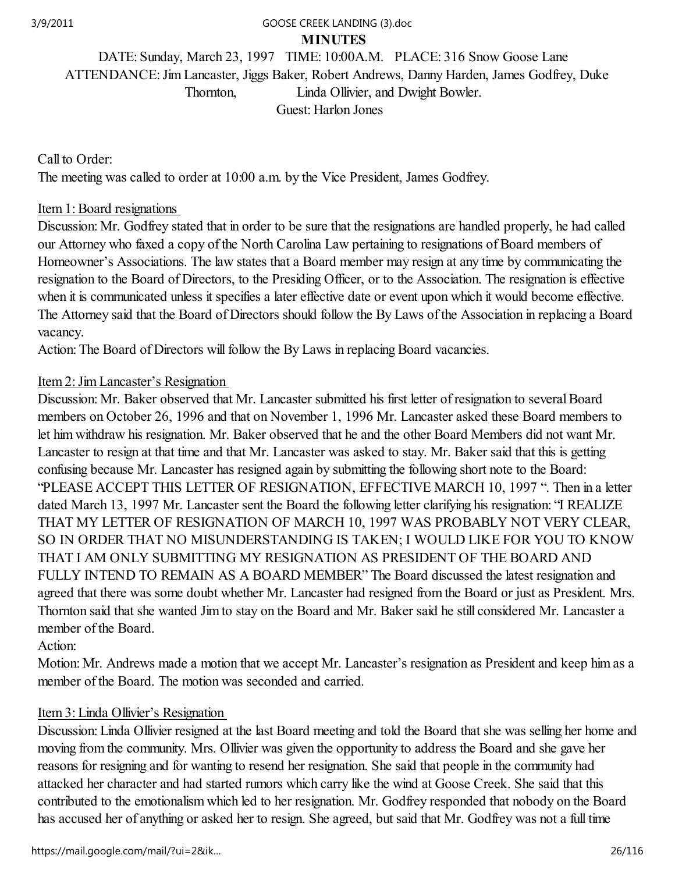#### MINUTES 3/9/2011 GOOSE CREEK LANDING (3).doc

DATE: Sunday, March 23, 1997 TIME: 10:00A.M. PLACE: 316 Snow Goose Lane ATTENDANCE: Jim Lancaster, Jiggs Baker, Robert Andrews, Danny Harden, James Godfrey, Duke Thornton, Linda Ollivier, and Dwight Bowler. Guest: Harlon Jones

Call to Order: The meeting was called to order at 10:00 a.m. by the Vice President, James Godfrey.

### Item 1: Board resignations

Discussion: Mr. Godfrey stated that in order to be sure that the resignations are handled properly, he had called our Attorney who faxed a copy of the North Carolina Law pertaining to resignations of Board members of Homeowner's Associations. The law states that a Board member may resign at any time by communicating the resignation to the Board of Directors, to the Presiding Officer, or to the Association. The resignation is effective when it is communicated unless it specifies a later effective date or event upon which it would become effective. The Attorney said that the Board of Directors should follow the By Laws of the Association in replacing a Board vacancy.

Action: The Board of Directors will follow the By Laws in replacing Board vacancies.

## Item 2: Jim Lancaster's Resignation

Discussion: Mr. Baker observed that Mr. Lancaster submitted his first letter of resignation to several Board members on October 26, 1996 and that on November 1, 1996 Mr. Lancaster asked these Board members to let him withdraw his resignation. Mr. Baker observed that he and the other Board Members did not want Mr. Lancaster to resign at that time and that Mr. Lancaster was asked to stay. Mr. Baker said that this is getting confusing because Mr. Lancaster has resigned again by submitting the following short note to the Board: "PLEASE ACCEPT THIS LETTER OF RESIGNATION, EFFECTIVE MARCH 10, 1997 ". Then in a letter dated March 13, 1997 Mr. Lancaster sent the Board the following letter clarifying his resignation: "I REALIZE THAT MY LETTER OF RESIGNATION OF MARCH 10, 1997 WAS PROBABLY NOT VERY CLEAR, SO IN ORDER THAT NO MISUNDERSTANDING IS TAKEN; I WOULD LIKE FOR YOU TO KNOW THAT I AM ONLY SUBMITTING MY RESIGNATION AS PRESIDENT OF THE BOARD AND FULLY INTEND TO REMAIN AS A BOARD MEMBER" The Board discussed the latest resignation and agreed that there was some doubt whether Mr. Lancaster had resigned from the Board or just as President. Mrs. Thornton said that she wanted Jim to stay on the Board and Mr. Baker said he still considered Mr. Lancaster a member of the Board.

Action:

Motion: Mr. Andrews made a motion that we accept Mr. Lancaster's resignation as President and keep him as a member of the Board. The motion was seconded and carried.

### Item 3: Linda Ollivier's Resignation

Discussion: Linda Ollivier resigned at the last Board meeting and told the Board that she was selling her home and moving from the community. Mrs. Ollivier was given the opportunity to address the Board and she gave her reasons for resigning and for wanting to resend her resignation. She said that people in the community had attacked her character and had started rumors which carry like the wind at Goose Creek. She said that this contributed to the emotionalism which led to her resignation. Mr. Godfrey responded that nobody on the Board has accused her of anything or asked her to resign. She agreed, but said that Mr. Godfrey was not a full time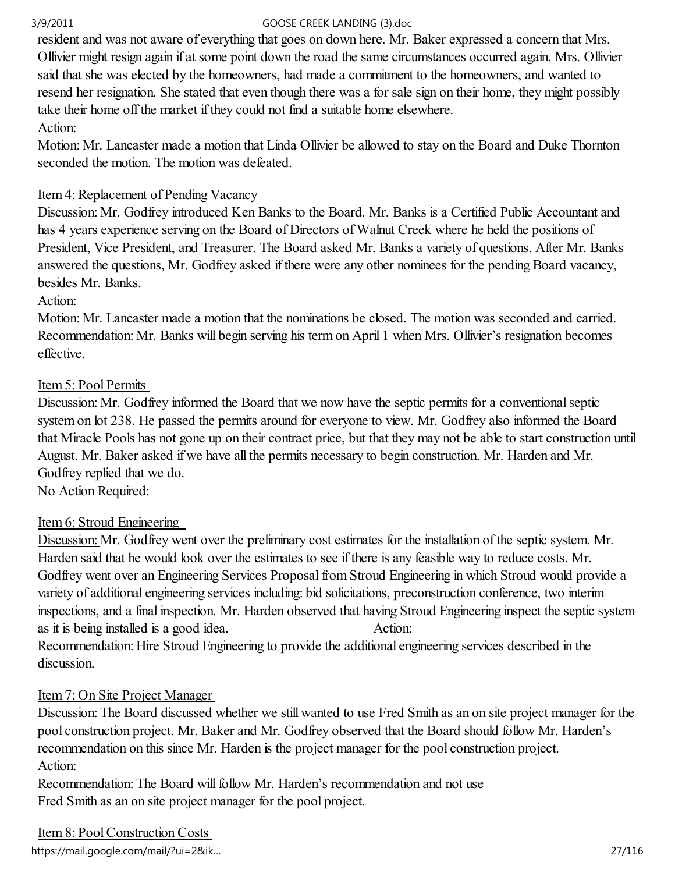resident and was not aware of everything that goes on down here. Mr. Baker expressed a concern that Mrs. Ollivier might resign again if at some point down the road the same circumstances occurred again. Mrs. Ollivier said that she was elected by the homeowners, had made a commitment to the homeowners, and wanted to resend her resignation. She stated that even though there was a for sale sign on their home, they might possibly take their home off the market if they could not find a suitable home elsewhere. Action:

Motion: Mr. Lancaster made a motion that Linda Ollivier be allowed to stay on the Board and Duke Thornton seconded the motion. The motion was defeated.

## Item 4: Replacement of Pending Vacancy

Discussion: Mr. Godfrey introduced Ken Banks to the Board. Mr. Banks is a Certified Public Accountant and has 4 years experience serving on the Board of Directors of Walnut Creek where he held the positions of President, Vice President, and Treasurer. The Board asked Mr. Banks a variety of questions. After Mr. Banks answered the questions, Mr. Godfrey asked if there were any other nominees for the pending Board vacancy, besides Mr. Banks.

Action:

Motion: Mr. Lancaster made a motion that the nominations be closed. The motion was seconded and carried. Recommendation: Mr. Banks will begin serving his term on April 1 when Mrs. Ollivier's resignation becomes effective.

## Item 5: Pool Permits

Discussion: Mr. Godfrey informed the Board that we now have the septic permits for a conventional septic system on lot 238. He passed the permits around for everyone to view. Mr. Godfrey also informed the Board that Miracle Pools has not gone up on their contract price, but that they may not be able to start construction until August. Mr. Baker asked if we have all the permits necessary to begin construction. Mr. Harden and Mr. Godfrey replied that we do.

No Action Required:

## Item 6: Stroud Engineering

Discussion: Mr. Godfrey went over the preliminary cost estimates for the installation of the septic system. Mr. Harden said that he would look over the estimates to see if there is any feasible way to reduce costs. Mr. Godfrey went over an Engineering Services Proposal from Stroud Engineering in which Stroud would provide a variety of additional engineering services including: bid solicitations, preconstruction conference, two interim inspections, and a final inspection. Mr. Harden observed that having Stroud Engineering inspect the septic system as it is being installed is a good idea. Action: Recommendation: Hire Stroud Engineering to provide the additional engineering services described in the discussion.

## Item 7: On Site Project Manager

Discussion: The Board discussed whether we still wanted to use Fred Smith as an on site project manager for the pool construction project. Mr. Baker and Mr. Godfrey observed that the Board should follow Mr. Harden's recommendation on this since Mr. Harden is the project manager for the pool construction project. Action:

Recommendation: The Board will follow Mr. Harden's recommendation and not use Fred Smith as an on site project manager for the pool project.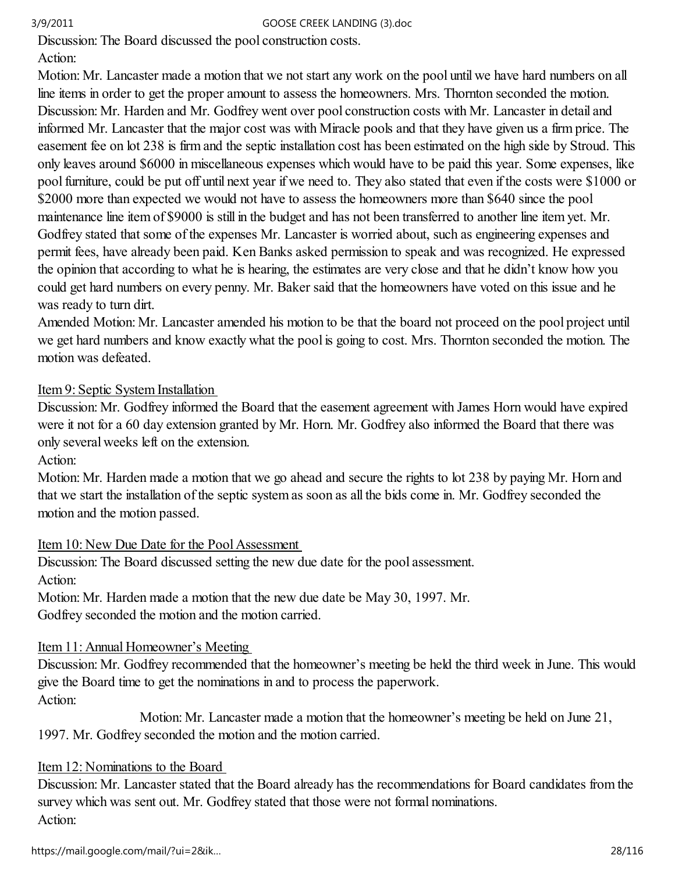Discussion: The Board discussed the pool construction costs.

# Action:

Motion: Mr. Lancaster made a motion that we not start any work on the pool until we have hard numbers on all line items in order to get the proper amount to assess the homeowners. Mrs. Thornton seconded the motion. Discussion: Mr. Harden and Mr. Godfrey went over pool construction costs with Mr. Lancaster in detail and informed Mr. Lancaster that the major cost was with Miracle pools and that they have given us a firm price. The easement fee on lot 238 is firm and the septic installation cost has been estimated on the high side by Stroud. This only leaves around \$6000 in miscellaneous expenses which would have to be paid this year. Some expenses, like pool furniture, could be put off until next year if we need to. They also stated that even if the costs were \$1000 or \$2000 more than expected we would not have to assess the homeowners more than \$640 since the pool maintenance line item of \$9000 is still in the budget and has not been transferred to another line item yet. Mr. Godfrey stated that some of the expenses Mr. Lancaster is worried about, such as engineering expenses and permit fees, have already been paid. Ken Banks asked permission to speak and was recognized. He expressed the opinion that according to what he is hearing, the estimates are very close and that he didn't know how you could get hard numbers on every penny. Mr. Baker said that the homeowners have voted on this issue and he was ready to turn dirt.

Amended Motion: Mr. Lancaster amended his motion to be that the board not proceed on the pool project until we get hard numbers and know exactly what the pool is going to cost. Mrs. Thornton seconded the motion. The motion was defeated.

## Item 9: Septic System Installation

Discussion: Mr. Godfrey informed the Board that the easement agreement with James Horn would have expired were it not for a 60 day extension granted by Mr. Horn. Mr. Godfrey also informed the Board that there was only several weeks left on the extension.

## Action:

Motion: Mr. Harden made a motion that we go ahead and secure the rights to lot 238 by paying Mr. Horn and that we start the installation of the septic system as soon as all the bids come in. Mr. Godfrey seconded the motion and the motion passed.

## Item 10: New Due Date for the Pool Assessment

Discussion: The Board discussed setting the new due date for the pool assessment. Action: Motion: Mr. Harden made a motion that the new due date be May 30, 1997. Mr.

Godfrey seconded the motion and the motion carried.

## Item 11: Annual Homeowner's Meeting

Discussion: Mr. Godfrey recommended that the homeowner's meeting be held the third week in June. This would give the Board time to get the nominations in and to process the paperwork. Action:

 Motion: Mr. Lancaster made a motion that the homeowner's meeting be held on June 21, 1997. Mr. Godfrey seconded the motion and the motion carried.

## Item 12: Nominations to the Board

Discussion: Mr. Lancaster stated that the Board already has the recommendations for Board candidates from the survey which was sent out. Mr. Godfrey stated that those were not formal nominations. Action: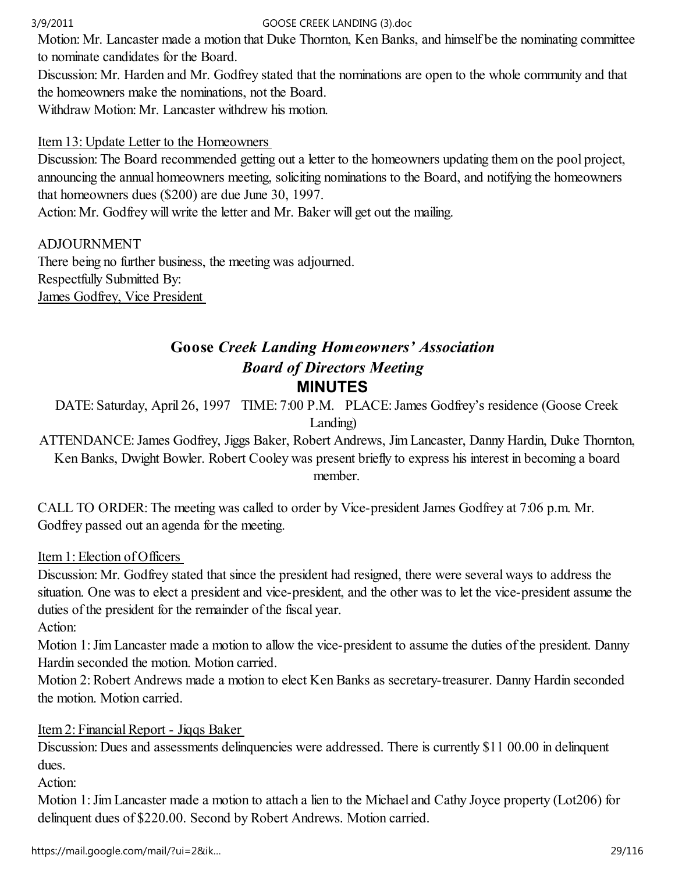Motion: Mr. Lancaster made a motion that Duke Thornton, Ken Banks, and himself be the nominating committee to nominate candidates for the Board.

Discussion: Mr. Harden and Mr. Godfrey stated that the nominations are open to the whole community and that the homeowners make the nominations, not the Board.

Withdraw Motion: Mr. Lancaster withdrew his motion.

## Item 13: Update Letter to the Homeowners

Discussion: The Board recommended getting out a letter to the homeowners updating them on the pool project, announcing the annual homeowners meeting, soliciting nominations to the Board, and notifying the homeowners that homeowners dues (\$200) are due June 30, 1997.

Action: Mr. Godfrey will write the letter and Mr. Baker will get out the mailing.

ADJOURNMENT There being no further business, the meeting was adjourned. Respectfully Submitted By: James Godfrey, Vice President

# Goose Creek Landing Homeowners' Association Board of Directors Meeting MINUTES

DATE: Saturday, April 26, 1997 TIME: 7:00 P.M. PLACE: James Godfrey's residence (Goose Creek Landing)

ATTENDANCE: James Godfrey, Jiggs Baker, Robert Andrews, Jim Lancaster, Danny Hardin, Duke Thornton, Ken Banks, Dwight Bowler. Robert Cooley was present briefly to express his interest in becoming a board member.

CALL TO ORDER: The meeting was called to order by Vice-president James Godfrey at 7:06 p.m. Mr. Godfrey passed out an agenda for the meeting.

Item 1: Election of Officers

Discussion: Mr. Godfrey stated that since the president had resigned, there were several ways to address the situation. One was to elect a president and vice-president, and the other was to let the vice-president assume the duties of the president for the remainder of the fiscal year.

Action:

Motion 1: Jim Lancaster made a motion to allow the vice-president to assume the duties of the president. Danny Hardin seconded the motion. Motion carried.

Motion 2: Robert Andrews made a motion to elect Ken Banks as secretary-treasurer. Danny Hardin seconded the motion. Motion carried.

Item 2: Financial Report - Jiqqs Baker

Discussion: Dues and assessments delinquencies were addressed. There is currently \$11 00.00 in delinquent dues.

Action:

Motion 1: Jim Lancaster made a motion to attach a lien to the Michael and Cathy Joyce property (Lot206) for delinquent dues of \$220.00. Second by Robert Andrews. Motion carried.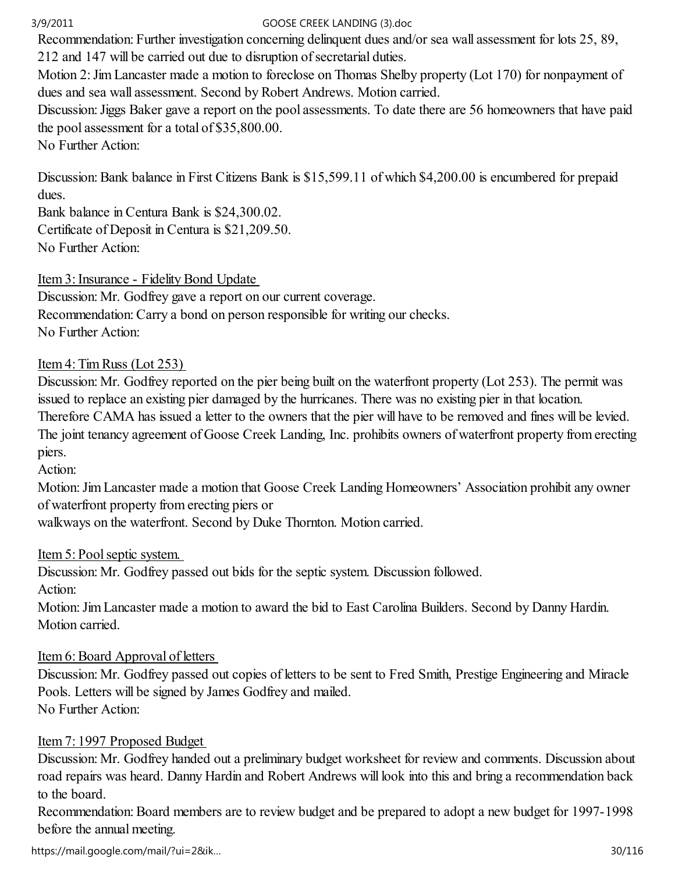Recommendation: Further investigation concerning delinquent dues and/or sea wall assessment for lots 25, 89,

212 and 147 will be carried out due to disruption of secretarial duties.

Motion 2: Jim Lancaster made a motion to foreclose on Thomas Shelby property (Lot 170) for nonpayment of dues and sea wall assessment. Second by Robert Andrews. Motion carried.

Discussion: Jiggs Baker gave a report on the pool assessments. To date there are 56 homeowners that have paid the pool assessment for a total of \$35,800.00.

No Further Action:

Discussion: Bank balance in First Citizens Bank is \$15,599.11 of which \$4,200.00 is encumbered for prepaid dues.

Bank balance in Centura Bank is \$24,300.02. Certificate of Deposit in Centura is \$21,209.50. No Further Action:

Item 3: Insurance - Fidelity Bond Update

Discussion: Mr. Godfrey gave a report on our current coverage. Recommendation: Carry a bond on person responsible for writing our checks. No Further Action:

## Item 4: Tim Russ (Lot 253)

Discussion: Mr. Godfrey reported on the pier being built on the waterfront property (Lot 253). The permit was issued to replace an existing pier damaged by the hurricanes. There was no existing pier in that location. Therefore CAMA has issued a letter to the owners that the pier will have to be removed and fines will be levied. The joint tenancy agreement of Goose Creek Landing, Inc. prohibits owners of waterfront property from erecting piers.

Action:

Motion: Jim Lancaster made a motion that Goose Creek Landing Homeowners' Association prohibit any owner of waterfront property from erecting piers or

walkways on the waterfront. Second by Duke Thornton. Motion carried.

Item 5: Pool septic system.

Discussion: Mr. Godfrey passed out bids for the septic system. Discussion followed.

Action:

Motion: Jim Lancaster made a motion to award the bid to East Carolina Builders. Second by Danny Hardin. Motion carried.

## Item 6: Board Approval of letters

Discussion: Mr. Godfrey passed out copies of letters to be sent to Fred Smith, Prestige Engineering and Miracle Pools. Letters will be signed by James Godfrey and mailed. No Further Action:

## Item 7: 1997 Proposed Budget

Discussion: Mr. Godfrey handed out a preliminary budget worksheet for review and comments. Discussion about road repairs was heard. Danny Hardin and Robert Andrews will look into this and bring a recommendation back to the board.

Recommendation: Board members are to review budget and be prepared to adopt a new budget for 1997-1998 before the annual meeting.

https://mail.google.com/mail/?ui=2&ik… 30/116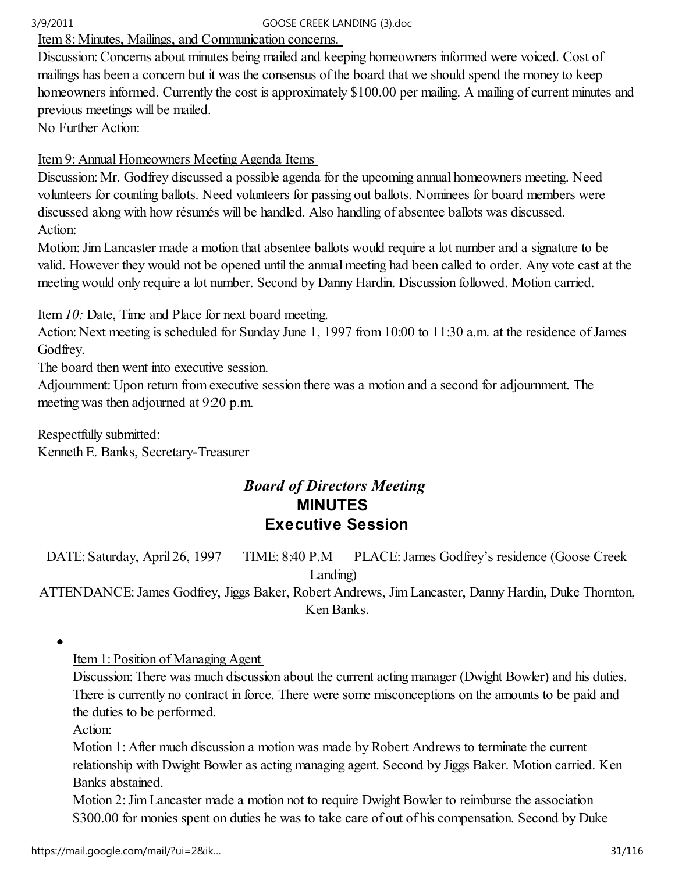## Item 8: Minutes, Mailings, and Communication concerns.

Discussion: Concerns about minutes being mailed and keeping homeowners informed were voiced. Cost of mailings has been a concern but it was the consensus of the board that we should spend the money to keep homeowners informed. Currently the cost is approximately \$100.00 per mailing. A mailing of current minutes and previous meetings will be mailed.

No Further Action:

## Item 9: Annual Homeowners Meeting Agenda Items

Discussion: Mr. Godfrey discussed a possible agenda for the upcoming annual homeowners meeting. Need volunteers for counting ballots. Need volunteers for passing out ballots. Nominees for board members were discussed along with how résumés will be handled. Also handling of absentee ballots was discussed. Action:

Motion: Jim Lancaster made a motion that absentee ballots would require a lot number and a signature to be valid. However they would not be opened until the annual meeting had been called to order. Any vote cast at the meeting would only require a lot number. Second by Danny Hardin. Discussion followed. Motion carried.

## Item 10: Date, Time and Place for next board meeting.

Action: Next meeting is scheduled for Sunday June 1, 1997 from 10:00 to 11:30 a.m. at the residence of James Godfrey.

The board then went into executive session.

Adjournment: Upon return from executive session there was a motion and a second for adjournment. The meeting was then adjourned at 9:20 p.m.

Respectfully submitted: Kenneth E. Banks, Secretary-Treasurer

# Board of Directors Meeting MINUTES Executive Session

DATE: Saturday, April 26, 1997 TIME: 8:40 P.M PLACE: James Godfrey's residence (Goose Creek Landing)

ATTENDANCE: James Godfrey, Jiggs Baker, Robert Andrews, Jim Lancaster, Danny Hardin, Duke Thornton, Ken Banks.

 $\bullet$ 

Item 1: Position of Managing Agent

Discussion: There was much discussion about the current acting manager (Dwight Bowler) and his duties. There is currently no contract in force. There were some misconceptions on the amounts to be paid and the duties to be performed.

Action:

Motion 1: After much discussion a motion was made by Robert Andrews to terminate the current relationship with Dwight Bowler as acting managing agent. Second by Jiggs Baker. Motion carried. Ken Banks abstained.

Motion 2: Jim Lancaster made a motion not to require Dwight Bowler to reimburse the association \$300.00 for monies spent on duties he was to take care of out of his compensation. Second by Duke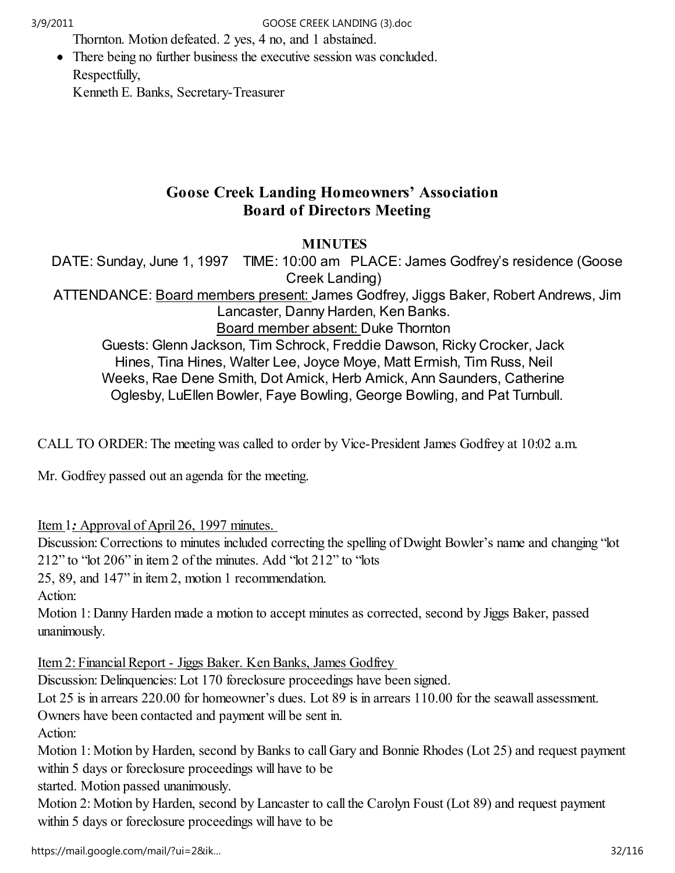Thornton. Motion defeated. 2 yes, 4 no, and 1 abstained.

• There being no further business the executive session was concluded. Respectfully, Kenneth E. Banks, Secretary-Treasurer

# Goose Creek Landing Homeowners' Association Board of Directors Meeting

## **MINUTES**

DATE: Sunday, June 1, 1997 TIME: 10:00 am PLACE: James Godfrey's residence (Goose Creek Landing)

ATTENDANCE: Board members present: James Godfrey, Jiggs Baker, Robert Andrews, Jim Lancaster, Danny Harden, Ken Banks. Board member absent: Duke Thornton

Guests: Glenn Jackson, Tim Schrock, Freddie Dawson, Ricky Crocker, Jack Hines, Tina Hines, Walter Lee, Joyce Moye, Matt Ermish, Tim Russ, Neil Weeks, Rae Dene Smith, Dot Amick, Herb Amick, Ann Saunders, Catherine Oglesby, LuEllen Bowler, Faye Bowling, George Bowling, and Pat Turnbull.

CALL TO ORDER: The meeting was called to order by Vice-President James Godfrey at 10:02 a.m.

Mr. Godfrey passed out an agenda for the meeting.

Item 1: Approval of April 26, 1997 minutes.

Discussion: Corrections to minutes included correcting the spelling of Dwight Bowler's name and changing "lot 212" to "lot 206" in item 2 of the minutes. Add "lot 212" to "lots

25, 89, and 147" in item 2, motion 1 recommendation.

Action:

Motion 1: Danny Harden made a motion to accept minutes as corrected, second by Jiggs Baker, passed unanimously.

Item 2: Financial Report - Jiggs Baker. Ken Banks, James Godfrey

Discussion: Delinquencies: Lot 170 foreclosure proceedings have been signed.

Lot 25 is in arrears 220.00 for homeowner's dues. Lot 89 is in arrears 110.00 for the seawall assessment.

Owners have been contacted and payment will be sent in.

Action:

Motion 1: Motion by Harden, second by Banks to call Gary and Bonnie Rhodes (Lot 25) and request payment within 5 days or foreclosure proceedings will have to be

started. Motion passed unanimously.

Motion 2: Motion by Harden, second by Lancaster to call the Carolyn Foust (Lot 89) and request payment within 5 days or foreclosure proceedings will have to be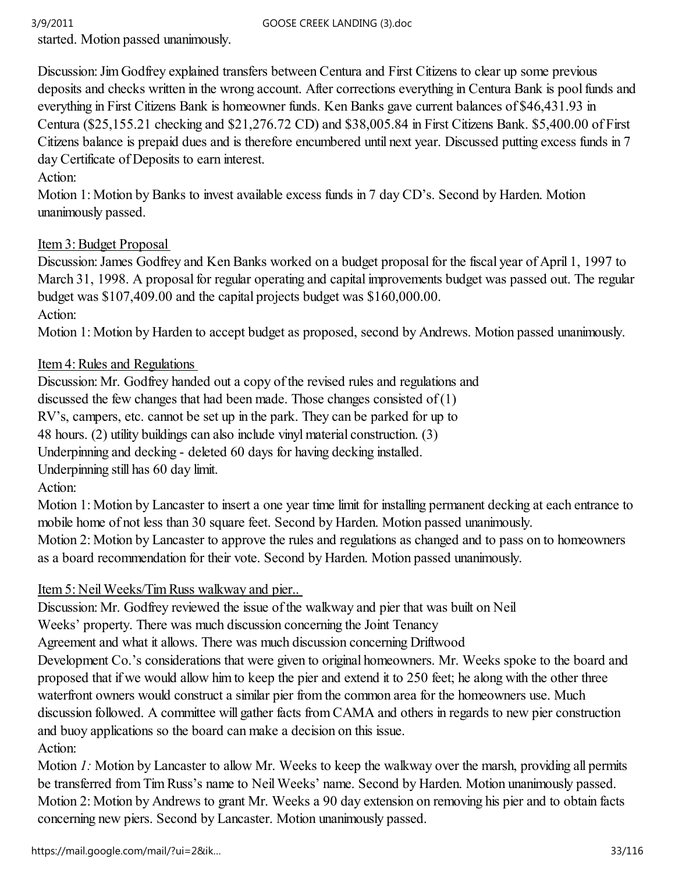started. Motion passed unanimously.

Discussion: Jim Godfrey explained transfers between Centura and First Citizens to clear up some previous deposits and checks written in the wrong account. After corrections everything in Centura Bank is pool funds and everything in First Citizens Bank is homeowner funds. Ken Banks gave current balances of \$46,431.93 in Centura (\$25,155.21 checking and \$21,276.72 CD) and \$38,005.84 in First Citizens Bank. \$5,400.00 of First Citizens balance is prepaid dues and is therefore encumbered until next year. Discussed putting excess funds in 7 day Certificate of Deposits to earn interest.

Action:

Motion 1: Motion by Banks to invest available excess funds in 7 day CD's. Second by Harden. Motion unanimously passed.

## Item 3: Budget Proposal

Discussion: James Godfrey and Ken Banks worked on a budget proposal for the fiscal year of April 1, 1997 to March 31, 1998. A proposal for regular operating and capital improvements budget was passed out. The regular budget was \$107,409.00 and the capital projects budget was \$160,000.00. Action:

Motion 1: Motion by Harden to accept budget as proposed, second by Andrews. Motion passed unanimously.

## Item 4: Rules and Regulations

Discussion: Mr. Godfrey handed out a copy of the revised rules and regulations and

discussed the few changes that had been made. Those changes consisted of  $(1)$ 

RV's, campers, etc. cannot be set up in the park. They can be parked for up to

48 hours. (2) utility buildings can also include vinyl material construction. (3)

Underpinning and decking - deleted 60 days for having decking installed.

Underpinning still has 60 day limit.

Action:

Motion 1: Motion by Lancaster to insert a one year time limit for installing permanent decking at each entrance to mobile home of not less than 30 square feet. Second by Harden. Motion passed unanimously.

Motion 2: Motion by Lancaster to approve the rules and regulations as changed and to pass on to homeowners as a board recommendation for their vote. Second by Harden. Motion passed unanimously.

# Item 5: Neil Weeks/Tim Russ walkway and pier..

Discussion: Mr. Godfrey reviewed the issue of the walkway and pier that was built on Neil

Weeks' property. There was much discussion concerning the Joint Tenancy

Agreement and what it allows. There was much discussion concerning Driftwood

Development Co.'s considerations that were given to original homeowners. Mr. Weeks spoke to the board and proposed that if we would allow him to keep the pier and extend it to 250 feet; he along with the other three waterfront owners would construct a similar pier from the common area for the homeowners use. Much discussion followed. A committee will gather facts from CAMA and others in regards to new pier construction and buoy applications so the board can make a decision on this issue. Action:

Motion 1: Motion by Lancaster to allow Mr. Weeks to keep the walkway over the marsh, providing all permits be transferred from Tim Russ's name to Neil Weeks' name. Second by Harden. Motion unanimously passed. Motion 2: Motion by Andrews to grant Mr. Weeks a 90 day extension on removing his pier and to obtain facts concerning new piers. Second by Lancaster. Motion unanimously passed.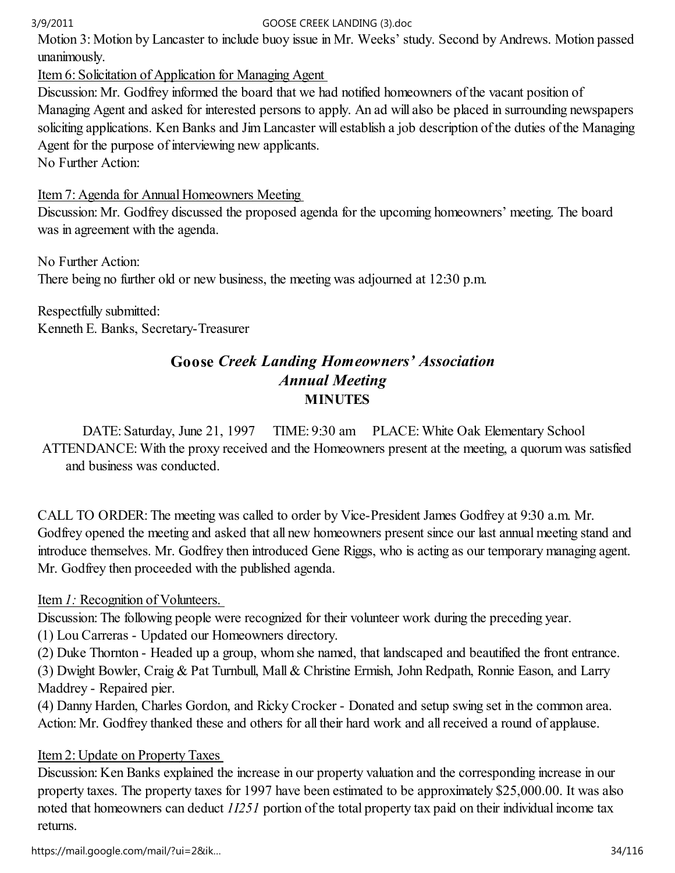Motion 3: Motion by Lancaster to include buoy issue in Mr. Weeks' study. Second by Andrews. Motion passed unanimously.

Item 6: Solicitation of Application for Managing Agent

Discussion: Mr. Godfrey informed the board that we had notified homeowners of the vacant position of Managing Agent and asked for interested persons to apply. An ad will also be placed in surrounding newspapers soliciting applications. Ken Banks and Jim Lancaster will establish a job description of the duties of the Managing Agent for the purpose of interviewing new applicants.

No Further Action:

Item 7: Agenda for Annual Homeowners Meeting

Discussion: Mr. Godfrey discussed the proposed agenda for the upcoming homeowners' meeting. The board was in agreement with the agenda.

No Further Action: There being no further old or new business, the meeting was adjourned at 12:30 p.m.

Respectfully submitted: Kenneth E. Banks, Secretary-Treasurer

# Goose Creek Landing Homeowners' Association Annual Meeting **MINUTES**

DATE: Saturday, June 21, 1997 TIME: 9:30 am PLACE: White Oak Elementary School ATTENDANCE: With the proxy received and the Homeowners present at the meeting, a quorum was satisfied and business was conducted.

CALL TO ORDER: The meeting was called to order by Vice-President James Godfrey at 9:30 a.m. Mr. Godfrey opened the meeting and asked that all new homeowners present since our last annual meeting stand and introduce themselves. Mr. Godfrey then introduced Gene Riggs, who is acting as our temporary managing agent. Mr. Godfrey then proceeded with the published agenda.

# Item 1: Recognition of Volunteers.

Discussion: The following people were recognized for their volunteer work during the preceding year.

(1) Lou Carreras - Updated our Homeowners directory.

(2) Duke Thornton - Headed up a group, whom she named, that landscaped and beautified the front entrance.

(3) Dwight Bowler, Craig & Pat Turnbull, Mall & Christine Ermish, John Redpath, Ronnie Eason, and Larry Maddrey - Repaired pier.

(4) Danny Harden, Charles Gordon, and Ricky Crocker - Donated and setup swing set in the common area. Action: Mr. Godfrey thanked these and others for all their hard work and all received a round of applause.

# Item 2: Update on Property Taxes

Discussion: Ken Banks explained the increase in our property valuation and the corresponding increase in our property taxes. The property taxes for 1997 have been estimated to be approximately \$25,000.00. It was also noted that homeowners can deduct 1I251 portion of the total property tax paid on their individual income tax returns.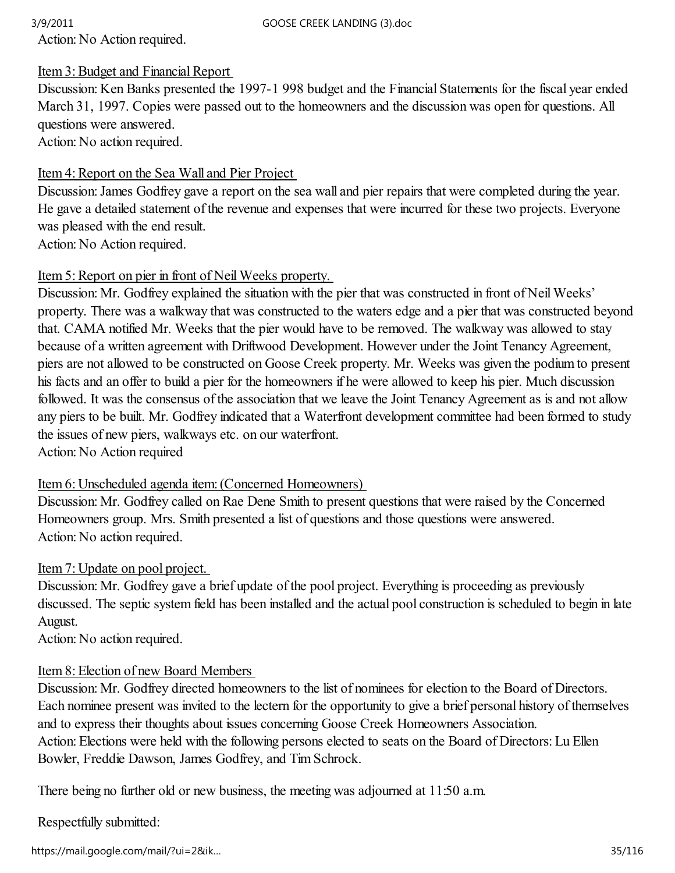Action: No Action required.

## Item 3: Budget and Financial Report

Discussion: Ken Banks presented the 1997-1 998 budget and the Financial Statements for the fiscal year ended March 31, 1997. Copies were passed out to the homeowners and the discussion was open for questions. All questions were answered. Action: No action required.

## Item 4: Report on the Sea Wall and Pier Project

Discussion: James Godfrey gave a report on the sea wall and pier repairs that were completed during the year. He gave a detailed statement of the revenue and expenses that were incurred for these two projects. Everyone was pleased with the end result.

Action: No Action required.

## Item 5: Report on pier in front of Neil Weeks property.

Discussion: Mr. Godfrey explained the situation with the pier that was constructed in front of Neil Weeks' property. There was a walkway that was constructed to the waters edge and a pier that was constructed beyond that. CAMA notified Mr. Weeks that the pier would have to be removed. The walkway was allowed to stay because of a written agreement with Driftwood Development. However under the Joint Tenancy Agreement, piers are not allowed to be constructed on Goose Creek property. Mr. Weeks was given the podium to present his facts and an offer to build a pier for the homeowners if he were allowed to keep his pier. Much discussion followed. It was the consensus of the association that we leave the Joint Tenancy Agreement as is and not allow any piers to be built. Mr. Godfrey indicated that a Waterfront development committee had been formed to study the issues of new piers, walkways etc. on our waterfront.

Action: No Action required

## Item 6: Unscheduled agenda item: (Concerned Homeowners)

Discussion: Mr. Godfrey called on Rae Dene Smith to present questions that were raised by the Concerned Homeowners group. Mrs. Smith presented a list of questions and those questions were answered. Action: No action required.

## Item 7: Update on pool project.

Discussion: Mr. Godfrey gave a brief update of the pool project. Everything is proceeding as previously discussed. The septic system field has been installed and the actual pool construction is scheduled to begin in late August.

Action: No action required.

## Item 8: Election of new Board Members

Discussion: Mr. Godfrey directed homeowners to the list of nominees for election to the Board of Directors. Each nominee present was invited to the lectern for the opportunity to give a brief personal history of themselves and to express their thoughts about issues concerning Goose Creek Homeowners Association. Action: Elections were held with the following persons elected to seats on the Board of Directors: Lu Ellen Bowler, Freddie Dawson, James Godfrey, and Tim Schrock.

There being no further old or new business, the meeting was adjourned at 11:50 a.m.

Respectfully submitted:

https://mail.google.com/mail/?ui=2&ik… 35/116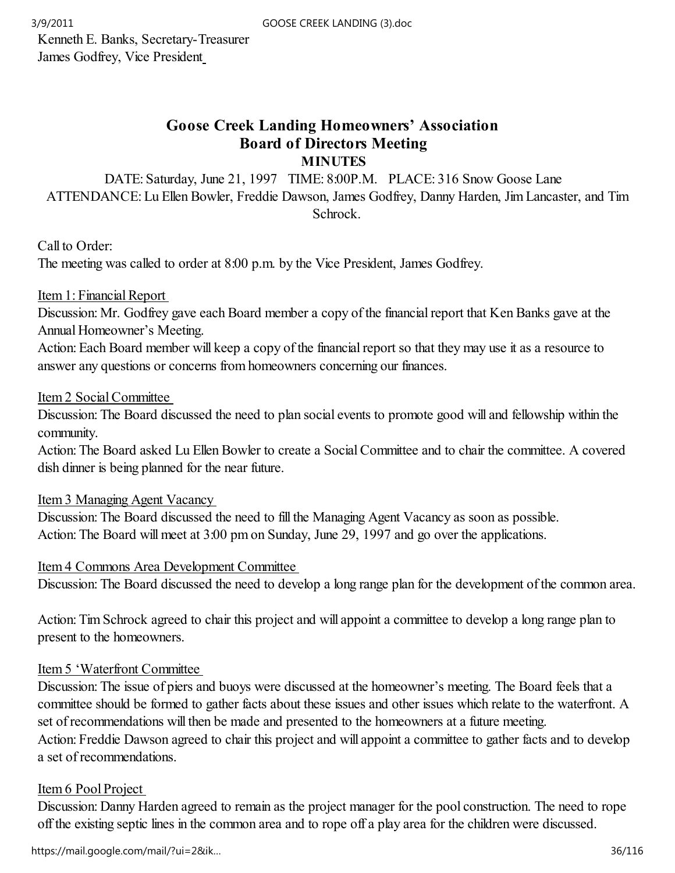Kenneth E. Banks, Secretary-Treasurer James Godfrey, Vice President

## Goose Creek Landing Homeowners' Association Board of Directors Meeting **MINUTES**

DATE: Saturday, June 21, 1997 TIME: 8:00P.M. PLACE: 316 Snow Goose Lane ATTENDANCE: Lu Ellen Bowler, Freddie Dawson, James Godfrey, Danny Harden, Jim Lancaster, and Tim Schrock.

Call to Order:

The meeting was called to order at 8:00 p.m. by the Vice President, James Godfrey.

Item 1: Financial Report

Discussion: Mr. Godfrey gave each Board member a copy of the financial report that Ken Banks gave at the Annual Homeowner's Meeting.

Action: Each Board member will keep a copy of the financial report so that they may use it as a resource to answer any questions or concerns from homeowners concerning our finances.

Item 2 Social Committee

Discussion: The Board discussed the need to plan social events to promote good will and fellowship within the community.

Action: The Board asked Lu Ellen Bowler to create a Social Committee and to chair the committee. A covered dish dinner is being planned for the near future.

Item 3 Managing Agent Vacancy

Discussion: The Board discussed the need to fill the Managing Agent Vacancy as soon as possible. Action: The Board will meet at 3:00 pm on Sunday, June 29, 1997 and go over the applications.

Item 4 Commons Area Development Committee

Discussion: The Board discussed the need to develop a long range plan for the development of the common area.

Action: Tim Schrock agreed to chair this project and will appoint a committee to develop a long range plan to present to the homeowners.

## Item 5 'Waterfront Committee

Discussion: The issue of piers and buoys were discussed at the homeowner's meeting. The Board feels that a committee should be formed to gather facts about these issues and other issues which relate to the waterfront. A set of recommendations will then be made and presented to the homeowners at a future meeting. Action: Freddie Dawson agreed to chair this project and will appoint a committee to gather facts and to develop a set of recommendations.

## Item 6 Pool Project

Discussion: Danny Harden agreed to remain as the project manager for the pool construction. The need to rope off the existing septic lines in the common area and to rope off a play area for the children were discussed.

https://mail.google.com/mail/?ui=2&ik… 36/116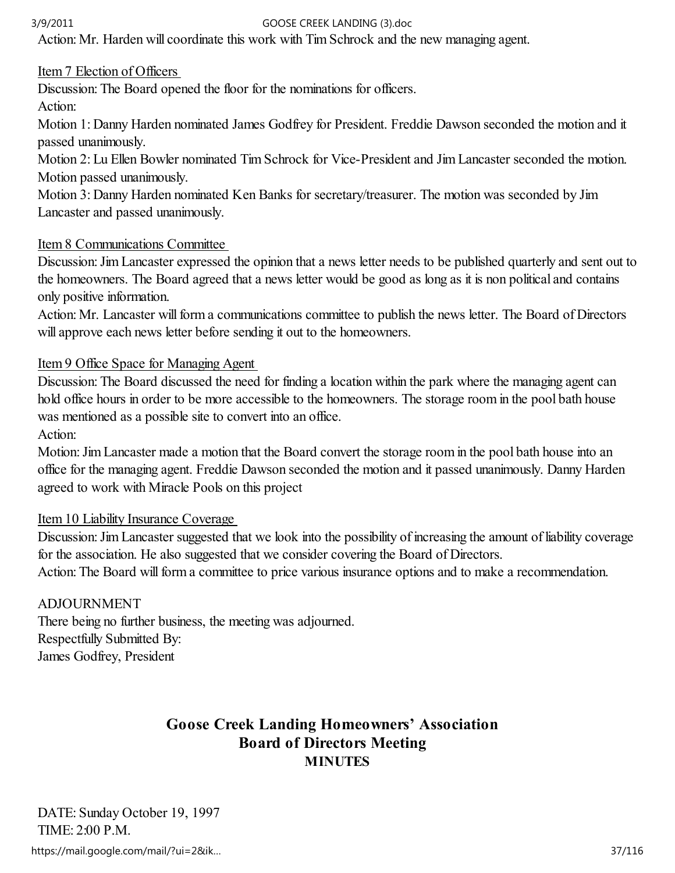Action: Mr. Harden will coordinate this work with Tim Schrock and the new managing agent.

## Item 7 Election of Officers

Discussion: The Board opened the floor for the nominations for officers.

Action:

Motion 1: Danny Harden nominated James Godfrey for President. Freddie Dawson seconded the motion and it passed unanimously.

Motion 2: Lu Ellen Bowler nominated Tim Schrock for Vice-President and Jim Lancaster seconded the motion. Motion passed unanimously.

Motion 3: Danny Harden nominated Ken Banks for secretary/treasurer. The motion was seconded by Jim Lancaster and passed unanimously.

## Item 8 Communications Committee

Discussion: Jim Lancaster expressed the opinion that a news letter needs to be published quarterly and sent out to the homeowners. The Board agreed that a news letter would be good as long as it is non political and contains only positive information.

Action: Mr. Lancaster will form a communications committee to publish the news letter. The Board of Directors will approve each news letter before sending it out to the homeowners.

## Item 9 Office Space for Managing Agent

Discussion: The Board discussed the need for finding a location within the park where the managing agent can hold office hours in order to be more accessible to the homeowners. The storage room in the pool bath house was mentioned as a possible site to convert into an office.

Action:

Motion: Jim Lancaster made a motion that the Board convert the storage room in the pool bath house into an office for the managing agent. Freddie Dawson seconded the motion and it passed unanimously. Danny Harden agreed to work with Miracle Pools on this project

## Item 10 Liability Insurance Coverage

Discussion: Jim Lancaster suggested that we look into the possibility of increasing the amount of liability coverage for the association. He also suggested that we consider covering the Board of Directors.

Action: The Board will form a committee to price various insurance options and to make a recommendation.

## ADJOURNMENT

There being no further business, the meeting was adjourned. Respectfully Submitted By: James Godfrey, President

## Goose Creek Landing Homeowners' Association Board of Directors Meeting **MINUTES**

DATE: Sunday October 19, 1997 TIME: 2:00 P.M. https://mail.google.com/mail/?ui=2&ik… 37/116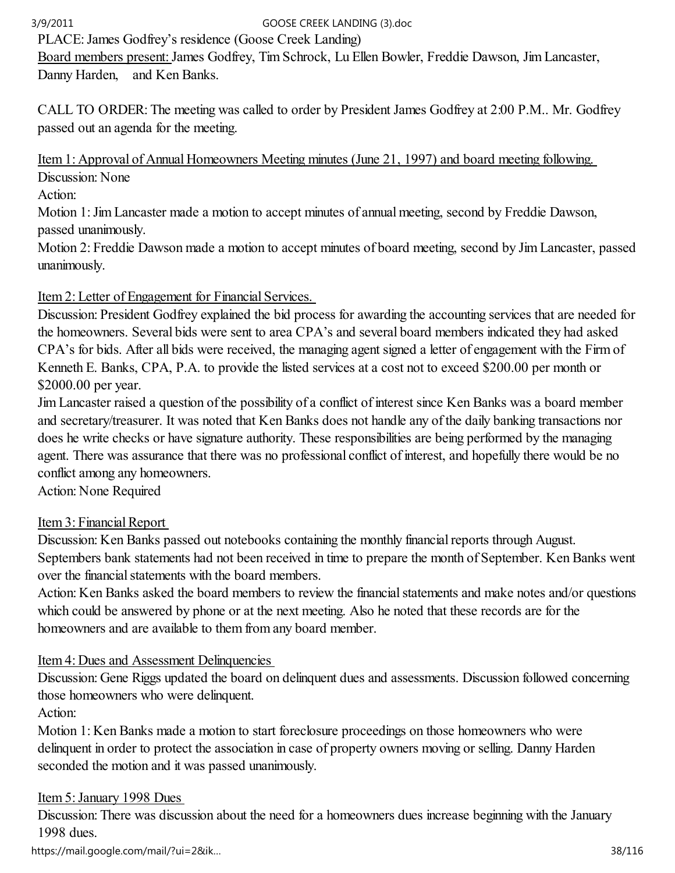PLACE: James Godfrey's residence (Goose Creek Landing)

Board members present: James Godfrey, Tim Schrock, Lu Ellen Bowler, Freddie Dawson, Jim Lancaster, Danny Harden, and Ken Banks.

CALL TO ORDER: The meeting was called to order by President James Godfrey at 2:00 P.M.. Mr. Godfrey passed out an agenda for the meeting.

## Item 1: Approval of Annual Homeowners Meeting minutes (June 21, 1997) and board meeting following. Discussion: None

Action:

Motion 1: Jim Lancaster made a motion to accept minutes of annual meeting, second by Freddie Dawson, passed unanimously.

Motion 2: Freddie Dawson made a motion to accept minutes of board meeting, second by Jim Lancaster, passed unanimously.

# Item 2: Letter of Engagement for Financial Services.

Discussion: President Godfrey explained the bid process for awarding the accounting services that are needed for the homeowners. Several bids were sent to area CPA's and several board members indicated they had asked CPA's for bids. After all bids were received, the managing agent signed a letter of engagement with the Firm of Kenneth E. Banks, CPA, P.A. to provide the listed services at a cost not to exceed \$200.00 per month or \$2000.00 per year.

Jim Lancaster raised a question of the possibility of a conflict of interest since Ken Banks was a board member and secretary/treasurer. It was noted that Ken Banks does not handle any of the daily banking transactions nor does he write checks or have signature authority. These responsibilities are being performed by the managing agent. There was assurance that there was no professional conflict of interest, and hopefully there would be no conflict among any homeowners.

Action: None Required

# Item 3: Financial Report

Discussion: Ken Banks passed out notebooks containing the monthly financial reports through August. Septembers bank statements had not been received in time to prepare the month of September. Ken Banks went over the financial statements with the board members.

Action: Ken Banks asked the board members to review the financial statements and make notes and/or questions which could be answered by phone or at the next meeting. Also he noted that these records are for the homeowners and are available to them from any board member.

## Item 4: Dues and Assessment Delinquencies

Discussion: Gene Riggs updated the board on delinquent dues and assessments. Discussion followed concerning those homeowners who were delinquent.

Action:

Motion 1: Ken Banks made a motion to start foreclosure proceedings on those homeowners who were delinquent in order to protect the association in case of property owners moving or selling. Danny Harden seconded the motion and it was passed unanimously.

## Item 5: January 1998 Dues

Discussion: There was discussion about the need for a homeowners dues increase beginning with the January 1998 dues.

https://mail.google.com/mail/?ui=2&ik… 38/116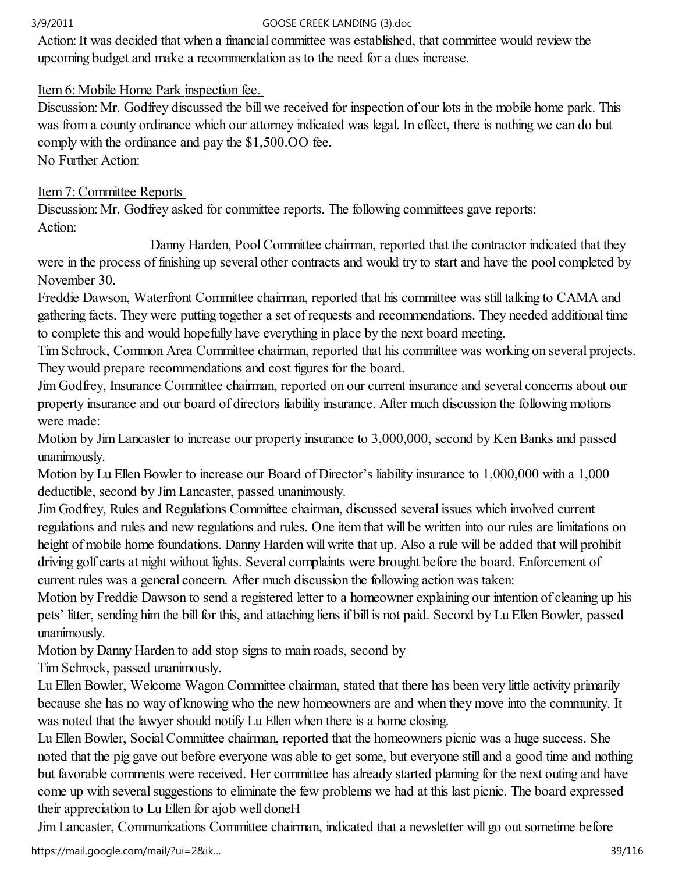Action: It was decided that when a financial committee was established, that committee would review the upcoming budget and make a recommendation as to the need for a dues increase.

## Item 6: Mobile Home Park inspection fee.

Discussion: Mr. Godfrey discussed the bill we received for inspection of our lots in the mobile home park. This was from a county ordinance which our attorney indicated was legal. In effect, there is nothing we can do but comply with the ordinance and pay the \$1,500.OO fee. No Further Action:

Item 7: Committee Reports

Discussion: Mr. Godfrey asked for committee reports. The following committees gave reports: Action:

 Danny Harden, Pool Committee chairman, reported that the contractor indicated that they were in the process of finishing up several other contracts and would try to start and have the pool completed by November 30.

Freddie Dawson, Waterfront Committee chairman, reported that his committee was still talking to CAMA and gathering facts. They were putting together a set of requests and recommendations. They needed additional time to complete this and would hopefully have everything in place by the next board meeting.

Tim Schrock, Common Area Committee chairman, reported that his committee was working on several projects. They would prepare recommendations and cost figures for the board.

Jim Godfrey, Insurance Committee chairman, reported on our current insurance and several concerns about our property insurance and our board of directors liability insurance. After much discussion the following motions were made:

Motion by Jim Lancaster to increase our property insurance to 3,000,000, second by Ken Banks and passed unanimously.

Motion by Lu Ellen Bowler to increase our Board of Director's liability insurance to 1,000,000 with a 1,000 deductible, second by Jim Lancaster, passed unanimously.

Jim Godfrey, Rules and Regulations Committee chairman, discussed several issues which involved current regulations and rules and new regulations and rules. One item that will be written into our rules are limitations on height of mobile home foundations. Danny Harden will write that up. Also a rule will be added that will prohibit driving golf carts at night without lights. Several complaints were brought before the board. Enforcement of current rules was a general concern. After much discussion the following action was taken:

Motion by Freddie Dawson to send a registered letter to a homeowner explaining our intention of cleaning up his pets' litter, sending him the bill for this, and attaching liens if bill is not paid. Second by Lu Ellen Bowler, passed unanimously.

Motion by Danny Harden to add stop signs to main roads, second by

Tim Schrock, passed unanimously.

Lu Ellen Bowler, Welcome Wagon Committee chairman, stated that there has been very little activity primarily because she has no way of knowing who the new homeowners are and when they move into the community. It was noted that the lawyer should notify Lu Ellen when there is a home closing.

Lu Ellen Bowler, Social Committee chairman, reported that the homeowners picnic was a huge success. She noted that the pig gave out before everyone was able to get some, but everyone still and a good time and nothing but favorable comments were received. Her committee has already started planning for the next outing and have come up with several suggestions to eliminate the few problems we had at this last picnic. The board expressed their appreciation to Lu Ellen for ajob well doneH

Jim Lancaster, Communications Committee chairman, indicated that a newsletter will go out sometime before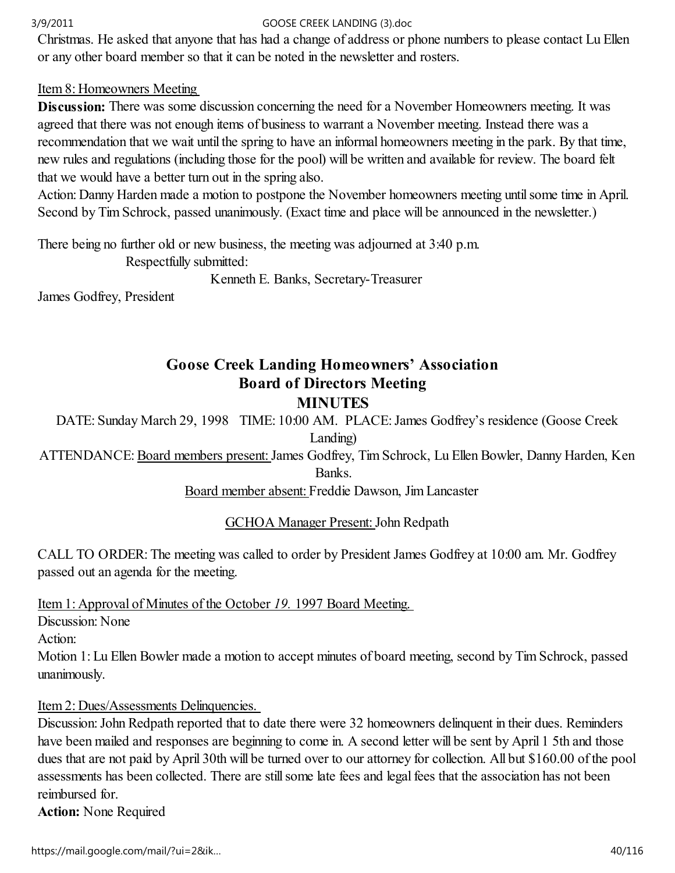Christmas. He asked that anyone that has had a change of address or phone numbers to please contact Lu Ellen or any other board member so that it can be noted in the newsletter and rosters.

## Item 8: Homeowners Meeting

Discussion: There was some discussion concerning the need for a November Homeowners meeting. It was agreed that there was not enough items of business to warrant a November meeting. Instead there was a recommendation that we wait until the spring to have an informal homeowners meeting in the park. By that time, new rules and regulations (including those for the pool) will be written and available for review. The board felt that we would have a better turn out in the spring also.

Action: Danny Harden made a motion to postpone the November homeowners meeting until some time in April. Second by Tim Schrock, passed unanimously. (Exact time and place will be announced in the newsletter.)

There being no further old or new business, the meeting was adjourned at 3:40 p.m.

Respectfully submitted:

Kenneth E. Banks, Secretary-Treasurer

James Godfrey, President

# Goose Creek Landing Homeowners' Association Board of Directors Meeting

## **MINUTES**

DATE: Sunday March 29, 1998 TIME: 10:00 AM. PLACE: James Godfrey's residence (Goose Creek Landing)

ATTENDANCE: Board members present: James Godfrey, Tim Schrock, Lu Ellen Bowler, Danny Harden, Ken Banks.

Board member absent: Freddie Dawson, Jim Lancaster

GCHOA Manager Present: John Redpath

CALL TO ORDER: The meeting was called to order by President James Godfrey at 10:00 am. Mr. Godfrey passed out an agenda for the meeting.

Item 1: Approval of Minutes of the October 19. 1997 Board Meeting.

Discussion: None

Action:

Motion 1: Lu Ellen Bowler made a motion to accept minutes of board meeting, second by Tim Schrock, passed unanimously.

## Item 2: Dues/Assessments Delinquencies.

Discussion: John Redpath reported that to date there were 32 homeowners delinquent in their dues. Reminders have been mailed and responses are beginning to come in. A second letter will be sent by April 1 5th and those dues that are not paid by April 30th will be turned over to our attorney for collection. All but \$160.00 of the pool assessments has been collected. There are still some late fees and legal fees that the association has not been reimbursed for.

Action: None Required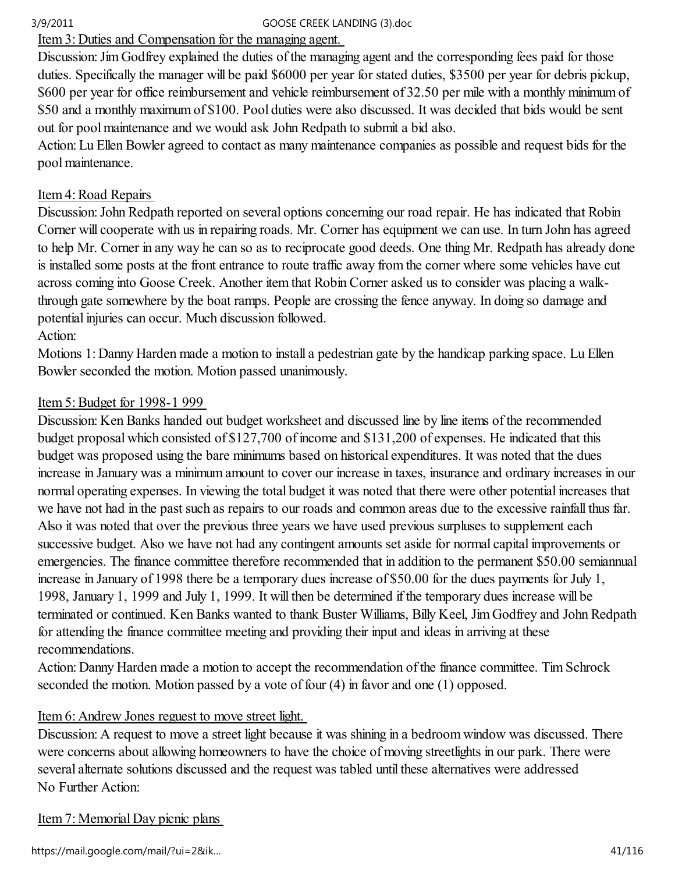Item 3: Duties and Compensation for the managing agent.

Discussion: Jim Godfrey explained the duties of the managing agent and the corresponding fees paid for those duties. Specifically the manager will be paid \$6000 per year for stated duties, \$3500 per year for debris pickup, \$600 per year for office reimbursement and vehicle reimbursement of 32.50 per mile with a monthly minimum of \$50 and a monthly maximum of \$100. Pool duties were also discussed. It was decided that bids would be sent out for pool maintenance and we would ask John Redpath to submit a bid also.

Action: Lu Ellen Bowler agreed to contact as many maintenance companies as possible and request bids for the pool maintenance.

## Item 4: Road Repairs

Discussion: John Redpath reported on several options concerning our road repair. He has indicated that Robin Corner will cooperate with us in repairing roads. Mr. Corner has equipment we can use. In turn John has agreed to help Mr. Corner in any way he can so as to reciprocate good deeds. One thing Mr. Redpath has already done is installed some posts at the front entrance to route traffic away from the corner where some vehicles have cut across coming into Goose Creek. Another item that Robin Corner asked us to consider was placing a walkthrough gate somewhere by the boat ramps. People are crossing the fence anyway. In doing so damage and potential injuries can occur. Much discussion followed.

## Action:

Motions 1: Danny Harden made a motion to install a pedestrian gate by the handicap parking space. Lu Ellen Bowler seconded the motion. Motion passed unanimously.

## Item 5: Budget for 1998-1 999

Discussion: Ken Banks handed out budget worksheet and discussed line by line items of the recommended budget proposal which consisted of \$127,700 of income and \$131,200 of expenses. He indicated that this budget was proposed using the bare minimums based on historical expenditures. It was noted that the dues increase in January was a minimum amount to cover our increase in taxes, insurance and ordinary increases in our normal operating expenses. In viewing the total budget it was noted that there were other potential increases that we have not had in the past such as repairs to our roads and common areas due to the excessive rainfall thus far. Also it was noted that over the previous three years we have used previous surpluses to supplement each successive budget. Also we have not had any contingent amounts set aside for normal capital improvements or emergencies. The finance committee therefore recommended that in addition to the permanent \$50.00 semiannual increase in January of 1998 there be a temporary dues increase of \$50.00 for the dues payments for July 1, 1998, January 1, 1999 and July 1, 1999. It will then be determined if the temporary dues increase will be terminated or continued. Ken Banks wanted to thank Buster Williams, Billy Keel, Jim Godfrey and John Redpath for attending the finance committee meeting and providing their input and ideas in arriving at these recommendations.

Action: Danny Harden made a motion to accept the recommendation of the finance committee. Tim Schrock seconded the motion. Motion passed by a vote of four (4) in favor and one (1) opposed.

## Item 6: Andrew Jones reguest to move street light.

Discussion: A request to move a street light because it was shining in a bedroom window was discussed. There were concerns about allowing homeowners to have the choice of moving streetlights in our park. There were several alternate solutions discussed and the request was tabled until these alternatives were addressed No Further Action:

## Item 7: Memorial Day picnic plans

https://mail.google.com/mail/?ui=2&ik… 41/116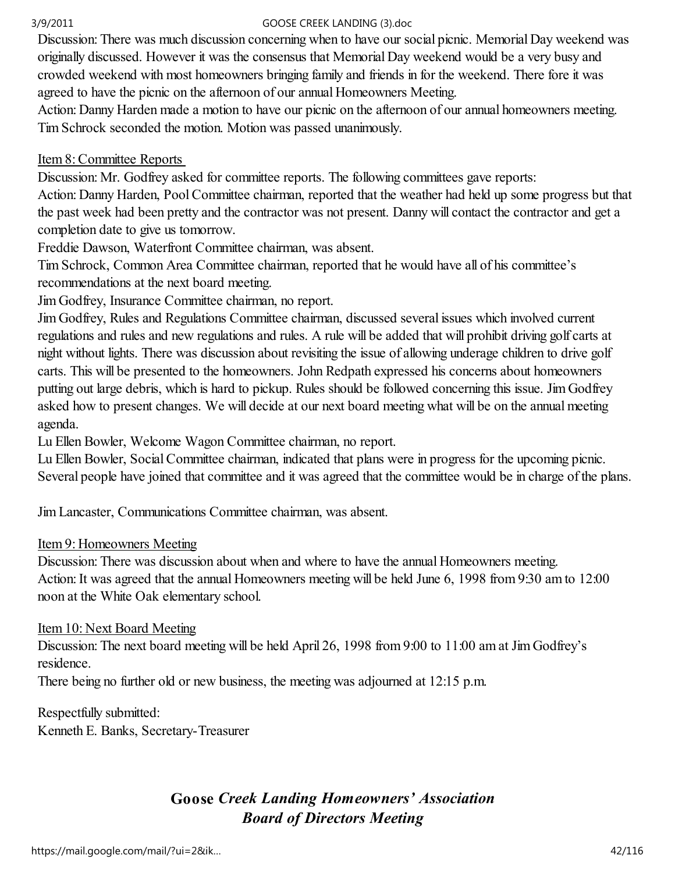Discussion: There was much discussion concerning when to have our social picnic. Memorial Day weekend was originally discussed. However it was the consensus that Memorial Day weekend would be a very busy and crowded weekend with most homeowners bringing family and friends in for the weekend. There fore it was agreed to have the picnic on the afternoon of our annual Homeowners Meeting.

Action: Danny Harden made a motion to have our picnic on the afternoon of our annual homeowners meeting. Tim Schrock seconded the motion. Motion was passed unanimously.

## Item 8: Committee Reports

Discussion: Mr. Godfrey asked for committee reports. The following committees gave reports:

Action: Danny Harden, Pool Committee chairman, reported that the weather had held up some progress but that the past week had been pretty and the contractor was not present. Danny will contact the contractor and get a completion date to give us tomorrow.

Freddie Dawson, Waterfront Committee chairman, was absent.

Tim Schrock, Common Area Committee chairman, reported that he would have all of his committee's recommendations at the next board meeting.

Jim Godfrey, Insurance Committee chairman, no report.

Jim Godfrey, Rules and Regulations Committee chairman, discussed several issues which involved current regulations and rules and new regulations and rules. A rule will be added that will prohibit driving golf carts at night without lights. There was discussion about revisiting the issue of allowing underage children to drive golf carts. This will be presented to the homeowners. John Redpath expressed his concerns about homeowners putting out large debris, which is hard to pickup. Rules should be followed concerning this issue. Jim Godfrey asked how to present changes. We will decide at our next board meeting what will be on the annual meeting agenda.

Lu Ellen Bowler, Welcome Wagon Committee chairman, no report.

Lu Ellen Bowler, Social Committee chairman, indicated that plans were in progress for the upcoming picnic. Several people have joined that committee and it was agreed that the committee would be in charge of the plans.

Jim Lancaster, Communications Committee chairman, was absent.

## Item 9: Homeowners Meeting

Discussion: There was discussion about when and where to have the annual Homeowners meeting. Action: It was agreed that the annual Homeowners meeting will be held June 6, 1998 from 9:30 am to 12:00 noon at the White Oak elementary school.

## Item 10: Next Board Meeting

Discussion: The next board meeting will be held April 26, 1998 from 9:00 to 11:00 am at Jim Godfrey's residence.

There being no further old or new business, the meeting was adjourned at 12:15 p.m.

Respectfully submitted: Kenneth E. Banks, Secretary-Treasurer

# Goose Creek Landing Homeowners' Association Board of Directors Meeting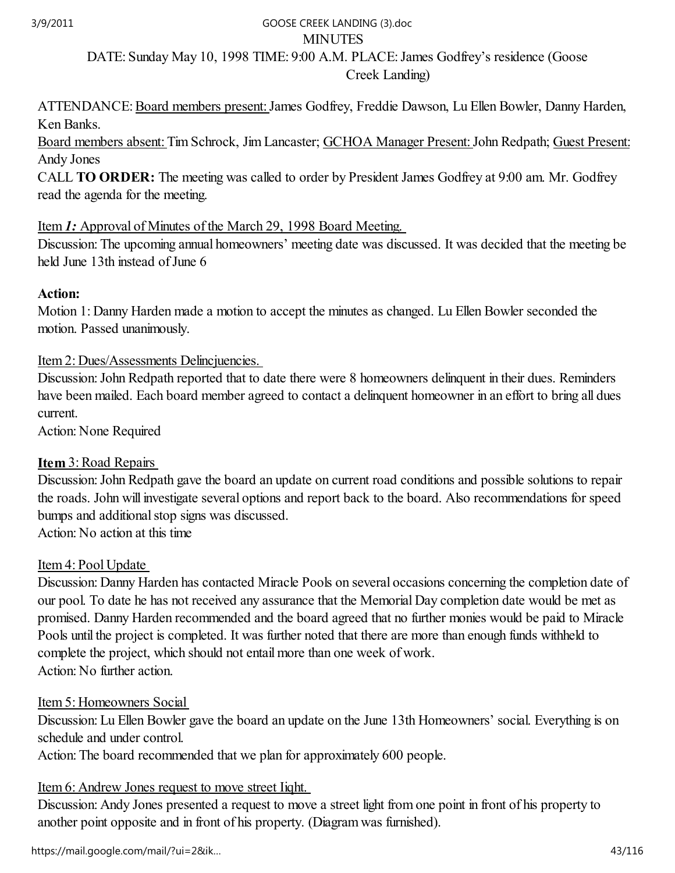## **MINUTES** DATE: Sunday May 10, 1998 TIME: 9:00 A.M. PLACE: James Godfrey's residence (Goose Creek Landing) 3/9/2011 GOOSE CREEK LANDING (3).doc

ATTENDANCE: Board members present: James Godfrey, Freddie Dawson, Lu Ellen Bowler, Danny Harden, Ken Banks.

Board members absent: Tim Schrock, Jim Lancaster; GCHOA Manager Present: John Redpath; Guest Present: Andy Jones

CALL TO ORDER: The meeting was called to order by President James Godfrey at 9:00 am. Mr. Godfrey read the agenda for the meeting.

## Item 1: Approval of Minutes of the March 29, 1998 Board Meeting.

Discussion: The upcoming annual homeowners' meeting date was discussed. It was decided that the meeting be held June 13th instead of June 6

### Action:

Motion 1: Danny Harden made a motion to accept the minutes as changed. Lu Ellen Bowler seconded the motion. Passed unanimously.

### Item 2: Dues/Assessments Delincjuencies.

Discussion: John Redpath reported that to date there were 8 homeowners delinquent in their dues. Reminders have been mailed. Each board member agreed to contact a delinquent homeowner in an effort to bring all dues current.

Action: None Required

## Item 3: Road Repairs

Discussion: John Redpath gave the board an update on current road conditions and possible solutions to repair the roads. John will investigate several options and report back to the board. Also recommendations for speed bumps and additional stop signs was discussed.

Action: No action at this time

## Item 4: Pool Update

Discussion: Danny Harden has contacted Miracle Pools on several occasions concerning the completion date of our pool. To date he has not received any assurance that the Memorial Day completion date would be met as promised. Danny Harden recommended and the board agreed that no further monies would be paid to Miracle Pools until the project is completed. It was further noted that there are more than enough funds withheld to complete the project, which should not entail more than one week of work. Action: No further action.

## Item 5: Homeowners Social

Discussion: Lu Ellen Bowler gave the board an update on the June 13th Homeowners' social. Everything is on schedule and under control.

Action: The board recommended that we plan for approximately 600 people.

## Item 6: Andrew Jones request to move street Iiqht.

Discussion: Andy Jones presented a request to move a street light from one point in front of his property to another point opposite and in front of his property. (Diagram was furnished).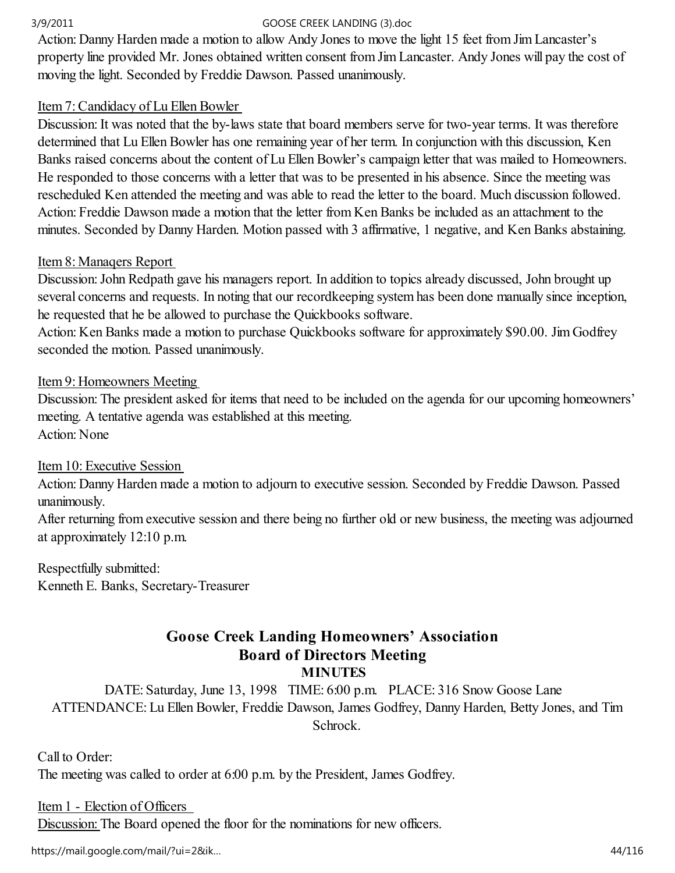Action: Danny Harden made a motion to allow Andy Jones to move the light 15 feet from Jim Lancaster's property line provided Mr. Jones obtained written consent from Jim Lancaster. Andy Jones will pay the cost of moving the light. Seconded by Freddie Dawson. Passed unanimously.

## Item 7: Candidacy of Lu Ellen Bowler

Discussion: It was noted that the by-laws state that board members serve for two-year terms. It was therefore determined that Lu Ellen Bowler has one remaining year of her term. In conjunction with this discussion, Ken Banks raised concerns about the content of Lu Ellen Bowler's campaign letter that was mailed to Homeowners. He responded to those concerns with a letter that was to be presented in his absence. Since the meeting was rescheduled Ken attended the meeting and was able to read the letter to the board. Much discussion followed. Action: Freddie Dawson made a motion that the letter from Ken Banks be included as an attachment to the minutes. Seconded by Danny Harden. Motion passed with 3 affirmative, 1 negative, and Ken Banks abstaining.

## Item 8: Manaqers Report

Discussion: John Redpath gave his managers report. In addition to topics already discussed, John brought up several concerns and requests. In noting that our recordkeeping system has been done manually since inception, he requested that he be allowed to purchase the Quickbooks software.

Action: Ken Banks made a motion to purchase Quickbooks software for approximately \$90.00. Jim Godfrey seconded the motion. Passed unanimously.

## Item 9: Homeowners Meeting

Discussion: The president asked for items that need to be included on the agenda for our upcoming homeowners' meeting. A tentative agenda was established at this meeting. Action: None

## Item 10: Executive Session

Action: Danny Harden made a motion to adjourn to executive session. Seconded by Freddie Dawson. Passed unanimously.

After returning from executive session and there being no further old or new business, the meeting was adjourned at approximately 12:10 p.m.

Respectfully submitted: Kenneth E. Banks, Secretary-Treasurer

## Goose Creek Landing Homeowners' Association Board of Directors Meeting **MINUTES**

DATE: Saturday, June 13, 1998 TIME: 6:00 p.m. PLACE: 316 Snow Goose Lane ATTENDANCE: Lu Ellen Bowler, Freddie Dawson, James Godfrey, Danny Harden, Betty Jones, and Tim Schrock.

Call to Order: The meeting was called to order at 6:00 p.m. by the President, James Godfrey.

### Item 1 - Election of Officers

Discussion: The Board opened the floor for the nominations for new officers.

https://mail.google.com/mail/?ui=2&ik… 44/116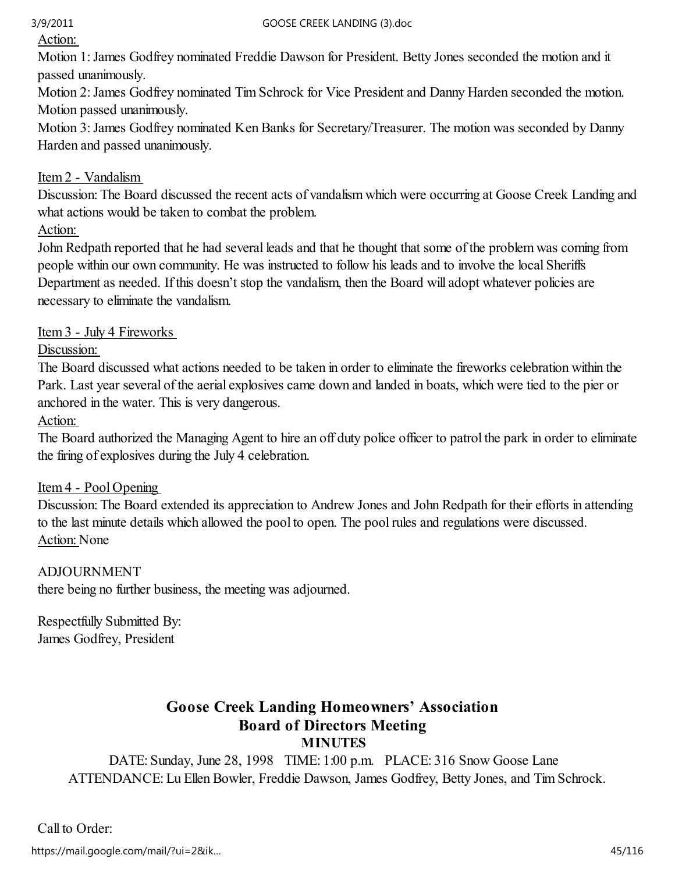Action:

Motion 1: James Godfrey nominated Freddie Dawson for President. Betty Jones seconded the motion and it passed unanimously.

Motion 2: James Godfrey nominated Tim Schrock for Vice President and Danny Harden seconded the motion. Motion passed unanimously.

Motion 3: James Godfrey nominated Ken Banks for Secretary/Treasurer. The motion was seconded by Danny Harden and passed unanimously.

## Item 2 - Vandalism

Discussion: The Board discussed the recent acts of vandalism which were occurring at Goose Creek Landing and what actions would be taken to combat the problem.

Action:

John Redpath reported that he had several leads and that he thought that some of the problem was coming from people within our own community. He was instructed to follow his leads and to involve the local Sheriffs Department as needed. If this doesn't stop the vandalism, then the Board will adopt whatever policies are necessary to eliminate the vandalism.

## Item 3 - July 4 Fireworks

Discussion:

The Board discussed what actions needed to be taken in order to eliminate the fireworks celebration within the Park. Last year several of the aerial explosives came down and landed in boats, which were tied to the pier or anchored in the water. This is very dangerous.

Action:

The Board authorized the Managing Agent to hire an off duty police officer to patrol the park in order to eliminate the firing of explosives during the July 4 celebration.

## Item 4 - Pool Opening

Discussion: The Board extended its appreciation to Andrew Jones and John Redpath for their efforts in attending to the last minute details which allowed the pool to open. The pool rules and regulations were discussed. Action: None

## ADJOURNMENT

there being no further business, the meeting was adjourned.

Respectfully Submitted By: James Godfrey, President

## Goose Creek Landing Homeowners' Association Board of Directors Meeting **MINUTES**

DATE: Sunday, June 28, 1998 TIME: 1:00 p.m. PLACE: 316 Snow Goose Lane ATTENDANCE: Lu Ellen Bowler, Freddie Dawson, James Godfrey, Betty Jones, and Tim Schrock.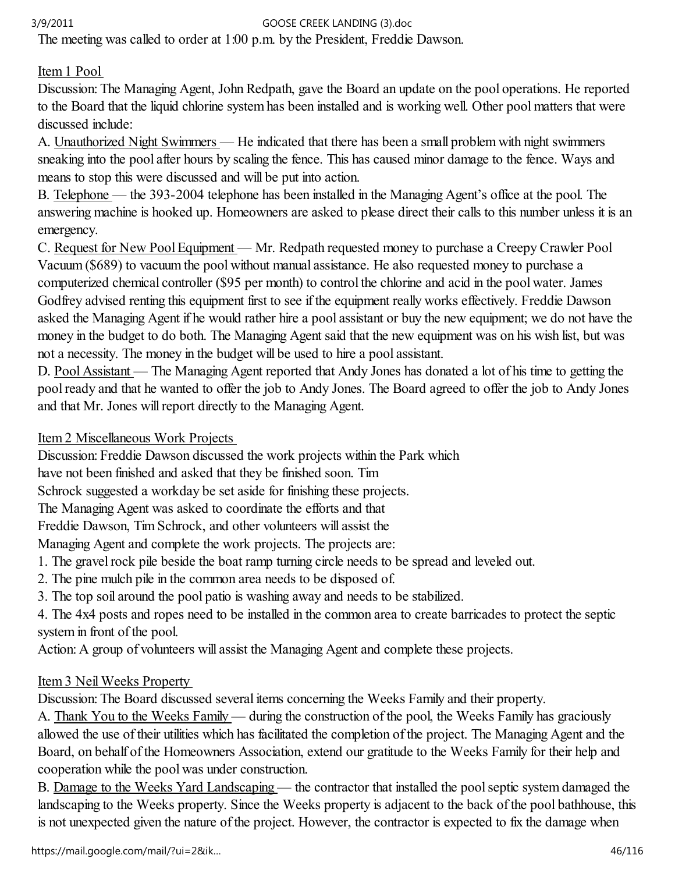The meeting was called to order at 1:00 p.m. by the President, Freddie Dawson.

## Item 1 Pool

Discussion: The Managing Agent, John Redpath, gave the Board an update on the pool operations. He reported to the Board that the liquid chlorine system has been installed and is working well. Other pool matters that were discussed include:

A. Unauthorized Night Swimmers — He indicated that there has been a small problem with night swimmers sneaking into the pool after hours by scaling the fence. This has caused minor damage to the fence. Ways and means to stop this were discussed and will be put into action.

B. Telephone — the 393-2004 telephone has been installed in the Managing Agent's office at the pool. The answering machine is hooked up. Homeowners are asked to please direct their calls to this number unless it is an emergency.

C. Request for New Pool Equipment — Mr. Redpath requested money to purchase a Creepy Crawler Pool Vacuum (\$689) to vacuum the pool without manual assistance. He also requested money to purchase a computerized chemical controller (\$95 per month) to control the chlorine and acid in the pool water. James Godfrey advised renting this equipment first to see if the equipment really works effectively. Freddie Dawson asked the Managing Agent if he would rather hire a pool assistant or buy the new equipment; we do not have the money in the budget to do both. The Managing Agent said that the new equipment was on his wish list, but was not a necessity. The money in the budget will be used to hire a pool assistant.

D. Pool Assistant — The Managing Agent reported that Andy Jones has donated a lot of his time to getting the pool ready and that he wanted to offer the job to Andy Jones. The Board agreed to offer the job to Andy Jones and that Mr. Jones will report directly to the Managing Agent.

## Item 2 Miscellaneous Work Projects

Discussion: Freddie Dawson discussed the work projects within the Park which

have not been finished and asked that they be finished soon. Tim

Schrock suggested a workday be set aside for finishing these projects.

The Managing Agent was asked to coordinate the efforts and that

Freddie Dawson, Tim Schrock, and other volunteers will assist the

Managing Agent and complete the work projects. The projects are:

1. The gravel rock pile beside the boat ramp turning circle needs to be spread and leveled out.

2. The pine mulch pile in the common area needs to be disposed of.

3. The top soil around the pool patio is washing away and needs to be stabilized.

4. The 4x4 posts and ropes need to be installed in the common area to create barricades to protect the septic system in front of the pool.

Action: A group of volunteers will assist the Managing Agent and complete these projects.

## Item 3 Neil Weeks Property

Discussion: The Board discussed several items concerning the Weeks Family and their property.

A. Thank You to the Weeks Family — during the construction of the pool, the Weeks Family has graciously allowed the use of their utilities which has facilitated the completion of the project. The Managing Agent and the Board, on behalf of the Homeowners Association, extend our gratitude to the Weeks Family for their help and cooperation while the pool was under construction.

B. Damage to the Weeks Yard Landscaping — the contractor that installed the pool septic system damaged the landscaping to the Weeks property. Since the Weeks property is adjacent to the back of the pool bathhouse, this is not unexpected given the nature of the project. However, the contractor is expected to fix the damage when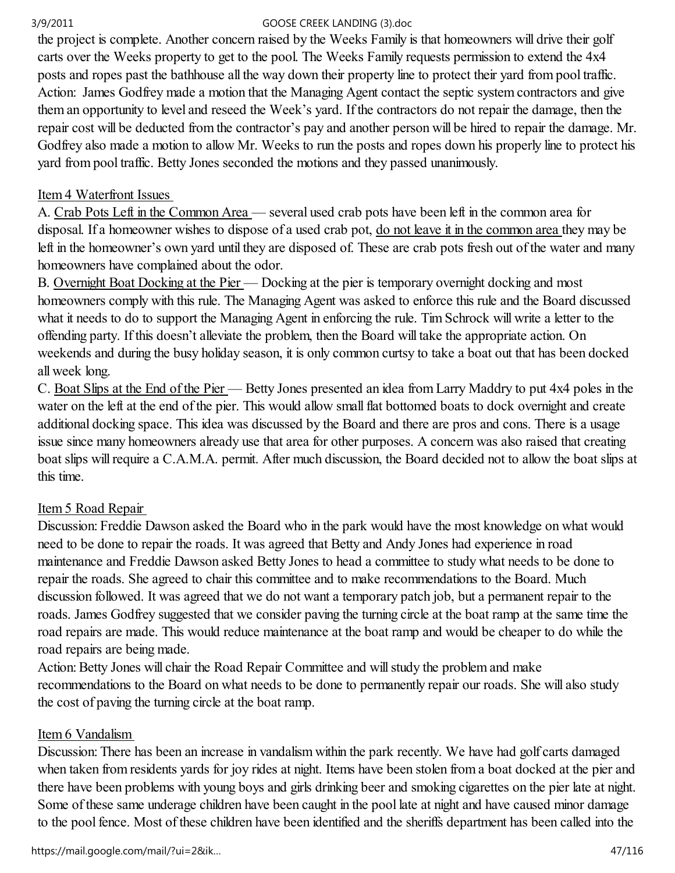the project is complete. Another concern raised by the Weeks Family is that homeowners will drive their golf carts over the Weeks property to get to the pool. The Weeks Family requests permission to extend the 4x4 posts and ropes past the bathhouse all the way down their property line to protect their yard from pool traffic. Action: James Godfrey made a motion that the Managing Agent contact the septic system contractors and give them an opportunity to level and reseed the Week's yard. If the contractors do not repair the damage, then the repair cost will be deducted from the contractor's pay and another person will be hired to repair the damage. Mr. Godfrey also made a motion to allow Mr. Weeks to run the posts and ropes down his properly line to protect his yard from pool traffic. Betty Jones seconded the motions and they passed unanimously.

## Item 4 Waterfront Issues

A. Crab Pots Left in the Common Area — several used crab pots have been left in the common area for disposal. If a homeowner wishes to dispose of a used crab pot, do not leave it in the common area they may be left in the homeowner's own yard until they are disposed of. These are crab pots fresh out of the water and many homeowners have complained about the odor.

B. Overnight Boat Docking at the Pier — Docking at the pier is temporary overnight docking and most homeowners comply with this rule. The Managing Agent was asked to enforce this rule and the Board discussed what it needs to do to support the Managing Agent in enforcing the rule. Tim Schrock will write a letter to the offending party. If this doesn't alleviate the problem, then the Board will take the appropriate action. On weekends and during the busy holiday season, it is only common curtsy to take a boat out that has been docked all week long.

C. Boat Slips at the End of the Pier — Betty Jones presented an idea from Larry Maddry to put 4x4 poles in the water on the left at the end of the pier. This would allow small flat bottomed boats to dock overnight and create additional docking space. This idea was discussed by the Board and there are pros and cons. There is a usage issue since many homeowners already use that area for other purposes. A concern was also raised that creating boat slips will require a C.A.M.A. permit. After much discussion, the Board decided not to allow the boat slips at this time.

## Item 5 Road Repair

Discussion: Freddie Dawson asked the Board who in the park would have the most knowledge on what would need to be done to repair the roads. It was agreed that Betty and Andy Jones had experience in road maintenance and Freddie Dawson asked Betty Jones to head a committee to study what needs to be done to repair the roads. She agreed to chair this committee and to make recommendations to the Board. Much discussion followed. It was agreed that we do not want a temporary patch job, but a permanent repair to the roads. James Godfrey suggested that we consider paving the turning circle at the boat ramp at the same time the road repairs are made. This would reduce maintenance at the boat ramp and would be cheaper to do while the road repairs are being made.

Action: Betty Jones will chair the Road Repair Committee and will study the problem and make recommendations to the Board on what needs to be done to permanently repair our roads. She will also study the cost of paving the turning circle at the boat ramp.

## Item 6 Vandalism

Discussion: There has been an increase in vandalism within the park recently. We have had golf carts damaged when taken from residents yards for joy rides at night. Items have been stolen from a boat docked at the pier and there have been problems with young boys and girls drinking beer and smoking cigarettes on the pier late at night. Some of these same underage children have been caught in the pool late at night and have caused minor damage to the pool fence. Most of these children have been identified and the sheriffs department has been called into the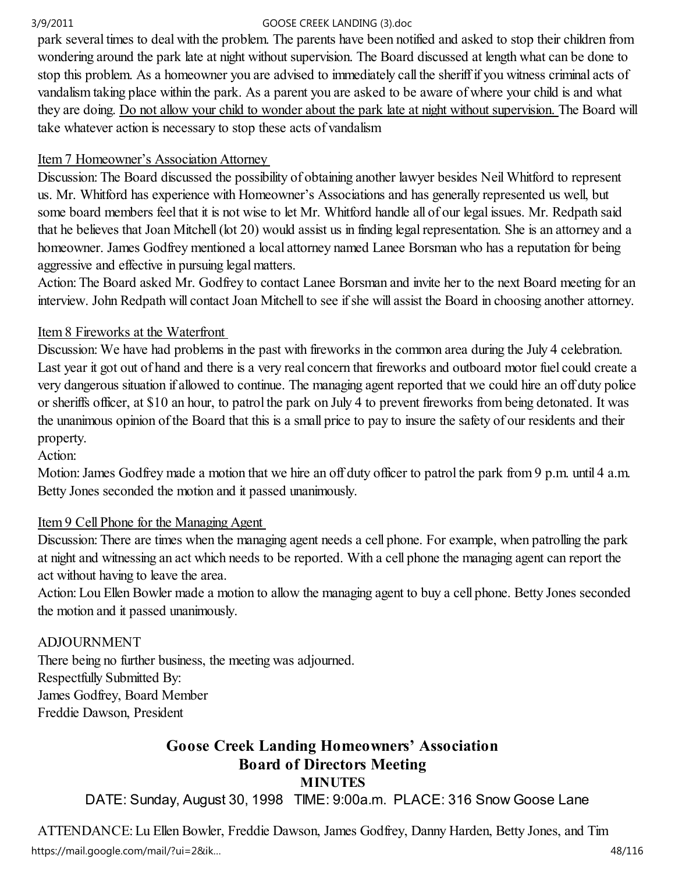park several times to deal with the problem. The parents have been notified and asked to stop their children from wondering around the park late at night without supervision. The Board discussed at length what can be done to stop this problem. As a homeowner you are advised to immediately call the sheriff if you witness criminal acts of vandalism taking place within the park. As a parent you are asked to be aware of where your child is and what they are doing. Do not allow your child to wonder about the park late at night without supervision. The Board will take whatever action is necessary to stop these acts of vandalism

## Item 7 Homeowner's Association Attorney

Discussion: The Board discussed the possibility of obtaining another lawyer besides Neil Whitford to represent us. Mr. Whitford has experience with Homeowner's Associations and has generally represented us well, but some board members feel that it is not wise to let Mr. Whitford handle all of our legal issues. Mr. Redpath said that he believes that Joan Mitchell (lot 20) would assist us in finding legal representation. She is an attorney and a homeowner. James Godfrey mentioned a local attorney named Lanee Borsman who has a reputation for being aggressive and effective in pursuing legal matters.

Action: The Board asked Mr. Godfrey to contact Lanee Borsman and invite her to the next Board meeting for an interview. John Redpath will contact Joan Mitchell to see if she will assist the Board in choosing another attorney.

## Item 8 Fireworks at the Waterfront

Discussion: We have had problems in the past with fireworks in the common area during the July 4 celebration. Last year it got out of hand and there is a very real concern that fireworks and outboard motor fuel could create a very dangerous situation if allowed to continue. The managing agent reported that we could hire an off duty police or sheriffs officer, at \$10 an hour, to patrol the park on July 4 to prevent fireworks from being detonated. It was the unanimous opinion of the Board that this is a small price to pay to insure the safety of our residents and their property.

Action:

Motion: James Godfrey made a motion that we hire an off duty officer to patrol the park from 9 p.m. until 4 a.m. Betty Jones seconded the motion and it passed unanimously.

## Item 9 Cell Phone for the Managing Agent

Discussion: There are times when the managing agent needs a cell phone. For example, when patrolling the park at night and witnessing an act which needs to be reported. With a cell phone the managing agent can report the act without having to leave the area.

Action: Lou Ellen Bowler made a motion to allow the managing agent to buy a cell phone. Betty Jones seconded the motion and it passed unanimously.

## ADJOURNMENT

There being no further business, the meeting was adjourned. Respectfully Submitted By: James Godfrey, Board Member Freddie Dawson, President

# Goose Creek Landing Homeowners' Association Board of Directors Meeting

**MINUTES** 

DATE: Sunday, August 30, 1998 TIME: 9:00a.m. PLACE: 316 Snow Goose Lane

ATTENDANCE: Lu Ellen Bowler, Freddie Dawson, James Godfrey, Danny Harden, Betty Jones, and Tim https://mail.google.com/mail/?ui=2&ik… 48/116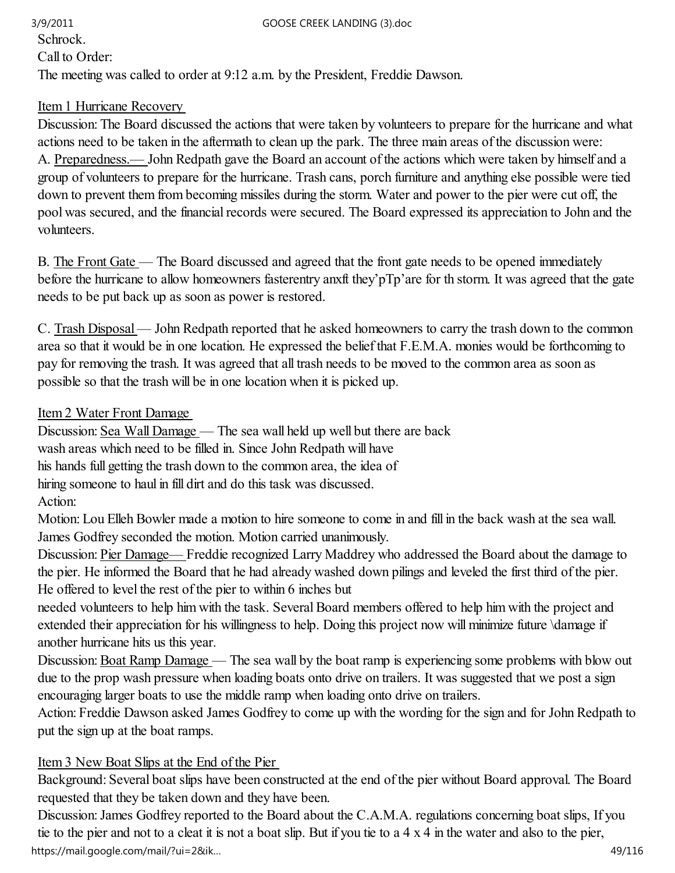## Schrock. Call to Order: The meeting was called to order at 9:12 a.m. by the President, Freddie Dawson. 3/9/2011 GOOSE CREEK LANDING (3).doc

## Item 1 Hurricane Recovery

Discussion: The Board discussed the actions that were taken by volunteers to prepare for the hurricane and what actions need to be taken in the aftermath to clean up the park. The three main areas of the discussion were: A. Preparedness.— John Redpath gave the Board an account of the actions which were taken by himself and a group of volunteers to prepare for the hurricane. Trash cans, porch furniture and anything else possible were tied down to prevent them from becoming missiles during the storm. Water and power to the pier were cut off, the pool was secured, and the financial records were secured. The Board expressed its appreciation to John and the volunteers.

B. The Front Gate — The Board discussed and agreed that the front gate needs to be opened immediately before the hurricane to allow homeowners fasterentry anxft they'pTp'are for th storm. It was agreed that the gate needs to be put back up as soon as power is restored.

C. Trash Disposal — John Redpath reported that he asked homeowners to carry the trash down to the common area so that it would be in one location. He expressed the belief that F.E.M.A. monies would be forthcoming to pay for removing the trash. It was agreed that all trash needs to be moved to the common area as soon as possible so that the trash will be in one location when it is picked up.

## Item 2 Water Front Damage

Discussion: Sea Wall Damage — The sea wall held up well but there are back

wash areas which need to be filled in. Since John Redpath will have

his hands full getting the trash down to the common area, the idea of

hiring someone to haul in fill dirt and do this task was discussed.

Action:

Motion: Lou Elleh Bowler made a motion to hire someone to come in and fill in the back wash at the sea wall. James Godfrey seconded the motion. Motion carried unanimously.

Discussion: Pier Damage— Freddie recognized Larry Maddrey who addressed the Board about the damage to the pier. He informed the Board that he had already washed down pilings and leveled the first third of the pier. He offered to level the rest of the pier to within 6 inches but

needed volunteers to help him with the task. Several Board members offered to help him with the project and extended their appreciation for his willingness to help. Doing this project now will minimize future \damage if another hurricane hits us this year.

Discussion: Boat Ramp Damage — The sea wall by the boat ramp is experiencing some problems with blow out due to the prop wash pressure when loading boats onto drive on trailers. It was suggested that we post a sign encouraging larger boats to use the middle ramp when loading onto drive on trailers.

Action: Freddie Dawson asked James Godfrey to come up with the wording for the sign and for John Redpath to put the sign up at the boat ramps.

## Item 3 New Boat Slips at the End of the Pier

Background: Several boat slips have been constructed at the end of the pier without Board approval. The Board requested that they be taken down and they have been.

Discussion: James Godfrey reported to the Board about the C.A.M.A. regulations concerning boat slips, If you tie to the pier and not to a cleat it is not a boat slip. But if you tie to a 4 x 4 in the water and also to the pier, https://mail.google.com/mail/?ui=2&ik… 49/116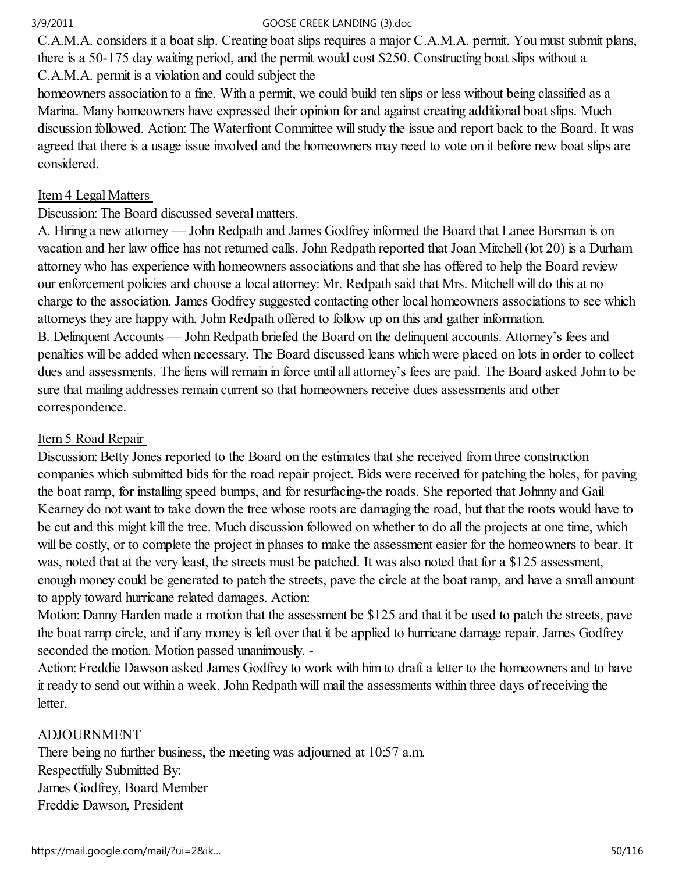C.A.M.A. considers it a boat slip. Creating boat slips requires a major C.A.M.A. permit. You must submit plans, there is a 50-175 day waiting period, and the permit would cost \$250. Constructing boat slips without a C.A.M.A. permit is a violation and could subject the

homeowners association to a fine. With a permit, we could build ten slips or less without being classified as a Marina. Many homeowners have expressed their opinion for and against creating additional boat slips. Much discussion followed. Action: The Waterfront Committee will study the issue and report back to the Board. It was agreed that there is a usage issue involved and the homeowners may need to vote on it before new boat slips are considered.

## Item 4 Legal Matters

Discussion: The Board discussed several matters.

A. Hiring a new attorney — John Redpath and James Godfrey informed the Board that Lanee Borsman is on vacation and her law office has not returned calls. John Redpath reported that Joan Mitchell (lot 20) is a Durham attorney who has experience with homeowners associations and that she has offered to help the Board review our enforcement policies and choose a local attorney: Mr. Redpath said that Mrs. Mitchell will do this at no charge to the association. James Godfrey suggested contacting other local homeowners associations to see which attorneys they are happy with. John Redpath offered to follow up on this and gather information. B. Delinquent Accounts — John Redpath briefed the Board on the delinquent accounts. Attorney's fees and

penalties will be added when necessary. The Board discussed leans which were placed on lots in order to collect dues and assessments. The liens will remain in force until all attorney's fees are paid. The Board asked John to be sure that mailing addresses remain current so that homeowners receive dues assessments and other correspondence.

## Item 5 Road Repair

Discussion: Betty Jones reported to the Board on the estimates that she received from three construction companies which submitted bids for the road repair project. Bids were received for patching the holes, for paving the boat ramp, for installing speed bumps, and for resurfacing-the roads. She reported that Johnny and Gail Kearney do not want to take down the tree whose roots are damaging the road, but that the roots would have to be cut and this might kill the tree. Much discussion followed on whether to do all the projects at one time, which will be costly, or to complete the project in phases to make the assessment easier for the homeowners to bear. It was, noted that at the very least, the streets must be patched. It was also noted that for a \$125 assessment, enough money could be generated to patch the streets, pave the circle at the boat ramp, and have a small amount to apply toward hurricane related damages. Action:

Motion: Danny Harden made a motion that the assessment be \$125 and that it be used to patch the streets, pave the boat ramp circle, and if any money is left over that it be applied to hurricane damage repair. James Godfrey seconded the motion. Motion passed unanimously. -

Action: Freddie Dawson asked James Godfrey to work with him to draft a letter to the homeowners and to have it ready to send out within a week. John Redpath wilI mail the assessments within three days of receiving the letter.

## ADJOURNMENT

There being no further business, the meeting was adjourned at 10:57 a.m. Respectfully Submitted By: James Godfrey, Board Member Freddie Dawson, President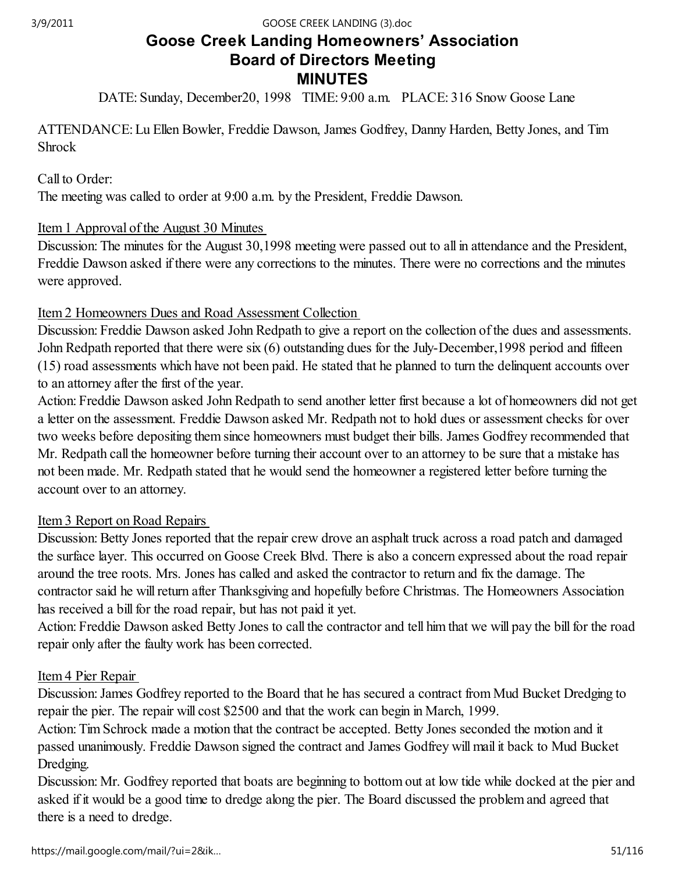# Goose Creek Landing Homeowners' Association Board of Directors Meeting MINUTES

DATE: Sunday, December20, 1998 TIME: 9:00 a.m. PLACE: 316 Snow Goose Lane

ATTENDANCE: Lu Ellen Bowler, Freddie Dawson, James Godfrey, Danny Harden, Betty Jones, and Tim Shrock

## Call to Order:

The meeting was called to order at 9:00 a.m. by the President, Freddie Dawson.

### Item 1 Approval of the August 30 Minutes

Discussion: The minutes for the August 30,1998 meeting were passed out to all in attendance and the President, Freddie Dawson asked if there were any corrections to the minutes. There were no corrections and the minutes were approved.

### Item 2 Homeowners Dues and Road Assessment Collection

Discussion: Freddie Dawson asked John Redpath to give a report on the collection of the dues and assessments. John Redpath reported that there were six (6) outstanding dues for the July-December,1998 period and fifteen (15) road assessments which have not been paid. He stated that he planned to turn the delinquent accounts over to an attorney after the first of the year.

Action: Freddie Dawson asked John Redpath to send another letter first because a lot of homeowners did not get a letter on the assessment. Freddie Dawson asked Mr. Redpath not to hold dues or assessment checks for over two weeks before depositing them since homeowners must budget their bills. James Godfrey recommended that Mr. Redpath call the homeowner before turning their account over to an attorney to be sure that a mistake has not been made. Mr. Redpath stated that he would send the homeowner a registered letter before turning the account over to an attorney.

## Item 3 Report on Road Repairs

Discussion: Betty Jones reported that the repair crew drove an asphalt truck across a road patch and damaged the surface layer. This occurred on Goose Creek Blvd. There is also a concern expressed about the road repair around the tree roots. Mrs. Jones has called and asked the contractor to return and fix the damage. The contractor said he will return after Thanksgiving and hopefully before Christmas. The Homeowners Association has received a bill for the road repair, but has not paid it yet.

Action: Freddie Dawson asked Betty Jones to call the contractor and tell him that we will pay the bill for the road repair only after the faulty work has been corrected.

### Item 4 Pier Repair

Discussion: James Godfrey reported to the Board that he has secured a contract from Mud Bucket Dredging to repair the pier. The repair will cost \$2500 and that the work can begin in March, 1999.

Action: Tim Schrock made a motion that the contract be accepted. Betty Jones seconded the motion and it passed unanimously. Freddie Dawson signed the contract and James Godfrey will mail it back to Mud Bucket Dredging.

Discussion: Mr. Godfrey reported that boats are beginning to bottom out at low tide while docked at the pier and asked if it would be a good time to dredge along the pier. The Board discussed the problem and agreed that there is a need to dredge.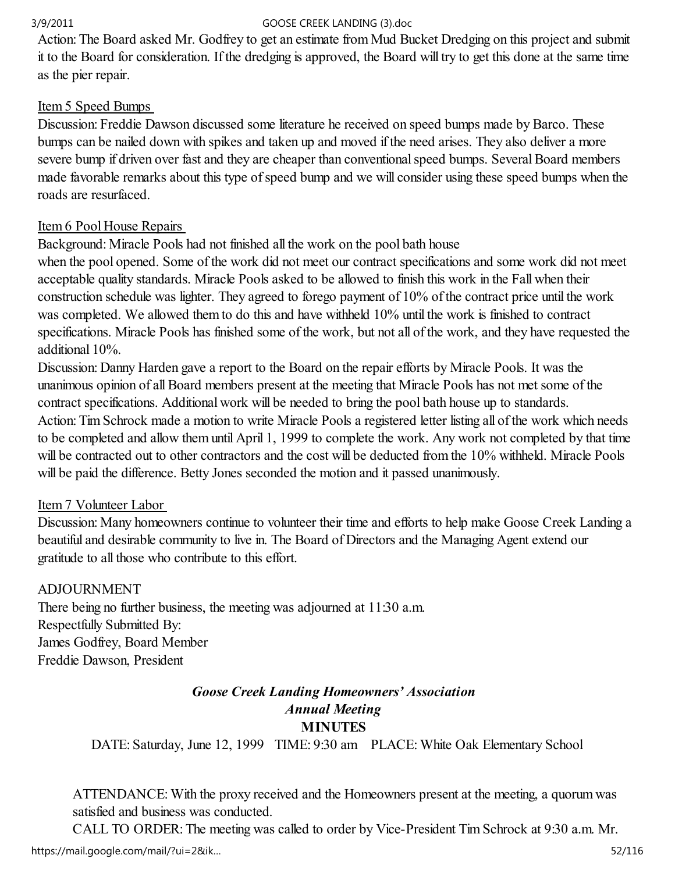Action: The Board asked Mr. Godfrey to get an estimate from Mud Bucket Dredging on this project and submit it to the Board for consideration. If the dredging is approved, the Board will try to get this done at the same time as the pier repair.

## Item 5 Speed Bumps

Discussion: Freddie Dawson discussed some literature he received on speed bumps made by Barco. These bumps can be nailed down with spikes and taken up and moved if the need arises. They also deliver a more severe bump if driven over fast and they are cheaper than conventional speed bumps. Several Board members made favorable remarks about this type of speed bump and we will consider using these speed bumps when the roads are resurfaced.

## Item 6 Pool House Repairs

Background: Miracle Pools had not finished all the work on the pool bath house

when the pool opened. Some of the work did not meet our contract specifications and some work did not meet acceptable quality standards. Miracle Pools asked to be allowed to finish this work in the Fall when their construction schedule was lighter. They agreed to forego payment of 10% of the contract price until the work was completed. We allowed them to do this and have withheld 10% until the work is finished to contract specifications. Miracle Pools has finished some of the work, but not all of the work, and they have requested the additional 10%.

Discussion: Danny Harden gave a report to the Board on the repair efforts by Miracle Pools. It was the unanimous opinion of all Board members present at the meeting that Miracle Pools has not met some of the contract specifications. Additional work will be needed to bring the pool bath house up to standards. Action: Tim Schrock made a motion to write Miracle Pools a registered letter listing all of the work which needs to be completed and allow them until April 1, 1999 to complete the work. Any work not completed by that time will be contracted out to other contractors and the cost will be deducted from the 10% withheld. Miracle Pools will be paid the difference. Betty Jones seconded the motion and it passed unanimously.

## Item 7 Volunteer Labor

Discussion: Many homeowners continue to volunteer their time and efforts to help make Goose Creek Landing a beautiful and desirable community to live in. The Board of Directors and the Managing Agent extend our gratitude to all those who contribute to this effort.

## ADJOURNMENT

There being no further business, the meeting was adjourned at 11:30 a.m. Respectfully Submitted By: James Godfrey, Board Member Freddie Dawson, President

# Goose Creek Landing Homeowners' Association Annual Meeting **MINUTES**

DATE: Saturday, June 12, 1999 TIME: 9:30 am PLACE: White Oak Elementary School

ATTENDANCE: With the proxy received and the Homeowners present at the meeting, a quorum was satisfied and business was conducted.

CALL TO ORDER: The meeting was called to order by Vice-President Tim Schrock at 9:30 a.m. Mr.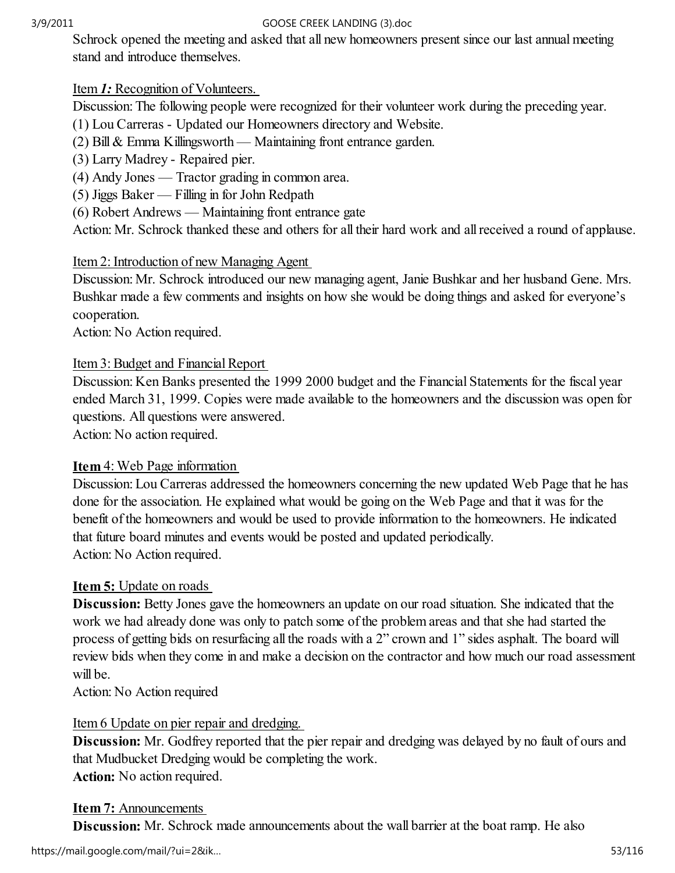Schrock opened the meeting and asked that all new homeowners present since our last annual meeting stand and introduce themselves.

## Item 1: Recognition of Volunteers.

Discussion: The following people were recognized for their volunteer work during the preceding year.

(1) Lou Carreras - Updated our Homeowners directory and Website.

(2) Bill & Emma Killingsworth — Maintaining front entrance garden.

- (3) Larry Madrey Repaired pier.
- (4) Andy Jones Tractor grading in common area.
- (5) Jiggs Baker Filling in for John Redpath
- (6) Robert Andrews Maintaining front entrance gate

Action: Mr. Schrock thanked these and others for all their hard work and all received a round of applause.

## Item 2: Introduction of new Managing Agent

Discussion: Mr. Schrock introduced our new managing agent, Janie Bushkar and her husband Gene. Mrs. Bushkar made a few comments and insights on how she would be doing things and asked for everyone's cooperation.

Action: No Action required.

## Item 3: Budget and Financial Report

Discussion: Ken Banks presented the 1999 2000 budget and the Financial Statements for the fiscal year ended March 31, 1999. Copies were made available to the homeowners and the discussion was open for questions. All questions were answered.

Action: No action required.

## Item 4: Web Page information

Discussion: Lou Carreras addressed the homeowners concerning the new updated Web Page that he has done for the association. He explained what would be going on the Web Page and that it was for the benefit of the homeowners and would be used to provide information to the homeowners. He indicated that future board minutes and events would be posted and updated periodically. Action: No Action required.

## Item 5: Update on roads

Discussion: Betty Jones gave the homeowners an update on our road situation. She indicated that the work we had already done was only to patch some of the problem areas and that she had started the process of getting bids on resurfacing all the roads with a 2" crown and 1" sides asphalt. The board will review bids when they come in and make a decision on the contractor and how much our road assessment will be.

Action: No Action required

## Item 6 Update on pier repair and dredging.

Discussion: Mr. Godfrey reported that the pier repair and dredging was delayed by no fault of ours and that Mudbucket Dredging would be completing the work. Action: No action required.

## Item 7: Announcements

Discussion: Mr. Schrock made announcements about the wall barrier at the boat ramp. He also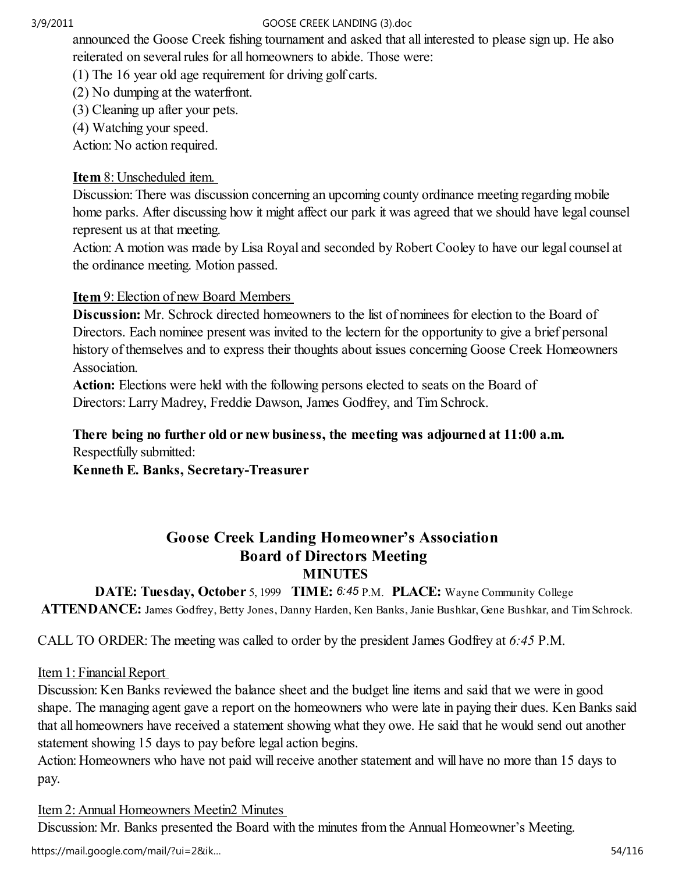announced the Goose Creek fishing tournament and asked that all interested to please sign up. He also reiterated on several rules for all homeowners to abide. Those were:

(1) The 16 year old age requirement for driving golf carts.

(2) No dumping at the waterfront.

(3) Cleaning up after your pets.

(4) Watching your speed.

Action: No action required.

## Item 8: Unscheduled item.

Discussion: There was discussion concerning an upcoming county ordinance meeting regarding mobile home parks. After discussing how it might affect our park it was agreed that we should have legal counsel represent us at that meeting.

Action: A motion was made by Lisa Royal and seconded by Robert Cooley to have our legal counsel at the ordinance meeting. Motion passed.

## Item 9: Election of new Board Members

Discussion: Mr. Schrock directed homeowners to the list of nominees for election to the Board of Directors. Each nominee present was invited to the lectern for the opportunity to give a brief personal history of themselves and to express their thoughts about issues concerning Goose Creek Homeowners Association.

Action: Elections were held with the following persons elected to seats on the Board of Directors: Larry Madrey, Freddie Dawson, James Godfrey, and Tim Schrock.

## There being no further old or new business, the meeting was adjourned at 11:00 a.m. Respectfully submitted:

Kenneth E. Banks, Secretary-Treasurer

## Goose Creek Landing Homeowner's Association Board of Directors Meeting MINUTES

DATE: Tuesday, October 5, 1999 TIME: 6:45 P.M. PLACE: Wayne Community College ATTENDANCE: James Godfrey, Betty Jones, Danny Harden, Ken Banks, Janie Bushkar, Gene Bushkar, and Tim Schrock.

CALL TO ORDER: The meeting was called to order by the president James Godfrey at 6:45 P.M.

## Item 1: Financial Report

Discussion: Ken Banks reviewed the balance sheet and the budget line items and said that we were in good shape. The managing agent gave a report on the homeowners who were late in paying their dues. Ken Banks said that all homeowners have received a statement showing what they owe. He said that he would send out another statement showing 15 days to pay before legal action begins.

Action: Homeowners who have not paid will receive another statement and will have no more than 15 days to pay.

# Item 2: Annual Homeowners Meetin2 Minutes

Discussion: Mr. Banks presented the Board with the minutes from the Annual Homeowner's Meeting.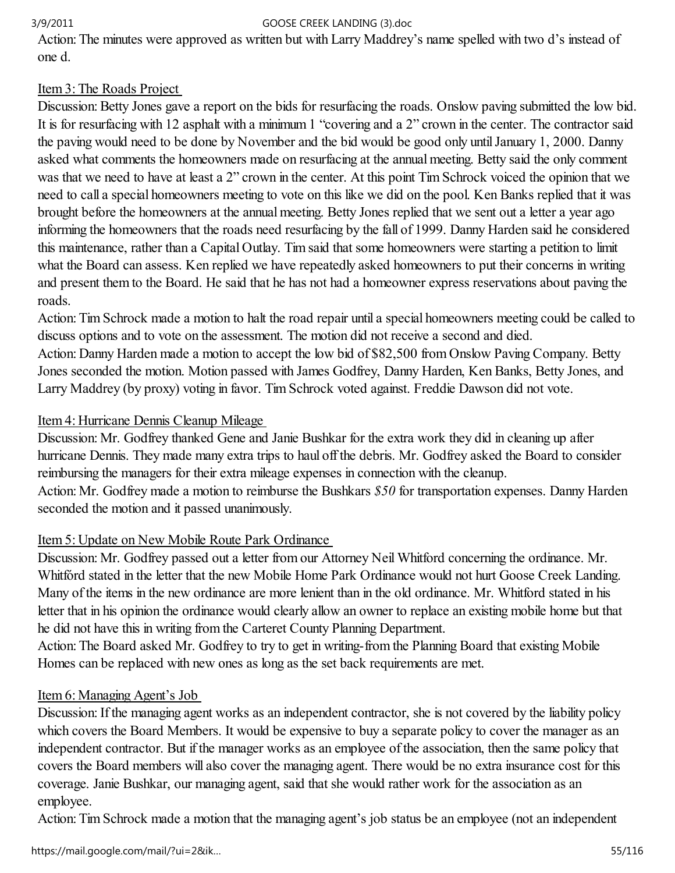Action: The minutes were approved as written but with Larry Maddrey's name spelled with two d's instead of one d.

# Item 3: The Roads Project

Discussion: Betty Jones gave a report on the bids for resurfacing the roads. Onslow paving submitted the low bid. It is for resurfacing with 12 asphalt with a minimum 1 "covering and a 2" crown in the center. The contractor said the paving would need to be done by November and the bid would be good only until January 1, 2000. Danny asked what comments the homeowners made on resurfacing at the annual meeting. Betty said the only comment was that we need to have at least a 2" crown in the center. At this point Tim Schrock voiced the opinion that we need to call a special homeowners meeting to vote on this like we did on the pool. Ken Banks replied that it was brought before the homeowners at the annual meeting. Betty Jones replied that we sent out a letter a year ago informing the homeowners that the roads need resurfacing by the fall of 1999. Danny Harden said he considered this maintenance, rather than a Capital Outlay. Tim said that some homeowners were starting a petition to limit what the Board can assess. Ken replied we have repeatedly asked homeowners to put their concerns in writing and present them to the Board. He said that he has not had a homeowner express reservations about paving the roads.

Action: Tim Schrock made a motion to halt the road repair until a special homeowners meeting could be called to discuss options and to vote on the assessment. The motion did not receive a second and died. Action: Danny Harden made a motion to accept the low bid of \$82,500 from Onslow Paving Company. Betty Jones seconded the motion. Motion passed with James Godfrey, Danny Harden, Ken Banks, Betty Jones, and

Larry Maddrey (by proxy) voting in favor. Tim Schrock voted against. Freddie Dawson did not vote.

# Item 4: Hurricane Dennis Cleanup Mileage

Discussion: Mr. Godfrey thanked Gene and Janie Bushkar for the extra work they did in cleaning up after hurricane Dennis. They made many extra trips to haul off the debris. Mr. Godfrey asked the Board to consider reimbursing the managers for their extra mileage expenses in connection with the cleanup. Action: Mr. Godfrey made a motion to reimburse the Bushkars \$50 for transportation expenses. Danny Harden seconded the motion and it passed unanimously.

# Item 5: Update on New Mobile Route Park Ordinance

Discussion: Mr. Godfrey passed out a letter from our Attorney Neil Whitford concerning the ordinance. Mr. Whitfórd stated in the letter that the new Mobile Home Park Ordinance would not hurt Goose Creek Landing. Many of the items in the new ordinance are more lenient than in the old ordinance. Mr. Whitford stated in his letter that in his opinion the ordinance would clearly allow an owner to replace an existing mobile home but that he did not have this in writing from the Carteret County Planning Department.

Action: The Board asked Mr. Godfrey to try to get in writing-from the Planning Board that existing Mobile Homes can be replaced with new ones as long as the set back requirements are met.

# Item 6: Managing Agent's Job

Discussion: If the managing agent works as an independent contractor, she is not covered by the liability policy which covers the Board Members. It would be expensive to buy a separate policy to cover the manager as an independent contractor. But if the manager works as an employee of the association, then the same policy that covers the Board members will also cover the managing agent. There would be no extra insurance cost for this coverage. Janie Bushkar, our managing agent, said that she would rather work for the association as an employee.

Action: Tim Schrock made a motion that the managing agent's job status be an employee (not an independent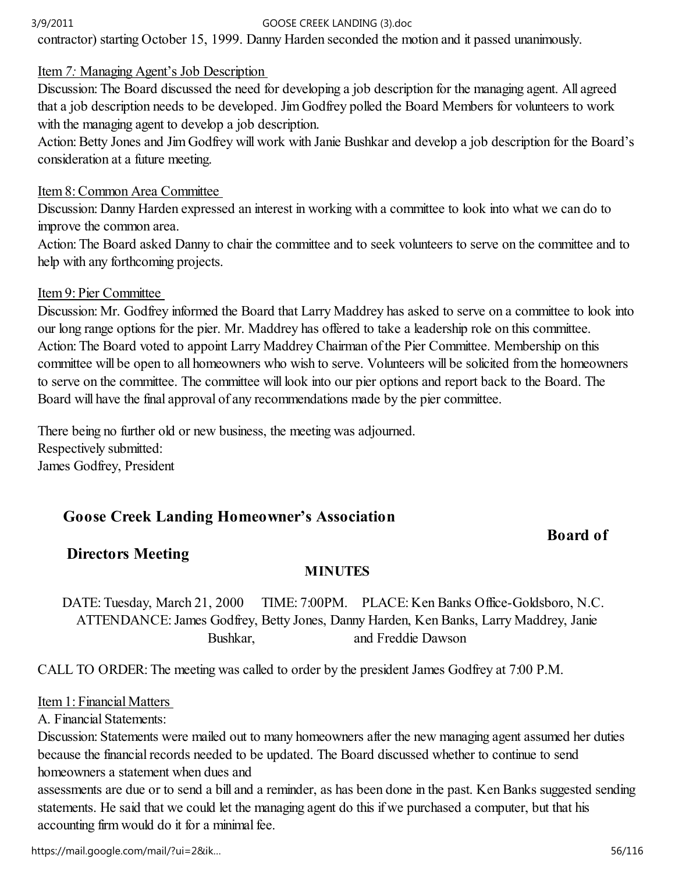contractor) starting October 15, 1999. Danny Harden seconded the motion and it passed unanimously.

## Item 7: Managing Agent's Job Description

Discussion: The Board discussed the need for developing a job description for the managing agent. All agreed that a job description needs to be developed. Jim Godfrey polled the Board Members for volunteers to work with the managing agent to develop a job description.

Action: Betty Jones and Jim Godfrey will work with Janie Bushkar and develop a job description for the Board's consideration at a future meeting.

### Item 8: Common Area Committee

Discussion: Danny Harden expressed an interest in working with a committee to look into what we can do to improve the common area.

Action: The Board asked Danny to chair the committee and to seek volunteers to serve on the committee and to help with any forthcoming projects.

### Item 9: Pier Committee

Discussion: Mr. Godfrey informed the Board that Larry Maddrey has asked to serve on a committee to look into our long range options for the pier. Mr. Maddrey has offered to take a leadership role on this committee. Action: The Board voted to appoint Larry Maddrey Chairman of the Pier Committee. Membership on this committee will be open to all homeowners who wish to serve. Volunteers will be solicited from the homeowners to serve on the committee. The committee will look into our pier options and report back to the Board. The Board will have the final approval of any recommendations made by the pier committee.

There being no further old or new business, the meeting was adjourned. Respectively submitted: James Godfrey, President

# Goose Creek Landing Homeowner's Association

## Board of

## Directors Meeting

## **MINUTES**

DATE: Tuesday, March 21, 2000 TIME: 7:00PM. PLACE: Ken Banks Office-Goldsboro, N.C. ATTENDANCE: James Godfrey, Betty Jones, Danny Harden, Ken Banks, Larry Maddrey, Janie Bushkar, and Freddie Dawson

CALL TO ORDER: The meeting was called to order by the president James Godfrey at 7:00 P.M.

Item 1: Financial Matters

A. Financial Statements:

Discussion: Statements were mailed out to many homeowners after the new managing agent assumed her duties because the financial records needed to be updated. The Board discussed whether to continue to send homeowners a statement when dues and

assessments are due or to send a bill and a reminder, as has been done in the past. Ken Banks suggested sending statements. He said that we could let the managing agent do this if we purchased a computer, but that his accounting firm would do it for a minimal fee.

https://mail.google.com/mail/?ui=2&ik… 56/116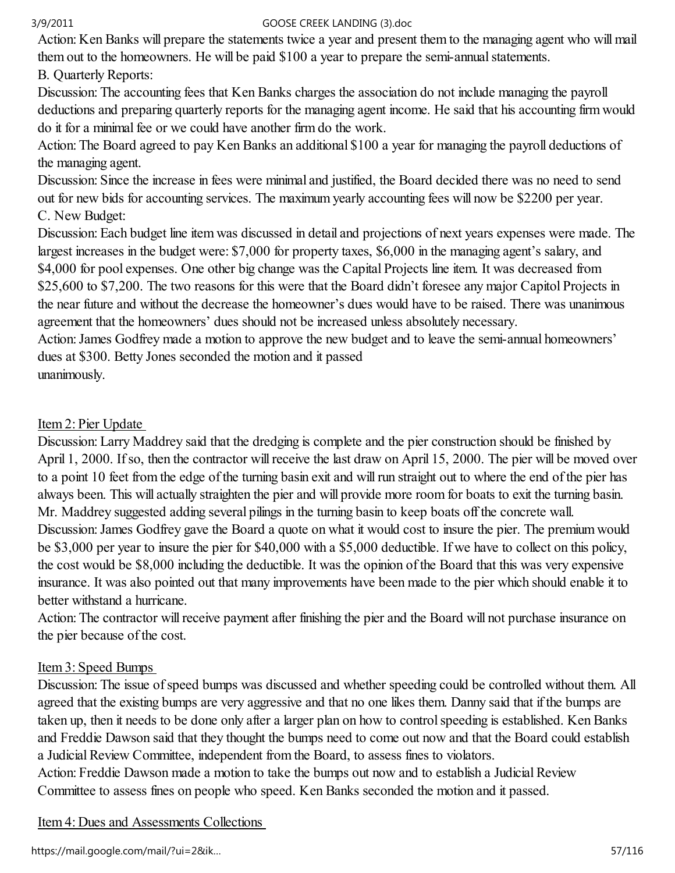Action: Ken Banks will prepare the statements twice a year and present them to the managing agent who will mail them out to the homeowners. He will be paid \$100 a year to prepare the semi-annual statements.

## B. Quarterly Reports:

Discussion: The accounting fees that Ken Banks charges the association do not include managing the payroll deductions and preparing quarterly reports for the managing agent income. He said that his accounting firm would do it for a minimal fee or we could have another firm do the work.

Action: The Board agreed to pay Ken Banks an additional \$100 a year for managing the payroll deductions of the managing agent.

Discussion: Since the increase in fees were minimal and justified, the Board decided there was no need to send out for new bids for accounting services. The maximum yearly accounting fees will now be \$2200 per year. C. New Budget:

Discussion: Each budget line item was discussed in detail and projections of next years expenses were made. The largest increases in the budget were: \$7,000 for property taxes, \$6,000 in the managing agent's salary, and \$4,000 for pool expenses. One other big change was the Capital Projects line item. It was decreased from \$25,600 to \$7,200. The two reasons for this were that the Board didn't foresee any major Capitol Projects in the near future and without the decrease the homeowner's dues would have to be raised. There was unanimous agreement that the homeowners' dues should not be increased unless absolutely necessary.

Action: James Godfrey made a motion to approve the new budget and to leave the semi-annual homeowners' dues at \$300. Betty Jones seconded the motion and it passed unanimously.

Item 2: Pier Update

Discussion: Larry Maddrey said that the dredging is complete and the pier construction should be finished by April 1, 2000. If so, then the contractor will receive the last draw on April 15, 2000. The pier will be moved over to a point 10 feet from the edge of the turning basin exit and will run straight out to where the end of the pier has always been. This will actually straighten the pier and will provide more room for boats to exit the turning basin. Mr. Maddrey suggested adding several pilings in the turning basin to keep boats off the concrete wall. Discussion: James Godfrey gave the Board a quote on what it would cost to insure the pier. The premium would be \$3,000 per year to insure the pier for \$40,000 with a \$5,000 deductible. If we have to collect on this policy, the cost would be \$8,000 including the deductible. It was the opinion of the Board that this was very expensive insurance. It was also pointed out that many improvements have been made to the pier which should enable it to better withstand a hurricane.

Action: The contractor will receive payment after finishing the pier and the Board will not purchase insurance on the pier because of the cost.

## Item 3: Speed Bumps

Discussion: The issue of speed bumps was discussed and whether speeding could be controlled without them. All agreed that the existing bumps are very aggressive and that no one likes them. Danny said that if the bumps are taken up, then it needs to be done only after a larger plan on how to control speeding is established. Ken Banks and Freddie Dawson said that they thought the bumps need to come out now and that the Board could establish a Judicial Review Committee, independent from the Board, to assess fines to violators.

Action: Freddie Dawson made a motion to take the bumps out now and to establish a Judicial Review Committee to assess fines on people who speed. Ken Banks seconded the motion and it passed.

Item 4: Dues and Assessments Collections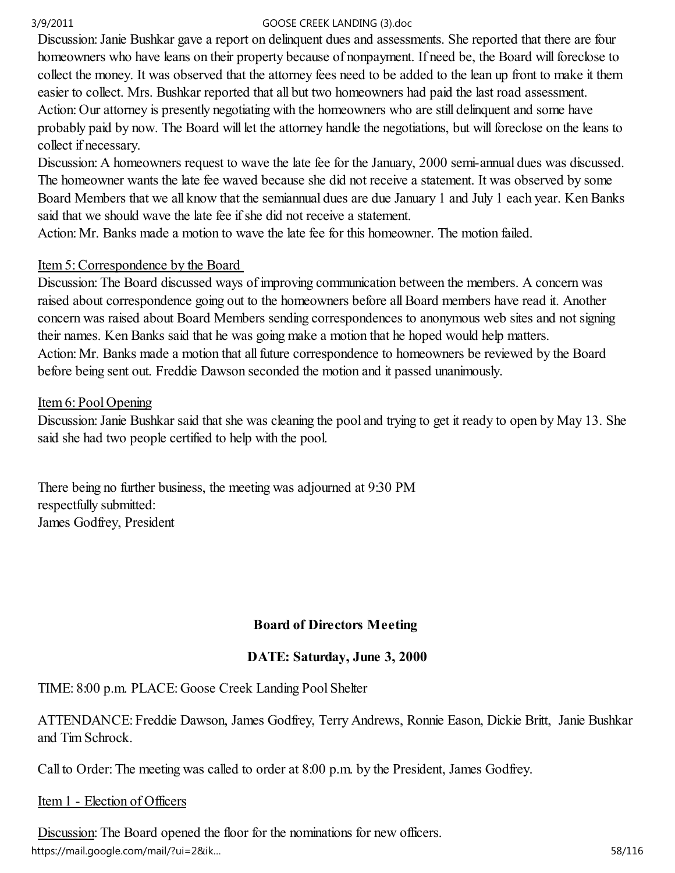Discussion: Janie Bushkar gave a report on delinquent dues and assessments. She reported that there are four homeowners who have leans on their property because of nonpayment. If need be, the Board will foreclose to collect the money. It was observed that the attorney fees need to be added to the lean up front to make it them easier to collect. Mrs. Bushkar reported that all but two homeowners had paid the last road assessment. Action: Our attorney is presently negotiating with the homeowners who are still delinquent and some have probably paid by now. The Board will let the attorney handle the negotiations, but will foreclose on the leans to collect if necessary.

Discussion: A homeowners request to wave the late fee for the January, 2000 semi-annual dues was discussed. The homeowner wants the late fee waved because she did not receive a statement. It was observed by some Board Members that we all know that the semiannual dues are due January 1 and July 1 each year. Ken Banks said that we should wave the late fee if she did not receive a statement.

Action: Mr. Banks made a motion to wave the late fee for this homeowner. The motion failed.

## Item 5: Correspondence by the Board

Discussion: The Board discussed ways of improving communication between the members. A concern was raised about correspondence going out to the homeowners before all Board members have read it. Another concern was raised about Board Members sending correspondences to anonymous web sites and not signing their names. Ken Banks said that he was going make a motion that he hoped would help matters. Action: Mr. Banks made a motion that all future correspondence to homeowners be reviewed by the Board before being sent out. Freddie Dawson seconded the motion and it passed unanimously.

### Item 6: Pool Opening

Discussion: Janie Bushkar said that she was cleaning the pool and trying to get it ready to open by May 13. She said she had two people certified to help with the pool.

There being no further business, the meeting was adjourned at 9:30 PM respectfully submitted: James Godfrey, President

## Board of Directors Meeting

## DATE: Saturday, June 3, 2000

TIME: 8:00 p.m. PLACE: Goose Creek Landing Pool Shelter

ATTENDANCE: Freddie Dawson, James Godfrey, Terry Andrews, Ronnie Eason, Dickie Britt, Janie Bushkar and Tim Schrock.

Call to Order: The meeting was called to order at 8:00 p.m. by the President, James Godfrey.

## Item 1 - Election of Officers

Discussion: The Board opened the floor for the nominations for new officers. https://mail.google.com/mail/?ui=2&ik...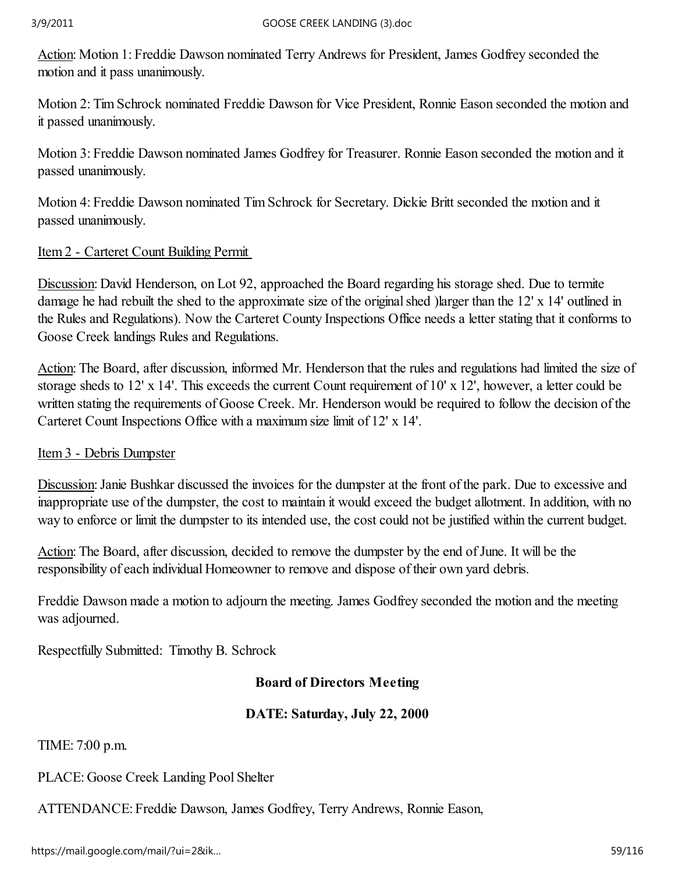Action: Motion 1: Freddie Dawson nominated Terry Andrews for President, James Godfrey seconded the motion and it pass unanimously.

Motion 2: Tim Schrock nominated Freddie Dawson for Vice President, Ronnie Eason seconded the motion and it passed unanimously.

Motion 3: Freddie Dawson nominated James Godfrey for Treasurer. Ronnie Eason seconded the motion and it passed unanimously.

Motion 4: Freddie Dawson nominated Tim Schrock for Secretary. Dickie Britt seconded the motion and it passed unanimously.

## Item 2 - Carteret Count Building Permit

Discussion: David Henderson, on Lot 92, approached the Board regarding his storage shed. Due to termite damage he had rebuilt the shed to the approximate size of the original shed )larger than the 12' x 14' outlined in the Rules and Regulations). Now the Carteret County Inspections Office needs a letter stating that it conforms to Goose Creek landings Rules and Regulations.

Action: The Board, after discussion, informed Mr. Henderson that the rules and regulations had limited the size of storage sheds to 12' x 14'. This exceeds the current Count requirement of 10' x 12', however, a letter could be written stating the requirements of Goose Creek. Mr. Henderson would be required to follow the decision of the Carteret Count Inspections Office with a maximum size limit of 12' x 14'.

## Item 3 - Debris Dumpster

Discussion: Janie Bushkar discussed the invoices for the dumpster at the front of the park. Due to excessive and inappropriate use of the dumpster, the cost to maintain it would exceed the budget allotment. In addition, with no way to enforce or limit the dumpster to its intended use, the cost could not be justified within the current budget.

Action: The Board, after discussion, decided to remove the dumpster by the end of June. It will be the responsibility of each individual Homeowner to remove and dispose of their own yard debris.

Freddie Dawson made a motion to adjourn the meeting. James Godfrey seconded the motion and the meeting was adjourned.

Respectfully Submitted: Timothy B. Schrock

## Board of Directors Meeting

## DATE: Saturday, July 22, 2000

TIME: 7:00 p.m.

PLACE: Goose Creek Landing Pool Shelter

ATTENDANCE: Freddie Dawson, James Godfrey, Terry Andrews, Ronnie Eason,

https://mail.google.com/mail/?ui=2&ik… 59/116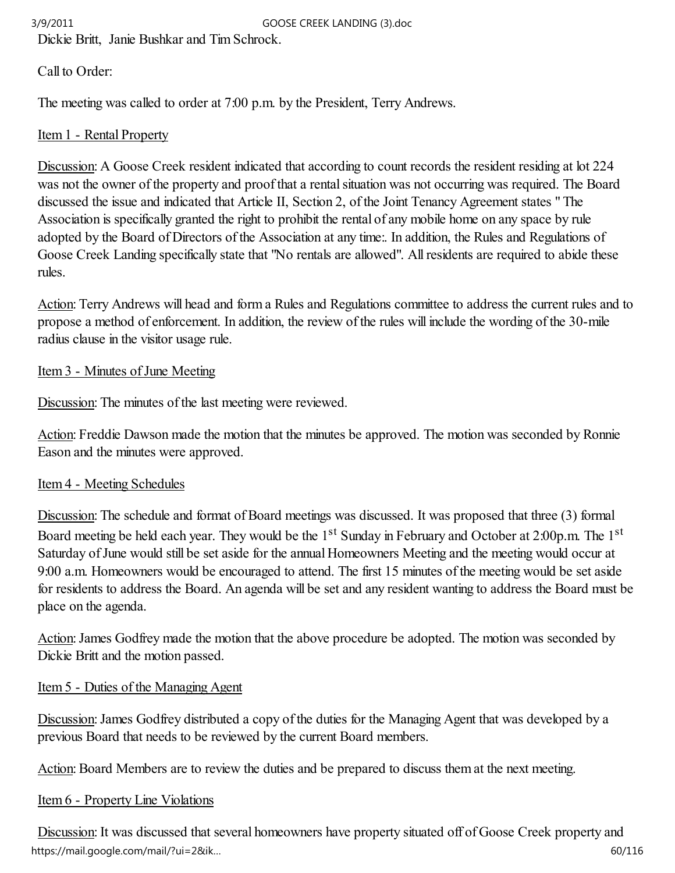Dickie Britt, Janie Bushkar and Tim Schrock.

# Call to Order:

The meeting was called to order at 7:00 p.m. by the President, Terry Andrews.

# Item 1 - Rental Property

Discussion: A Goose Creek resident indicated that according to count records the resident residing at lot 224 was not the owner of the property and proof that a rental situation was not occurring was required. The Board discussed the issue and indicated that Article II, Section 2, of the Joint Tenancy Agreement states " The Association is specifically granted the right to prohibit the rental of any mobile home on any space by rule adopted by the Board of Directors of the Association at any time:. In addition, the Rules and Regulations of Goose Creek Landing specifically state that "No rentals are allowed". All residents are required to abide these rules.

Action: Terry Andrews will head and form a Rules and Regulations committee to address the current rules and to propose a method of enforcement. In addition, the review of the rules will include the wording of the 30-mile radius clause in the visitor usage rule.

# Item 3 - Minutes of June Meeting

Discussion: The minutes of the last meeting were reviewed.

Action: Freddie Dawson made the motion that the minutes be approved. The motion was seconded by Ronnie Eason and the minutes were approved.

# Item 4 - Meeting Schedules

Discussion: The schedule and format of Board meetings was discussed. It was proposed that three (3) formal Board meeting be held each year. They would be the 1<sup>st</sup> Sunday in February and October at 2:00p.m. The 1<sup>st</sup> Saturday of June would still be set aside for the annual Homeowners Meeting and the meeting would occur at 9:00 a.m. Homeowners would be encouraged to attend. The first 15 minutes of the meeting would be set aside for residents to address the Board. An agenda will be set and any resident wanting to address the Board must be place on the agenda.

Action: James Godfrey made the motion that the above procedure be adopted. The motion was seconded by Dickie Britt and the motion passed.

# Item 5 - Duties of the Managing Agent

Discussion: James Godfrey distributed a copy of the duties for the Managing Agent that was developed by a previous Board that needs to be reviewed by the current Board members.

Action: Board Members are to review the duties and be prepared to discuss them at the next meeting.

# Item 6 - Property Line Violations

Discussion: It was discussed that several homeowners have property situated off of Goose Creek property and https://mail.google.com/mail/?ui=2&ik… 60/116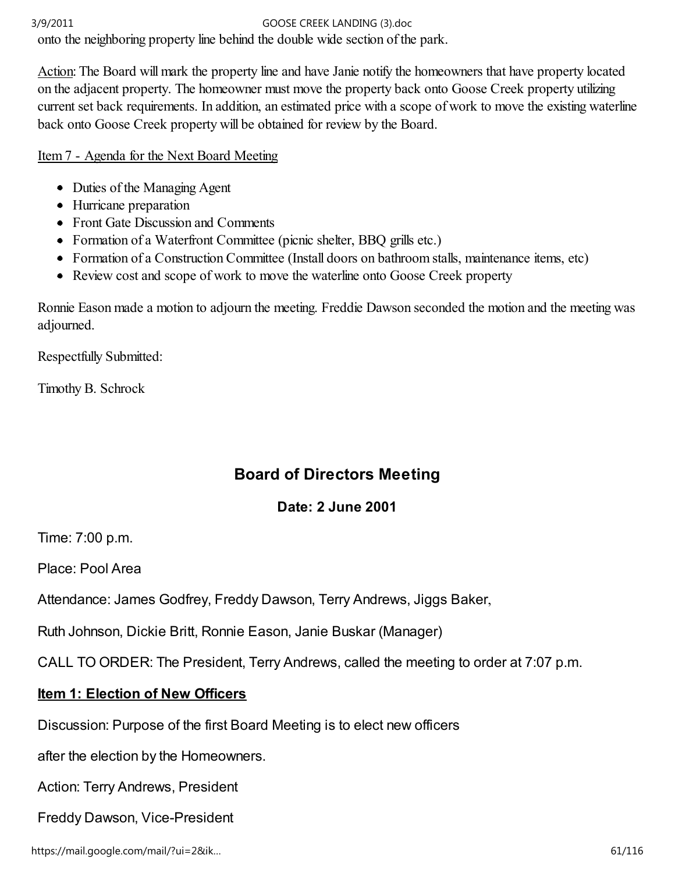onto the neighboring property line behind the double wide section of the park.

Action: The Board will mark the property line and have Janie notify the homeowners that have property located on the adjacent property. The homeowner must move the property back onto Goose Creek property utilizing current set back requirements. In addition, an estimated price with a scope of work to move the existing waterline back onto Goose Creek property will be obtained for review by the Board.

Item 7 - Agenda for the Next Board Meeting

- Duties of the Managing Agent
- Hurricane preparation
- Front Gate Discussion and Comments
- Formation of a Waterfront Committee (picnic shelter, BBQ grills etc.)
- Formation of a Construction Committee (Install doors on bathroom stalls, maintenance items, etc)
- Review cost and scope of work to move the waterline onto Goose Creek property

Ronnie Eason made a motion to adjourn the meeting. Freddie Dawson seconded the motion and the meeting was adjourned.

Respectfully Submitted:

Timothy B. Schrock

# Board of Directors Meeting

# Date: 2 June 2001

Time: 7:00 p.m.

Place: Pool Area

Attendance: James Godfrey, Freddy Dawson, Terry Andrews, Jiggs Baker,

Ruth Johnson, Dickie Britt, Ronnie Eason, Janie Buskar (Manager)

CALL TO ORDER: The President, Terry Andrews, called the meeting to order at 7:07 p.m.

# Item 1: Election of New Officers

Discussion: Purpose of the first Board Meeting is to elect new officers

after the election by the Homeowners.

Action: Terry Andrews, President

Freddy Dawson, Vice-President

https://mail.google.com/mail/?ui=2&ik… 61/116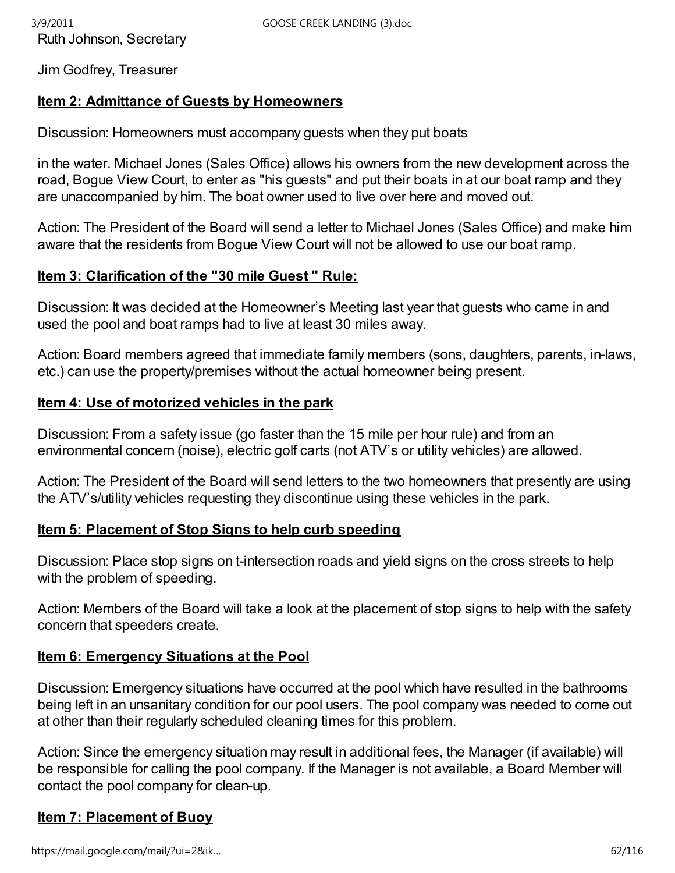Jim Godfrey, Treasurer

## Item 2: Admittance of Guests by Homeowners

Discussion: Homeowners must accompany guests when they put boats

in the water. Michael Jones (Sales Office) allows his owners from the new development across the road, Bogue View Court, to enter as "his guests" and put their boats in at our boat ramp and they are unaccompanied by him. The boat owner used to live over here and moved out.

Action: The President of the Board will send a letter to Michael Jones (Sales Office) and make him aware that the residents from Bogue View Court will not be allowed to use our boat ramp.

### Item 3: Clarification of the "30 mile Guest " Rule:

Discussion: It was decided at the Homeowner's Meeting last year that guests who came in and used the pool and boat ramps had to live at least 30 miles away.

Action: Board members agreed that immediate family members (sons, daughters, parents, in-laws, etc.) can use the property/premises without the actual homeowner being present.

## Item 4: Use of motorized vehicles in the park

Discussion: From a safety issue (go faster than the 15 mile per hour rule) and from an environmental concern (noise), electric golf carts (not ATV's or utility vehicles) are allowed.

Action: The President of the Board will send letters to the two homeowners that presently are using the ATV's/utility vehicles requesting they discontinue using these vehicles in the park.

## Item 5: Placement of Stop Signs to help curb speeding

Discussion: Place stop signs on t-intersection roads and yield signs on the cross streets to help with the problem of speeding.

Action: Members of the Board will take a look at the placement of stop signs to help with the safety concern that speeders create.

## Item 6: Emergency Situations at the Pool

Discussion: Emergency situations have occurred at the pool which have resulted in the bathrooms being left in an unsanitary condition for our pool users. The pool company was needed to come out at other than their regularly scheduled cleaning times for this problem.

Action: Since the emergency situation may result in additional fees, the Manager (if available) will be responsible for calling the pool company. If the Manager is not available, a Board Member will contact the pool company for clean-up.

## Item 7: Placement of Buoy

https://mail.google.com/mail/?ui=2&ik...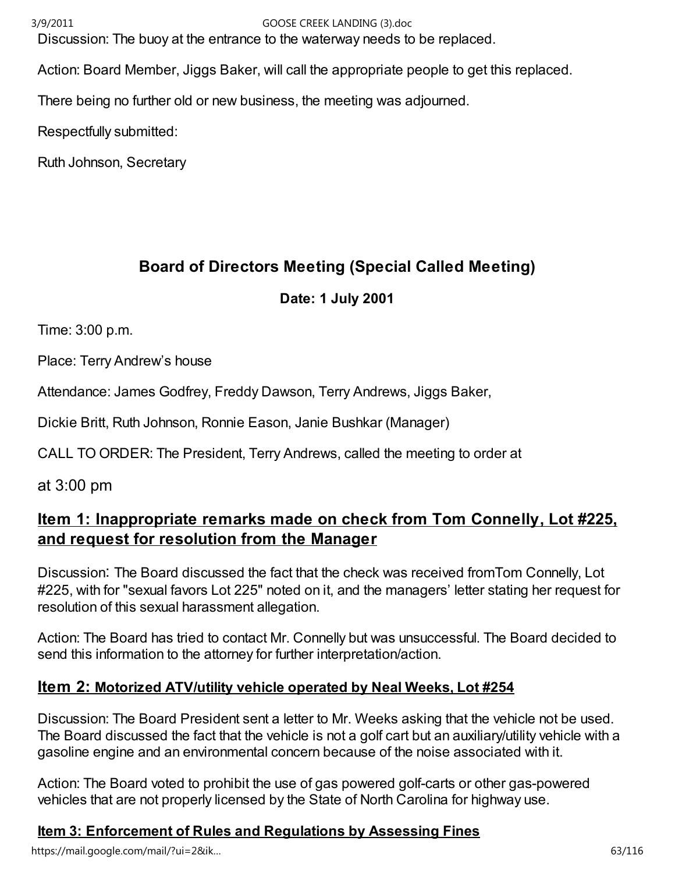Discussion: The buoy at the entrance to the waterway needs to be replaced.

Action: Board Member, Jiggs Baker, will call the appropriate people to get this replaced.

There being no further old or new business, the meeting was adjourned.

Respectfully submitted:

Ruth Johnson, Secretary

# Board of Directors Meeting (Special Called Meeting)

## Date: 1 July 2001

Time: 3:00 p.m.

Place: Terry Andrew's house

Attendance: James Godfrey, Freddy Dawson, Terry Andrews, Jiggs Baker,

Dickie Britt, Ruth Johnson, Ronnie Eason, Janie Bushkar (Manager)

CALL TO ORDER: The President, Terry Andrews, called the meeting to order at

at 3:00 pm

# Item 1: Inappropriate remarks made on check from Tom Connelly, Lot #225, and request for resolution from the Manager

Discussion: The Board discussed the fact that the check was received fromTom Connelly, Lot #225, with for "sexual favors Lot 225" noted on it, and the managers' letter stating her request for resolution of this sexual harassment allegation.

Action: The Board has tried to contact Mr. Connelly but was unsuccessful. The Board decided to send this information to the attorney for further interpretation/action.

# <u>Item 2: Motorized ATV/utility vehicle operated by Neal Weeks, Lot #254</u>

Discussion: The Board President sent a letter to Mr. Weeks asking that the vehicle not be used. The Board discussed the fact that the vehicle is not a golf cart but an auxiliary/utility vehicle with a gasoline engine and an environmental concern because of the noise associated with it.

Action: The Board voted to prohibit the use of gas powered golf-carts or other gas-powered vehicles that are not properly licensed by the State of North Carolina for highway use.

# Item 3: Enforcement of Rules and Regulations by Assessing Fines

https://mail.google.com/mail/?ui=2&ik… 63/116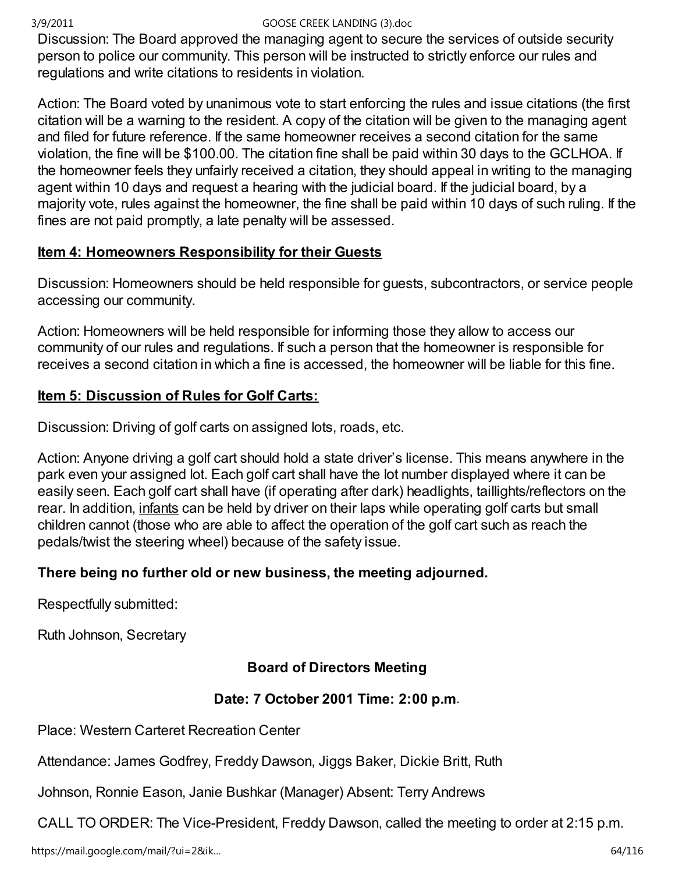Discussion: The Board approved the managing agent to secure the services of outside security person to police our community. This person will be instructed to strictly enforce our rules and regulations and write citations to residents in violation.

Action: The Board voted by unanimous vote to start enforcing the rules and issue citations (the first citation will be a warning to the resident. A copy of the citation will be given to the managing agent and filed for future reference. If the same homeowner receives a second citation for the same violation, the fine will be \$100.00. The citation fine shall be paid within 30 days to the GCLHOA. If the homeowner feels they unfairly received a citation, they should appeal in writing to the managing agent within 10 days and request a hearing with the judicial board. If the judicial board, by a majority vote, rules against the homeowner, the fine shall be paid within 10 days of such ruling. If the fines are not paid promptly, a late penalty will be assessed.

## Item 4: Homeowners Responsibility for their Guests

Discussion: Homeowners should be held responsible for guests, subcontractors, or service people accessing our community.

Action: Homeowners will be held responsible for informing those they allow to access our community of our rules and regulations. If such a person that the homeowner is responsible for receives a second citation in which a fine is accessed, the homeowner will be liable for this fine.

## Item 5: Discussion of Rules for Golf Carts:

Discussion: Driving of golf carts on assigned lots, roads, etc.

Action: Anyone driving a golf cart should hold a state driver's license. This means anywhere in the park even your assigned lot. Each golf cart shall have the lot number displayed where it can be easily seen. Each golf cart shall have (if operating after dark) headlights, taillights/reflectors on the rear. In addition, infants can be held by driver on their laps while operating golf carts but small children cannot (those who are able to affect the operation of the golf cart such as reach the pedals/twist the steering wheel) because of the safety issue.

## There being no further old or new business, the meeting adjourned.

Respectfully submitted:

Ruth Johnson, Secretary

# Board of Directors Meeting

## Date: 7 October 2001 Time: 2:00 p.m.

Place: Western Carteret Recreation Center

Attendance: James Godfrey, Freddy Dawson, Jiggs Baker, Dickie Britt, Ruth

Johnson, Ronnie Eason, Janie Bushkar (Manager) Absent: Terry Andrews

CALL TO ORDER: The Vice-President, Freddy Dawson, called the meeting to order at 2:15 p.m.

https://mail.google.com/mail/?ui=2&ik...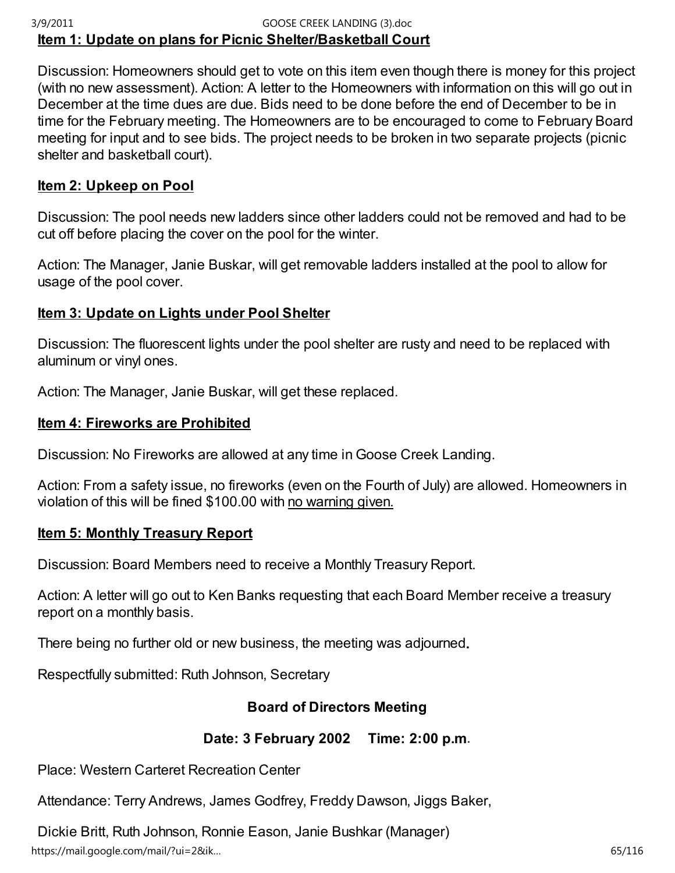## Item 1: Update on plans for Picnic Shelter/Basketball Court 3/9/2011 GOOSE CREEK LANDING (3).doc

Discussion: Homeowners should get to vote on this item even though there is money for this project (with no new assessment). Action: A letter to the Homeowners with information on this will go out in December at the time dues are due. Bids need to be done before the end of December to be in time for the February meeting. The Homeowners are to be encouraged to come to February Board meeting for input and to see bids. The project needs to be broken in two separate projects (picnic shelter and basketball court).

## Item 2: Upkeep on Pool

Discussion: The pool needs new ladders since other ladders could not be removed and had to be cut off before placing the cover on the pool for the winter.

Action: The Manager, Janie Buskar, will get removable ladders installed at the pool to allow for usage of the pool cover.

## Item 3: Update on Lights under Pool Shelter

Discussion: The fluorescent lights under the pool shelter are rusty and need to be replaced with aluminum or vinyl ones.

Action: The Manager, Janie Buskar, will get these replaced.

## Item 4: Fireworks are Prohibited

Discussion: No Fireworks are allowed at any time in Goose Creek Landing.

Action: From a safety issue, no fireworks (even on the Fourth of July) are allowed. Homeowners in violation of this will be fined \$100.00 with no warning given.

## Item 5: Monthly Treasury Report

Discussion: Board Members need to receive a Monthly Treasury Report.

Action: A letter will go out to Ken Banks requesting that each Board Member receive a treasury report on a monthly basis.

There being no further old or new business, the meeting was adjourned.

Respectfully submitted: Ruth Johnson, Secretary

## Board of Directors Meeting

## Date: 3 February 2002 Time: 2:00 p.m.

Place: Western Carteret Recreation Center

Attendance: Terry Andrews, James Godfrey, Freddy Dawson, Jiggs Baker,

Dickie Britt, Ruth Johnson, Ronnie Eason, Janie Bushkar (Manager) https://mail.google.com/mail/?ui=2&ik… 65/116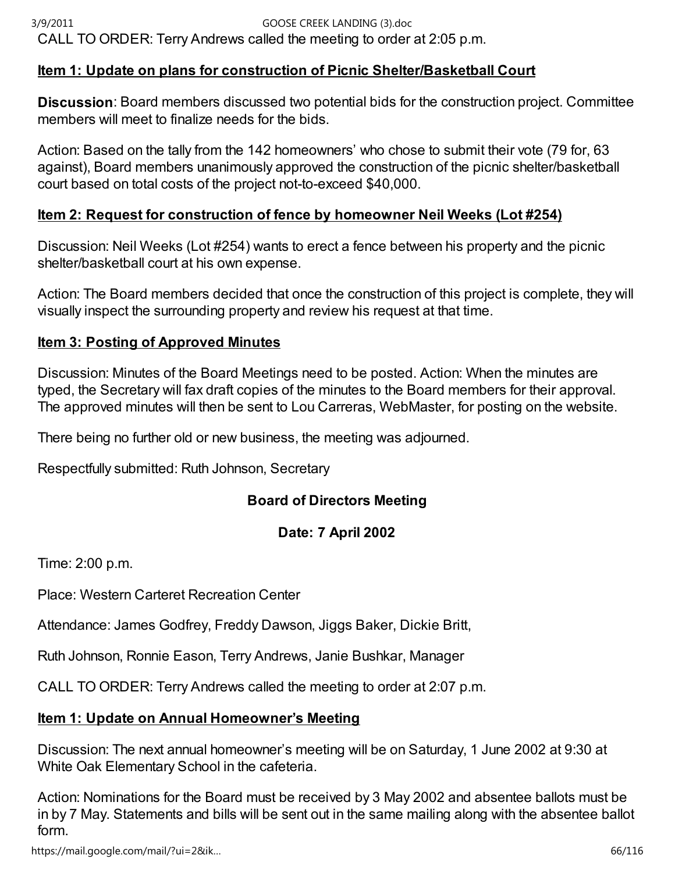## Item 1: Update on plans for construction of Picnic Shelter/Basketball Court

Discussion: Board members discussed two potential bids for the construction project. Committee members will meet to finalize needs for the bids.

Action: Based on the tally from the 142 homeowners' who chose to submit their vote (79 for, 63 against), Board members unanimously approved the construction of the picnic shelter/basketball court based on total costs of the project not-to-exceed \$40,000.

## Item 2: Request for construction of fence by homeowner Neil Weeks (Lot #254)

Discussion: Neil Weeks (Lot #254) wants to erect a fence between his property and the picnic shelter/basketball court at his own expense.

Action: The Board members decided that once the construction of this project is complete, they will visually inspect the surrounding property and review his request at that time.

## Item 3: Posting of Approved Minutes

Discussion: Minutes of the Board Meetings need to be posted. Action: When the minutes are typed, the Secretary will fax draft copies of the minutes to the Board members for their approval. The approved minutes will then be sent to Lou Carreras, WebMaster, for posting on the website.

There being no further old or new business, the meeting was adjourned.

Respectfully submitted: Ruth Johnson, Secretary

## Board of Directors Meeting

## Date: 7 April 2002

Time: 2:00 p.m.

Place: Western Carteret Recreation Center

Attendance: James Godfrey, Freddy Dawson, Jiggs Baker, Dickie Britt,

Ruth Johnson, Ronnie Eason, Terry Andrews, Janie Bushkar, Manager

CALL TO ORDER: Terry Andrews called the meeting to order at 2:07 p.m.

## Item 1: Update on Annual Homeowner's Meeting

Discussion: The next annual homeowner's meeting will be on Saturday, 1 June 2002 at 9:30 at White Oak Elementary School in the cafeteria.

Action: Nominations for the Board must be received by 3 May 2002 and absentee ballots must be in by 7 May. Statements and bills will be sent out in the same mailing along with the absentee ballot form.

https://mail.google.com/mail/?ui=2&ik… 66/116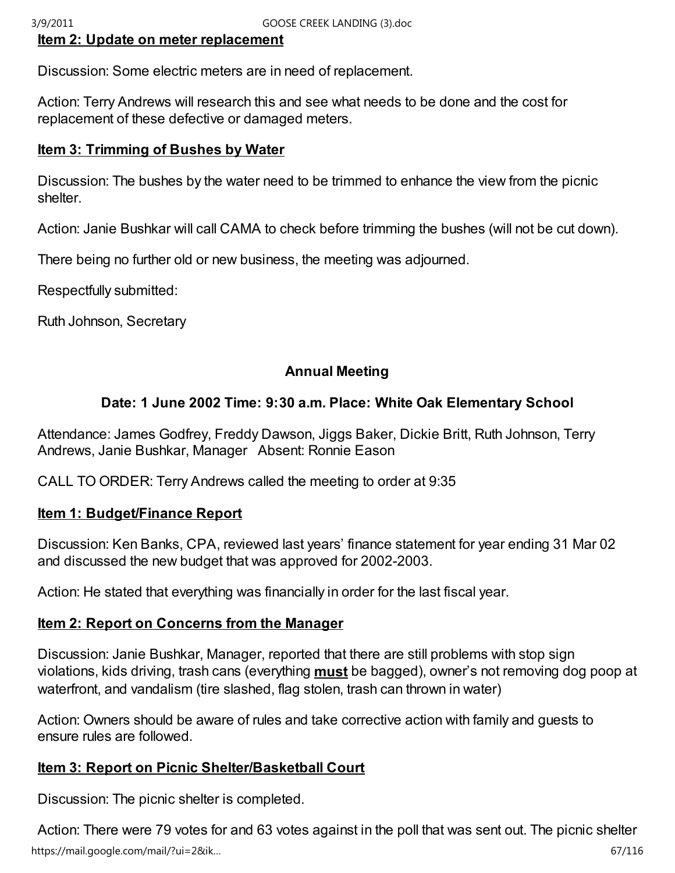## Item 2: Update on meter replacement

Discussion: Some electric meters are in need of replacement.

Action: Terry Andrews will research this and see what needs to be done and the cost for replacement of these defective or damaged meters.

## Item 3: Trimming of Bushes by Water

Discussion: The bushes by the water need to be trimmed to enhance the view from the picnic shelter.

Action: Janie Bushkar will call CAMA to check before trimming the bushes (will not be cut down).

There being no further old or new business, the meeting was adjourned.

Respectfully submitted:

Ruth Johnson, Secretary

## Annual Meeting

## Date: 1 June 2002 Time: 9:30 a.m. Place: White Oak Elementary School

Attendance: James Godfrey, Freddy Dawson, Jiggs Baker, Dickie Britt, Ruth Johnson, Terry Andrews, Janie Bushkar, Manager Absent: Ronnie Eason

CALL TO ORDER: Terry Andrews called the meeting to order at 9:35

## Item 1: Budget/Finance Report

Discussion: Ken Banks, CPA, reviewed last years' finance statement for year ending 31 Mar 02 and discussed the new budget that was approved for 2002-2003.

Action: He stated that everything was financially in order for the last fiscal year.

## Item 2: Report on Concerns from the Manager

Discussion: Janie Bushkar, Manager, reported that there are still problems with stop sign violations, kids driving, trash cans (everything **must** be bagged), owner's not removing dog poop at waterfront, and vandalism (tire slashed, flag stolen, trash can thrown in water)

Action: Owners should be aware of rules and take corrective action with family and guests to ensure rules are followed.

## **Item 3: Report on Picnic Shelter/Basketball Court**

Discussion: The picnic shelter is completed.

Action: There were 79 votes for and 63 votes against in the poll that was sent out. The picnic shelter https://mail.google.com/mail/?ui=2&ik… 67/116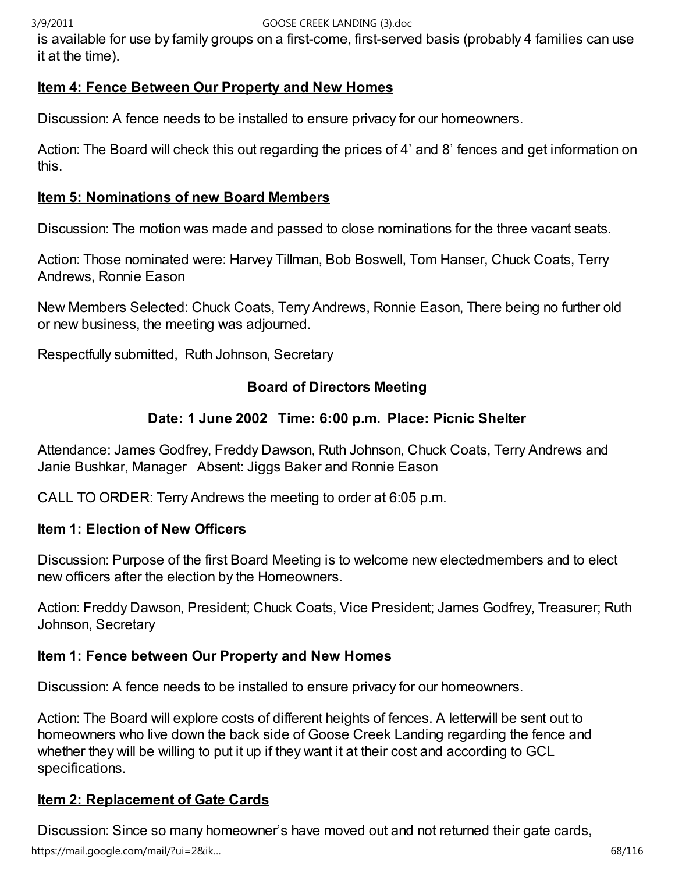is available for use by family groups on a first-come, first-served basis (probably 4 families can use it at the time).

## Item 4: Fence Between Our Property and New Homes

Discussion: A fence needs to be installed to ensure privacy for our homeowners.

Action: The Board will check this out regarding the prices of 4' and 8' fences and get information on this.

## Item 5: Nominations of new Board Members

Discussion: The motion was made and passed to close nominations for the three vacant seats.

Action: Those nominated were: Harvey Tillman, Bob Boswell, Tom Hanser, Chuck Coats, Terry Andrews, Ronnie Eason

New Members Selected: Chuck Coats, Terry Andrews, Ronnie Eason, There being no further old or new business, the meeting was adjourned.

Respectfully submitted, Ruth Johnson, Secretary

## Board of Directors Meeting

## Date: 1 June 2002 Time: 6:00 p.m. Place: Picnic Shelter

Attendance: James Godfrey, Freddy Dawson, Ruth Johnson, Chuck Coats, Terry Andrews and Janie Bushkar, Manager Absent: Jiggs Baker and Ronnie Eason

CALL TO ORDER: Terry Andrews the meeting to order at 6:05 p.m.

## Item 1: Election of New Officers

Discussion: Purpose of the first Board Meeting is to welcome new electedmembers and to elect new officers after the election by the Homeowners.

Action: Freddy Dawson, President; Chuck Coats, Vice President; James Godfrey, Treasurer; Ruth Johnson, Secretary

## Item 1: Fence between Our Property and New Homes

Discussion: A fence needs to be installed to ensure privacy for our homeowners.

Action: The Board will explore costs of different heights of fences. A letterwill be sent out to homeowners who live down the back side of Goose Creek Landing regarding the fence and whether they will be willing to put it up if they want it at their cost and according to GCL specifications.

# Item 2: Replacement of Gate Cards

Discussion: Since so many homeowner's have moved out and not returned their gate cards, https://mail.google.com/mail/?ui=2&ik… 68/116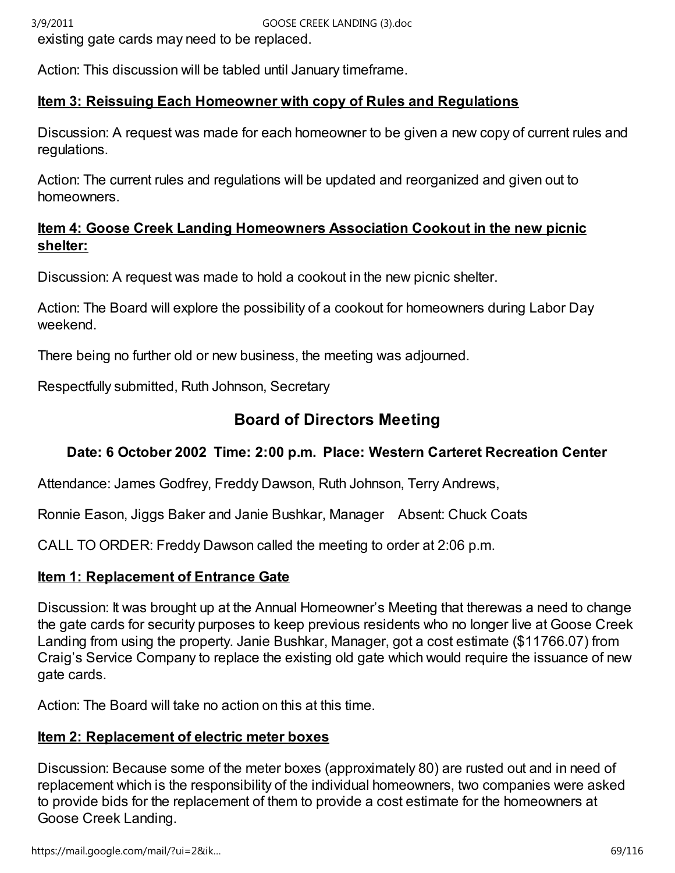existing gate cards may need to be replaced.

Action: This discussion will be tabled until January timeframe.

## Item 3: Reissuing Each Homeowner with copy of Rules and Regulations

Discussion: A request was made for each homeowner to be given a new copy of current rules and regulations.

Action: The current rules and regulations will be updated and reorganized and given out to homeowners.

## Item 4: Goose Creek Landing Homeowners Association Cookout in the new picnic shelter:

Discussion: A request was made to hold a cookout in the new picnic shelter.

Action: The Board will explore the possibility of a cookout for homeowners during Labor Day weekend.

There being no further old or new business, the meeting was adjourned.

Respectfully submitted, Ruth Johnson, Secretary

# Board of Directors Meeting

# Date: 6 October 2002 Time: 2:00 p.m. Place: Western Carteret Recreation Center

Attendance: James Godfrey, Freddy Dawson, Ruth Johnson, Terry Andrews,

Ronnie Eason, Jiggs Baker and Janie Bushkar, Manager Absent: Chuck Coats

CALL TO ORDER: Freddy Dawson called the meeting to order at 2:06 p.m.

## Item 1: Replacement of Entrance Gate

Discussion: It was brought up at the Annual Homeowner's Meeting that therewas a need to change the gate cards for security purposes to keep previous residents who no longer live at Goose Creek Landing from using the property. Janie Bushkar, Manager, got a cost estimate (\$11766.07) from Craig's Service Company to replace the existing old gate which would require the issuance of new gate cards.

Action: The Board will take no action on this at this time.

## Item 2: Replacement of electric meter boxes

Discussion: Because some of the meter boxes (approximately 80) are rusted out and in need of replacement which is the responsibility of the individual homeowners, two companies were asked to provide bids for the replacement of them to provide a cost estimate for the homeowners at Goose Creek Landing.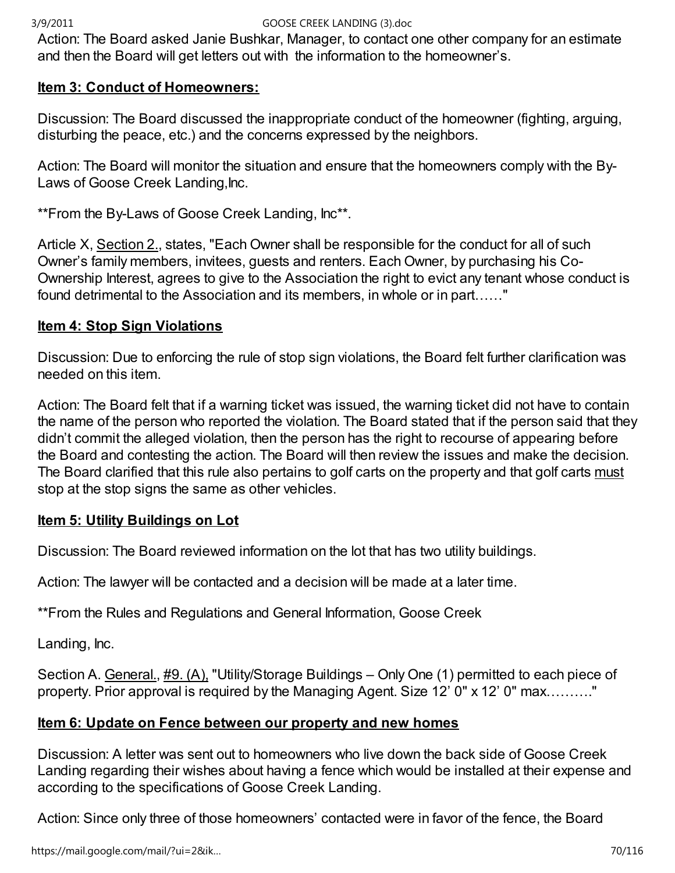Action: The Board asked Janie Bushkar, Manager, to contact one other company for an estimate and then the Board will get letters out with the information to the homeowner's.

## Item 3: Conduct of Homeowners:

Discussion: The Board discussed the inappropriate conduct of the homeowner (fighting, arguing, disturbing the peace, etc.) and the concerns expressed by the neighbors.

Action: The Board will monitor the situation and ensure that the homeowners comply with the By-Laws of Goose Creek Landing,Inc.

\*\*From the By-Laws of Goose Creek Landing, Inc\*\*.

Article X, Section 2., states, "Each Owner shall be responsible for the conduct for all of such Owner's family members, invitees, guests and renters. Each Owner, by purchasing his Co-Ownership Interest, agrees to give to the Association the right to evict any tenant whose conduct is found detrimental to the Association and its members, in whole or in part......"

## Item 4: Stop Sign Violations

Discussion: Due to enforcing the rule of stop sign violations, the Board felt further clarification was needed on this item.

Action: The Board felt that if a warning ticket was issued, the warning ticket did not have to contain the name of the person who reported the violation. The Board stated that if the person said that they didn't commit the alleged violation, then the person has the right to recourse of appearing before the Board and contesting the action. The Board will then review the issues and make the decision. The Board clarified that this rule also pertains to golf carts on the property and that golf carts must stop at the stop signs the same as other vehicles.

## **Item 5: Utility Buildings on Lot**

Discussion: The Board reviewed information on the lot that has two utility buildings.

Action: The lawyer will be contacted and a decision will be made at a later time.

\*\*From the Rules and Regulations and General Information, Goose Creek

Landing, Inc.

Section A. General., #9. (A), "Utility/Storage Buildings – Only One (1) permitted to each piece of property. Prior approval is required by the Managing Agent. Size 12'  $0$ " x 12'  $0$ " max........."

## Item 6: Update on Fence between our property and new homes

Discussion: A letter was sent out to homeowners who live down the back side of Goose Creek Landing regarding their wishes about having a fence which would be installed at their expense and according to the specifications of Goose Creek Landing.

Action: Since only three of those homeowners' contacted were in favor of the fence, the Board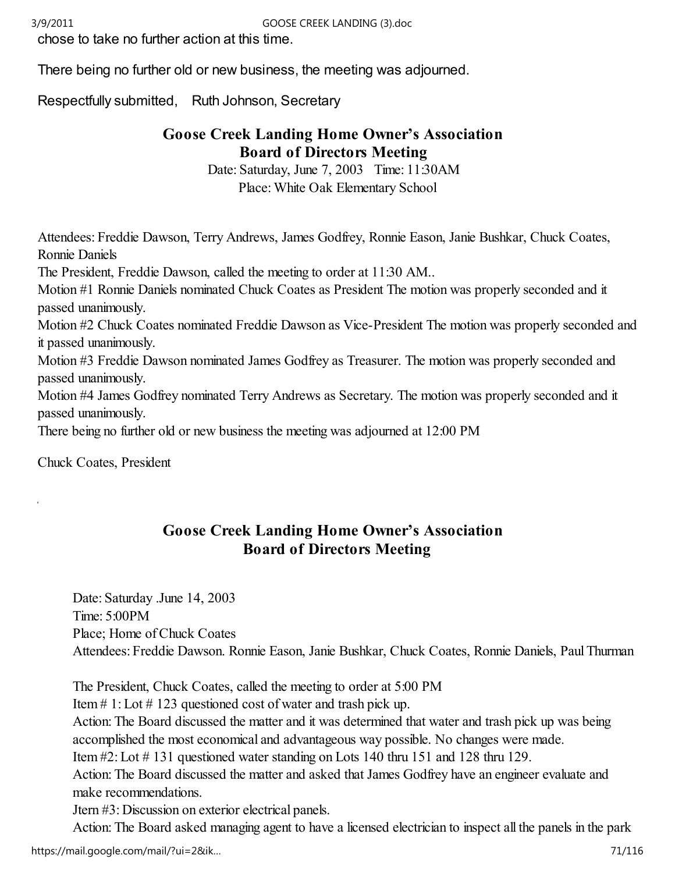chose to take no further action at this time.

There being no further old or new business, the meeting was adjourned.

Respectfully submitted, Ruth Johnson, Secretary

# Goose Creek Landing Home Owner's Association Board of Directors Meeting

Date: Saturday, June 7, 2003 Time: 11:30AM Place: White Oak Elementary School

Attendees: Freddie Dawson, Terry Andrews, James Godfrey, Ronnie Eason, Janie Bushkar, Chuck Coates, Ronnie Daniels

The President, Freddie Dawson, called the meeting to order at 11:30 AM..

Motion #1 Ronnie Daniels nominated Chuck Coates as President The motion was properly seconded and it passed unanimously.

Motion #2 Chuck Coates nominated Freddie Dawson as Vice-President The motion was properly seconded and it passed unanimously.

Motion #3 Freddie Dawson nominated James Godfrey as Treasurer. The motion was properly seconded and passed unanimously.

Motion #4 James Godfrey nominated Terry Andrews as Secretary. The motion was properly seconded and it passed unanimously.

There being no further old or new business the meeting was adjourned at 12:00 PM

Chuck Coates, President

j.

# Goose Creek Landing Home Owner's Association Board of Directors Meeting

Date: Saturday .June 14, 2003 Time: 5:00PM Place; Home of Chuck Coates Attendees: Freddie Dawson. Ronnie Eason, Janie Bushkar, Chuck Coates, Ronnie Daniels, Paul Thurman

The President, Chuck Coates, called the meeting to order at 5:00 PM

Item # 1: Lot # 123 questioned cost of water and trash pick up.

Action: The Board discussed the matter and it was determined that water and trash pick up was being accomplished the most economical and advantageous way possible. No changes were made.

Item #2: Lot # 131 questioned water standing on Lots 140 thru 151 and 128 thru 129.

Action: The Board discussed the matter and asked that James Godfrey have an engineer evaluate and make recommendations.

Jtern #3: Discussion on exterior electrical panels.

Action: The Board asked managing agent to have a licensed electrician to inspect all the panels in the park https://mail.google.com/mail/?ui=2&ik… 71/116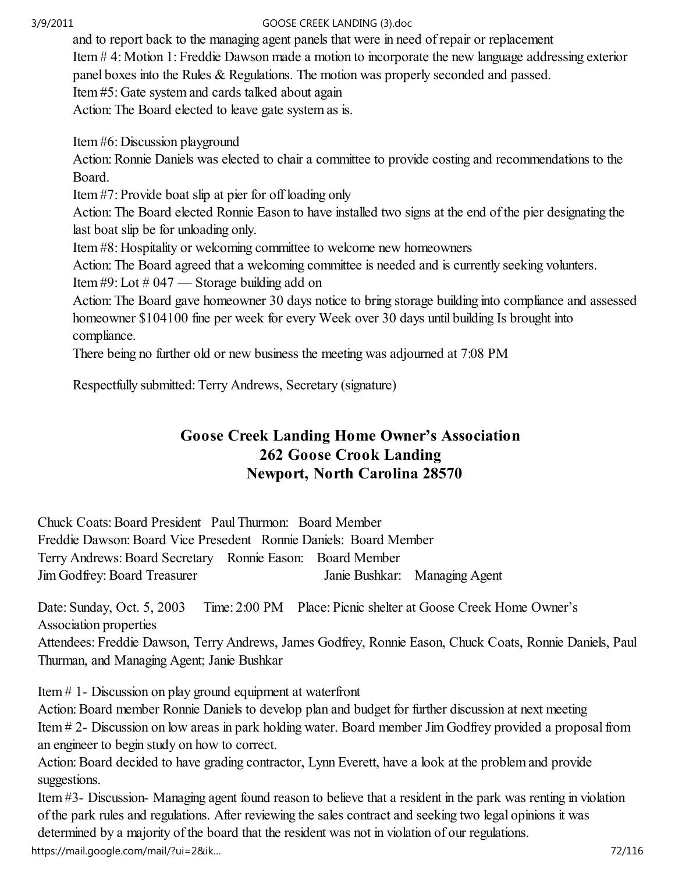and to report back to the managing agent panels that were in need of repair or replacement Item # 4: Motion 1: Freddie Dawson made a motion to incorporate the new language addressing exterior panel boxes into the Rules & Regulations. The motion was properly seconded and passed. Item #5: Gate system and cards talked about again

Action: The Board elected to leave gate system as is.

Item #6: Discussion playground

Action: Ronnie Daniels was elected to chair a committee to provide costing and recommendations to the Board.

Item #7: Provide boat slip at pier for off loading only

Action: The Board elected Ronnie Eason to have installed two signs at the end of the pier designating the last boat slip be for unloading only.

Item #8: Hospitality or welcoming committee to welcome new homeowners

Action: The Board agreed that a welcoming committee is needed and is currently seeking volunters.

Item #9: Lot # 047 — Storage building add on

Action: The Board gave homeowner 30 days notice to bring storage building into compliance and assessed homeowner \$104100 fine per week for every Week over 30 days until building Is brought into compliance.

There being no further old or new business the meeting was adjourned at 7:08 PM

Respectfully submitted: Terry Andrews, Secretary (signature)

# Goose Creek Landing Home Owner's Association 262 Goose Crook Landing Newport, North Carolina 28570

Chuck Coats: Board President Paul Thurmon: Board Member Freddie Dawson: Board Vice Presedent Ronnie Daniels: Board Member Terry Andrews: Board Secretary Ronnie Eason: Board Member Jim Godfrey: Board Treasurer Janie Bushkar: Managing Agent

Date: Sunday, Oct. 5, 2003 Time: 2:00 PM Place: Picnic shelter at Goose Creek Home Owner's Association properties

Attendees: Freddie Dawson, Terry Andrews, James Godfrey, Ronnie Eason, Chuck Coats, Ronnie Daniels, Paul Thurman, and Managing Agent; Janie Bushkar

Item # 1- Discussion on play ground equipment at waterfront

Action: Board member Ronnie Daniels to develop plan and budget for further discussion at next meeting Item # 2- Discussion on low areas in park holding water. Board member Jim Godfrey provided a proposal from an engineer to begin study on how to correct.

Action: Board decided to have grading contractor, Lynn Everett, have a look at the problem and provide suggestions.

Item #3- Discussion- Managing agent found reason to believe that a resident in the park was renting in violation of the park rules and regulations. After reviewing the sales contract and seeking two legal opinions it was determined by a majority of the board that the resident was not in violation of our regulations.

https://mail.google.com/mail/?ui=2&ik… 72/116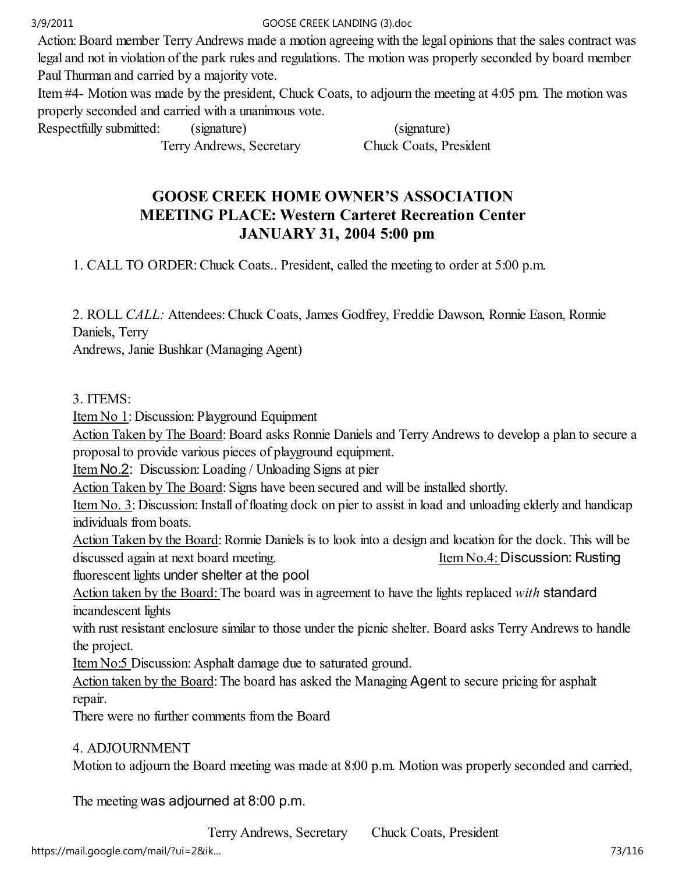Action: Board member Terry Andrews made a motion agreeing with the legal opinions that the sales contract was legal and not in violation of the park rules and regulations. The motion was properly seconded by board member Paul Thurman and carried by a majority vote.

Item #4- Motion was made by the president, Chuck Coats, to adjourn the meeting at 4:05 pm. The motion was properly seconded and carried with a unanimous vote.

Respectfully submitted: (signature) (signature)

Terry Andrews, Secretary Chuck Coats, President

# GOOSE CREEK HOME OWNER'S ASSOCIATION MEETING PLACE: Western Carteret Recreation Center JANUARY 31, 2004 5:00 pm

1. CALL TO ORDER: Chuck Coats.. President, called the meeting to order at 5:00 p.m.

2. ROLL CALL: Attendees: Chuck Coats, James Godfrey, Freddie Dawson, Ronnie Eason, Ronnie Daniels, Terry

Andrews, Janie Bushkar (Managing Agent)

# 3. ITEMS:

Item No 1: Discussion: Playground Equipment

Action Taken by The Board: Board asks Ronnie Daniels and Terry Andrews to develop a plan to secure a proposal to provide various pieces of playground equipment.

Item No.2: Discussion: Loading / Unloading Signs at pier

Action Taken by The Board: Signs have been secured and will be installed shortly.

Item No. 3: Discussion: Install of floating dock on pier to assist in load and unloading elderly and handicap individuals from boats.

Action Taken by the Board: Ronnie Daniels is to look into a design and location for the dock. This will be discussed again at next board meeting. Item No.4: Discussion: Rusting

fluorescent lights under shelter at the pool

Action taken by the Board: The board was in agreement to have the lights replaced with standard incandescent lights

with rust resistant enclosure similar to those under the picnic shelter. Board asks Terry Andrews to handle the project.

Item No:5 Discussion: Asphalt damage due to saturated ground.

Action taken by the Board: The board has asked the Managing Agent to secure pricing for asphalt repair.

There were no further comments from the Board

# 4. ADJOURNMENT

Motion to adjourn the Board meeting was made at 8:00 p.m. Motion was properly seconded and carried,

The meeting was adjourned at 8:00 p.m.

Terry Andrews, Secretary Chuck Coats, President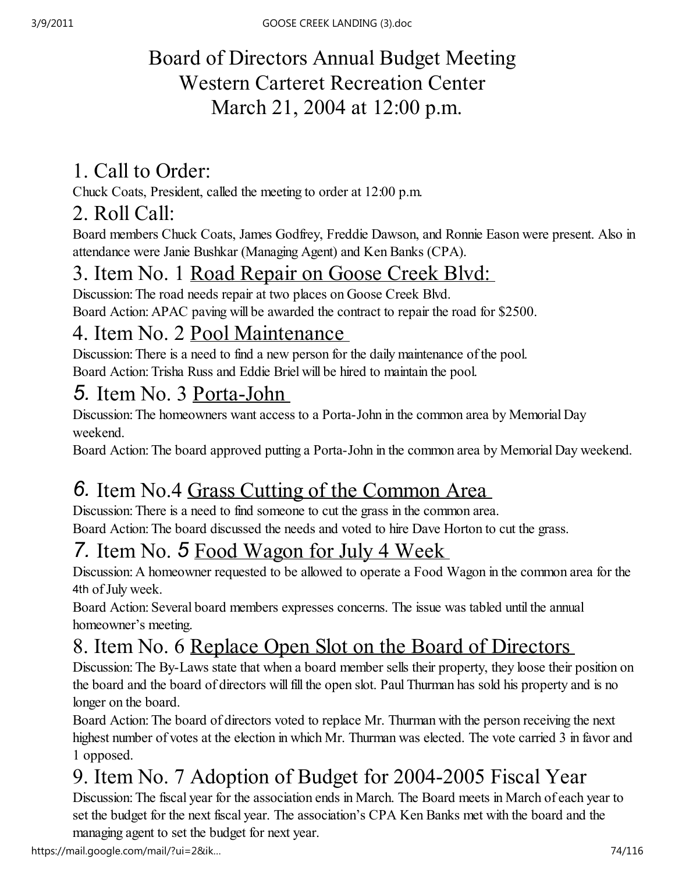# Board of Directors Annual Budget Meeting Western Carteret Recreation Center March 21, 2004 at 12:00 p.m.

# 1. Call to Order:

Chuck Coats, President, called the meeting to order at 12:00 p.m.

# 2. Roll Call:

Board members Chuck Coats, James Godfrey, Freddie Dawson, and Ronnie Eason were present. Also in attendance were Janie Bushkar (Managing Agent) and Ken Banks (CPA).

# 3. Item No. 1 Road Repair on Goose Creek Blvd:

Discussion: The road needs repair at two places on Goose Creek Blvd.

Board Action: APAC paving will be awarded the contract to repair the road for \$2500.

# 4. Item No. 2 Pool Maintenance

Discussion: There is a need to find a new person for the daily maintenance of the pool. Board Action: Trisha Russ and Eddie Briel will be hired to maintain the pool.

# 5. Item No. 3 Porta-John

Discussion: The homeowners want access to a Porta-John in the common area by Memorial Day weekend.

Board Action: The board approved putting a Porta-John in the common area by Memorial Day weekend.

# 6. Item No.4 Grass Cutting of the Common Area

Discussion: There is a need to find someone to cut the grass in the common area. Board Action: The board discussed the needs and voted to hire Dave Horton to cut the grass.

# 7. Item No. 5 Food Wagon for July 4 Week

Discussion: A homeowner requested to be allowed to operate a Food Wagon in the common area for the 4th of July week.

Board Action: Several board members expresses concerns. The issue was tabled until the annual homeowner's meeting.

# 8. Item No. 6 Replace Open Slot on the Board of Directors

Discussion: The By-Laws state that when a board member sells their property, they loose their position on the board and the board of directors will fill the open slot. Paul Thurman has sold his property and is no longer on the board.

Board Action: The board of directors voted to replace Mr. Thurman with the person receiving the next highest number of votes at the election in which Mr. Thurman was elected. The vote carried 3 in favor and 1 opposed.

# 9. Item No. 7 Adoption of Budget for 2004-2005 Fiscal Year

Discussion: The fiscal year for the association ends in March. The Board meets in March of each year to set the budget for the next fiscal year. The association's CPA Ken Banks met with the board and the managing agent to set the budget for next year.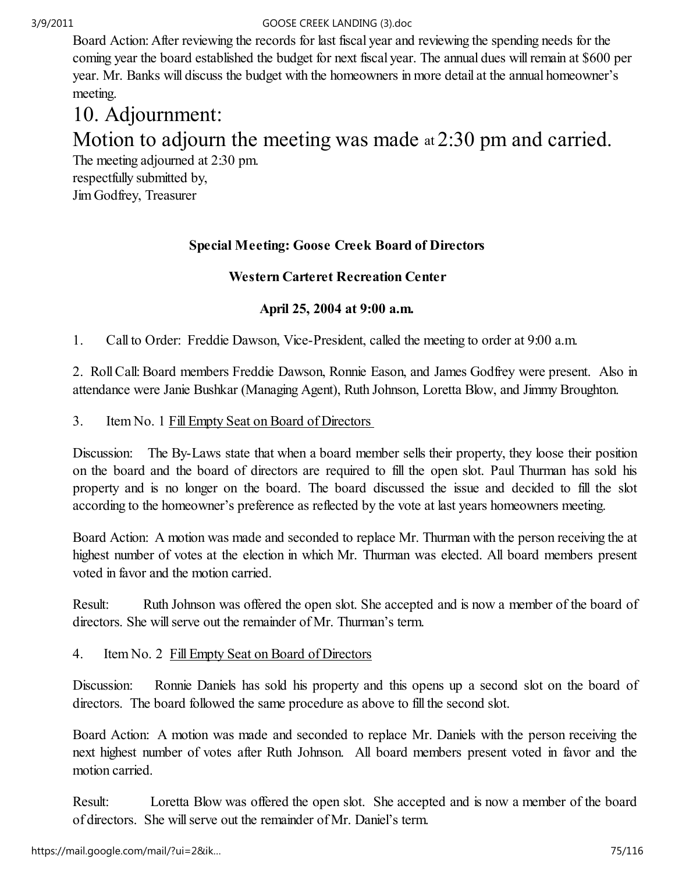Board Action: After reviewing the records for last fiscal year and reviewing the spending needs for the coming year the board established the budget for next fiscal year. The annual dues will remain at \$600 per year. Mr. Banks will discuss the budget with the homeowners in more detail at the annual homeowner's meeting.

# 10. Adjournment:

# Motion to adjourn the meeting was made at 2:30 pm and carried.

The meeting adjourned at 2:30 pm.

respectfully submitted by, Jim Godfrey, Treasurer

# Special Meeting: Goose Creek Board of Directors

# Western Carteret Recreation Center

# April 25, 2004 at 9:00 a.m.

1. Call to Order: Freddie Dawson, Vice-President, called the meeting to order at 9:00 a.m.

2. Roll Call: Board members Freddie Dawson, Ronnie Eason, and James Godfrey were present. Also in attendance were Janie Bushkar (Managing Agent), Ruth Johnson, Loretta Blow, and Jimmy Broughton.

3. Item No. 1 Fill Empty Seat on Board of Directors

Discussion: The By-Laws state that when a board member sells their property, they loose their position on the board and the board of directors are required to fill the open slot. Paul Thurman has sold his property and is no longer on the board. The board discussed the issue and decided to fill the slot according to the homeowner's preference as reflected by the vote at last years homeowners meeting.

Board Action: A motion was made and seconded to replace Mr. Thurman with the person receiving the at highest number of votes at the election in which Mr. Thurman was elected. All board members present voted in favor and the motion carried.

Result: Ruth Johnson was offered the open slot. She accepted and is now a member of the board of directors. She will serve out the remainder of Mr. Thurman's term.

# 4. Item No. 2 Fill Empty Seat on Board of Directors

Discussion: Ronnie Daniels has sold his property and this opens up a second slot on the board of directors. The board followed the same procedure as above to fill the second slot.

Board Action: A motion was made and seconded to replace Mr. Daniels with the person receiving the next highest number of votes after Ruth Johnson. All board members present voted in favor and the motion carried.

Result: Loretta Blow was offered the open slot. She accepted and is now a member of the board of directors. She will serve out the remainder of Mr. Daniel's term.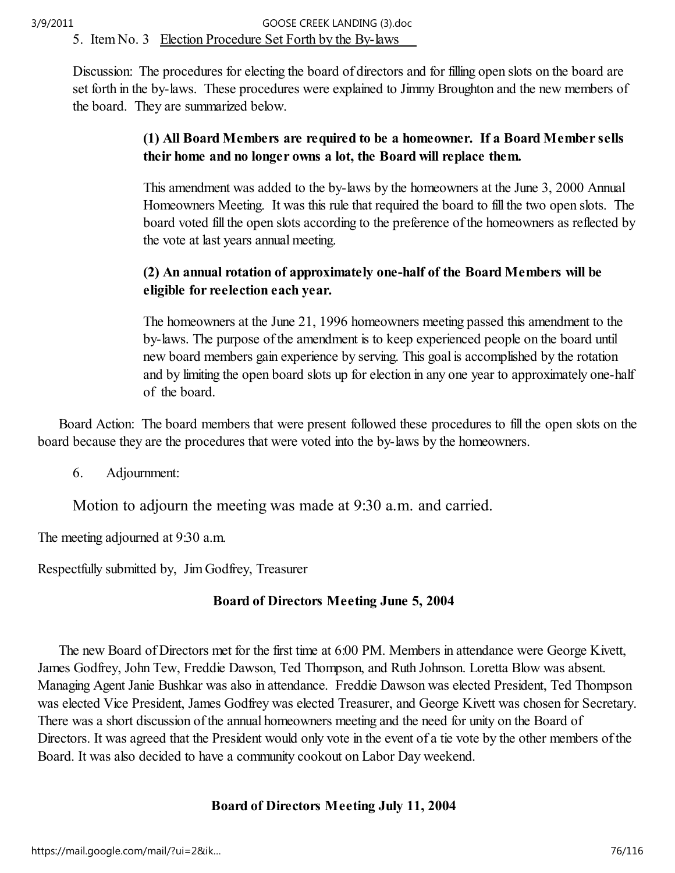Discussion: The procedures for electing the board of directors and for filling open slots on the board are set forth in the by-laws. These procedures were explained to Jimmy Broughton and the new members of the board. They are summarized below.

# (1) All Board Members are required to be a homeowner. If a Board Member sells their home and no longer owns a lot, the Board will replace them.

This amendment was added to the by-laws by the homeowners at the June 3, 2000 Annual Homeowners Meeting. It was this rule that required the board to fill the two open slots. The board voted fill the open slots according to the preference of the homeowners as reflected by the vote at last years annual meeting.

# (2) An annual rotation of approximately one-half of the Board Members will be eligible for reelection each year.

The homeowners at the June 21, 1996 homeowners meeting passed this amendment to the by-laws. The purpose of the amendment is to keep experienced people on the board until new board members gain experience by serving. This goal is accomplished by the rotation and by limiting the open board slots up for election in any one year to approximately one-half of the board.

 Board Action: The board members that were present followed these procedures to fill the open slots on the board because they are the procedures that were voted into the by-laws by the homeowners.

6. Adjournment:

Motion to adjourn the meeting was made at 9:30 a.m. and carried.

The meeting adjourned at 9:30 a.m.

Respectfully submitted by, Jim Godfrey, Treasurer

# Board of Directors Meeting June 5, 2004

 The new Board of Directors met for the first time at 6:00 PM. Members in attendance were George Kivett, James Godfrey, John Tew, Freddie Dawson, Ted Thompson, and Ruth Johnson. Loretta Blow was absent. Managing Agent Janie Bushkar was also in attendance. Freddie Dawson was elected President, Ted Thompson was elected Vice President, James Godfrey was elected Treasurer, and George Kivett was chosen for Secretary. There was a short discussion of the annual homeowners meeting and the need for unity on the Board of Directors. It was agreed that the President would only vote in the event of a tie vote by the other members of the Board. It was also decided to have a community cookout on Labor Day weekend.

# Board of Directors Meeting July 11, 2004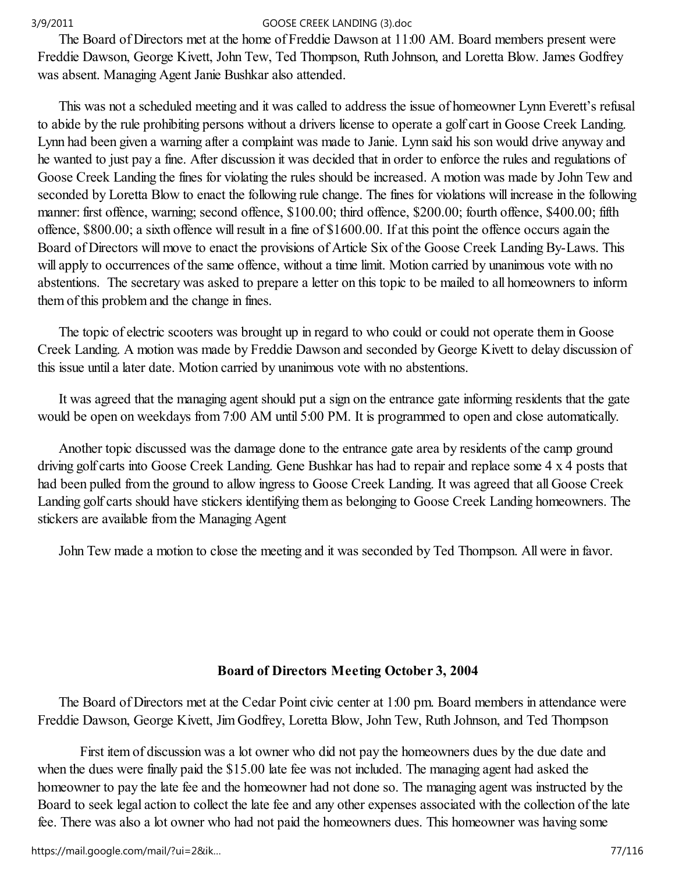The Board of Directors met at the home of Freddie Dawson at 11:00 AM. Board members present were Freddie Dawson, George Kivett, John Tew, Ted Thompson, Ruth Johnson, and Loretta Blow. James Godfrey was absent. Managing Agent Janie Bushkar also attended.

 This was not a scheduled meeting and it was called to address the issue of homeowner Lynn Everett's refusal to abide by the rule prohibiting persons without a drivers license to operate a golf cart in Goose Creek Landing. Lynn had been given a warning after a complaint was made to Janie. Lynn said his son would drive anyway and he wanted to just pay a fine. After discussion it was decided that in order to enforce the rules and regulations of Goose Creek Landing the fines for violating the rules should be increased. A motion was made by John Tew and seconded by Loretta Blow to enact the following rule change. The fines for violations will increase in the following manner: first offence, warning; second offence, \$100.00; third offence, \$200.00; fourth offence, \$400.00; fifth offence, \$800.00; a sixth offence will result in a fine of \$1600.00. If at this point the offence occurs again the Board of Directors will move to enact the provisions of Article Six of the Goose Creek Landing By-Laws. This will apply to occurrences of the same offence, without a time limit. Motion carried by unanimous vote with no abstentions. The secretary was asked to prepare a letter on this topic to be mailed to all homeowners to inform them of this problem and the change in fines.

 The topic of electric scooters was brought up in regard to who could or could not operate them in Goose Creek Landing. A motion was made by Freddie Dawson and seconded by George Kivett to delay discussion of this issue until a later date. Motion carried by unanimous vote with no abstentions.

 It was agreed that the managing agent should put a sign on the entrance gate informing residents that the gate would be open on weekdays from 7:00 AM until 5:00 PM. It is programmed to open and close automatically.

 Another topic discussed was the damage done to the entrance gate area by residents of the camp ground driving golf carts into Goose Creek Landing. Gene Bushkar has had to repair and replace some 4 x 4 posts that had been pulled from the ground to allow ingress to Goose Creek Landing. It was agreed that all Goose Creek Landing golf carts should have stickers identifying them as belonging to Goose Creek Landing homeowners. The stickers are available from the Managing Agent

John Tew made a motion to close the meeting and it was seconded by Ted Thompson. All were in favor.

# Board of Directors Meeting October 3, 2004

 The Board of Directors met at the Cedar Point civic center at 1:00 pm. Board members in attendance were Freddie Dawson, George Kivett, Jim Godfrey, Loretta Blow, John Tew, Ruth Johnson, and Ted Thompson

 First item of discussion was a lot owner who did not pay the homeowners dues by the due date and when the dues were finally paid the \$15.00 late fee was not included. The managing agent had asked the homeowner to pay the late fee and the homeowner had not done so. The managing agent was instructed by the Board to seek legal action to collect the late fee and any other expenses associated with the collection of the late fee. There was also a lot owner who had not paid the homeowners dues. This homeowner was having some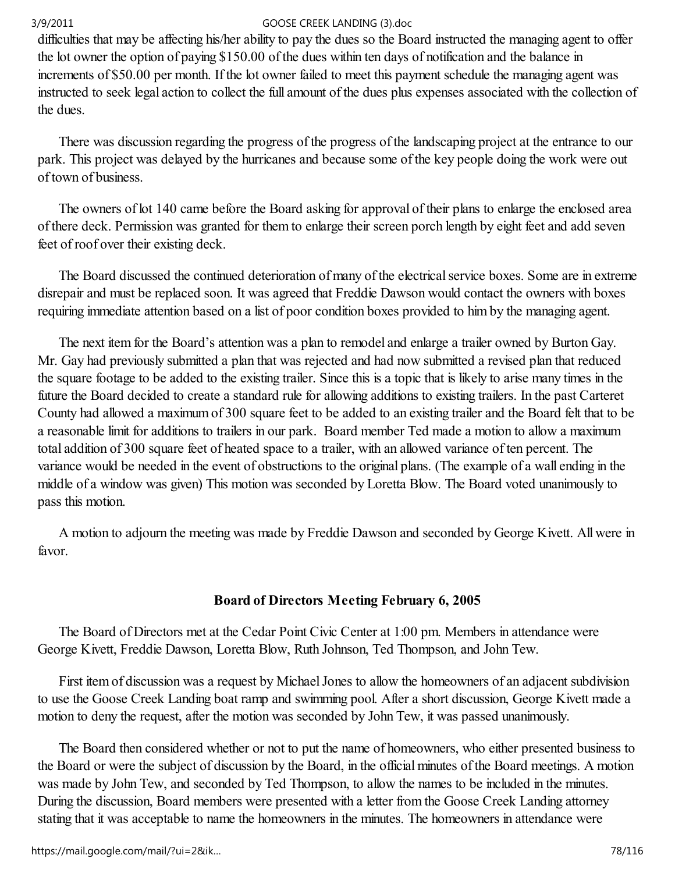difficulties that may be affecting his/her ability to pay the dues so the Board instructed the managing agent to offer the lot owner the option of paying \$150.00 of the dues within ten days of notification and the balance in increments of \$50.00 per month. If the lot owner failed to meet this payment schedule the managing agent was instructed to seek legal action to collect the full amount of the dues plus expenses associated with the collection of the dues.

 There was discussion regarding the progress of the progress of the landscaping project at the entrance to our park. This project was delayed by the hurricanes and because some of the key people doing the work were out of town of business.

 The owners of lot 140 came before the Board asking for approval of their plans to enlarge the enclosed area of there deck. Permission was granted for them to enlarge their screen porch length by eight feet and add seven feet of roof over their existing deck.

 The Board discussed the continued deterioration of many of the electrical service boxes. Some are in extreme disrepair and must be replaced soon. It was agreed that Freddie Dawson would contact the owners with boxes requiring immediate attention based on a list of poor condition boxes provided to him by the managing agent.

 The next item for the Board's attention was a plan to remodel and enlarge a trailer owned by Burton Gay. Mr. Gay had previously submitted a plan that was rejected and had now submitted a revised plan that reduced the square footage to be added to the existing trailer. Since this is a topic that is likely to arise many times in the future the Board decided to create a standard rule for allowing additions to existing trailers. In the past Carteret County had allowed a maximum of 300 square feet to be added to an existing trailer and the Board felt that to be a reasonable limit for additions to trailers in our park. Board member Ted made a motion to allow a maximum total addition of 300 square feet of heated space to a trailer, with an allowed variance of ten percent. The variance would be needed in the event of obstructions to the original plans. (The example of a wall ending in the middle of a window was given) This motion was seconded by Loretta Blow. The Board voted unanimously to pass this motion.

 A motion to adjourn the meeting was made by Freddie Dawson and seconded by George Kivett. All were in favor.

# Board of Directors Meeting February 6, 2005

 The Board of Directors met at the Cedar Point Civic Center at 1:00 pm. Members in attendance were George Kivett, Freddie Dawson, Loretta Blow, Ruth Johnson, Ted Thompson, and John Tew.

 First item of discussion was a request by Michael Jones to allow the homeowners of an adjacent subdivision to use the Goose Creek Landing boat ramp and swimming pool. After a short discussion, George Kivett made a motion to deny the request, after the motion was seconded by John Tew, it was passed unanimously.

 The Board then considered whether or not to put the name of homeowners, who either presented business to the Board or were the subject of discussion by the Board, in the official minutes of the Board meetings. A motion was made by John Tew, and seconded by Ted Thompson, to allow the names to be included in the minutes. During the discussion, Board members were presented with a letter from the Goose Creek Landing attorney stating that it was acceptable to name the homeowners in the minutes. The homeowners in attendance were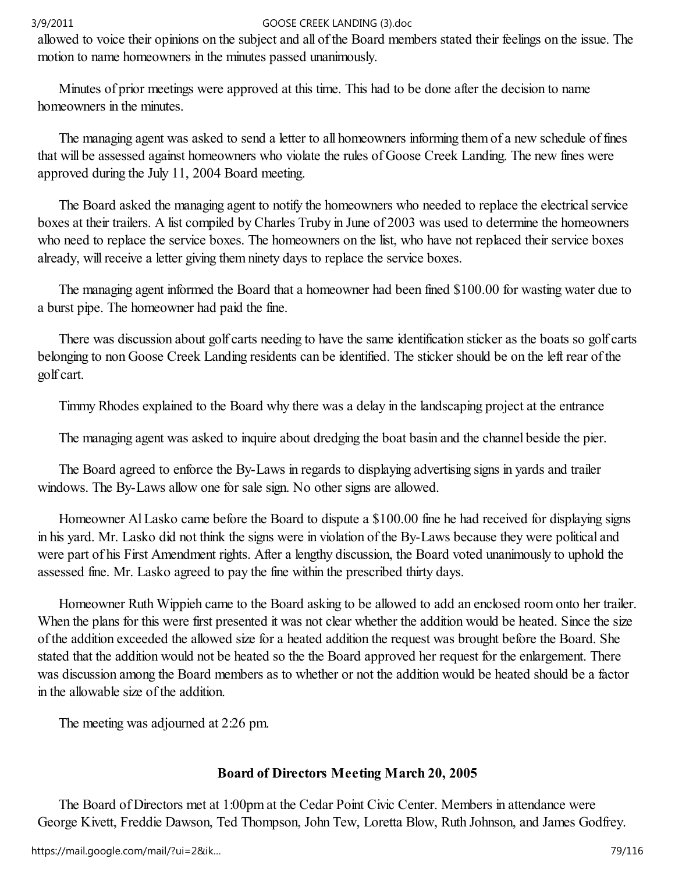allowed to voice their opinions on the subject and all of the Board members stated their feelings on the issue. The motion to name homeowners in the minutes passed unanimously.

 Minutes of prior meetings were approved at this time. This had to be done after the decision to name homeowners in the minutes.

 The managing agent was asked to send a letter to all homeowners informing them of a new schedule of fines that will be assessed against homeowners who violate the rules of Goose Creek Landing. The new fines were approved during the July 11, 2004 Board meeting.

 The Board asked the managing agent to notify the homeowners who needed to replace the electrical service boxes at their trailers. A list compiled by Charles Truby in June of 2003 was used to determine the homeowners who need to replace the service boxes. The homeowners on the list, who have not replaced their service boxes already, will receive a letter giving them ninety days to replace the service boxes.

 The managing agent informed the Board that a homeowner had been fined \$100.00 for wasting water due to a burst pipe. The homeowner had paid the fine.

 There was discussion about golf carts needing to have the same identification sticker as the boats so golf carts belonging to non Goose Creek Landing residents can be identified. The sticker should be on the left rear of the golf cart.

Timmy Rhodes explained to the Board why there was a delay in the landscaping project at the entrance

The managing agent was asked to inquire about dredging the boat basin and the channel beside the pier.

 The Board agreed to enforce the By-Laws in regards to displaying advertising signs in yards and trailer windows. The By-Laws allow one for sale sign. No other signs are allowed.

 Homeowner Al Lasko came before the Board to dispute a \$100.00 fine he had received for displaying signs in his yard. Mr. Lasko did not think the signs were in violation of the By-Laws because they were political and were part of his First Amendment rights. After a lengthy discussion, the Board voted unanimously to uphold the assessed fine. Mr. Lasko agreed to pay the fine within the prescribed thirty days.

 Homeowner Ruth Wippieh came to the Board asking to be allowed to add an enclosed room onto her trailer. When the plans for this were first presented it was not clear whether the addition would be heated. Since the size of the addition exceeded the allowed size for a heated addition the request was brought before the Board. She stated that the addition would not be heated so the the Board approved her request for the enlargement. There was discussion among the Board members as to whether or not the addition would be heated should be a factor in the allowable size of the addition.

The meeting was adjourned at 2:26 pm.

## Board of Directors Meeting March 20, 2005

 The Board of Directors met at 1:00pm at the Cedar Point Civic Center. Members in attendance were George Kivett, Freddie Dawson, Ted Thompson, John Tew, Loretta Blow, Ruth Johnson, and James Godfrey.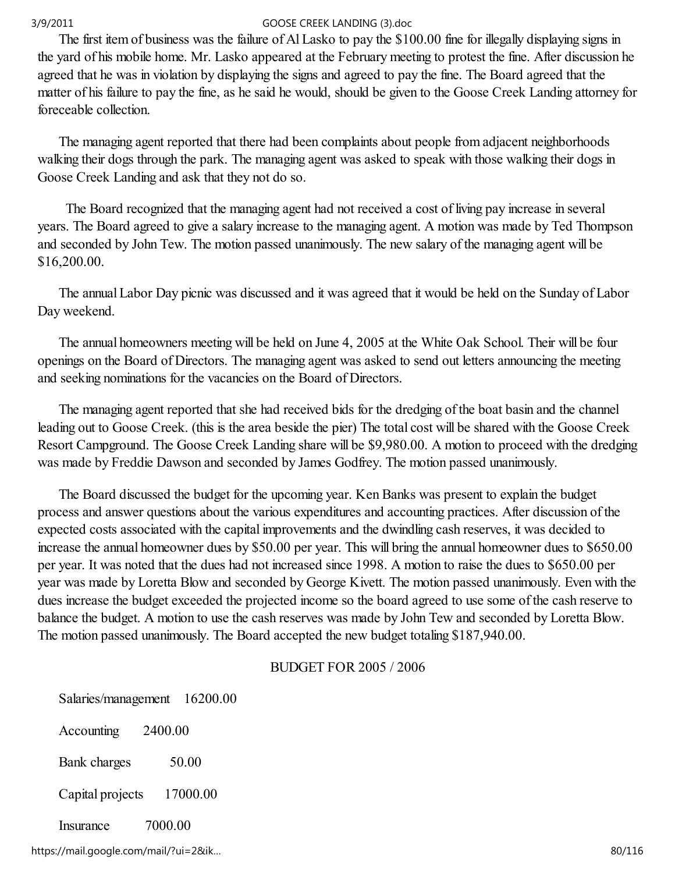The first item of business was the failure of Al Lasko to pay the \$100.00 fine for illegally displaying signs in the yard of his mobile home. Mr. Lasko appeared at the February meeting to protest the fine. After discussion he agreed that he was in violation by displaying the signs and agreed to pay the fine. The Board agreed that the matter of his failure to pay the fine, as he said he would, should be given to the Goose Creek Landing attorney for foreceable collection.

 The managing agent reported that there had been complaints about people from adjacent neighborhoods walking their dogs through the park. The managing agent was asked to speak with those walking their dogs in Goose Creek Landing and ask that they not do so.

 The Board recognized that the managing agent had not received a cost of living pay increase in several years. The Board agreed to give a salary increase to the managing agent. A motion was made by Ted Thompson and seconded by John Tew. The motion passed unanimously. The new salary of the managing agent will be \$16,200.00.

 The annual Labor Day picnic was discussed and it was agreed that it would be held on the Sunday of Labor Day weekend.

 The annual homeowners meeting will be held on June 4, 2005 at the White Oak School. Their will be four openings on the Board of Directors. The managing agent was asked to send out letters announcing the meeting and seeking nominations for the vacancies on the Board of Directors.

 The managing agent reported that she had received bids for the dredging of the boat basin and the channel leading out to Goose Creek. (this is the area beside the pier) The total cost will be shared with the Goose Creek Resort Campground. The Goose Creek Landing share will be \$9,980.00. A motion to proceed with the dredging was made by Freddie Dawson and seconded by James Godfrey. The motion passed unanimously.

 The Board discussed the budget for the upcoming year. Ken Banks was present to explain the budget process and answer questions about the various expenditures and accounting practices. After discussion of the expected costs associated with the capital improvements and the dwindling cash reserves, it was decided to increase the annual homeowner dues by \$50.00 per year. This will bring the annual homeowner dues to \$650.00 per year. It was noted that the dues had not increased since 1998. A motion to raise the dues to \$650.00 per year was made by Loretta Blow and seconded by George Kivett. The motion passed unanimously. Even with the dues increase the budget exceeded the projected income so the board agreed to use some of the cash reserve to balance the budget. A motion to use the cash reserves was made by John Tew and seconded by Loretta Blow. The motion passed unanimously. The Board accepted the new budget totaling \$187,940.00.

## BUDGET FOR 2005 / 2006

| Salaries/management | 16200.00 |
|---------------------|----------|
| Accounting          | 2400.00  |
| Bank charges        | 50.00    |
| Capital projects    | 17000.00 |
| Insurance           | 7000.00  |

https://mail.google.com/mail/?ui=2&ik... 80/116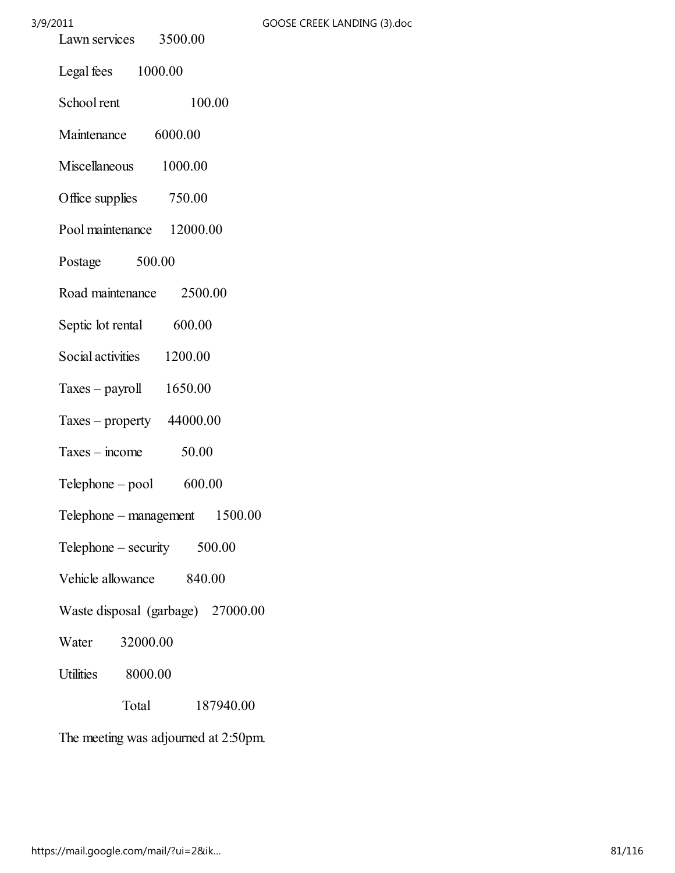# $3/9/2011$

| GOOSE CREEK LANDING (3).doc |  |
|-----------------------------|--|
|-----------------------------|--|

| Lawn services 3500.00             |
|-----------------------------------|
| Legal fees 1000.00                |
| School rent<br>100.00             |
| 6000.00<br>Maintenance            |
| Miscellaneous 1000.00             |
| Office supplies 750.00            |
| Pool maintenance 12000.00         |
| Postage 500.00                    |
| Road maintenance 2500.00          |
| Septic lot rental 600.00          |
| Social activities 1200.00         |
| Taxes - payroll $1650.00$         |
| Taxes – property $44000.00$       |
| 50.00<br>$Taxes - income$         |
| 600.00<br>$Telphone - pool$       |
| 1500.00<br>Telephone – management |
| $Telephone - security$ 500.00     |
| Vehicle allowance 840.00          |
| Waste disposal (garbage) 27000.00 |
| 32000.00<br>Water                 |
| Utilities 8000.00                 |
| Total<br>187940.00                |
|                                   |

The meeting was adjourned at 2:50pm.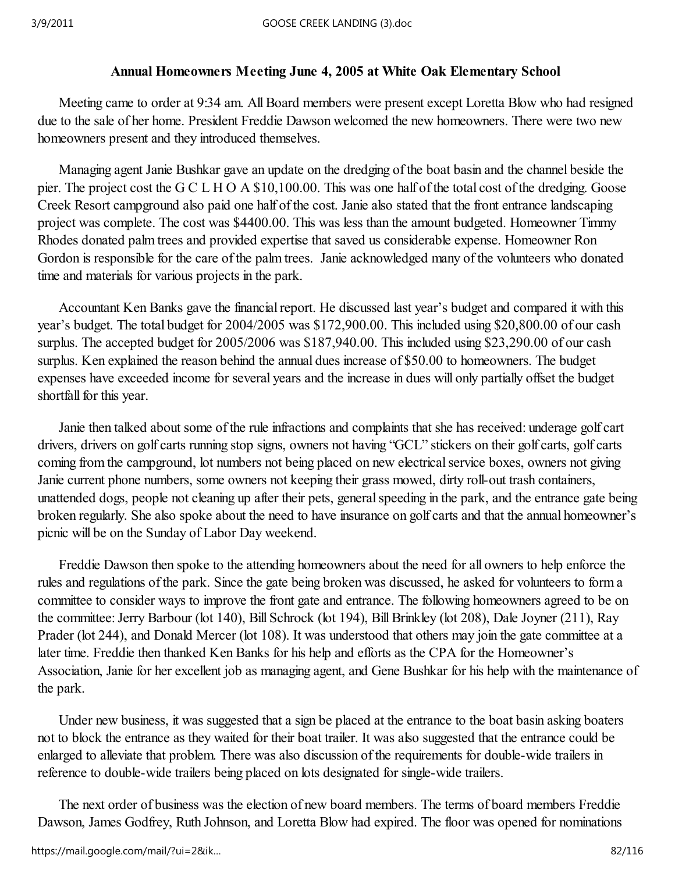# Annual Homeowners Meeting June 4, 2005 at White Oak Elementary School

 Meeting came to order at 9:34 am. All Board members were present except Loretta Blow who had resigned due to the sale of her home. President Freddie Dawson welcomed the new homeowners. There were two new homeowners present and they introduced themselves.

 Managing agent Janie Bushkar gave an update on the dredging of the boat basin and the channel beside the pier. The project cost the G C L H O A \$10,100.00. This was one half of the total cost of the dredging. Goose Creek Resort campground also paid one half of the cost. Janie also stated that the front entrance landscaping project was complete. The cost was \$4400.00. This was less than the amount budgeted. Homeowner Timmy Rhodes donated palm trees and provided expertise that saved us considerable expense. Homeowner Ron Gordon is responsible for the care of the palm trees. Janie acknowledged many of the volunteers who donated time and materials for various projects in the park.

 Accountant Ken Banks gave the financial report. He discussed last year's budget and compared it with this year's budget. The total budget for 2004/2005 was \$172,900.00. This included using \$20,800.00 of our cash surplus. The accepted budget for 2005/2006 was \$187,940.00. This included using \$23,290.00 of our cash surplus. Ken explained the reason behind the annual dues increase of \$50.00 to homeowners. The budget expenses have exceeded income for several years and the increase in dues will only partially offset the budget shortfall for this year.

 Janie then talked about some of the rule infractions and complaints that she has received: underage golf cart drivers, drivers on golf carts running stop signs, owners not having "GCL" stickers on their golf carts, golf carts coming from the campground, lot numbers not being placed on new electrical service boxes, owners not giving Janie current phone numbers, some owners not keeping their grass mowed, dirty roll-out trash containers, unattended dogs, people not cleaning up after their pets, general speeding in the park, and the entrance gate being broken regularly. She also spoke about the need to have insurance on golf carts and that the annual homeowner's picnic will be on the Sunday of Labor Day weekend.

 Freddie Dawson then spoke to the attending homeowners about the need for all owners to help enforce the rules and regulations of the park. Since the gate being broken was discussed, he asked for volunteers to form a committee to consider ways to improve the front gate and entrance. The following homeowners agreed to be on the committee: Jerry Barbour (lot 140), Bill Schrock (lot 194), Bill Brinkley (lot 208), Dale Joyner (211), Ray Prader (lot 244), and Donald Mercer (lot 108). It was understood that others may join the gate committee at a later time. Freddie then thanked Ken Banks for his help and efforts as the CPA for the Homeowner's Association, Janie for her excellent job as managing agent, and Gene Bushkar for his help with the maintenance of the park.

 Under new business, it was suggested that a sign be placed at the entrance to the boat basin asking boaters not to block the entrance as they waited for their boat trailer. It was also suggested that the entrance could be enlarged to alleviate that problem. There was also discussion of the requirements for double-wide trailers in reference to double-wide trailers being placed on lots designated for single-wide trailers.

 The next order of business was the election of new board members. The terms of board members Freddie Dawson, James Godfrey, Ruth Johnson, and Loretta Blow had expired. The floor was opened for nominations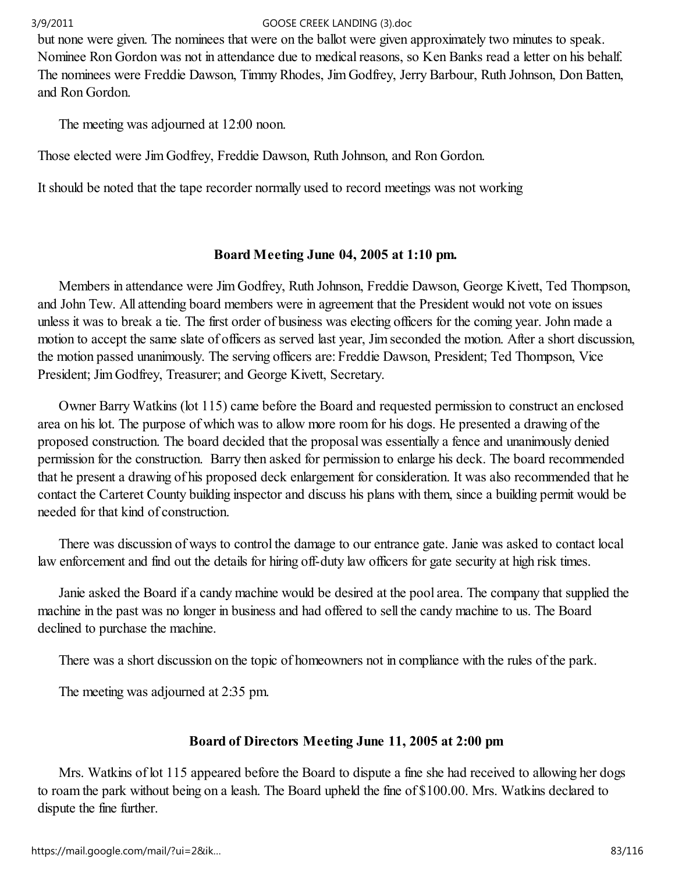but none were given. The nominees that were on the ballot were given approximately two minutes to speak. Nominee Ron Gordon was not in attendance due to medical reasons, so Ken Banks read a letter on his behalf. The nominees were Freddie Dawson, Timmy Rhodes, Jim Godfrey, Jerry Barbour, Ruth Johnson, Don Batten, and Ron Gordon.

The meeting was adjourned at 12:00 noon.

Those elected were Jim Godfrey, Freddie Dawson, Ruth Johnson, and Ron Gordon.

It should be noted that the tape recorder normally used to record meetings was not working

# Board Meeting June 04, 2005 at 1:10 pm.

 Members in attendance were Jim Godfrey, Ruth Johnson, Freddie Dawson, George Kivett, Ted Thompson, and John Tew. All attending board members were in agreement that the President would not vote on issues unless it was to break a tie. The first order of business was electing officers for the coming year. John made a motion to accept the same slate of officers as served last year, Jim seconded the motion. After a short discussion, the motion passed unanimously. The serving officers are: Freddie Dawson, President; Ted Thompson, Vice President; Jim Godfrey, Treasurer; and George Kivett, Secretary.

 Owner Barry Watkins (lot 115) came before the Board and requested permission to construct an enclosed area on his lot. The purpose of which was to allow more room for his dogs. He presented a drawing of the proposed construction. The board decided that the proposal was essentially a fence and unanimously denied permission for the construction. Barry then asked for permission to enlarge his deck. The board recommended that he present a drawing of his proposed deck enlargement for consideration. It was also recommended that he contact the Carteret County building inspector and discuss his plans with them, since a building permit would be needed for that kind of construction.

 There was discussion of ways to control the damage to our entrance gate. Janie was asked to contact local law enforcement and find out the details for hiring off-duty law officers for gate security at high risk times.

 Janie asked the Board if a candy machine would be desired at the pool area. The company that supplied the machine in the past was no longer in business and had offered to sell the candy machine to us. The Board declined to purchase the machine.

There was a short discussion on the topic of homeowners not in compliance with the rules of the park.

The meeting was adjourned at 2:35 pm.

# Board of Directors Meeting June 11, 2005 at 2:00 pm

 Mrs. Watkins of lot 115 appeared before the Board to dispute a fine she had received to allowing her dogs to roam the park without being on a leash. The Board upheld the fine of \$100.00. Mrs. Watkins declared to dispute the fine further.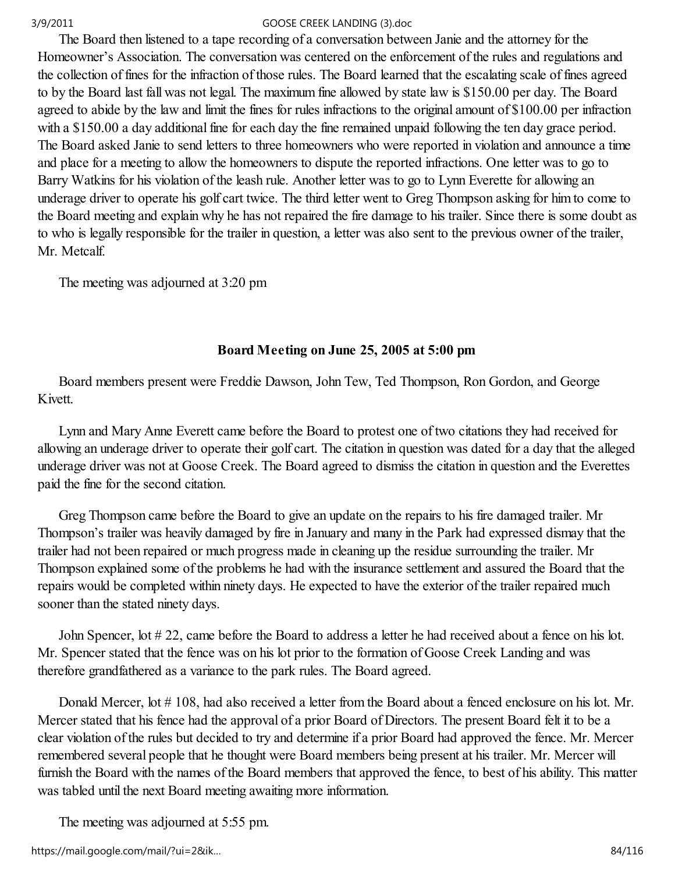The Board then listened to a tape recording of a conversation between Janie and the attorney for the Homeowner's Association. The conversation was centered on the enforcement of the rules and regulations and the collection of fines for the infraction of those rules. The Board learned that the escalating scale of fines agreed to by the Board last fall was not legal. The maximum fine allowed by state law is \$150.00 per day. The Board agreed to abide by the law and limit the fines for rules infractions to the original amount of \$100.00 per infraction with a \$150.00 a day additional fine for each day the fine remained unpaid following the ten day grace period. The Board asked Janie to send letters to three homeowners who were reported in violation and announce a time and place for a meeting to allow the homeowners to dispute the reported infractions. One letter was to go to Barry Watkins for his violation of the leash rule. Another letter was to go to Lynn Everette for allowing an underage driver to operate his golf cart twice. The third letter went to Greg Thompson asking for him to come to the Board meeting and explain why he has not repaired the fire damage to his trailer. Since there is some doubt as to who is legally responsible for the trailer in question, a letter was also sent to the previous owner of the trailer, Mr. Metcalf.

The meeting was adjourned at 3:20 pm

# Board Meeting on June 25, 2005 at 5:00 pm

 Board members present were Freddie Dawson, John Tew, Ted Thompson, Ron Gordon, and George Kivett.

 Lynn and Mary Anne Everett came before the Board to protest one of two citations they had received for allowing an underage driver to operate their golf cart. The citation in question was dated for a day that the alleged underage driver was not at Goose Creek. The Board agreed to dismiss the citation in question and the Everettes paid the fine for the second citation.

 Greg Thompson came before the Board to give an update on the repairs to his fire damaged trailer. Mr Thompson's trailer was heavily damaged by fire in January and many in the Park had expressed dismay that the trailer had not been repaired or much progress made in cleaning up the residue surrounding the trailer. Mr Thompson explained some of the problems he had with the insurance settlement and assured the Board that the repairs would be completed within ninety days. He expected to have the exterior of the trailer repaired much sooner than the stated ninety days.

 John Spencer, lot # 22, came before the Board to address a letter he had received about a fence on his lot. Mr. Spencer stated that the fence was on his lot prior to the formation of Goose Creek Landing and was therefore grandfathered as a variance to the park rules. The Board agreed.

Donald Mercer, lot #108, had also received a letter from the Board about a fenced enclosure on his lot. Mr. Mercer stated that his fence had the approval of a prior Board of Directors. The present Board felt it to be a clear violation of the rules but decided to try and determine if a prior Board had approved the fence. Mr. Mercer remembered several people that he thought were Board members being present at his trailer. Mr. Mercer will furnish the Board with the names of the Board members that approved the fence, to best of his ability. This matter was tabled until the next Board meeting awaiting more information.

The meeting was adjourned at 5:55 pm.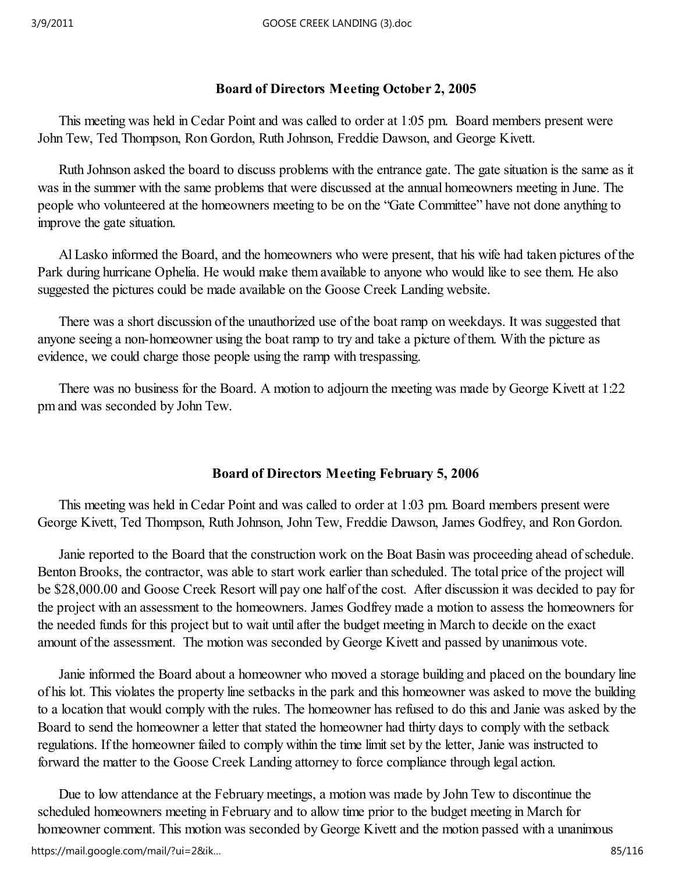# Board of Directors Meeting October 2, 2005

 This meeting was held in Cedar Point and was called to order at 1:05 pm. Board members present were John Tew, Ted Thompson, Ron Gordon, Ruth Johnson, Freddie Dawson, and George Kivett.

 Ruth Johnson asked the board to discuss problems with the entrance gate. The gate situation is the same as it was in the summer with the same problems that were discussed at the annual homeowners meeting in June. The people who volunteered at the homeowners meeting to be on the "Gate Committee" have not done anything to improve the gate situation.

 Al Lasko informed the Board, and the homeowners who were present, that his wife had taken pictures of the Park during hurricane Ophelia. He would make them available to anyone who would like to see them. He also suggested the pictures could be made available on the Goose Creek Landing website.

 There was a short discussion of the unauthorized use of the boat ramp on weekdays. It was suggested that anyone seeing a non-homeowner using the boat ramp to try and take a picture of them. With the picture as evidence, we could charge those people using the ramp with trespassing.

 There was no business for the Board. A motion to adjourn the meeting was made by George Kivett at 1:22 pm and was seconded by John Tew.

# Board of Directors Meeting February 5, 2006

 This meeting was held in Cedar Point and was called to order at 1:03 pm. Board members present were George Kivett, Ted Thompson, Ruth Johnson, John Tew, Freddie Dawson, James Godfrey, and Ron Gordon.

 Janie reported to the Board that the construction work on the Boat Basin was proceeding ahead of schedule. Benton Brooks, the contractor, was able to start work earlier than scheduled. The total price of the project will be \$28,000.00 and Goose Creek Resort will pay one half of the cost. After discussion it was decided to pay for the project with an assessment to the homeowners. James Godfrey made a motion to assess the homeowners for the needed funds for this project but to wait until after the budget meeting in March to decide on the exact amount of the assessment. The motion was seconded by George Kivett and passed by unanimous vote.

 Janie informed the Board about a homeowner who moved a storage building and placed on the boundary line of his lot. This violates the property line setbacks in the park and this homeowner was asked to move the building to a location that would comply with the rules. The homeowner has refused to do this and Janie was asked by the Board to send the homeowner a letter that stated the homeowner had thirty days to comply with the setback regulations. If the homeowner failed to comply within the time limit set by the letter, Janie was instructed to forward the matter to the Goose Creek Landing attorney to force compliance through legal action.

 Due to low attendance at the February meetings, a motion was made by John Tew to discontinue the scheduled homeowners meeting in February and to allow time prior to the budget meeting in March for homeowner comment. This motion was seconded by George Kivett and the motion passed with a unanimous https://mail.google.com/mail/?ui=2&ik… 85/116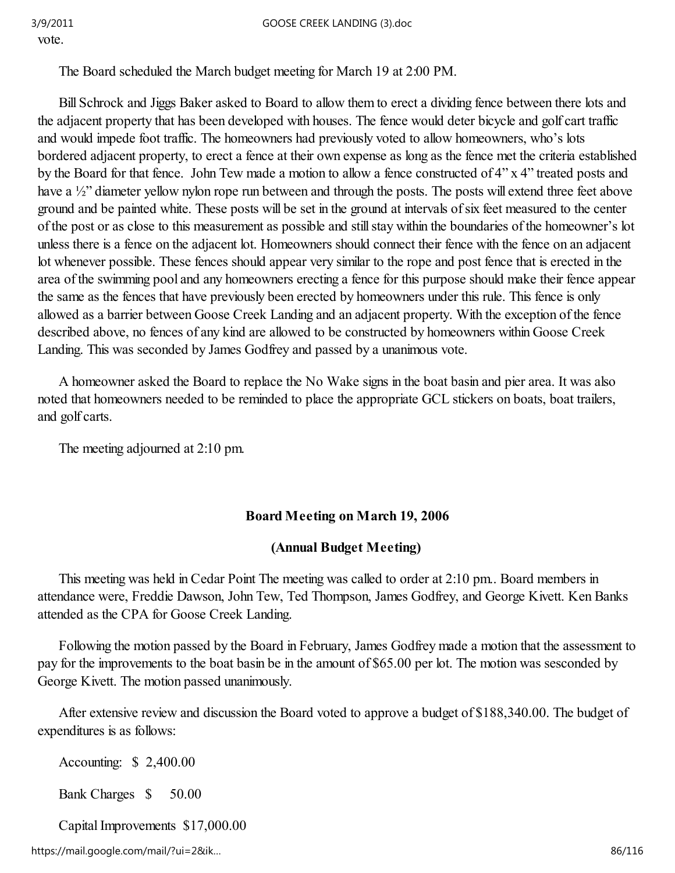vote.

The Board scheduled the March budget meeting for March 19 at 2:00 PM.

 Bill Schrock and Jiggs Baker asked to Board to allow them to erect a dividing fence between there lots and the adjacent property that has been developed with houses. The fence would deter bicycle and golf cart traffic and would impede foot traffic. The homeowners had previously voted to allow homeowners, who's lots bordered adjacent property, to erect a fence at their own expense as long as the fence met the criteria established by the Board for that fence. John Tew made a motion to allow a fence constructed of 4" x 4" treated posts and have a <sup>1</sup>/<sub>2</sub>" diameter yellow nylon rope run between and through the posts. The posts will extend three feet above ground and be painted white. These posts will be set in the ground at intervals of six feet measured to the center of the post or as close to this measurement as possible and still stay within the boundaries of the homeowner's lot unless there is a fence on the adjacent lot. Homeowners should connect their fence with the fence on an adjacent lot whenever possible. These fences should appear very similar to the rope and post fence that is erected in the area of the swimming pool and any homeowners erecting a fence for this purpose should make their fence appear the same as the fences that have previously been erected by homeowners under this rule. This fence is only allowed as a barrier between Goose Creek Landing and an adjacent property. With the exception of the fence described above, no fences of any kind are allowed to be constructed by homeowners within Goose Creek Landing. This was seconded by James Godfrey and passed by a unanimous vote.

 A homeowner asked the Board to replace the No Wake signs in the boat basin and pier area. It was also noted that homeowners needed to be reminded to place the appropriate GCL stickers on boats, boat trailers, and golf carts.

The meeting adjourned at 2:10 pm.

## Board Meeting on March 19, 2006

## (Annual Budget Meeting)

 This meeting was held in Cedar Point The meeting was called to order at 2:10 pm.. Board members in attendance were, Freddie Dawson, John Tew, Ted Thompson, James Godfrey, and George Kivett. Ken Banks attended as the CPA for Goose Creek Landing.

 Following the motion passed by the Board in February, James Godfrey made a motion that the assessment to pay for the improvements to the boat basin be in the amount of \$65.00 per lot. The motion was sesconded by George Kivett. The motion passed unanimously.

 After extensive review and discussion the Board voted to approve a budget of \$188,340.00. The budget of expenditures is as follows:

Accounting: \$ 2,400.00

Bank Charges \$ 50.00

Capital Improvements \$17,000.00

https://mail.google.com/mail/?ui=2&ik… 86/116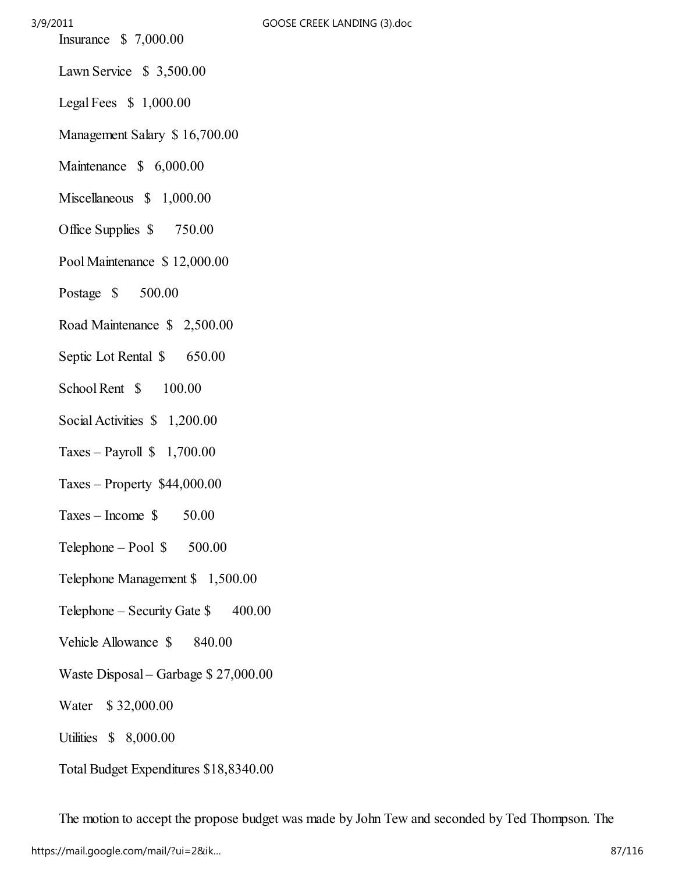- Insurance \$ 7,000.00
- Lawn Service \$ 3,500.00
- Legal Fees \$ 1,000.00
- Management Salary \$ 16,700.00
- Maintenance \$ 6,000.00
- Miscellaneous \$ 1,000.00
- Office Supplies  $$750.00$
- Pool Maintenance \$ 12,000.00
- Postage \$ 500.00
- Road Maintenance \$ 2,500.00
- Septic Lot Rental  $\$\$  650.00
- School Rent  $$ 100.00$
- Social Activities  $$1,200.00$
- Taxes Payroll  $$1,700.00$
- Taxes Property \$44,000.00
- $Taxes Income \t$ 50.00$
- Telephone Pool \$ 500.00
- Telephone Management \$ 1,500.00
- Telephone Security Gate \$400.00
- Vehicle Allowance  $\$\$  840.00
- Waste Disposal Garbage \$ 27,000.00
- Water \$ 32,000.00
- Utilities \$ 8,000.00
- Total Budget Expenditures \$18,8340.00

The motion to accept the propose budget was made by John Tew and seconded by Ted Thompson. The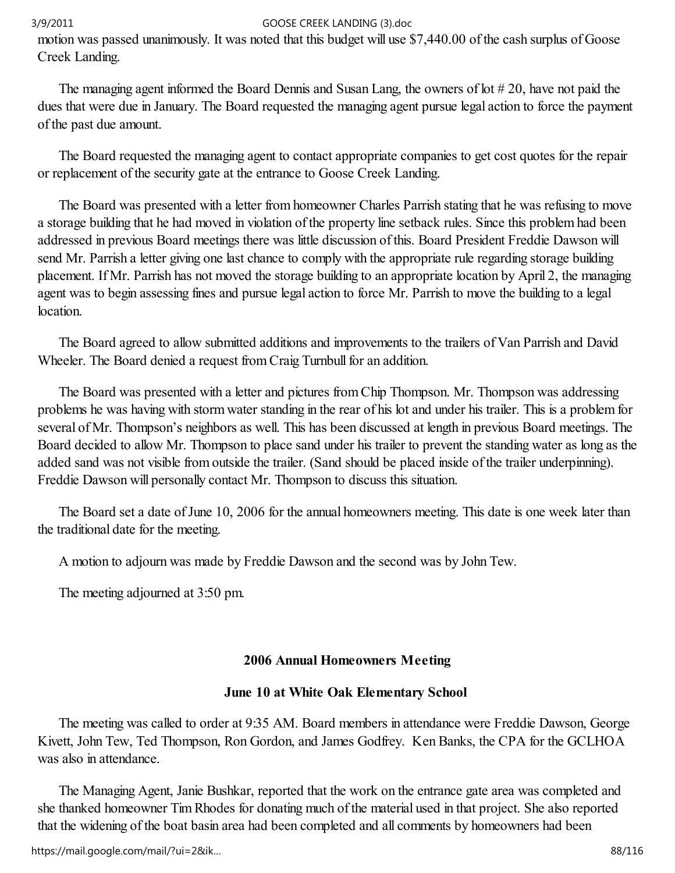motion was passed unanimously. It was noted that this budget will use \$7,440.00 of the cash surplus of Goose Creek Landing.

 The managing agent informed the Board Dennis and Susan Lang, the owners of lot # 20, have not paid the dues that were due in January. The Board requested the managing agent pursue legal action to force the payment of the past due amount.

 The Board requested the managing agent to contact appropriate companies to get cost quotes for the repair or replacement of the security gate at the entrance to Goose Creek Landing.

 The Board was presented with a letter from homeowner Charles Parrish stating that he was refusing to move a storage building that he had moved in violation of the property line setback rules. Since this problem had been addressed in previous Board meetings there was little discussion of this. Board President Freddie Dawson will send Mr. Parrish a letter giving one last chance to comply with the appropriate rule regarding storage building placement. If Mr. Parrish has not moved the storage building to an appropriate location by April 2, the managing agent was to begin assessing fines and pursue legal action to force Mr. Parrish to move the building to a legal location.

 The Board agreed to allow submitted additions and improvements to the trailers of Van Parrish and David Wheeler. The Board denied a request from Craig Turnbull for an addition.

 The Board was presented with a letter and pictures from Chip Thompson. Mr. Thompson was addressing problems he was having with storm water standing in the rear of his lot and under his trailer. This is a problem for several of Mr. Thompson's neighbors as well. This has been discussed at length in previous Board meetings. The Board decided to allow Mr. Thompson to place sand under his trailer to prevent the standing water as long as the added sand was not visible from outside the trailer. (Sand should be placed inside of the trailer underpinning). Freddie Dawson will personally contact Mr. Thompson to discuss this situation.

 The Board set a date of June 10, 2006 for the annual homeowners meeting. This date is one week later than the traditional date for the meeting.

A motion to adjourn was made by Freddie Dawson and the second was by John Tew.

The meeting adjourned at 3:50 pm.

# 2006 Annual Homeowners Meeting

## June 10 at White Oak Elementary School

 The meeting was called to order at 9:35 AM. Board members in attendance were Freddie Dawson, George Kivett, John Tew, Ted Thompson, Ron Gordon, and James Godfrey. Ken Banks, the CPA for the GCLHOA was also in attendance.

 The Managing Agent, Janie Bushkar, reported that the work on the entrance gate area was completed and she thanked homeowner Tim Rhodes for donating much of the material used in that project. She also reported that the widening of the boat basin area had been completed and all comments by homeowners had been

https://mail.google.com/mail/?ui=2&ik… 88/116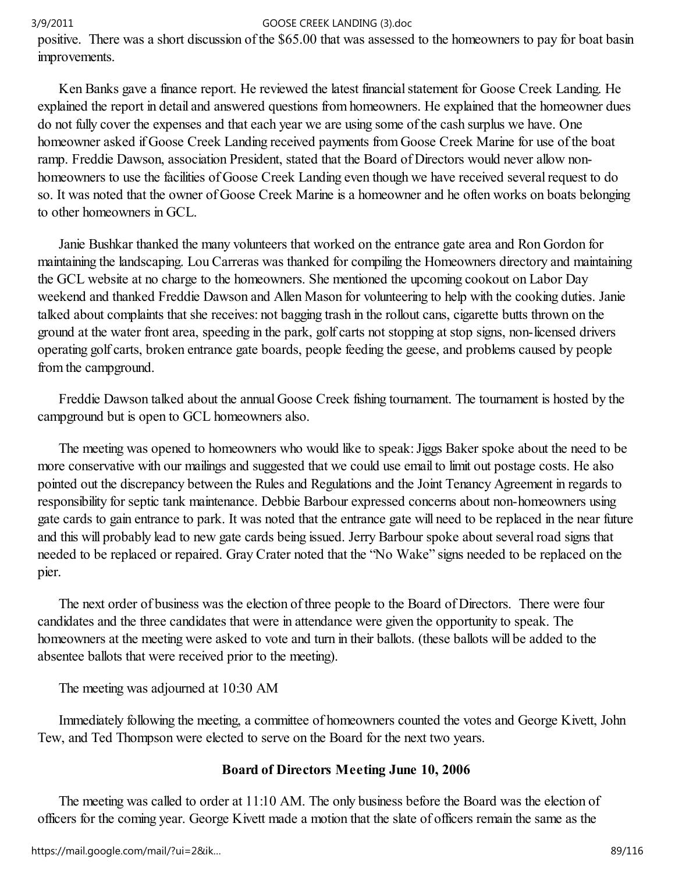positive. There was a short discussion of the \$65.00 that was assessed to the homeowners to pay for boat basin improvements.

 Ken Banks gave a finance report. He reviewed the latest financial statement for Goose Creek Landing. He explained the report in detail and answered questions from homeowners. He explained that the homeowner dues do not fully cover the expenses and that each year we are using some of the cash surplus we have. One homeowner asked if Goose Creek Landing received payments from Goose Creek Marine for use of the boat ramp. Freddie Dawson, association President, stated that the Board of Directors would never allow nonhomeowners to use the facilities of Goose Creek Landing even though we have received several request to do so. It was noted that the owner of Goose Creek Marine is a homeowner and he often works on boats belonging to other homeowners in GCL.

 Janie Bushkar thanked the many volunteers that worked on the entrance gate area and Ron Gordon for maintaining the landscaping. Lou Carreras was thanked for compiling the Homeowners directory and maintaining the GCL website at no charge to the homeowners. She mentioned the upcoming cookout on Labor Day weekend and thanked Freddie Dawson and Allen Mason for volunteering to help with the cooking duties. Janie talked about complaints that she receives: not bagging trash in the rollout cans, cigarette butts thrown on the ground at the water front area, speeding in the park, golf carts not stopping at stop signs, non-licensed drivers operating golf carts, broken entrance gate boards, people feeding the geese, and problems caused by people from the campground.

 Freddie Dawson talked about the annual Goose Creek fishing tournament. The tournament is hosted by the campground but is open to GCL homeowners also.

 The meeting was opened to homeowners who would like to speak: Jiggs Baker spoke about the need to be more conservative with our mailings and suggested that we could use email to limit out postage costs. He also pointed out the discrepancy between the Rules and Regulations and the Joint Tenancy Agreement in regards to responsibility for septic tank maintenance. Debbie Barbour expressed concerns about non-homeowners using gate cards to gain entrance to park. It was noted that the entrance gate will need to be replaced in the near future and this will probably lead to new gate cards being issued. Jerry Barbour spoke about several road signs that needed to be replaced or repaired. Gray Crater noted that the "No Wake" signs needed to be replaced on the pier.

 The next order of business was the election of three people to the Board of Directors. There were four candidates and the three candidates that were in attendance were given the opportunity to speak. The homeowners at the meeting were asked to vote and turn in their ballots. (these ballots will be added to the absentee ballots that were received prior to the meeting).

The meeting was adjourned at 10:30 AM

 Immediately following the meeting, a committee of homeowners counted the votes and George Kivett, John Tew, and Ted Thompson were elected to serve on the Board for the next two years.

## Board of Directors Meeting June 10, 2006

 The meeting was called to order at 11:10 AM. The only business before the Board was the election of officers for the coming year. George Kivett made a motion that the slate of officers remain the same as the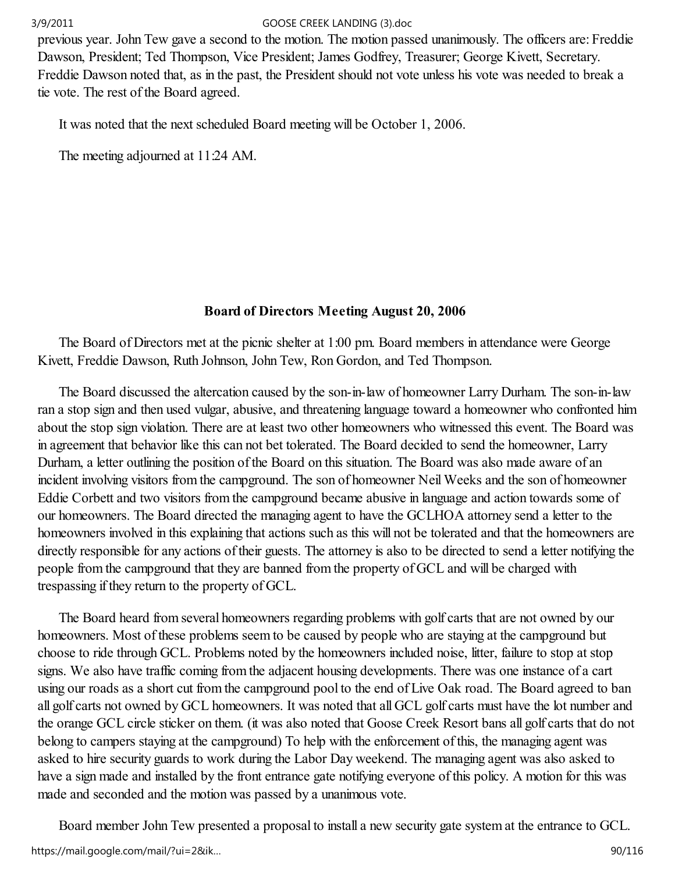previous year. John Tew gave a second to the motion. The motion passed unanimously. The officers are: Freddie Dawson, President; Ted Thompson, Vice President; James Godfrey, Treasurer; George Kivett, Secretary. Freddie Dawson noted that, as in the past, the President should not vote unless his vote was needed to break a tie vote. The rest of the Board agreed.

It was noted that the next scheduled Board meeting will be October 1, 2006.

The meeting adjourned at 11:24 AM.

# Board of Directors Meeting August 20, 2006

 The Board of Directors met at the picnic shelter at 1:00 pm. Board members in attendance were George Kivett, Freddie Dawson, Ruth Johnson, John Tew, Ron Gordon, and Ted Thompson.

 The Board discussed the altercation caused by the son-in-law of homeowner Larry Durham. The son-in-law ran a stop sign and then used vulgar, abusive, and threatening language toward a homeowner who confronted him about the stop sign violation. There are at least two other homeowners who witnessed this event. The Board was in agreement that behavior like this can not bet tolerated. The Board decided to send the homeowner, Larry Durham, a letter outlining the position of the Board on this situation. The Board was also made aware of an incident involving visitors from the campground. The son of homeowner Neil Weeks and the son of homeowner Eddie Corbett and two visitors from the campground became abusive in language and action towards some of our homeowners. The Board directed the managing agent to have the GCLHOA attorney send a letter to the homeowners involved in this explaining that actions such as this will not be tolerated and that the homeowners are directly responsible for any actions of their guests. The attorney is also to be directed to send a letter notifying the people from the campground that they are banned from the property of GCL and will be charged with trespassing if they return to the property of GCL.

 The Board heard from several homeowners regarding problems with golf carts that are not owned by our homeowners. Most of these problems seem to be caused by people who are staying at the campground but choose to ride through GCL. Problems noted by the homeowners included noise, litter, failure to stop at stop signs. We also have traffic coming from the adjacent housing developments. There was one instance of a cart using our roads as a short cut from the campground pool to the end of Live Oak road. The Board agreed to ban all golf carts not owned by GCL homeowners. It was noted that all GCL golf carts must have the lot number and the orange GCL circle sticker on them. (it was also noted that Goose Creek Resort bans all golf carts that do not belong to campers staying at the campground) To help with the enforcement of this, the managing agent was asked to hire security guards to work during the Labor Day weekend. The managing agent was also asked to have a sign made and installed by the front entrance gate notifying everyone of this policy. A motion for this was made and seconded and the motion was passed by a unanimous vote.

 Board member John Tew presented a proposal to install a new security gate system at the entrance to GCL. https://mail.google.com/mail/?ui=2&ik… 90/116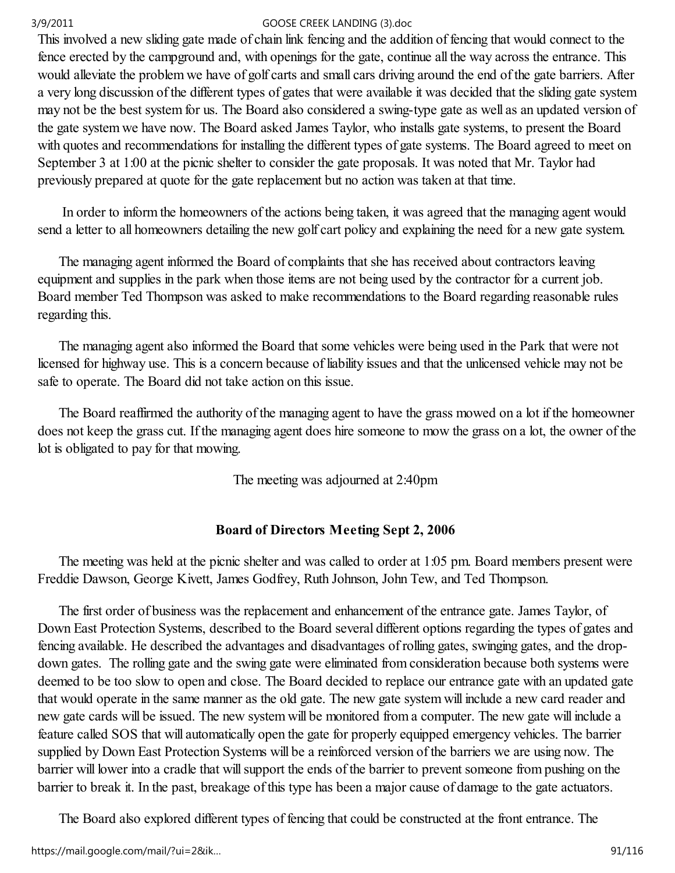This involved a new sliding gate made of chain link fencing and the addition of fencing that would connect to the fence erected by the campground and, with openings for the gate, continue all the way across the entrance. This would alleviate the problem we have of golf carts and small cars driving around the end of the gate barriers. After a very long discussion of the different types of gates that were available it was decided that the sliding gate system may not be the best system for us. The Board also considered a swing-type gate as well as an updated version of the gate system we have now. The Board asked James Taylor, who installs gate systems, to present the Board with quotes and recommendations for installing the different types of gate systems. The Board agreed to meet on September 3 at 1:00 at the picnic shelter to consider the gate proposals. It was noted that Mr. Taylor had previously prepared at quote for the gate replacement but no action was taken at that time.

 In order to inform the homeowners of the actions being taken, it was agreed that the managing agent would send a letter to all homeowners detailing the new golf cart policy and explaining the need for a new gate system.

 The managing agent informed the Board of complaints that she has received about contractors leaving equipment and supplies in the park when those items are not being used by the contractor for a current job. Board member Ted Thompson was asked to make recommendations to the Board regarding reasonable rules regarding this.

 The managing agent also informed the Board that some vehicles were being used in the Park that were not licensed for highway use. This is a concern because of liability issues and that the unlicensed vehicle may not be safe to operate. The Board did not take action on this issue.

 The Board reaffirmed the authority of the managing agent to have the grass mowed on a lot if the homeowner does not keep the grass cut. If the managing agent does hire someone to mow the grass on a lot, the owner of the lot is obligated to pay for that mowing.

The meeting was adjourned at 2:40pm

# Board of Directors Meeting Sept 2, 2006

 The meeting was held at the picnic shelter and was called to order at 1:05 pm. Board members present were Freddie Dawson, George Kivett, James Godfrey, Ruth Johnson, John Tew, and Ted Thompson.

 The first order of business was the replacement and enhancement of the entrance gate. James Taylor, of Down East Protection Systems, described to the Board several different options regarding the types of gates and fencing available. He described the advantages and disadvantages of rolling gates, swinging gates, and the dropdown gates. The rolling gate and the swing gate were eliminated from consideration because both systems were deemed to be too slow to open and close. The Board decided to replace our entrance gate with an updated gate that would operate in the same manner as the old gate. The new gate system will include a new card reader and new gate cards will be issued. The new system will be monitored from a computer. The new gate will include a feature called SOS that will automatically open the gate for properly equipped emergency vehicles. The barrier supplied by Down East Protection Systems will be a reinforced version of the barriers we are using now. The barrier will lower into a cradle that will support the ends of the barrier to prevent someone from pushing on the barrier to break it. In the past, breakage of this type has been a major cause of damage to the gate actuators.

The Board also explored different types of fencing that could be constructed at the front entrance. The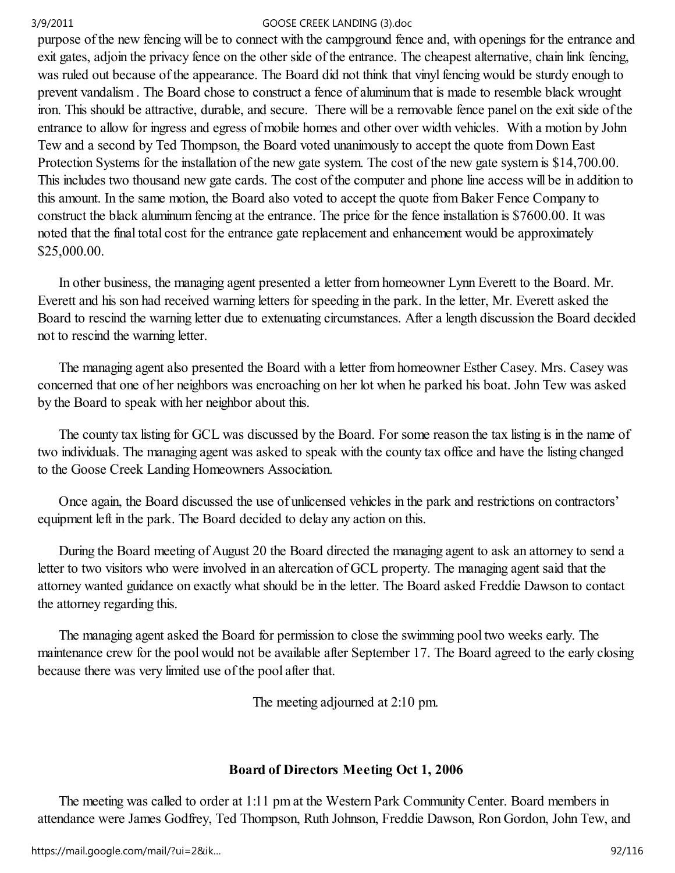purpose of the new fencing will be to connect with the campground fence and, with openings for the entrance and exit gates, adjoin the privacy fence on the other side of the entrance. The cheapest alternative, chain link fencing, was ruled out because of the appearance. The Board did not think that vinyl fencing would be sturdy enough to prevent vandalism . The Board chose to construct a fence of aluminum that is made to resemble black wrought iron. This should be attractive, durable, and secure. There will be a removable fence panel on the exit side of the entrance to allow for ingress and egress of mobile homes and other over width vehicles. With a motion by John Tew and a second by Ted Thompson, the Board voted unanimously to accept the quote from Down East Protection Systems for the installation of the new gate system. The cost of the new gate system is \$14,700.00. This includes two thousand new gate cards. The cost of the computer and phone line access will be in addition to this amount. In the same motion, the Board also voted to accept the quote from Baker Fence Company to construct the black aluminum fencing at the entrance. The price for the fence installation is \$7600.00. It was noted that the final total cost for the entrance gate replacement and enhancement would be approximately \$25,000.00.

 In other business, the managing agent presented a letter from homeowner Lynn Everett to the Board. Mr. Everett and his son had received warning letters for speeding in the park. In the letter, Mr. Everett asked the Board to rescind the warning letter due to extenuating circumstances. After a length discussion the Board decided not to rescind the warning letter.

 The managing agent also presented the Board with a letter from homeowner Esther Casey. Mrs. Casey was concerned that one of her neighbors was encroaching on her lot when he parked his boat. John Tew was asked by the Board to speak with her neighbor about this.

 The county tax listing for GCL was discussed by the Board. For some reason the tax listing is in the name of two individuals. The managing agent was asked to speak with the county tax office and have the listing changed to the Goose Creek Landing Homeowners Association.

 Once again, the Board discussed the use of unlicensed vehicles in the park and restrictions on contractors' equipment left in the park. The Board decided to delay any action on this.

 During the Board meeting of August 20 the Board directed the managing agent to ask an attorney to send a letter to two visitors who were involved in an altercation of GCL property. The managing agent said that the attorney wanted guidance on exactly what should be in the letter. The Board asked Freddie Dawson to contact the attorney regarding this.

 The managing agent asked the Board for permission to close the swimming pool two weeks early. The maintenance crew for the pool would not be available after September 17. The Board agreed to the early closing because there was very limited use of the pool after that.

The meeting adjourned at 2:10 pm.

## Board of Directors Meeting Oct 1, 2006

 The meeting was called to order at 1:11 pm at the Western Park Community Center. Board members in attendance were James Godfrey, Ted Thompson, Ruth Johnson, Freddie Dawson, Ron Gordon, John Tew, and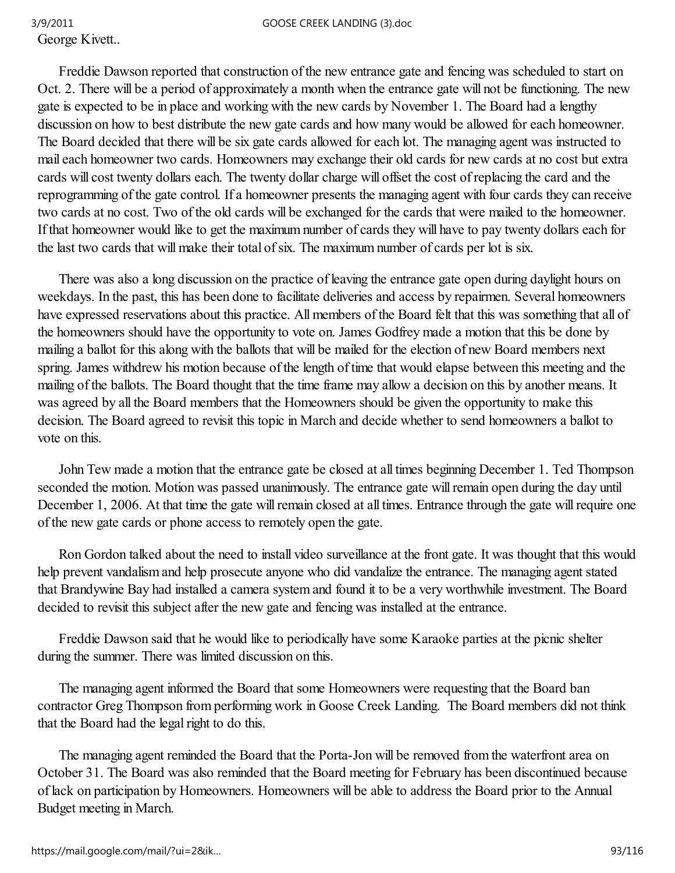George Kivett..

 Freddie Dawson reported that construction of the new entrance gate and fencing was scheduled to start on Oct. 2. There will be a period of approximately a month when the entrance gate will not be functioning. The new gate is expected to be in place and working with the new cards by November 1. The Board had a lengthy discussion on how to best distribute the new gate cards and how many would be allowed for each homeowner. The Board decided that there will be six gate cards allowed for each lot. The managing agent was instructed to mail each homeowner two cards. Homeowners may exchange their old cards for new cards at no cost but extra cards will cost twenty dollars each. The twenty dollar charge will offset the cost of replacing the card and the reprogramming of the gate control. If a homeowner presents the managing agent with four cards they can receive two cards at no cost. Two of the old cards will be exchanged for the cards that were mailed to the homeowner. If that homeowner would like to get the maximum number of cards they will have to pay twenty dollars each for the last two cards that will make their total of six. The maximum number of cards per lot is six.

 There was also a long discussion on the practice of leaving the entrance gate open during daylight hours on weekdays. In the past, this has been done to facilitate deliveries and access by repairmen. Several homeowners have expressed reservations about this practice. All members of the Board felt that this was something that all of the homeowners should have the opportunity to vote on. James Godfrey made a motion that this be done by mailing a ballot for this along with the ballots that will be mailed for the election of new Board members next spring. James withdrew his motion because of the length of time that would elapse between this meeting and the mailing of the ballots. The Board thought that the time frame may allow a decision on this by another means. It was agreed by all the Board members that the Homeowners should be given the opportunity to make this decision. The Board agreed to revisit this topic in March and decide whether to send homeowners a ballot to vote on this.

 John Tew made a motion that the entrance gate be closed at all times beginning December 1. Ted Thompson seconded the motion. Motion was passed unanimously. The entrance gate will remain open during the day until December 1, 2006. At that time the gate will remain closed at all times. Entrance through the gate will require one of the new gate cards or phone access to remotely open the gate.

 Ron Gordon talked about the need to install video surveillance at the front gate. It was thought that this would help prevent vandalism and help prosecute anyone who did vandalize the entrance. The managing agent stated that Brandywine Bay had installed a camera system and found it to be a very worthwhile investment. The Board decided to revisit this subject after the new gate and fencing was installed at the entrance.

 Freddie Dawson said that he would like to periodically have some Karaoke parties at the picnic shelter during the summer. There was limited discussion on this.

 The managing agent informed the Board that some Homeowners were requesting that the Board ban contractor Greg Thompson from performing work in Goose Creek Landing. The Board members did not think that the Board had the legal right to do this.

 The managing agent reminded the Board that the Porta-Jon will be removed from the waterfront area on October 31. The Board was also reminded that the Board meeting for February has been discontinued because of lack on participation by Homeowners. Homeowners will be able to address the Board prior to the Annual Budget meeting in March.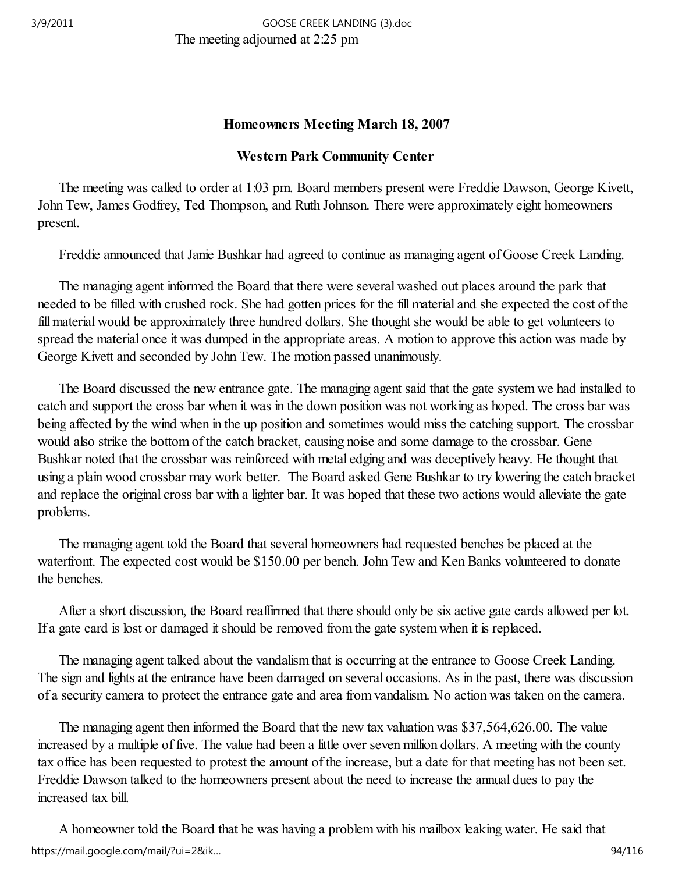# Homeowners Meeting March 18, 2007

# Western Park Community Center

 The meeting was called to order at 1:03 pm. Board members present were Freddie Dawson, George Kivett, John Tew, James Godfrey, Ted Thompson, and Ruth Johnson. There were approximately eight homeowners present.

Freddie announced that Janie Bushkar had agreed to continue as managing agent of Goose Creek Landing.

 The managing agent informed the Board that there were several washed out places around the park that needed to be filled with crushed rock. She had gotten prices for the fill material and she expected the cost of the fill material would be approximately three hundred dollars. She thought she would be able to get volunteers to spread the material once it was dumped in the appropriate areas. A motion to approve this action was made by George Kivett and seconded by John Tew. The motion passed unanimously.

 The Board discussed the new entrance gate. The managing agent said that the gate system we had installed to catch and support the cross bar when it was in the down position was not working as hoped. The cross bar was being affected by the wind when in the up position and sometimes would miss the catching support. The crossbar would also strike the bottom of the catch bracket, causing noise and some damage to the crossbar. Gene Bushkar noted that the crossbar was reinforced with metal edging and was deceptively heavy. He thought that using a plain wood crossbar may work better. The Board asked Gene Bushkar to try lowering the catch bracket and replace the original cross bar with a lighter bar. It was hoped that these two actions would alleviate the gate problems.

 The managing agent told the Board that several homeowners had requested benches be placed at the waterfront. The expected cost would be \$150.00 per bench. John Tew and Ken Banks volunteered to donate the benches.

 After a short discussion, the Board reaffirmed that there should only be six active gate cards allowed per lot. If a gate card is lost or damaged it should be removed from the gate system when it is replaced.

 The managing agent talked about the vandalism that is occurring at the entrance to Goose Creek Landing. The sign and lights at the entrance have been damaged on several occasions. As in the past, there was discussion of a security camera to protect the entrance gate and area from vandalism. No action was taken on the camera.

 The managing agent then informed the Board that the new tax valuation was \$37,564,626.00. The value increased by a multiple of five. The value had been a little over seven million dollars. A meeting with the county tax office has been requested to protest the amount of the increase, but a date for that meeting has not been set. Freddie Dawson talked to the homeowners present about the need to increase the annual dues to pay the increased tax bill.

 A homeowner told the Board that he was having a problem with his mailbox leaking water. He said that https://mail.google.com/mail/?ui=2&ik… 94/116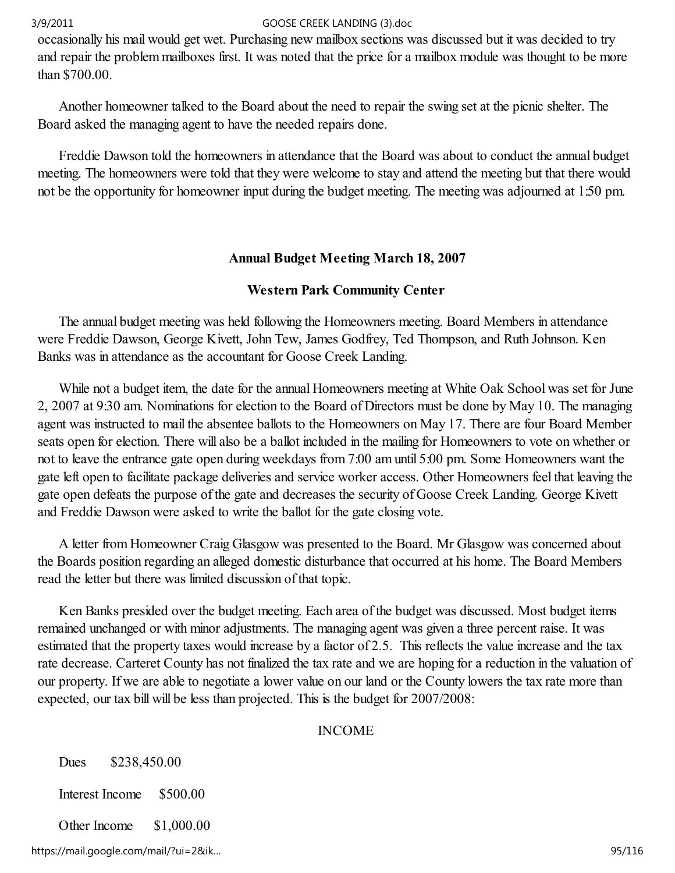occasionally his mail would get wet. Purchasing new mailbox sections was discussed but it was decided to try and repair the problem mailboxes first. It was noted that the price for a mailbox module was thought to be more than \$700.00.

 Another homeowner talked to the Board about the need to repair the swing set at the picnic shelter. The Board asked the managing agent to have the needed repairs done.

 Freddie Dawson told the homeowners in attendance that the Board was about to conduct the annual budget meeting. The homeowners were told that they were welcome to stay and attend the meeting but that there would not be the opportunity for homeowner input during the budget meeting. The meeting was adjourned at 1:50 pm.

# Annual Budget Meeting March 18, 2007

# Western Park Community Center

 The annual budget meeting was held following the Homeowners meeting. Board Members in attendance were Freddie Dawson, George Kivett, John Tew, James Godfrey, Ted Thompson, and Ruth Johnson. Ken Banks was in attendance as the accountant for Goose Creek Landing.

 While not a budget item, the date for the annual Homeowners meeting at White Oak School was set for June 2, 2007 at 9:30 am. Nominations for election to the Board of Directors must be done by May 10. The managing agent was instructed to mail the absentee ballots to the Homeowners on May 17. There are four Board Member seats open for election. There will also be a ballot included in the mailing for Homeowners to vote on whether or not to leave the entrance gate open during weekdays from 7:00 am until 5:00 pm. Some Homeowners want the gate left open to facilitate package deliveries and service worker access. Other Homeowners feel that leaving the gate open defeats the purpose of the gate and decreases the security of Goose Creek Landing. George Kivett and Freddie Dawson were asked to write the ballot for the gate closing vote.

 A letter from Homeowner Craig Glasgow was presented to the Board. Mr Glasgow was concerned about the Boards position regarding an alleged domestic disturbance that occurred at his home. The Board Members read the letter but there was limited discussion of that topic.

 Ken Banks presided over the budget meeting. Each area of the budget was discussed. Most budget items remained unchanged or with minor adjustments. The managing agent was given a three percent raise. It was estimated that the property taxes would increase by a factor of 2.5. This reflects the value increase and the tax rate decrease. Carteret County has not finalized the tax rate and we are hoping for a reduction in the valuation of our property. If we are able to negotiate a lower value on our land or the County lowers the tax rate more than expected, our tax bill will be less than projected. This is the budget for 2007/2008:

## INCOME

Dues \$238,450.00

Interest Income \$500.00

Other Income \$1,000.00

https://mail.google.com/mail/?ui=2&ik… 95/116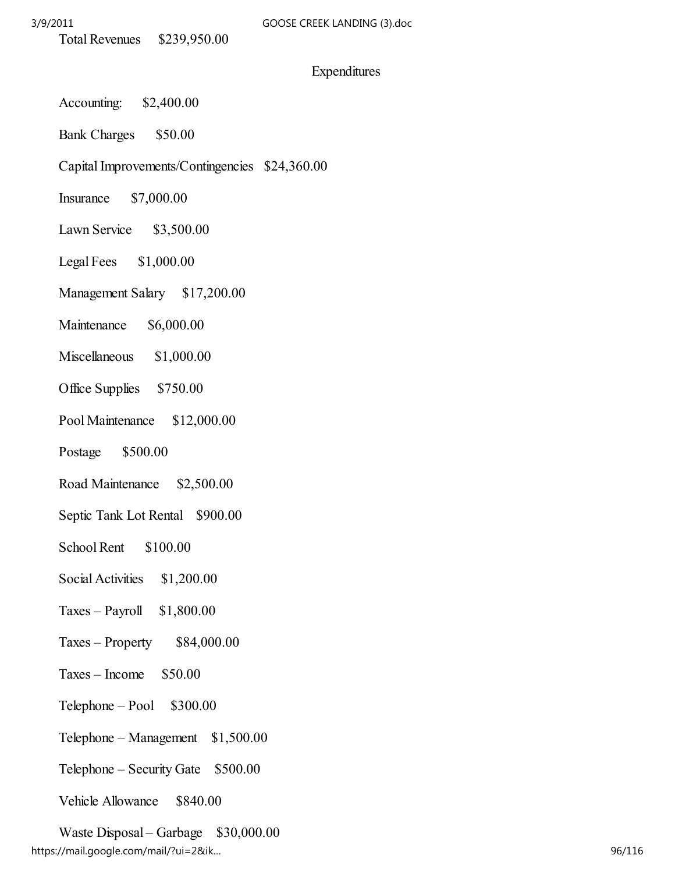### Expenditures

- Accounting: \$2,400.00
- Bank Charges \$50.00
- Capital Improvements/Contingencies \$24,360.00
- Insurance \$7,000.00
- Lawn Service \$3,500.00
- Legal Fees \$1,000.00
- Management Salary \$17,200.00
- Maintenance \$6,000.00
- Miscellaneous \$1,000.00
- Office Supplies \$750.00
- Pool Maintenance \$12,000.00
- Postage \$500.00
- Road Maintenance \$2,500.00
- Septic Tank Lot Rental \$900.00
- School Rent \$100.00
- Social Activities \$1,200.00
- $Taxes Payroll \quad $1,800.00$
- $Taxes Property$  \$84,000.00
- $Taxes Income$  \$50.00
- $Telephone Pool$  \$300.00
- Telephone Management  $$1,500.00$
- Telephone Security Gate \$500.00
- Vehicle Allowance \$840.00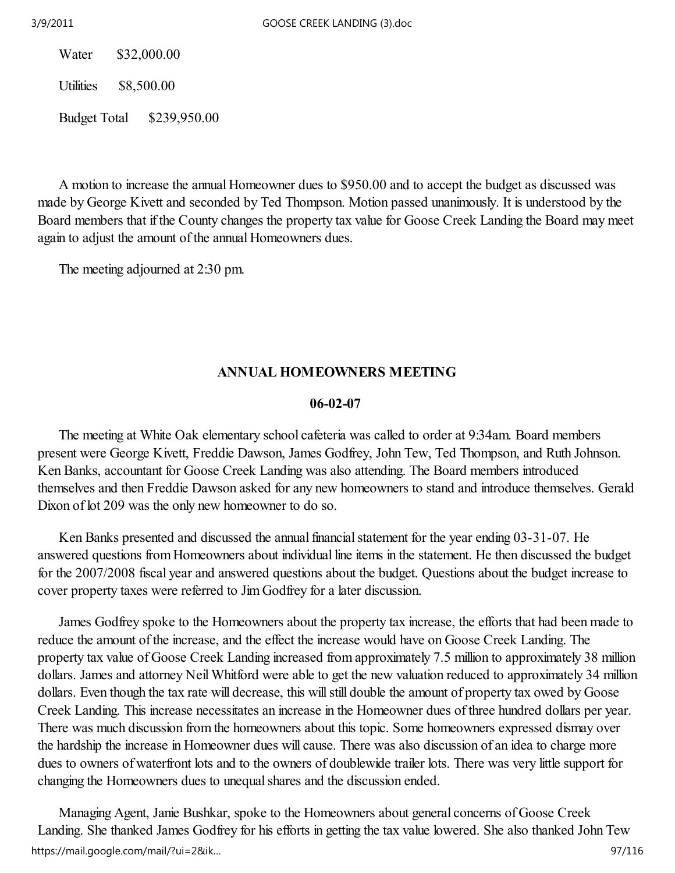Water \$32,000.00

Utilities \$8,500.00

Budget Total \$239,950.00

 A motion to increase the annual Homeowner dues to \$950.00 and to accept the budget as discussed was made by George Kivett and seconded by Ted Thompson. Motion passed unanimously. It is understood by the Board members that if the County changes the property tax value for Goose Creek Landing the Board may meet again to adjust the amount of the annual Homeowners dues.

The meeting adjourned at 2:30 pm.

## ANNUAL HOMEOWNERS MEETING

### 06-02-07

 The meeting at White Oak elementary school cafeteria was called to order at 9:34am. Board members present were George Kivett, Freddie Dawson, James Godfrey, John Tew, Ted Thompson, and Ruth Johnson. Ken Banks, accountant for Goose Creek Landing was also attending. The Board members introduced themselves and then Freddie Dawson asked for any new homeowners to stand and introduce themselves. Gerald Dixon of lot 209 was the only new homeowner to do so.

 Ken Banks presented and discussed the annual financial statement for the year ending 03-31-07. He answered questions from Homeowners about individual line items in the statement. He then discussed the budget for the 2007/2008 fiscal year and answered questions about the budget. Questions about the budget increase to cover property taxes were referred to Jim Godfrey for a later discussion.

 James Godfrey spoke to the Homeowners about the property tax increase, the efforts that had been made to reduce the amount of the increase, and the effect the increase would have on Goose Creek Landing. The property tax value of Goose Creek Landing increased from approximately 7.5 million to approximately 38 million dollars. James and attorney Neil Whitford were able to get the new valuation reduced to approximately 34 million dollars. Even though the tax rate will decrease, this will still double the amount of property tax owed by Goose Creek Landing. This increase necessitates an increase in the Homeowner dues of three hundred dollars per year. There was much discussion from the homeowners about this topic. Some homeowners expressed dismay over the hardship the increase in Homeowner dues will cause. There was also discussion of an idea to charge more dues to owners of waterfront lots and to the owners of doublewide trailer lots. There was very little support for changing the Homeowners dues to unequal shares and the discussion ended.

 Managing Agent, Janie Bushkar, spoke to the Homeowners about general concerns of Goose Creek Landing. She thanked James Godfrey for his efforts in getting the tax value lowered. She also thanked John Tew https://mail.google.com/mail/?ui=2&ik… 97/116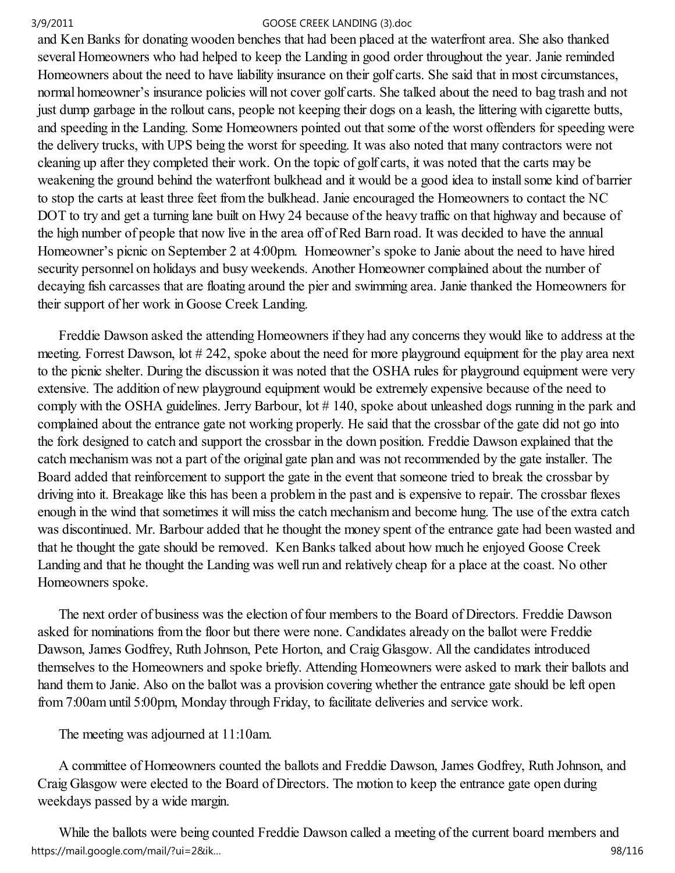and Ken Banks for donating wooden benches that had been placed at the waterfront area. She also thanked several Homeowners who had helped to keep the Landing in good order throughout the year. Janie reminded Homeowners about the need to have liability insurance on their golf carts. She said that in most circumstances, normal homeowner's insurance policies will not cover golf carts. She talked about the need to bag trash and not just dump garbage in the rollout cans, people not keeping their dogs on a leash, the littering with cigarette butts, and speeding in the Landing. Some Homeowners pointed out that some of the worst offenders for speeding were the delivery trucks, with UPS being the worst for speeding. It was also noted that many contractors were not cleaning up after they completed their work. On the topic of golf carts, it was noted that the carts may be weakening the ground behind the waterfront bulkhead and it would be a good idea to install some kind of barrier to stop the carts at least three feet from the bulkhead. Janie encouraged the Homeowners to contact the NC DOT to try and get a turning lane built on Hwy 24 because of the heavy traffic on that highway and because of the high number of people that now live in the area off of Red Barn road. It was decided to have the annual Homeowner's picnic on September 2 at 4:00pm. Homeowner's spoke to Janie about the need to have hired security personnel on holidays and busy weekends. Another Homeowner complained about the number of decaying fish carcasses that are floating around the pier and swimming area. Janie thanked the Homeowners for their support of her work in Goose Creek Landing.

 Freddie Dawson asked the attending Homeowners if they had any concerns they would like to address at the meeting. Forrest Dawson, lot # 242, spoke about the need for more playground equipment for the play area next to the picnic shelter. During the discussion it was noted that the OSHA rules for playground equipment were very extensive. The addition of new playground equipment would be extremely expensive because of the need to comply with the OSHA guidelines. Jerry Barbour, lot # 140, spoke about unleashed dogs running in the park and complained about the entrance gate not working properly. He said that the crossbar of the gate did not go into the fork designed to catch and support the crossbar in the down position. Freddie Dawson explained that the catch mechanism was not a part of the original gate plan and was not recommended by the gate installer. The Board added that reinforcement to support the gate in the event that someone tried to break the crossbar by driving into it. Breakage like this has been a problem in the past and is expensive to repair. The crossbar flexes enough in the wind that sometimes it will miss the catch mechanism and become hung. The use of the extra catch was discontinued. Mr. Barbour added that he thought the money spent of the entrance gate had been wasted and that he thought the gate should be removed. Ken Banks talked about how much he enjoyed Goose Creek Landing and that he thought the Landing was well run and relatively cheap for a place at the coast. No other Homeowners spoke.

 The next order of business was the election of four members to the Board of Directors. Freddie Dawson asked for nominations from the floor but there were none. Candidates already on the ballot were Freddie Dawson, James Godfrey, Ruth Johnson, Pete Horton, and Craig Glasgow. All the candidates introduced themselves to the Homeowners and spoke briefly. Attending Homeowners were asked to mark their ballots and hand them to Janie. Also on the ballot was a provision covering whether the entrance gate should be left open from 7:00am until 5:00pm, Monday through Friday, to facilitate deliveries and service work.

The meeting was adjourned at 11:10am.

 A committee of Homeowners counted the ballots and Freddie Dawson, James Godfrey, Ruth Johnson, and Craig Glasgow were elected to the Board of Directors. The motion to keep the entrance gate open during weekdays passed by a wide margin.

 While the ballots were being counted Freddie Dawson called a meeting of the current board members and https://mail.google.com/mail/?ui=2&ik… 98/116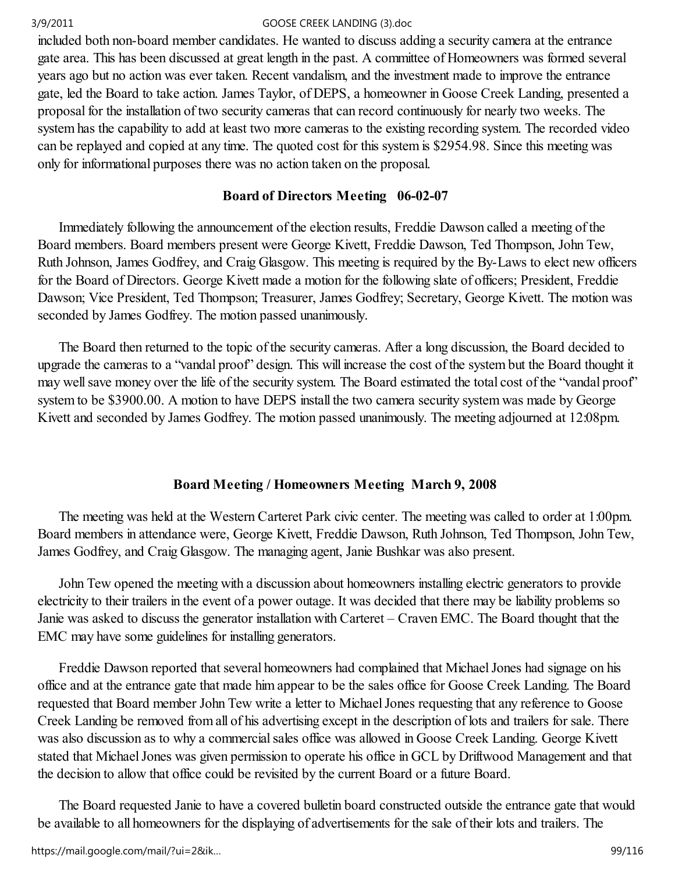included both non-board member candidates. He wanted to discuss adding a security camera at the entrance gate area. This has been discussed at great length in the past. A committee of Homeowners was formed several years ago but no action was ever taken. Recent vandalism, and the investment made to improve the entrance gate, led the Board to take action. James Taylor, of DEPS, a homeowner in Goose Creek Landing, presented a proposal for the installation of two security cameras that can record continuously for nearly two weeks. The system has the capability to add at least two more cameras to the existing recording system. The recorded video can be replayed and copied at any time. The quoted cost for this system is \$2954.98. Since this meeting was only for informational purposes there was no action taken on the proposal.

# Board of Directors Meeting 06-02-07

 Immediately following the announcement of the election results, Freddie Dawson called a meeting of the Board members. Board members present were George Kivett, Freddie Dawson, Ted Thompson, John Tew, Ruth Johnson, James Godfrey, and Craig Glasgow. This meeting is required by the By-Laws to elect new officers for the Board of Directors. George Kivett made a motion for the following slate of officers; President, Freddie Dawson; Vice President, Ted Thompson; Treasurer, James Godfrey; Secretary, George Kivett. The motion was seconded by James Godfrey. The motion passed unanimously.

 The Board then returned to the topic of the security cameras. After a long discussion, the Board decided to upgrade the cameras to a "vandal proof" design. This will increase the cost of the system but the Board thought it may well save money over the life of the security system. The Board estimated the total cost of the "vandal proof" system to be \$3900.00. A motion to have DEPS install the two camera security system was made by George Kivett and seconded by James Godfrey. The motion passed unanimously. The meeting adjourned at 12:08pm.

# Board Meeting / Homeowners Meeting March 9, 2008

 The meeting was held at the Western Carteret Park civic center. The meeting was called to order at 1:00pm. Board members in attendance were, George Kivett, Freddie Dawson, Ruth Johnson, Ted Thompson, John Tew, James Godfrey, and Craig Glasgow. The managing agent, Janie Bushkar was also present.

 John Tew opened the meeting with a discussion about homeowners installing electric generators to provide electricity to their trailers in the event of a power outage. It was decided that there may be liability problems so Janie was asked to discuss the generator installation with Carteret – Craven EMC. The Board thought that the EMC may have some guidelines for installing generators.

 Freddie Dawson reported that several homeowners had complained that Michael Jones had signage on his office and at the entrance gate that made him appear to be the sales office for Goose Creek Landing. The Board requested that Board member John Tew write a letter to Michael Jones requesting that any reference to Goose Creek Landing be removed from all of his advertising except in the description of lots and trailers for sale. There was also discussion as to why a commercial sales office was allowed in Goose Creek Landing. George Kivett stated that Michael Jones was given permission to operate his office in GCL by Driftwood Management and that the decision to allow that office could be revisited by the current Board or a future Board.

 The Board requested Janie to have a covered bulletin board constructed outside the entrance gate that would be available to all homeowners for the displaying of advertisements for the sale of their lots and trailers. The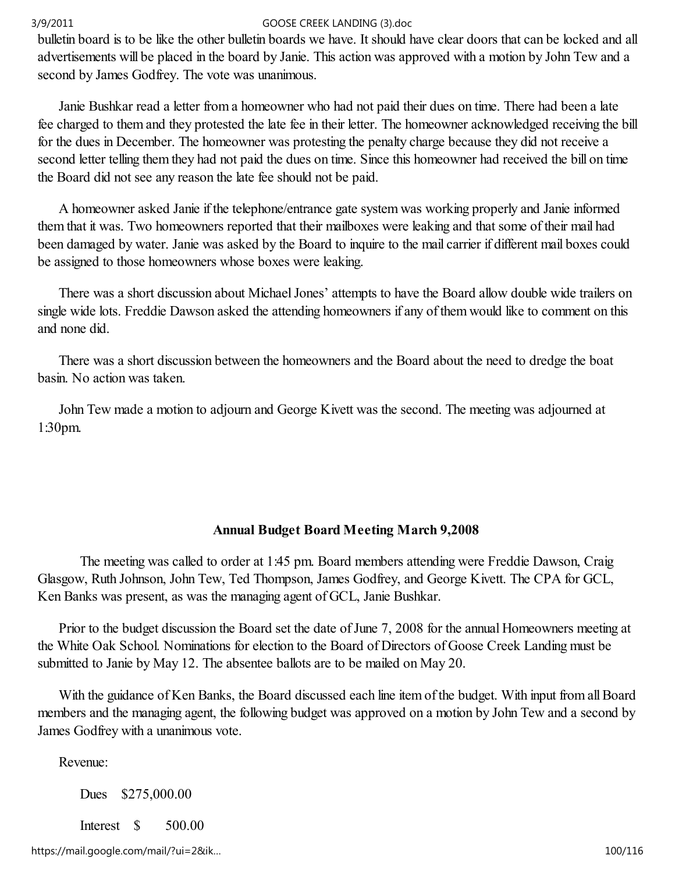bulletin board is to be like the other bulletin boards we have. It should have clear doors that can be locked and all advertisements will be placed in the board by Janie. This action was approved with a motion by John Tew and a second by James Godfrey. The vote was unanimous.

 Janie Bushkar read a letter from a homeowner who had not paid their dues on time. There had been a late fee charged to them and they protested the late fee in their letter. The homeowner acknowledged receiving the bill for the dues in December. The homeowner was protesting the penalty charge because they did not receive a second letter telling them they had not paid the dues on time. Since this homeowner had received the bill on time the Board did not see any reason the late fee should not be paid.

 A homeowner asked Janie if the telephone/entrance gate system was working properly and Janie informed them that it was. Two homeowners reported that their mailboxes were leaking and that some of their mail had been damaged by water. Janie was asked by the Board to inquire to the mail carrier if different mail boxes could be assigned to those homeowners whose boxes were leaking.

 There was a short discussion about Michael Jones' attempts to have the Board allow double wide trailers on single wide lots. Freddie Dawson asked the attending homeowners if any of them would like to comment on this and none did.

 There was a short discussion between the homeowners and the Board about the need to dredge the boat basin. No action was taken.

 John Tew made a motion to adjourn and George Kivett was the second. The meeting was adjourned at 1:30pm.

# Annual Budget Board Meeting March 9,2008

 The meeting was called to order at 1:45 pm. Board members attending were Freddie Dawson, Craig Glasgow, Ruth Johnson, John Tew, Ted Thompson, James Godfrey, and George Kivett. The CPA for GCL, Ken Banks was present, as was the managing agent of GCL, Janie Bushkar.

 Prior to the budget discussion the Board set the date of June 7, 2008 for the annual Homeowners meeting at the White Oak School. Nominations for election to the Board of Directors of Goose Creek Landing must be submitted to Janie by May 12. The absentee ballots are to be mailed on May 20.

 With the guidance of Ken Banks, the Board discussed each line item of the budget. With input from all Board members and the managing agent, the following budget was approved on a motion by John Tew and a second by James Godfrey with a unanimous vote.

Revenue:

Dues \$275,000.00

Interest \$ 500.00

https://mail.google.com/mail/?ui=2&ik… 100/116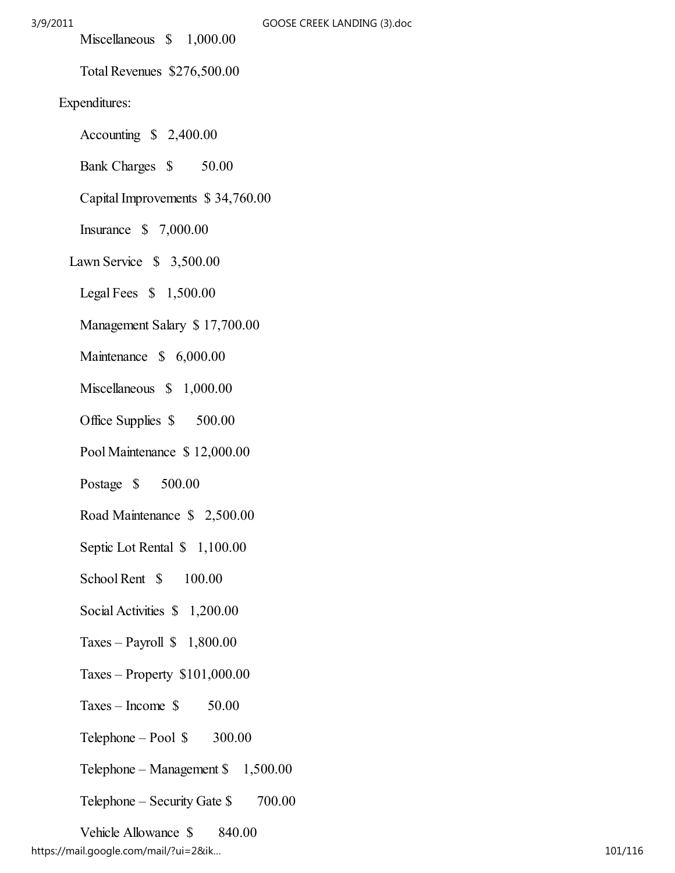Miscellaneous \$ 1,000.00

Total Revenues \$276,500.00

# Expenditures:

- Accounting \$ 2,400.00
- Bank Charges \$ 50.00
- Capital Improvements \$ 34,760.00
- Insurance \$ 7,000.00
- Lawn Service \$ 3,500.00
	- Legal Fees \$ 1,500.00
	- Management Salary \$ 17,700.00
	- Maintenance \$ 6,000.00
	- Miscellaneous \$ 1,000.00
	- Office Supplies  $$500.00$
	- Pool Maintenance \$ 12,000.00
	- Postage \$ 500.00
	- Road Maintenance \$ 2,500.00
	- Septic Lot Rental  $$1,100.00$
	- School Rent  $$ 100.00$
	- Social Activities  $$1,200.00$
	- Taxes Payroll  $$1,800.00$
	- Taxes Property \$101,000.00
	- $Taxes Income S$  50.00
	- $Telephone Pool \$  300.00
	- Telephone Management \$ 1,500.00
	- Telephone Security Gate \$ 700.00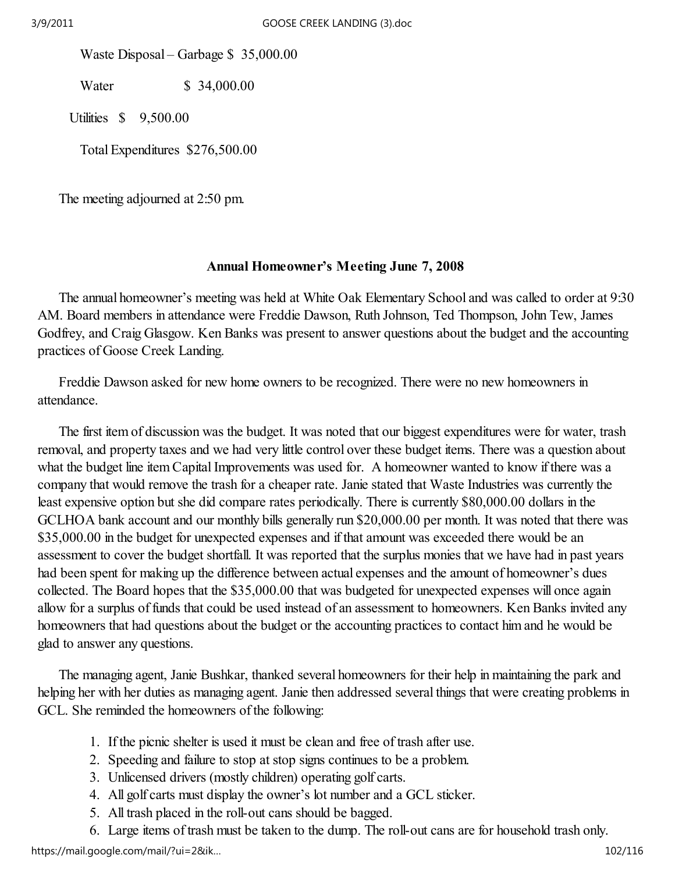Waste Disposal – Garbage \$ 35,000.00

Water \$ 34,000.00

Utilities \$ 9,500.00

Total Expenditures \$276,500.00

The meeting adjourned at 2:50 pm.

# Annual Homeowner's Meeting June 7, 2008

 The annual homeowner's meeting was held at White Oak Elementary School and was called to order at 9:30 AM. Board members in attendance were Freddie Dawson, Ruth Johnson, Ted Thompson, John Tew, James Godfrey, and Craig Glasgow. Ken Banks was present to answer questions about the budget and the accounting practices of Goose Creek Landing.

 Freddie Dawson asked for new home owners to be recognized. There were no new homeowners in attendance.

 The first item of discussion was the budget. It was noted that our biggest expenditures were for water, trash removal, and property taxes and we had very little control over these budget items. There was a question about what the budget line item Capital Improvements was used for. A homeowner wanted to know if there was a company that would remove the trash for a cheaper rate. Janie stated that Waste Industries was currently the least expensive option but she did compare rates periodically. There is currently \$80,000.00 dollars in the GCLHOA bank account and our monthly bills generally run \$20,000.00 per month. It was noted that there was \$35,000.00 in the budget for unexpected expenses and if that amount was exceeded there would be an assessment to cover the budget shortfall. It was reported that the surplus monies that we have had in past years had been spent for making up the difference between actual expenses and the amount of homeowner's dues collected. The Board hopes that the \$35,000.00 that was budgeted for unexpected expenses will once again allow for a surplus of funds that could be used instead of an assessment to homeowners. Ken Banks invited any homeowners that had questions about the budget or the accounting practices to contact him and he would be glad to answer any questions.

 The managing agent, Janie Bushkar, thanked several homeowners for their help in maintaining the park and helping her with her duties as managing agent. Janie then addressed several things that were creating problems in GCL. She reminded the homeowners of the following:

- 1. If the picnic shelter is used it must be clean and free of trash after use.
- 2. Speeding and failure to stop at stop signs continues to be a problem.
- 3. Unlicensed drivers (mostly children) operating golf carts.
- 4. All golf carts must display the owner's lot number and a GCL sticker.
- 5. All trash placed in the roll-out cans should be bagged.
- 6. Large items of trash must be taken to the dump. The roll-out cans are for household trash only.

https://mail.google.com/mail/?ui=2&ik... 102/116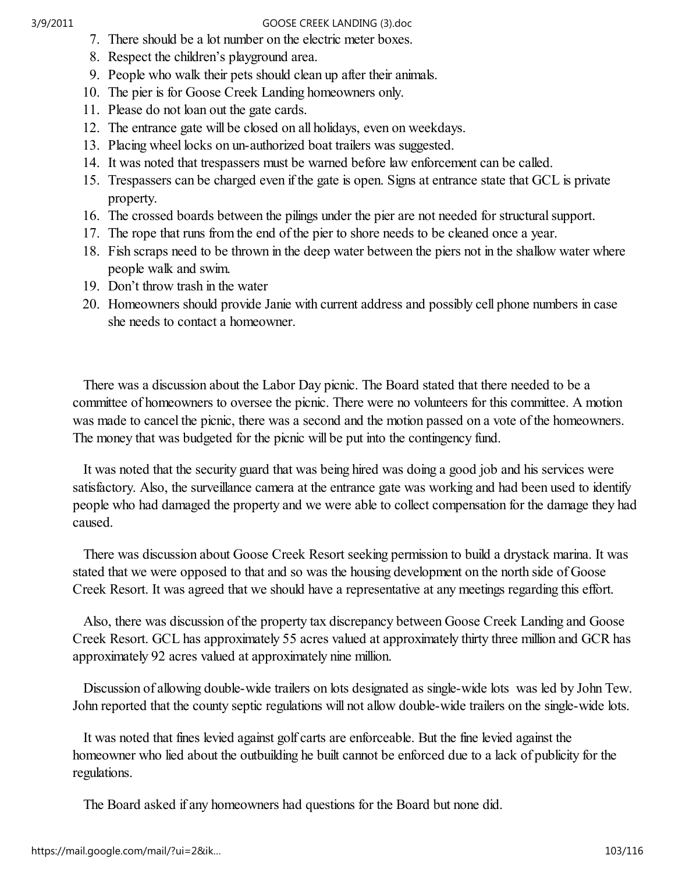- 7. There should be a lot number on the electric meter boxes.
- 8. Respect the children's playground area.
- 9. People who walk their pets should clean up after their animals.
- 10. The pier is for Goose Creek Landing homeowners only.
- 11. Please do not loan out the gate cards.
- 12. The entrance gate will be closed on all holidays, even on weekdays.
- 13. Placing wheel locks on un-authorized boat trailers was suggested.
- 14. It was noted that trespassers must be warned before law enforcement can be called.
- 15. Trespassers can be charged even if the gate is open. Signs at entrance state that GCL is private property.
- 16. The crossed boards between the pilings under the pier are not needed for structural support.
- 17. The rope that runs from the end of the pier to shore needs to be cleaned once a year.
- 18. Fish scraps need to be thrown in the deep water between the piers not in the shallow water where people walk and swim.
- 19. Don't throw trash in the water
- 20. Homeowners should provide Janie with current address and possibly cell phone numbers in case she needs to contact a homeowner.

 There was a discussion about the Labor Day picnic. The Board stated that there needed to be a committee of homeowners to oversee the picnic. There were no volunteers for this committee. A motion was made to cancel the picnic, there was a second and the motion passed on a vote of the homeowners. The money that was budgeted for the picnic will be put into the contingency fund.

 It was noted that the security guard that was being hired was doing a good job and his services were satisfactory. Also, the surveillance camera at the entrance gate was working and had been used to identify people who had damaged the property and we were able to collect compensation for the damage they had caused.

 There was discussion about Goose Creek Resort seeking permission to build a drystack marina. It was stated that we were opposed to that and so was the housing development on the north side of Goose Creek Resort. It was agreed that we should have a representative at any meetings regarding this effort.

 Also, there was discussion of the property tax discrepancy between Goose Creek Landing and Goose Creek Resort. GCL has approximately 55 acres valued at approximately thirty three million and GCR has approximately 92 acres valued at approximately nine million.

 Discussion of allowing double-wide trailers on lots designated as single-wide lots was led by John Tew. John reported that the county septic regulations will not allow double-wide trailers on the single-wide lots.

 It was noted that fines levied against golf carts are enforceable. But the fine levied against the homeowner who lied about the outbuilding he built cannot be enforced due to a lack of publicity for the regulations.

The Board asked if any homeowners had questions for the Board but none did.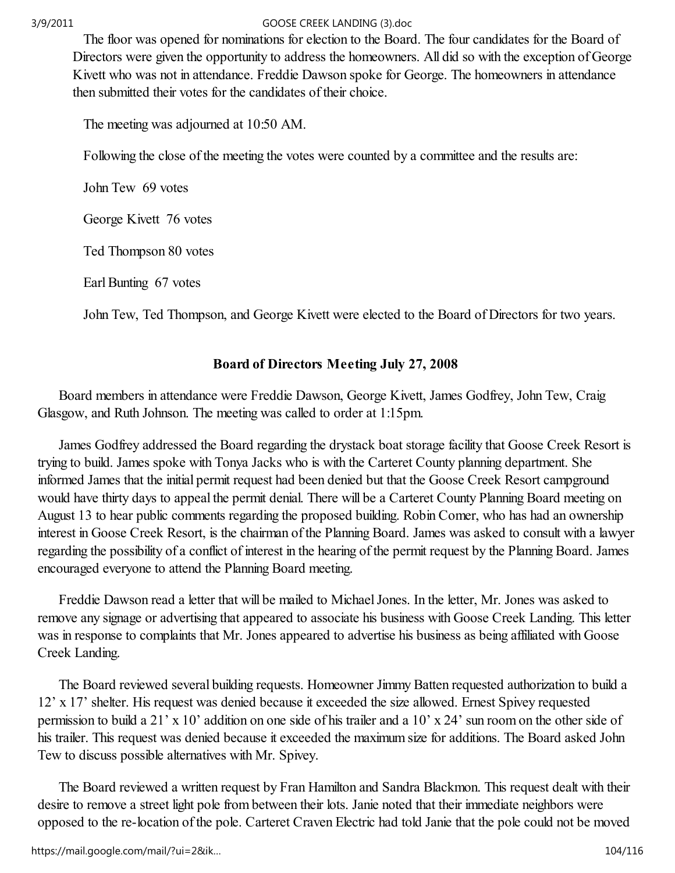The floor was opened for nominations for election to the Board. The four candidates for the Board of Directors were given the opportunity to address the homeowners. All did so with the exception of George Kivett who was not in attendance. Freddie Dawson spoke for George. The homeowners in attendance then submitted their votes for the candidates of their choice.

The meeting was adjourned at 10:50 AM.

Following the close of the meeting the votes were counted by a committee and the results are:

John Tew 69 votes

George Kivett 76 votes

Ted Thompson 80 votes

Earl Bunting 67 votes

John Tew, Ted Thompson, and George Kivett were elected to the Board of Directors for two years.

# Board of Directors Meeting July 27, 2008

 Board members in attendance were Freddie Dawson, George Kivett, James Godfrey, John Tew, Craig Glasgow, and Ruth Johnson. The meeting was called to order at 1:15pm.

 James Godfrey addressed the Board regarding the drystack boat storage facility that Goose Creek Resort is trying to build. James spoke with Tonya Jacks who is with the Carteret County planning department. She informed James that the initial permit request had been denied but that the Goose Creek Resort campground would have thirty days to appeal the permit denial. There will be a Carteret County Planning Board meeting on August 13 to hear public comments regarding the proposed building. Robin Comer, who has had an ownership interest in Goose Creek Resort, is the chairman of the Planning Board. James was asked to consult with a lawyer regarding the possibility of a conflict of interest in the hearing of the permit request by the Planning Board. James encouraged everyone to attend the Planning Board meeting.

 Freddie Dawson read a letter that will be mailed to Michael Jones. In the letter, Mr. Jones was asked to remove any signage or advertising that appeared to associate his business with Goose Creek Landing. This letter was in response to complaints that Mr. Jones appeared to advertise his business as being affiliated with Goose Creek Landing.

 The Board reviewed several building requests. Homeowner Jimmy Batten requested authorization to build a 12' x 17' shelter. His request was denied because it exceeded the size allowed. Ernest Spivey requested permission to build a 21' x 10' addition on one side of his trailer and a 10' x 24' sun room on the other side of his trailer. This request was denied because it exceeded the maximum size for additions. The Board asked John Tew to discuss possible alternatives with Mr. Spivey.

 The Board reviewed a written request by Fran Hamilton and Sandra Blackmon. This request dealt with their desire to remove a street light pole from between their lots. Janie noted that their immediate neighbors were opposed to the re-location of the pole. Carteret Craven Electric had told Janie that the pole could not be moved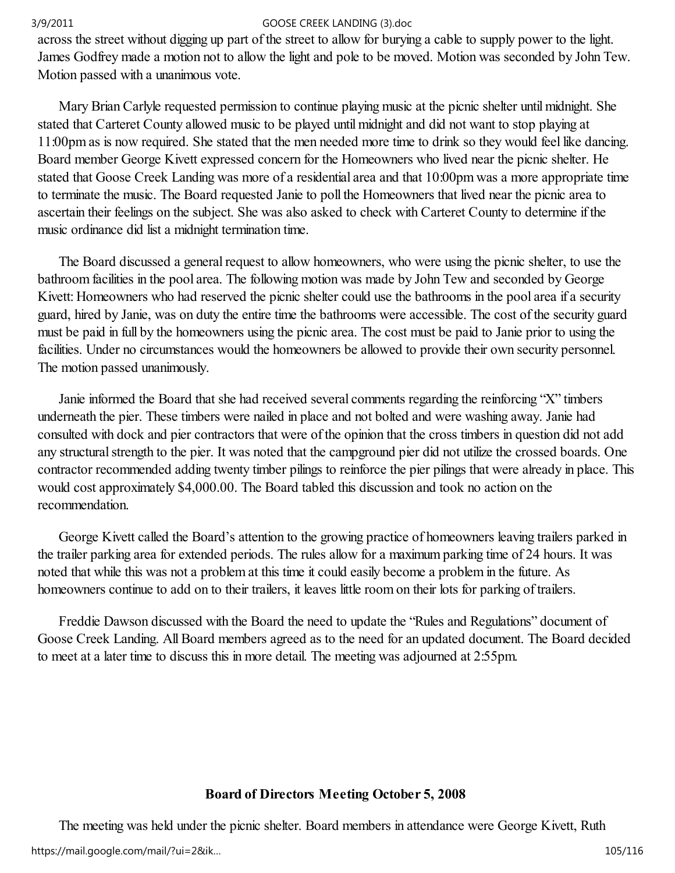across the street without digging up part of the street to allow for burying a cable to supply power to the light. James Godfrey made a motion not to allow the light and pole to be moved. Motion was seconded by John Tew. Motion passed with a unanimous vote.

 Mary Brian Carlyle requested permission to continue playing music at the picnic shelter until midnight. She stated that Carteret County allowed music to be played until midnight and did not want to stop playing at 11:00pm as is now required. She stated that the men needed more time to drink so they would feel like dancing. Board member George Kivett expressed concern for the Homeowners who lived near the picnic shelter. He stated that Goose Creek Landing was more of a residential area and that 10:00pm was a more appropriate time to terminate the music. The Board requested Janie to poll the Homeowners that lived near the picnic area to ascertain their feelings on the subject. She was also asked to check with Carteret County to determine if the music ordinance did list a midnight termination time.

 The Board discussed a general request to allow homeowners, who were using the picnic shelter, to use the bathroom facilities in the pool area. The following motion was made by John Tew and seconded by George Kivett: Homeowners who had reserved the picnic shelter could use the bathrooms in the pool area if a security guard, hired by Janie, was on duty the entire time the bathrooms were accessible. The cost of the security guard must be paid in full by the homeowners using the picnic area. The cost must be paid to Janie prior to using the facilities. Under no circumstances would the homeowners be allowed to provide their own security personnel. The motion passed unanimously.

 Janie informed the Board that she had received several comments regarding the reinforcing "X" timbers underneath the pier. These timbers were nailed in place and not bolted and were washing away. Janie had consulted with dock and pier contractors that were of the opinion that the cross timbers in question did not add any structural strength to the pier. It was noted that the campground pier did not utilize the crossed boards. One contractor recommended adding twenty timber pilings to reinforce the pier pilings that were already in place. This would cost approximately \$4,000.00. The Board tabled this discussion and took no action on the recommendation.

 George Kivett called the Board's attention to the growing practice of homeowners leaving trailers parked in the trailer parking area for extended periods. The rules allow for a maximum parking time of 24 hours. It was noted that while this was not a problem at this time it could easily become a problem in the future. As homeowners continue to add on to their trailers, it leaves little room on their lots for parking of trailers.

 Freddie Dawson discussed with the Board the need to update the "Rules and Regulations" document of Goose Creek Landing. All Board members agreed as to the need for an updated document. The Board decided to meet at a later time to discuss this in more detail. The meeting was adjourned at 2:55pm.

# Board of Directors Meeting October 5, 2008

 The meeting was held under the picnic shelter. Board members in attendance were George Kivett, Ruth https://mail.google.com/mail/?ui=2&ik… 105/116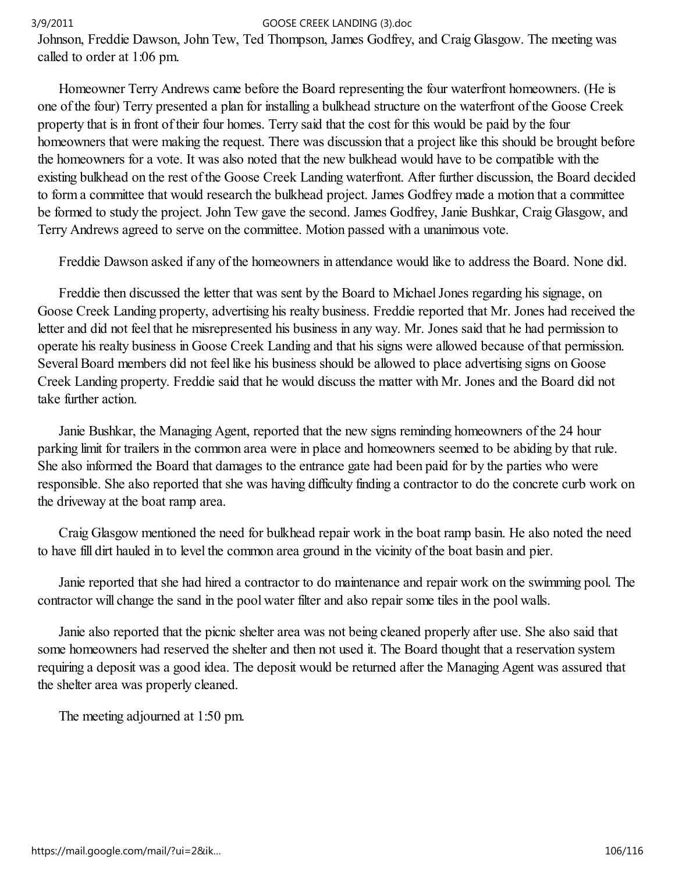Johnson, Freddie Dawson, John Tew, Ted Thompson, James Godfrey, and Craig Glasgow. The meeting was called to order at 1:06 pm.

 Homeowner Terry Andrews came before the Board representing the four waterfront homeowners. (He is one of the four) Terry presented a plan for installing a bulkhead structure on the waterfront of the Goose Creek property that is in front of their four homes. Terry said that the cost for this would be paid by the four homeowners that were making the request. There was discussion that a project like this should be brought before the homeowners for a vote. It was also noted that the new bulkhead would have to be compatible with the existing bulkhead on the rest of the Goose Creek Landing waterfront. After further discussion, the Board decided to form a committee that would research the bulkhead project. James Godfrey made a motion that a committee be formed to study the project. John Tew gave the second. James Godfrey, Janie Bushkar, Craig Glasgow, and Terry Andrews agreed to serve on the committee. Motion passed with a unanimous vote.

Freddie Dawson asked if any of the homeowners in attendance would like to address the Board. None did.

 Freddie then discussed the letter that was sent by the Board to Michael Jones regarding his signage, on Goose Creek Landing property, advertising his realty business. Freddie reported that Mr. Jones had received the letter and did not feel that he misrepresented his business in any way. Mr. Jones said that he had permission to operate his realty business in Goose Creek Landing and that his signs were allowed because of that permission. Several Board members did not feel like his business should be allowed to place advertising signs on Goose Creek Landing property. Freddie said that he would discuss the matter with Mr. Jones and the Board did not take further action.

 Janie Bushkar, the Managing Agent, reported that the new signs reminding homeowners of the 24 hour parking limit for trailers in the common area were in place and homeowners seemed to be abiding by that rule. She also informed the Board that damages to the entrance gate had been paid for by the parties who were responsible. She also reported that she was having difficulty finding a contractor to do the concrete curb work on the driveway at the boat ramp area.

 Craig Glasgow mentioned the need for bulkhead repair work in the boat ramp basin. He also noted the need to have fill dirt hauled in to level the common area ground in the vicinity of the boat basin and pier.

 Janie reported that she had hired a contractor to do maintenance and repair work on the swimming pool. The contractor will change the sand in the pool water filter and also repair some tiles in the pool walls.

 Janie also reported that the picnic shelter area was not being cleaned properly after use. She also said that some homeowners had reserved the shelter and then not used it. The Board thought that a reservation system requiring a deposit was a good idea. The deposit would be returned after the Managing Agent was assured that the shelter area was properly cleaned.

The meeting adjourned at 1:50 pm.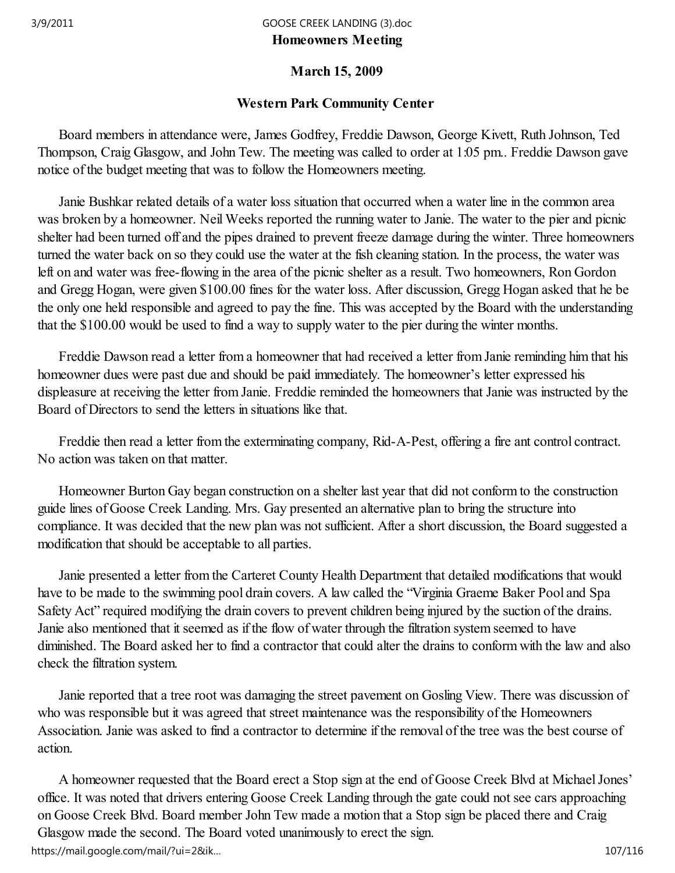# Homeowners Meeting 3/9/2011 GOOSE CREEK LANDING (3).doc

# March 15, 2009

# Western Park Community Center

 Board members in attendance were, James Godfrey, Freddie Dawson, George Kivett, Ruth Johnson, Ted Thompson, Craig Glasgow, and John Tew. The meeting was called to order at 1:05 pm.. Freddie Dawson gave notice of the budget meeting that was to follow the Homeowners meeting.

 Janie Bushkar related details of a water loss situation that occurred when a water line in the common area was broken by a homeowner. Neil Weeks reported the running water to Janie. The water to the pier and picnic shelter had been turned off and the pipes drained to prevent freeze damage during the winter. Three homeowners turned the water back on so they could use the water at the fish cleaning station. In the process, the water was left on and water was free-flowing in the area of the picnic shelter as a result. Two homeowners, Ron Gordon and Gregg Hogan, were given \$100.00 fines for the water loss. After discussion, Gregg Hogan asked that he be the only one held responsible and agreed to pay the fine. This was accepted by the Board with the understanding that the \$100.00 would be used to find a way to supply water to the pier during the winter months.

 Freddie Dawson read a letter from a homeowner that had received a letter from Janie reminding him that his homeowner dues were past due and should be paid immediately. The homeowner's letter expressed his displeasure at receiving the letter from Janie. Freddie reminded the homeowners that Janie was instructed by the Board of Directors to send the letters in situations like that.

 Freddie then read a letter from the exterminating company, Rid-A-Pest, offering a fire ant control contract. No action was taken on that matter.

 Homeowner Burton Gay began construction on a shelter last year that did not conform to the construction guide lines of Goose Creek Landing. Mrs. Gay presented an alternative plan to bring the structure into compliance. It was decided that the new plan was not sufficient. After a short discussion, the Board suggested a modification that should be acceptable to all parties.

 Janie presented a letter from the Carteret County Health Department that detailed modifications that would have to be made to the swimming pool drain covers. A law called the "Virginia Graeme Baker Pool and Spa Safety Act" required modifying the drain covers to prevent children being injured by the suction of the drains. Janie also mentioned that it seemed as if the flow of water through the filtration system seemed to have diminished. The Board asked her to find a contractor that could alter the drains to conform with the law and also check the filtration system.

 Janie reported that a tree root was damaging the street pavement on Gosling View. There was discussion of who was responsible but it was agreed that street maintenance was the responsibility of the Homeowners Association. Janie was asked to find a contractor to determine if the removal of the tree was the best course of action.

 A homeowner requested that the Board erect a Stop sign at the end of Goose Creek Blvd at Michael Jones' office. It was noted that drivers entering Goose Creek Landing through the gate could not see cars approaching on Goose Creek Blvd. Board member John Tew made a motion that a Stop sign be placed there and Craig Glasgow made the second. The Board voted unanimously to erect the sign. https://mail.google.com/mail/?ui=2&ik… 107/116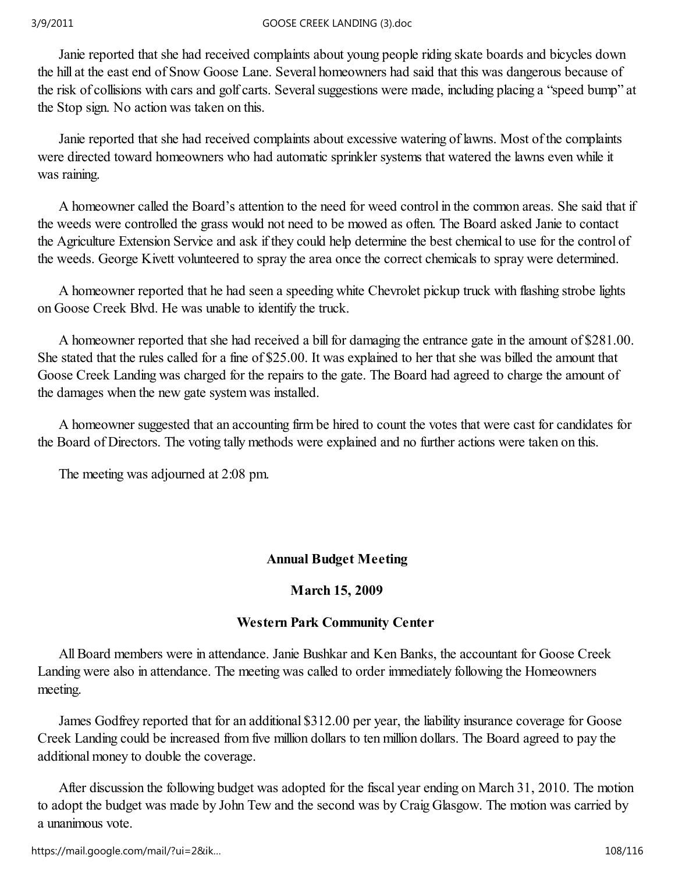Janie reported that she had received complaints about young people riding skate boards and bicycles down the hill at the east end of Snow Goose Lane. Several homeowners had said that this was dangerous because of the risk of collisions with cars and golf carts. Several suggestions were made, including placing a "speed bump" at the Stop sign. No action was taken on this.

 Janie reported that she had received complaints about excessive watering of lawns. Most of the complaints were directed toward homeowners who had automatic sprinkler systems that watered the lawns even while it was raining.

 A homeowner called the Board's attention to the need for weed control in the common areas. She said that if the weeds were controlled the grass would not need to be mowed as often. The Board asked Janie to contact the Agriculture Extension Service and ask if they could help determine the best chemical to use for the control of the weeds. George Kivett volunteered to spray the area once the correct chemicals to spray were determined.

 A homeowner reported that he had seen a speeding white Chevrolet pickup truck with flashing strobe lights on Goose Creek Blvd. He was unable to identify the truck.

 A homeowner reported that she had received a bill for damaging the entrance gate in the amount of \$281.00. She stated that the rules called for a fine of \$25.00. It was explained to her that she was billed the amount that Goose Creek Landing was charged for the repairs to the gate. The Board had agreed to charge the amount of the damages when the new gate system was installed.

 A homeowner suggested that an accounting firm be hired to count the votes that were cast for candidates for the Board of Directors. The voting tally methods were explained and no further actions were taken on this.

The meeting was adjourned at 2:08 pm.

# Annual Budget Meeting

# March 15, 2009

# Western Park Community Center

 All Board members were in attendance. Janie Bushkar and Ken Banks, the accountant for Goose Creek Landing were also in attendance. The meeting was called to order immediately following the Homeowners meeting.

 James Godfrey reported that for an additional \$312.00 per year, the liability insurance coverage for Goose Creek Landing could be increased from five million dollars to ten million dollars. The Board agreed to pay the additional money to double the coverage.

 After discussion the following budget was adopted for the fiscal year ending on March 31, 2010. The motion to adopt the budget was made by John Tew and the second was by Craig Glasgow. The motion was carried by a unanimous vote.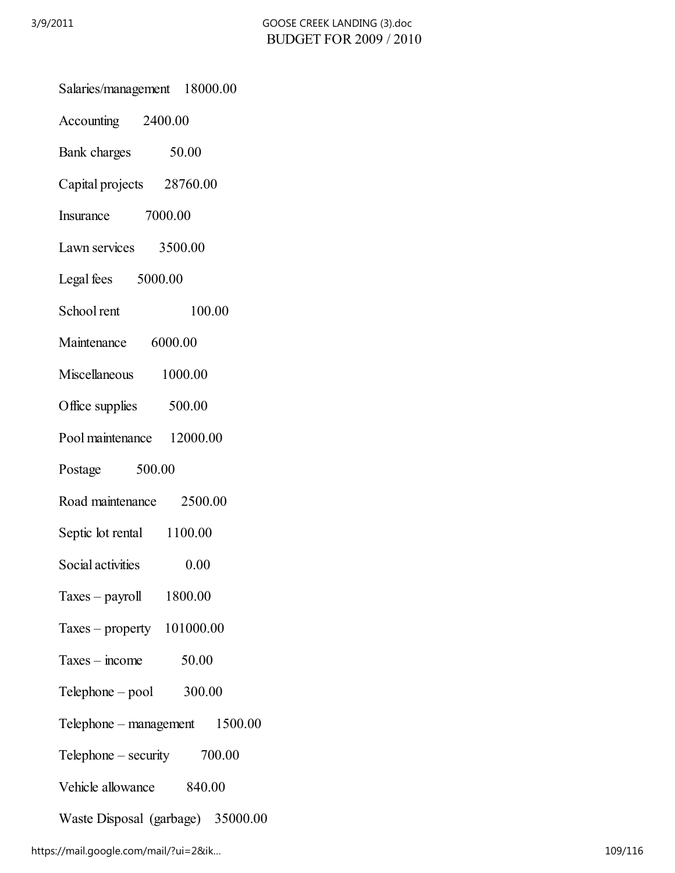|  | Salaries/management 18000.00                                   |         |        |
|--|----------------------------------------------------------------|---------|--------|
|  | Accounting 2400.00                                             |         |        |
|  | Bank charges 50.00                                             |         |        |
|  | Capital projects 28760.00                                      |         |        |
|  | Insurance 7000.00                                              |         |        |
|  | Lawn services 3500.00                                          |         |        |
|  | Legal fees 5000.00                                             |         |        |
|  | School rent                                                    |         | 100.00 |
|  | Maintenance 6000.00                                            |         |        |
|  | Miscellaneous 1000.00                                          |         |        |
|  | Office supplies 500.00                                         |         |        |
|  | Pool maintenance 12000.00                                      |         |        |
|  | Postage 500.00                                                 |         |        |
|  | Road maintenance 2500.00                                       |         |        |
|  | Septic lot rental 1100.00                                      |         |        |
|  | Social activities                                              | 0.00    |        |
|  | $Taxes - payroll$                                              | 1800.00 |        |
|  | Taxes – property $101000.00$                                   |         |        |
|  | $Taxes - income$                                               | 50.00   |        |
|  | $Telephone - pool$ 300.00<br>1500.00<br>Telephone – management |         |        |
|  |                                                                |         |        |
|  | Telephone – security $700.00$                                  |         |        |
|  | Vehicle allowance<br>840.00                                    |         |        |
|  | Waste Disposal (garbage) 35000.00                              |         |        |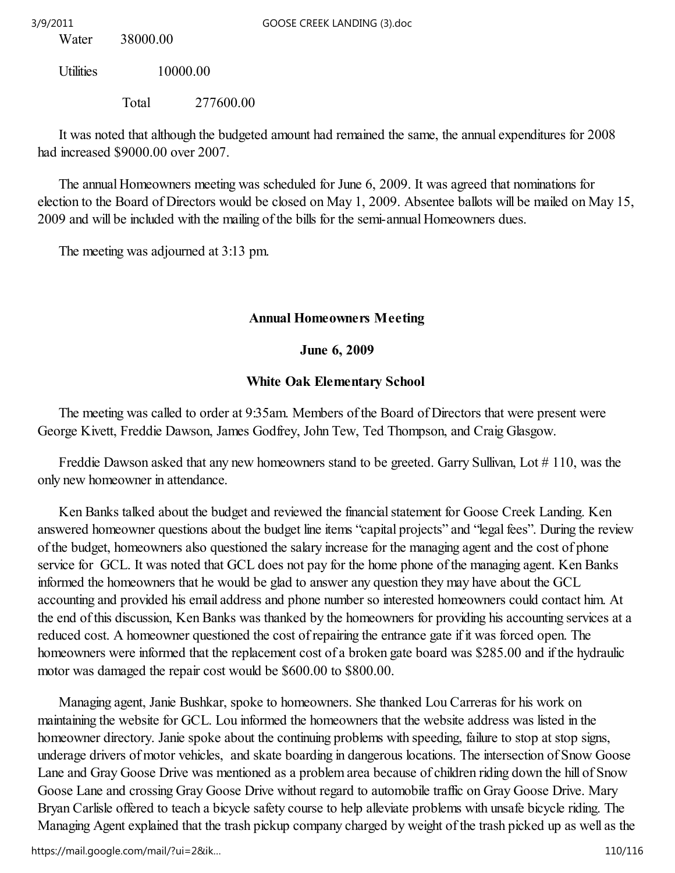Water 38000.00

Utilities 10000.00

Total 277600.00

 It was noted that although the budgeted amount had remained the same, the annual expenditures for 2008 had increased \$9000.00 over 2007.

 The annual Homeowners meeting was scheduled for June 6, 2009. It was agreed that nominations for election to the Board of Directors would be closed on May 1, 2009. Absentee ballots will be mailed on May 15, 2009 and will be included with the mailing of the bills for the semi-annual Homeowners dues.

The meeting was adjourned at 3:13 pm.

# Annual Homeowners Meeting

# June 6, 2009

# White Oak Elementary School

 The meeting was called to order at 9:35am. Members of the Board of Directors that were present were George Kivett, Freddie Dawson, James Godfrey, John Tew, Ted Thompson, and Craig Glasgow.

Freddie Dawson asked that any new homeowners stand to be greeted. Garry Sullivan, Lot #110, was the only new homeowner in attendance.

 Ken Banks talked about the budget and reviewed the financial statement for Goose Creek Landing. Ken answered homeowner questions about the budget line items "capital projects" and "legal fees". During the review of the budget, homeowners also questioned the salary increase for the managing agent and the cost of phone service for GCL. It was noted that GCL does not pay for the home phone of the managing agent. Ken Banks informed the homeowners that he would be glad to answer any question they may have about the GCL accounting and provided his email address and phone number so interested homeowners could contact him. At the end of this discussion, Ken Banks was thanked by the homeowners for providing his accounting services at a reduced cost. A homeowner questioned the cost of repairing the entrance gate if it was forced open. The homeowners were informed that the replacement cost of a broken gate board was \$285.00 and if the hydraulic motor was damaged the repair cost would be \$600.00 to \$800.00.

 Managing agent, Janie Bushkar, spoke to homeowners. She thanked Lou Carreras for his work on maintaining the website for GCL. Lou informed the homeowners that the website address was listed in the homeowner directory. Janie spoke about the continuing problems with speeding, failure to stop at stop signs, underage drivers of motor vehicles, and skate boarding in dangerous locations. The intersection of Snow Goose Lane and Gray Goose Drive was mentioned as a problem area because of children riding down the hill of Snow Goose Lane and crossing Gray Goose Drive without regard to automobile traffic on Gray Goose Drive. Mary Bryan Carlisle offered to teach a bicycle safety course to help alleviate problems with unsafe bicycle riding. The Managing Agent explained that the trash pickup company charged by weight of the trash picked up as well as the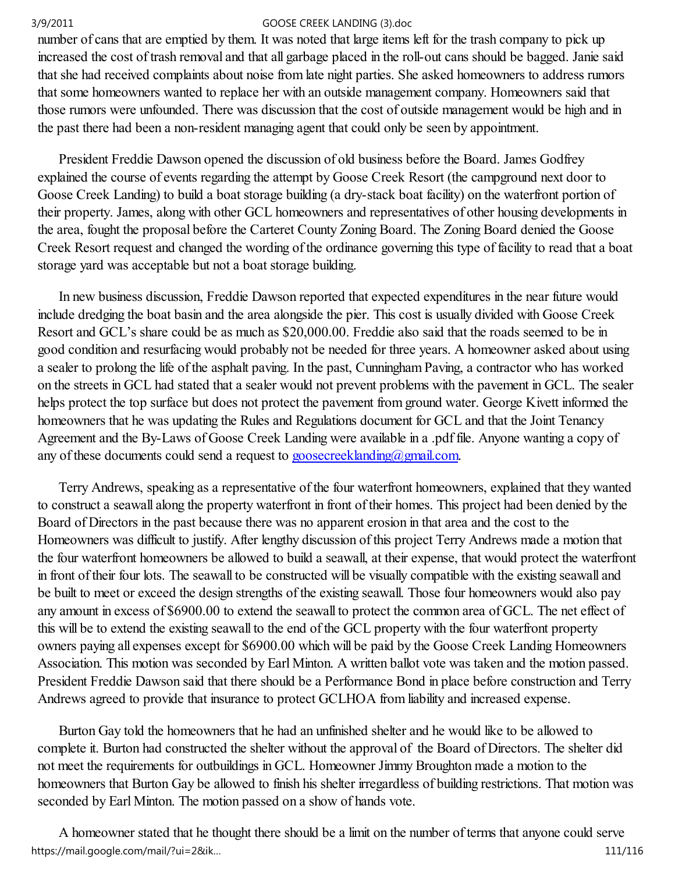number of cans that are emptied by them. It was noted that large items left for the trash company to pick up increased the cost of trash removal and that all garbage placed in the roll-out cans should be bagged. Janie said that she had received complaints about noise from late night parties. She asked homeowners to address rumors that some homeowners wanted to replace her with an outside management company. Homeowners said that those rumors were unfounded. There was discussion that the cost of outside management would be high and in the past there had been a non-resident managing agent that could only be seen by appointment.

 President Freddie Dawson opened the discussion of old business before the Board. James Godfrey explained the course of events regarding the attempt by Goose Creek Resort (the campground next door to Goose Creek Landing) to build a boat storage building (a dry-stack boat facility) on the waterfront portion of their property. James, along with other GCL homeowners and representatives of other housing developments in the area, fought the proposal before the Carteret County Zoning Board. The Zoning Board denied the Goose Creek Resort request and changed the wording of the ordinance governing this type of facility to read that a boat storage yard was acceptable but not a boat storage building.

 In new business discussion, Freddie Dawson reported that expected expenditures in the near future would include dredging the boat basin and the area alongside the pier. This cost is usually divided with Goose Creek Resort and GCL's share could be as much as \$20,000.00. Freddie also said that the roads seemed to be in good condition and resurfacing would probably not be needed for three years. A homeowner asked about using a sealer to prolong the life of the asphalt paving. In the past, Cunningham Paving, a contractor who has worked on the streets in GCL had stated that a sealer would not prevent problems with the pavement in GCL. The sealer helps protect the top surface but does not protect the pavement from ground water. George Kivett informed the homeowners that he was updating the Rules and Regulations document for GCL and that the Joint Tenancy Agreement and the By-Laws of Goose Creek Landing were available in a .pdf file. Anyone wanting a copy of any of these documents could send a request to goosecreeklanding@gmail.com.

 Terry Andrews, speaking as a representative of the four waterfront homeowners, explained that they wanted to construct a seawall along the property waterfront in front of their homes. This project had been denied by the Board of Directors in the past because there was no apparent erosion in that area and the cost to the Homeowners was difficult to justify. After lengthy discussion of this project Terry Andrews made a motion that the four waterfront homeowners be allowed to build a seawall, at their expense, that would protect the waterfront in front of their four lots. The seawall to be constructed will be visually compatible with the existing seawall and be built to meet or exceed the design strengths of the existing seawall. Those four homeowners would also pay any amount in excess of \$6900.00 to extend the seawall to protect the common area of GCL. The net effect of this will be to extend the existing seawall to the end of the GCL property with the four waterfront property owners paying all expenses except for \$6900.00 which will be paid by the Goose Creek Landing Homeowners Association. This motion was seconded by Earl Minton. A written ballot vote was taken and the motion passed. President Freddie Dawson said that there should be a Performance Bond in place before construction and Terry Andrews agreed to provide that insurance to protect GCLHOA from liability and increased expense.

 Burton Gay told the homeowners that he had an unfinished shelter and he would like to be allowed to complete it. Burton had constructed the shelter without the approval of the Board of Directors. The shelter did not meet the requirements for outbuildings in GCL. Homeowner Jimmy Broughton made a motion to the homeowners that Burton Gay be allowed to finish his shelter irregardless of building restrictions. That motion was seconded by Earl Minton. The motion passed on a show of hands vote.

 A homeowner stated that he thought there should be a limit on the number of terms that anyone could serve https://mail.google.com/mail/?ui=2&ik… 111/116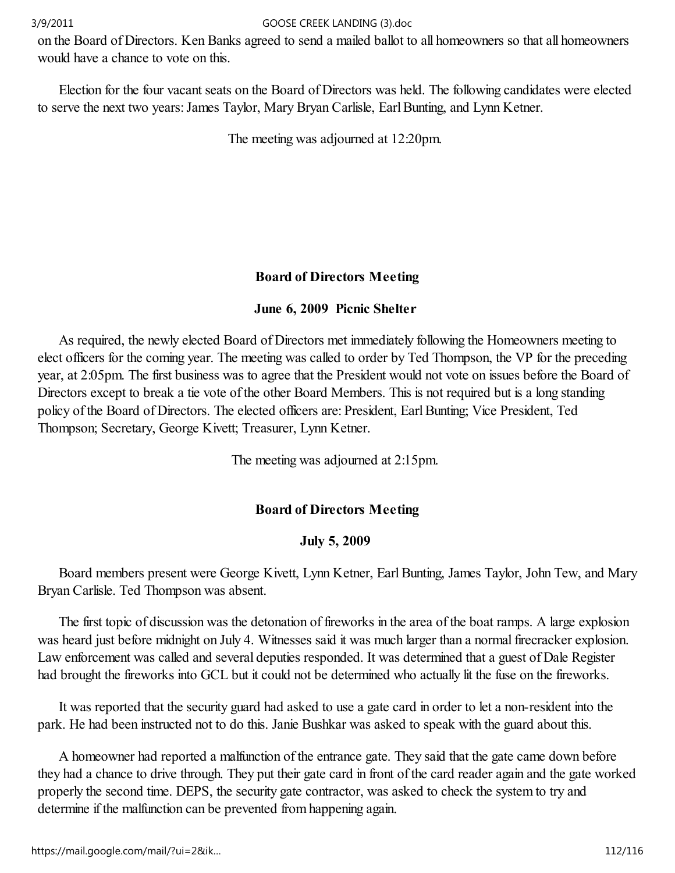on the Board of Directors. Ken Banks agreed to send a mailed ballot to all homeowners so that all homeowners would have a chance to vote on this.

 Election for the four vacant seats on the Board of Directors was held. The following candidates were elected to serve the next two years: James Taylor, Mary Bryan Carlisle, Earl Bunting, and Lynn Ketner.

The meeting was adjourned at 12:20pm.

# Board of Directors Meeting

## June 6, 2009 Picnic Shelter

 As required, the newly elected Board of Directors met immediately following the Homeowners meeting to elect officers for the coming year. The meeting was called to order by Ted Thompson, the VP for the preceding year, at 2:05pm. The first business was to agree that the President would not vote on issues before the Board of Directors except to break a tie vote of the other Board Members. This is not required but is a long standing policy of the Board of Directors. The elected officers are: President, Earl Bunting; Vice President, Ted Thompson; Secretary, George Kivett; Treasurer, Lynn Ketner.

The meeting was adjourned at 2:15pm.

## Board of Directors Meeting

## July 5, 2009

 Board members present were George Kivett, Lynn Ketner, Earl Bunting, James Taylor, John Tew, and Mary Bryan Carlisle. Ted Thompson was absent.

 The first topic of discussion was the detonation of fireworks in the area of the boat ramps. A large explosion was heard just before midnight on July 4. Witnesses said it was much larger than a normal firecracker explosion. Law enforcement was called and several deputies responded. It was determined that a guest of Dale Register had brought the fireworks into GCL but it could not be determined who actually lit the fuse on the fireworks.

 It was reported that the security guard had asked to use a gate card in order to let a non-resident into the park. He had been instructed not to do this. Janie Bushkar was asked to speak with the guard about this.

 A homeowner had reported a malfunction of the entrance gate. They said that the gate came down before they had a chance to drive through. They put their gate card in front of the card reader again and the gate worked properly the second time. DEPS, the security gate contractor, was asked to check the system to try and determine if the malfunction can be prevented from happening again.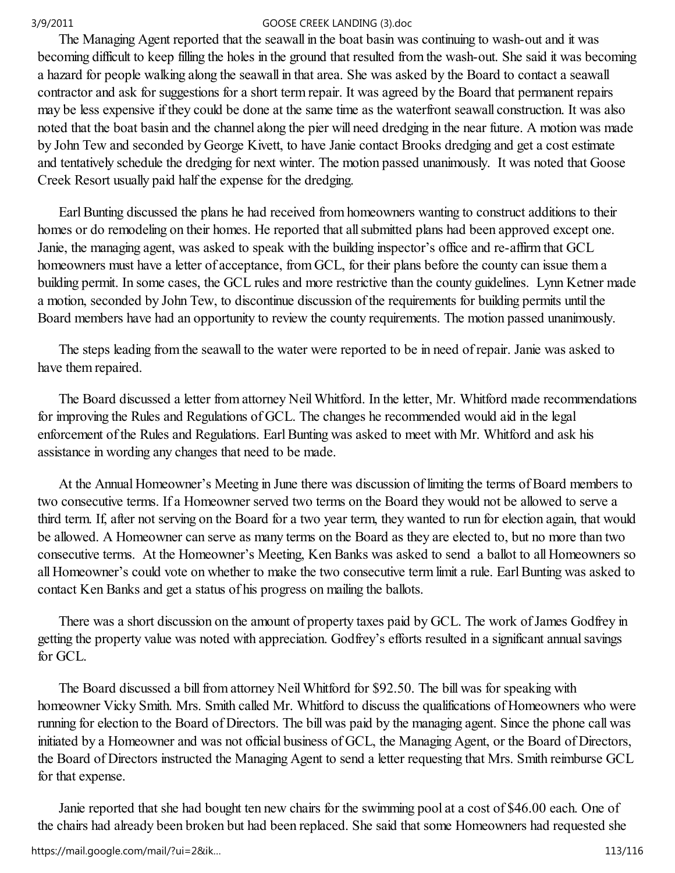The Managing Agent reported that the seawall in the boat basin was continuing to wash-out and it was becoming difficult to keep filling the holes in the ground that resulted from the wash-out. She said it was becoming a hazard for people walking along the seawall in that area. She was asked by the Board to contact a seawall contractor and ask for suggestions for a short term repair. It was agreed by the Board that permanent repairs may be less expensive if they could be done at the same time as the waterfront seawall construction. It was also noted that the boat basin and the channel along the pier will need dredging in the near future. A motion was made by John Tew and seconded by George Kivett, to have Janie contact Brooks dredging and get a cost estimate and tentatively schedule the dredging for next winter. The motion passed unanimously. It was noted that Goose Creek Resort usually paid half the expense for the dredging.

 Earl Bunting discussed the plans he had received from homeowners wanting to construct additions to their homes or do remodeling on their homes. He reported that all submitted plans had been approved except one. Janie, the managing agent, was asked to speak with the building inspector's office and re-affirm that GCL homeowners must have a letter of acceptance, from GCL, for their plans before the county can issue them a building permit. In some cases, the GCL rules and more restrictive than the county guidelines. Lynn Ketner made a motion, seconded by John Tew, to discontinue discussion of the requirements for building permits until the Board members have had an opportunity to review the county requirements. The motion passed unanimously.

 The steps leading from the seawall to the water were reported to be in need of repair. Janie was asked to have them repaired.

 The Board discussed a letter from attorney Neil Whitford. In the letter, Mr. Whitford made recommendations for improving the Rules and Regulations of GCL. The changes he recommended would aid in the legal enforcement of the Rules and Regulations. Earl Bunting was asked to meet with Mr. Whitford and ask his assistance in wording any changes that need to be made.

 At the Annual Homeowner's Meeting in June there was discussion of limiting the terms of Board members to two consecutive terms. If a Homeowner served two terms on the Board they would not be allowed to serve a third term. If, after not serving on the Board for a two year term, they wanted to run for election again, that would be allowed. A Homeowner can serve as many terms on the Board as they are elected to, but no more than two consecutive terms. At the Homeowner's Meeting, Ken Banks was asked to send a ballot to all Homeowners so all Homeowner's could vote on whether to make the two consecutive term limit a rule. Earl Bunting was asked to contact Ken Banks and get a status of his progress on mailing the ballots.

 There was a short discussion on the amount of property taxes paid by GCL. The work of James Godfrey in getting the property value was noted with appreciation. Godfrey's efforts resulted in a significant annual savings for GCL.

 The Board discussed a bill from attorney Neil Whitford for \$92.50. The bill was for speaking with homeowner Vicky Smith. Mrs. Smith called Mr. Whitford to discuss the qualifications of Homeowners who were running for election to the Board of Directors. The bill was paid by the managing agent. Since the phone call was initiated by a Homeowner and was not official business of GCL, the Managing Agent, or the Board of Directors, the Board of Directors instructed the Managing Agent to send a letter requesting that Mrs. Smith reimburse GCL for that expense.

 Janie reported that she had bought ten new chairs for the swimming pool at a cost of \$46.00 each. One of the chairs had already been broken but had been replaced. She said that some Homeowners had requested she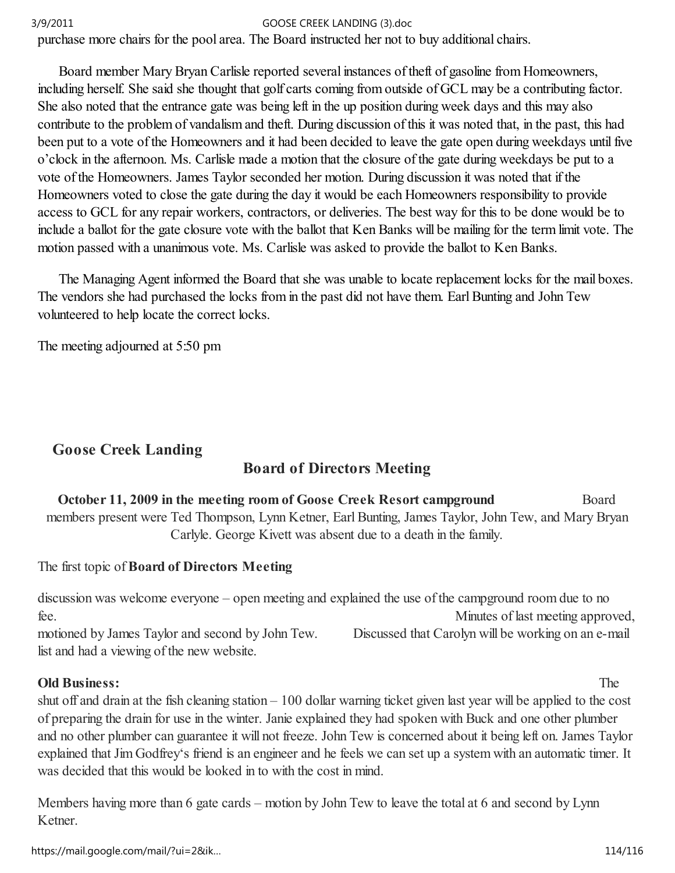purchase more chairs for the pool area. The Board instructed her not to buy additional chairs.

 Board member Mary Bryan Carlisle reported several instances of theft of gasoline from Homeowners, including herself. She said she thought that golf carts coming from outside of GCL may be a contributing factor. She also noted that the entrance gate was being left in the up position during week days and this may also contribute to the problem of vandalism and theft. During discussion of this it was noted that, in the past, this had been put to a vote of the Homeowners and it had been decided to leave the gate open during weekdays until five o'clock in the afternoon. Ms. Carlisle made a motion that the closure of the gate during weekdays be put to a vote of the Homeowners. James Taylor seconded her motion. During discussion it was noted that if the Homeowners voted to close the gate during the day it would be each Homeowners responsibility to provide access to GCL for any repair workers, contractors, or deliveries. The best way for this to be done would be to include a ballot for the gate closure vote with the ballot that Ken Banks will be mailing for the term limit vote. The motion passed with a unanimous vote. Ms. Carlisle was asked to provide the ballot to Ken Banks.

 The Managing Agent informed the Board that she was unable to locate replacement locks for the mail boxes. The vendors she had purchased the locks from in the past did not have them. Earl Bunting and John Tew volunteered to help locate the correct locks.

The meeting adjourned at 5:50 pm

# Goose Creek Landing

# Board of Directors Meeting

October 11, 2009 in the meeting room of Goose Creek Resort campground Board members present were Ted Thompson, Lynn Ketner, Earl Bunting, James Taylor, John Tew, and Mary Bryan Carlyle. George Kivett was absent due to a death in the family.

## The first topic of Board of Directors Meeting

discussion was welcome everyone – open meeting and explained the use of the campground room due to no fee. Minutes of last meeting approved, motioned by James Taylor and second by John Tew. Discussed that Carolyn will be working on an e-mail list and had a viewing of the new website.

## Old Business: The

shut off and drain at the fish cleaning station – 100 dollar warning ticket given last year will be applied to the cost of preparing the drain for use in the winter. Janie explained they had spoken with Buck and one other plumber and no other plumber can guarantee it will not freeze. John Tew is concerned about it being left on. James Taylor explained that Jim Godfrey's friend is an engineer and he feels we can set up a system with an automatic timer. It was decided that this would be looked in to with the cost in mind.

Members having more than 6 gate cards – motion by John Tew to leave the total at 6 and second by Lynn Ketner.

https://mail.google.com/mail/?ui=2&ik… 114/116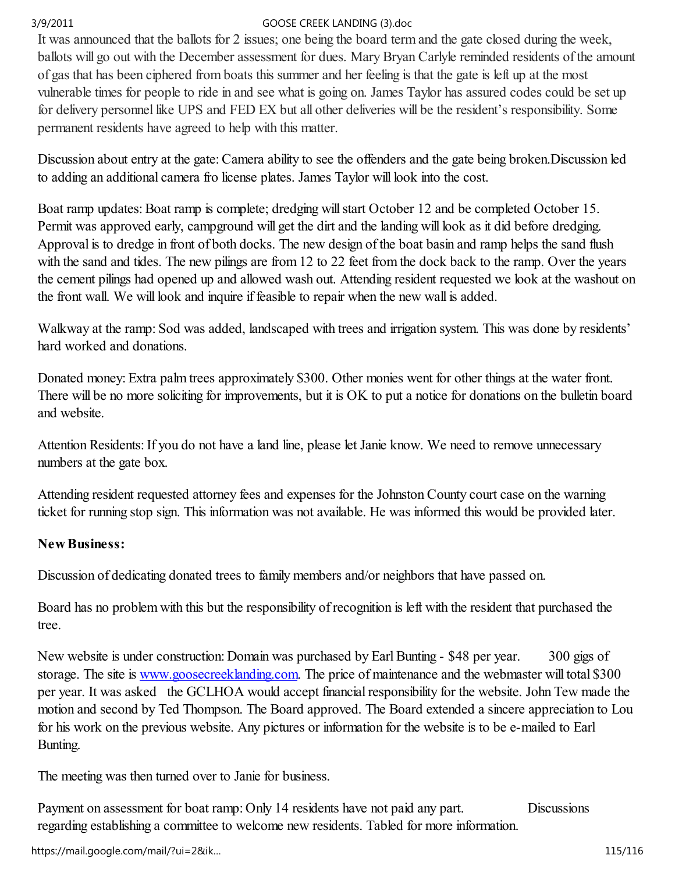It was announced that the ballots for 2 issues; one being the board term and the gate closed during the week, ballots will go out with the December assessment for dues. Mary Bryan Carlyle reminded residents of the amount of gas that has been ciphered from boats this summer and her feeling is that the gate is left up at the most vulnerable times for people to ride in and see what is going on. James Taylor has assured codes could be set up for delivery personnel like UPS and FED EX but all other deliveries will be the resident's responsibility. Some permanent residents have agreed to help with this matter.

Discussion about entry at the gate: Camera ability to see the offenders and the gate being broken.Discussion led to adding an additional camera fro license plates. James Taylor will look into the cost.

Boat ramp updates: Boat ramp is complete; dredging will start October 12 and be completed October 15. Permit was approved early, campground will get the dirt and the landing will look as it did before dredging. Approval is to dredge in front of both docks. The new design of the boat basin and ramp helps the sand flush with the sand and tides. The new pilings are from 12 to 22 feet from the dock back to the ramp. Over the years the cement pilings had opened up and allowed wash out. Attending resident requested we look at the washout on the front wall. We will look and inquire if feasible to repair when the new wall is added.

Walkway at the ramp: Sod was added, landscaped with trees and irrigation system. This was done by residents' hard worked and donations.

Donated money: Extra palm trees approximately \$300. Other monies went for other things at the water front. There will be no more soliciting for improvements, but it is OK to put a notice for donations on the bulletin board and website.

Attention Residents: If you do not have a land line, please let Janie know. We need to remove unnecessary numbers at the gate box.

Attending resident requested attorney fees and expenses for the Johnston County court case on the warning ticket for running stop sign. This information was not available. He was informed this would be provided later.

# New Business:

Discussion of dedicating donated trees to family members and/or neighbors that have passed on.

Board has no problem with this but the responsibility of recognition is left with the resident that purchased the tree.

New website is under construction: Domain was purchased by Earl Bunting - \$48 per year. 300 gigs of storage. The site is www.goosecreeklanding.com. The price of maintenance and the webmaster will total \$300 per year. It was asked the GCLHOA would accept financial responsibility for the website. John Tew made the motion and second by Ted Thompson. The Board approved. The Board extended a sincere appreciation to Lou for his work on the previous website. Any pictures or information for the website is to be e-mailed to Earl Bunting.

The meeting was then turned over to Janie for business.

Payment on assessment for boat ramp: Only 14 residents have not paid any part. Discussions regarding establishing a committee to welcome new residents. Tabled for more information.

https://mail.google.com/mail/?ui=2&ik… 115/116